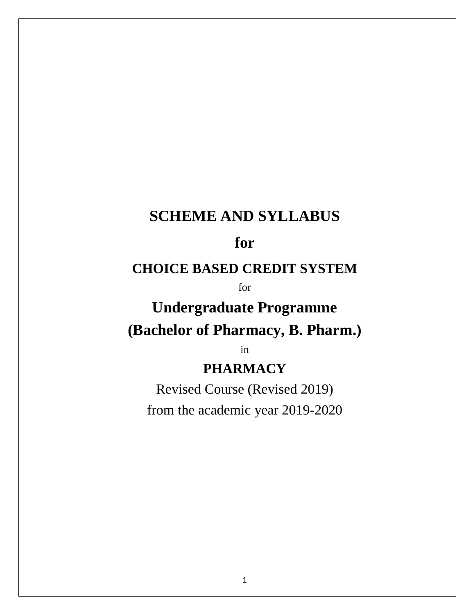## **SCHEME AND SYLLABUS**

## **for**

### **CHOICE BASED CREDIT SYSTEM**

for

# **Undergraduate Programme (Bachelor of Pharmacy, B. Pharm.)**

in

## **PHARMACY**

Revised Course (Revised 2019) from the academic year 2019-2020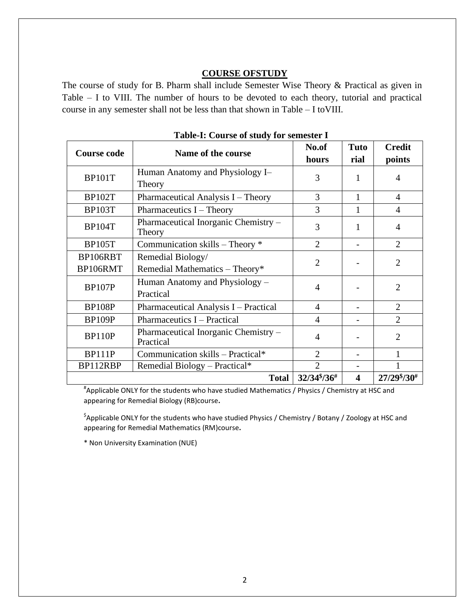#### **COURSE OFSTUDY**

The course of study for B. Pharm shall include Semester Wise Theory & Practical as given in Table – I to VIII. The number of hours to be devoted to each theory, tutorial and practical course in any semester shall not be less than that shown in Table – I toVIII.

|                                                                    | <b>Table-1:</b> Course of study for semester 1      |                                     |                         |                         |  |  |  |  |
|--------------------------------------------------------------------|-----------------------------------------------------|-------------------------------------|-------------------------|-------------------------|--|--|--|--|
| <b>Course code</b>                                                 | Name of the course                                  | No.of<br>hours                      | <b>Tuto</b><br>rial     | <b>Credit</b><br>points |  |  |  |  |
| <b>BP101T</b>                                                      | Human Anatomy and Physiology I-<br>Theory           | 3                                   |                         | 4                       |  |  |  |  |
| <b>BP102T</b>                                                      | Pharmaceutical Analysis I - Theory                  | 3                                   | 1                       | $\overline{4}$          |  |  |  |  |
| <b>BP103T</b>                                                      | Pharmaceutics I - Theory                            | 3                                   |                         | 4                       |  |  |  |  |
| <b>BP104T</b>                                                      | Pharmaceutical Inorganic Chemistry -<br>Theory      | 3                                   | 1                       | 4                       |  |  |  |  |
| <b>BP105T</b>                                                      | Communication skills - Theory *                     | $\overline{2}$                      |                         | $\overline{2}$          |  |  |  |  |
| BP106RBT<br>BP106RMT                                               | Remedial Biology/<br>Remedial Mathematics - Theory* | $\overline{2}$                      |                         | $\overline{2}$          |  |  |  |  |
| Human Anatomy and Physiology –<br><b>BP107P</b><br>Practical       |                                                     | $\overline{4}$                      |                         | $\overline{2}$          |  |  |  |  |
| <b>BP108P</b>                                                      | Pharmaceutical Analysis I - Practical               | $\overline{4}$                      |                         | $\overline{2}$          |  |  |  |  |
| <b>BP109P</b>                                                      | Pharmaceutics I – Practical                         | $\overline{4}$                      |                         | $\overline{2}$          |  |  |  |  |
| Pharmaceutical Inorganic Chemistry -<br><b>BP110P</b><br>Practical |                                                     | $\overline{4}$                      |                         | $\overline{2}$          |  |  |  |  |
| <b>BP111P</b>                                                      | Communication skills - Practical*                   | $\overline{2}$                      |                         |                         |  |  |  |  |
| BP112RBP                                                           | Remedial Biology - Practical*                       | $\overline{2}$                      |                         |                         |  |  |  |  |
|                                                                    | <b>Total</b>                                        | $32/34\frac{1}{2}$ /36 <sup>#</sup> | $\overline{\mathbf{4}}$ | $27/29\frac{8}{30}$ #   |  |  |  |  |

**Table-I: Course of study for semester I**

# Applicable ONLY for the students who have studied Mathematics / Physics / Chemistry at HSC and appearing for Remedial Biology (RB)course**.**

\$ Applicable ONLY for the students who have studied Physics / Chemistry / Botany / Zoology at HSC and appearing for Remedial Mathematics (RM)course**.**

\* Non University Examination (NUE)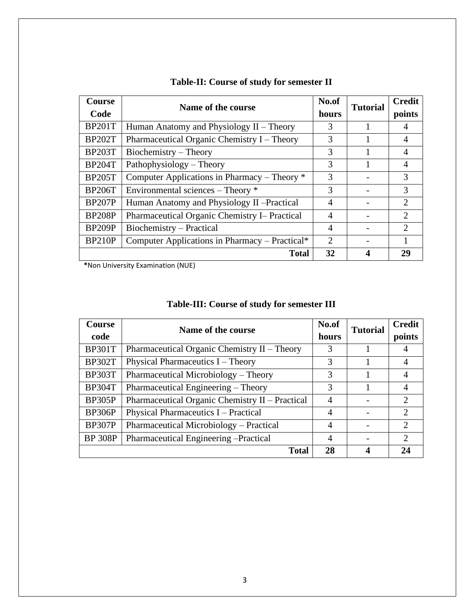| <b>Course</b><br>Code | Name of the course                             | No.of<br>hours              | <b>Tutorial</b> | <b>Credit</b><br>points     |
|-----------------------|------------------------------------------------|-----------------------------|-----------------|-----------------------------|
| <b>BP201T</b>         | Human Anatomy and Physiology $II$ – Theory     | 3                           |                 |                             |
| <b>BP202T</b>         | Pharmaceutical Organic Chemistry I – Theory    |                             |                 | 4                           |
| <b>BP203T</b>         | Biochemistry – Theory                          | 3                           |                 |                             |
| <b>BP204T</b>         | Pathophysiology – Theory                       |                             |                 | 4                           |
| <b>BP205T</b>         | Computer Applications in Pharmacy – Theory *   |                             |                 | 3                           |
| <b>BP206T</b>         | Environmental sciences – Theory *              |                             |                 | 3                           |
| <b>BP207P</b>         | Human Anatomy and Physiology II - Practical    | 4                           |                 | $\mathcal{D}_{\mathcal{L}}$ |
| <b>BP208P</b>         | Pharmaceutical Organic Chemistry I– Practical  | $\overline{4}$              |                 | $\mathcal{D}_{\mathcal{L}}$ |
| <b>BP209P</b>         | Biochemistry – Practical                       |                             |                 | $\mathcal{D}$               |
| <b>BP210P</b>         | Computer Applications in Pharmacy – Practical* | $\mathcal{D}_{\mathcal{L}}$ |                 |                             |
|                       | Total                                          | 32                          |                 | 29                          |

#### **Table-II: Course of study for semester II**

**\***Non University Examination (NUE)

### **Table-III: Course of study for semester III**

| <b>Course</b><br>code | Name of the course                              | No.of<br>hours | <b>Tutorial</b> | <b>Credit</b><br>points     |
|-----------------------|-------------------------------------------------|----------------|-----------------|-----------------------------|
| <b>BP301T</b>         | Pharmaceutical Organic Chemistry $II$ – Theory  | 3              |                 |                             |
| <b>BP302T</b>         | Physical Pharmaceutics $I$ – Theory             | 3              |                 | $\overline{4}$              |
| <b>BP303T</b>         | Pharmaceutical Microbiology – Theory            | 3              |                 | $\overline{4}$              |
| <b>BP304T</b>         | Pharmaceutical Engineering – Theory             | 3              |                 | $\overline{A}$              |
| BP305P                | Pharmaceutical Organic Chemistry II - Practical | $\overline{4}$ |                 | $\mathcal{D}_{\mathcal{L}}$ |
| BP306P                | Physical Pharmaceutics I – Practical            | 4              |                 | $\mathcal{D}_{\mathcal{L}}$ |
| <b>BP307P</b>         | Pharmaceutical Microbiology - Practical         |                |                 | $\mathcal{D}_{\mathcal{L}}$ |
| <b>BP 308P</b>        | Pharmaceutical Engineering - Practical          | $\overline{4}$ |                 | $\mathcal{D}$               |
|                       | <b>Total</b>                                    | 28             |                 |                             |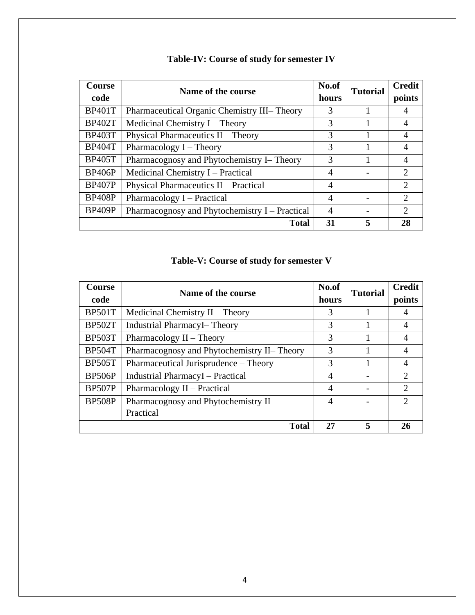| <b>Course</b>                                                   | Name of the course                           | No.of          | <b>Tutorial</b> | <b>Credit</b>               |
|-----------------------------------------------------------------|----------------------------------------------|----------------|-----------------|-----------------------------|
| code                                                            |                                              | hours          |                 | points                      |
| <b>BP401T</b>                                                   | Pharmaceutical Organic Chemistry III- Theory | 3              |                 | 4                           |
| <b>BP402T</b>                                                   | Medicinal Chemistry $I$ – Theory             |                |                 | 4                           |
| <b>BP403T</b>                                                   | Physical Pharmaceutics II - Theory           | 3              |                 | $\overline{A}$              |
| <b>BP404T</b>                                                   | Pharmacology $I$ – Theory                    | 3              |                 | $\overline{A}$              |
| <b>BP405T</b>                                                   | Pharmacognosy and Phytochemistry I- Theory   |                |                 | $\overline{4}$              |
| <b>BP406P</b><br>Medicinal Chemistry I – Practical              |                                              | $\overline{4}$ |                 | $\mathcal{D}_{\mathcal{L}}$ |
| <b>BP407P</b>                                                   | Physical Pharmaceutics II - Practical        |                |                 | $\mathcal{D}_{\mathcal{L}}$ |
| <b>BP408P</b>                                                   | Pharmacology I – Practical                   |                |                 | $\mathcal{D}_{\mathcal{L}}$ |
| <b>BP409P</b><br>Pharmacognosy and Phytochemistry I – Practical |                                              | 4              |                 | $\mathcal{D}_{\mathcal{L}}$ |
|                                                                 | <b>Total</b>                                 | 31             | 5               | 28                          |

### **Table-IV: Course of study for semester IV**

### **Table-V: Course of study for semester V**

| Course        | Name of the course                          | No.of          | <b>Tutorial</b> | <b>Credit</b>               |
|---------------|---------------------------------------------|----------------|-----------------|-----------------------------|
| code          |                                             | hours          |                 | points                      |
| <b>BP501T</b> | Medicinal Chemistry $II$ – Theory           | 3              |                 | 4                           |
| <b>BP502T</b> | <b>Industrial PharmacyI-Theory</b>          |                |                 | $\overline{4}$              |
| <b>BP503T</b> | Pharmacology $II$ – Theory                  | 3              |                 | $\overline{4}$              |
| <b>BP504T</b> | Pharmacognosy and Phytochemistry II- Theory | 3              |                 | $\overline{A}$              |
| <b>BP505T</b> | Pharmaceutical Jurisprudence – Theory       | 3              |                 | $\overline{A}$              |
| <b>BP506P</b> | <b>Industrial PharmacyI</b> – Practical     | $\overline{4}$ |                 | $\mathcal{D}_{\mathcal{L}}$ |
| <b>BP507P</b> | Pharmacology II – Practical                 | $\overline{A}$ |                 | $\overline{2}$              |
| <b>BP508P</b> | Pharmacognosy and Phytochemistry II -       |                |                 | $\mathcal{D}_{\mathcal{L}}$ |
|               | Practical                                   |                |                 |                             |
|               | <b>Total</b>                                | 27             | 5               | 26                          |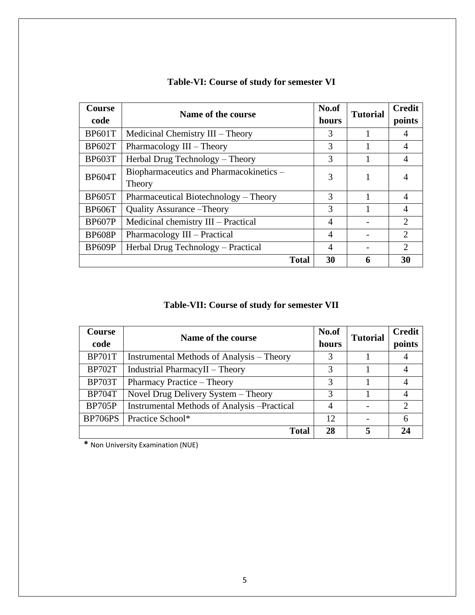| <b>Course</b><br>code | Name of the course                                | No.of<br>hours | <b>Tutorial</b> | <b>Credit</b><br>points     |
|-----------------------|---------------------------------------------------|----------------|-----------------|-----------------------------|
| <b>BP601T</b>         | Medicinal Chemistry III – Theory                  | 3              |                 | 4                           |
| <b>BP602T</b>         | Pharmacology $III$ – Theory                       |                |                 | $\overline{4}$              |
| <b>BP603T</b>         | Herbal Drug Technology – Theory                   |                |                 | 4                           |
| <b>BP604T</b>         | Biopharmaceutics and Pharmacokinetics -<br>Theory |                |                 |                             |
| <b>BP605T</b>         | Pharmaceutical Biotechnology – Theory             | 3              |                 | 4                           |
| <b>BP606T</b>         | <b>Quality Assurance – Theory</b>                 | 3              |                 |                             |
| <b>BP607P</b>         | Medicinal chemistry III – Practical               | 4              |                 | $\mathcal{D}_{\mathcal{A}}$ |
| <b>BP608P</b>         | Pharmacology III – Practical                      | 4              |                 | $\mathcal{D}_{\cdot}$       |
| <b>BP609P</b>         | Herbal Drug Technology – Practical                | 4              |                 | $\mathcal{D}_{\mathcal{L}}$ |
|                       | <b>Total</b>                                      | 30             |                 | 30                          |

### **Table-VI: Course of study for semester VI**

### **Table-VII: Course of study for semester VII**

| <b>Course</b>                      | Name of the course                                 | No.of | <b>Tutorial</b> | <b>Credit</b> |
|------------------------------------|----------------------------------------------------|-------|-----------------|---------------|
| code                               |                                                    | hours |                 | points        |
| <b>BP701T</b>                      | Instrumental Methods of Analysis – Theory          | 3     |                 |               |
| <b>BP702T</b>                      | Industrial PharmacyII - Theory                     | 3     |                 |               |
| <b>BP703T</b>                      | Pharmacy Practice - Theory                         | 3     |                 |               |
| <b>BP704T</b>                      | Novel Drug Delivery System - Theory                | 3     |                 |               |
| <b>BP705P</b>                      | <b>Instrumental Methods of Analysis -Practical</b> | 4     |                 | $\mathcal{D}$ |
| <b>BP706PS</b><br>Practice School* |                                                    | 12    |                 | 6             |
|                                    | Total                                              | 28    |                 |               |

**\*** Non University Examination (NUE)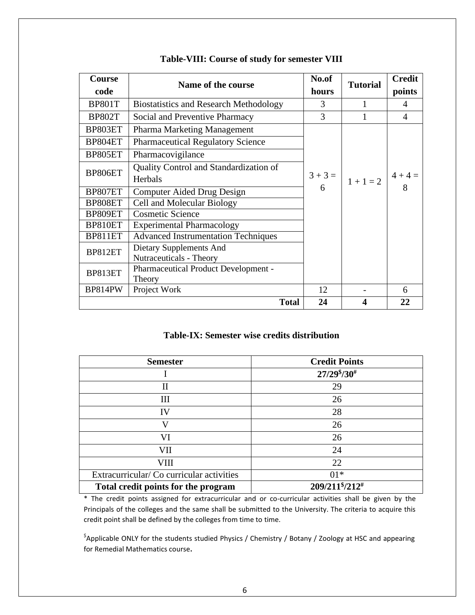| <b>Course</b>                                                                                                   | Name of the course                            | No.of     | <b>Tutorial</b> | <b>Credit</b>  |
|-----------------------------------------------------------------------------------------------------------------|-----------------------------------------------|-----------|-----------------|----------------|
| code                                                                                                            |                                               | hours     |                 | points         |
| <b>BP801T</b>                                                                                                   | <b>Biostatistics and Research Methodology</b> | 3         |                 | $\overline{A}$ |
| <b>BP802T</b>                                                                                                   | Social and Preventive Pharmacy                | 3         |                 | $\overline{4}$ |
| BP803ET                                                                                                         | Pharma Marketing Management                   |           |                 |                |
| BP804ET                                                                                                         | <b>Pharmaceutical Regulatory Science</b>      |           |                 |                |
| BP805ET                                                                                                         | Pharmacovigilance                             |           |                 |                |
|                                                                                                                 | Quality Control and Standardization of        |           |                 |                |
| BP806ET<br>Herbals<br>BP807ET<br>Computer Aided Drug Design<br>Cell and Molecular Biology<br>BP808ET<br>BP809ET |                                               | $3 + 3 =$ | $1 + 1 = 2$     | $4 + 4 =$      |
|                                                                                                                 |                                               | 6         |                 |                |
|                                                                                                                 |                                               |           |                 |                |
|                                                                                                                 | <b>Cosmetic Science</b>                       |           |                 |                |
| BP810ET                                                                                                         | <b>Experimental Pharmacology</b>              |           |                 |                |
| BP811ET                                                                                                         | <b>Advanced Instrumentation Techniques</b>    |           |                 |                |
|                                                                                                                 | Dietary Supplements And                       |           |                 |                |
|                                                                                                                 | BP812ET<br>Nutraceuticals - Theory            |           |                 |                |
| BP813ET                                                                                                         | <b>Pharmaceutical Product Development -</b>   |           |                 |                |
|                                                                                                                 | Theory                                        |           |                 |                |
| <b>BP814PW</b>                                                                                                  | Project Work                                  | 12        |                 | 6              |
|                                                                                                                 | <b>Total</b>                                  | 24        | 4               | 22             |

#### **Table-VIII: Course of study for semester VIII**

#### **Table-IX: Semester wise credits distribution**

| <b>Semester</b>                           | <b>Credit Points</b>   |
|-------------------------------------------|------------------------|
|                                           | $27/298/30\#$          |
| $\mathbf{I}$                              | 29                     |
| Ш                                         | 26                     |
| IV                                        | 28                     |
| V                                         | 26                     |
| VI                                        | 26                     |
| VII                                       | 24                     |
| VIII                                      | 22                     |
| Extracurricular/ Co curricular activities | $01*$                  |
| Total credit points for the program       | $209/211\frac{8}{212}$ |

\* The credit points assigned for extracurricular and or co-curricular activities shall be given by the Principals of the colleges and the same shall be submitted to the University. The criteria to acquire this credit point shall be defined by the colleges from time to time.

\$ Applicable ONLY for the students studied Physics / Chemistry / Botany / Zoology at HSC and appearing for Remedial Mathematics course**.**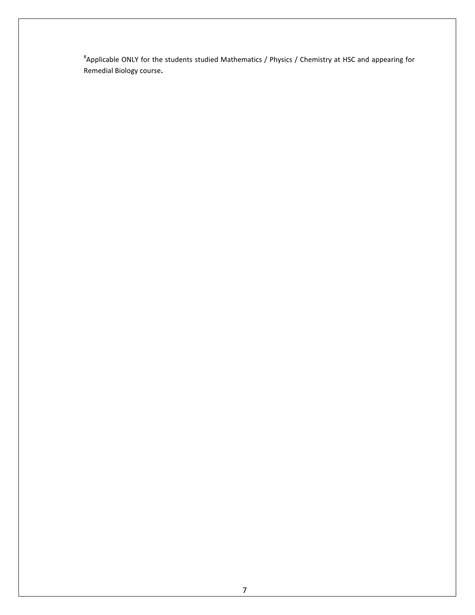# Applicable ONLY for the students studied Mathematics / Physics / Chemistry at HSC and appearing for Remedial Biology course**.**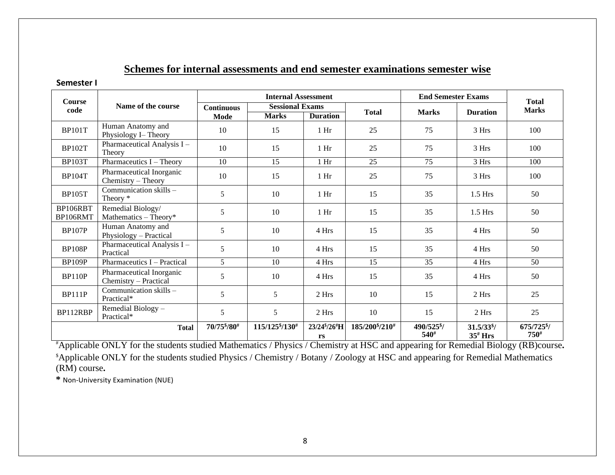### **Schemes for internal assessments and end semester examinations semester wise**

#### **Semester I**

| <b>Course</b>        |                                                   | <b>Internal Assessment</b>                  |               |                                 |                                         | <b>End Semester Exams</b> | <b>Total</b>                     |                                     |
|----------------------|---------------------------------------------------|---------------------------------------------|---------------|---------------------------------|-----------------------------------------|---------------------------|----------------------------------|-------------------------------------|
| code                 | Name of the course                                | <b>Sessional Exams</b><br><b>Continuous</b> |               |                                 | <b>Total</b>                            | <b>Marks</b>              | <b>Duration</b>                  | <b>Marks</b>                        |
|                      |                                                   | Mode                                        | <b>Marks</b>  | <b>Duration</b>                 |                                         |                           |                                  |                                     |
| <b>BP101T</b>        | Human Anatomy and<br>Physiology I-Theory          | 10                                          | 15            | $1$ Hr                          | 25                                      | 75                        | 3 Hrs                            | 100                                 |
| <b>BP102T</b>        | Pharmaceutical Analysis I -<br>Theory             | 10                                          | 15            | $1$ Hr                          | 25                                      | 75                        | 3 Hrs                            | 100                                 |
| <b>BP103T</b>        | Pharmaceutics $I$ – Theory                        | 10                                          | 15            | 1 Hr                            | 25                                      | 75                        | 3 Hrs                            | 100                                 |
| <b>BP104T</b>        | Pharmaceutical Inorganic<br>Chemistry - Theory    | 10                                          | 15            | $1$ Hr                          | 25                                      | 75                        | 3 Hrs                            | 100                                 |
| <b>BP105T</b>        | Communication skills $-$<br>Theory *              | 5                                           | 10            | 1 <sub>Hi</sub>                 | 15                                      | 35                        | $1.5$ Hrs                        | 50                                  |
| BP106RBT<br>BP106RMT | Remedial Biology/<br>Mathematics - Theory*        | 5                                           | 10            | $1$ Hr                          | 15                                      | 35                        | $1.5$ Hrs                        | 50                                  |
| <b>BP107P</b>        | Human Anatomy and<br>Physiology - Practical       | 5                                           | 10            | 4 Hrs                           | 15                                      | 35                        | 4 Hrs                            | 50                                  |
| <b>BP108P</b>        | Pharmaceutical Analysis I-<br>Practical           | 5                                           | 10            | 4 Hrs                           | 15                                      | 35                        | 4 Hrs                            | 50                                  |
| <b>BP109P</b>        | Pharmaceutics I - Practical                       | 5                                           | 10            | 4 Hrs                           | 15                                      | 35                        | 4 Hrs                            | 50                                  |
| <b>BP110P</b>        | Pharmaceutical Inorganic<br>Chemistry - Practical | 5                                           | 10            | 4 Hrs                           | 15                                      | 35                        | 4 Hrs                            | 50                                  |
| <b>BP111P</b>        | Communication skills -<br>Practical*              | 5                                           | 5             | 2 Hrs                           | 10                                      | 15                        | 2 Hrs                            | 25                                  |
| BP112RBP             | Remedial Biology -<br>Practical*                  | 5                                           | 5             | 2 Hrs                           | 10                                      | 15                        | 2 Hrs                            | 25                                  |
| <b>Total</b>         |                                                   | 70/75 */80 #                                | 115/1258/130# | 23/24 <sup>\$</sup> /26#H<br>rs | 185/200 <sup>\$</sup> /210 <sup>#</sup> | 490/525 \$/<br>$540^{#}$  | $31.5/33^{8}$ /<br>$35^{\#}$ Hrs | 675/725 $\frac{1}{2}$<br>$750^{\#}$ |

#Applicable ONLY for the students studied Mathematics / Physics / Chemistry at HSC and appearing for Remedial Biology (RB)course**.** \$Applicable ONLY for the students studied Physics / Chemistry / Botany / Zoology at HSC and appearing for Remedial Mathematics (RM) course**.**

**\*** Non-University Examination (NUE)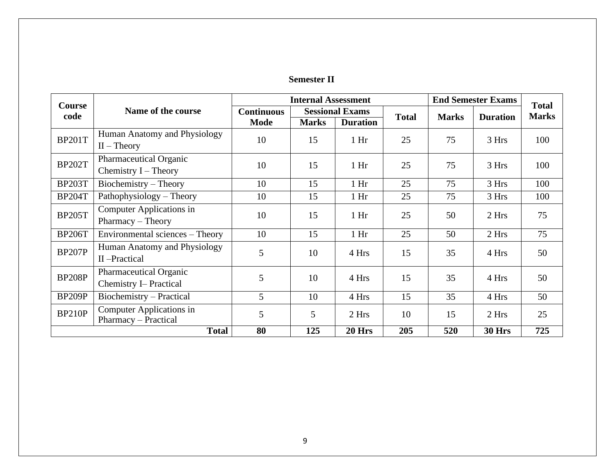| <b>Semester II</b> |
|--------------------|
|--------------------|

| <b>Course</b> |                                                                | <b>Internal Assessment</b>                  |              |                 |              | <b>End Semester Exams</b> | <b>Total</b>  |     |
|---------------|----------------------------------------------------------------|---------------------------------------------|--------------|-----------------|--------------|---------------------------|---------------|-----|
| code          | Name of the course                                             | <b>Sessional Exams</b><br><b>Continuous</b> |              | <b>Total</b>    | <b>Marks</b> | <b>Duration</b>           | <b>Marks</b>  |     |
|               |                                                                | <b>Mode</b>                                 | <b>Marks</b> | <b>Duration</b> |              |                           |               |     |
| <b>BP201T</b> | Human Anatomy and Physiology<br>$II$ – Theory                  | 10                                          | 15           | 1 <sub>hr</sub> | 25           | 75                        | 3 Hrs         | 100 |
| <b>BP202T</b> | Pharmaceutical Organic<br>Chemistry $I$ – Theory               | 10                                          | 15           | 1 <sub>hr</sub> | 25           | 75                        | 3 Hrs         | 100 |
| <b>BP203T</b> | Biochemistry – Theory                                          | 10                                          | 15           | 1 <sub>hr</sub> | 25           | 75                        | 3 Hrs         | 100 |
| <b>BP204T</b> | Pathophysiology - Theory                                       | 10                                          | 15           | 1 <sub>hr</sub> | 25           | 75                        | 3 Hrs         | 100 |
| <b>BP205T</b> | Computer Applications in<br>$Pharmacy - Theory$                | 10                                          | 15           | 1 <sub>hr</sub> | 25           | 50                        | 2 Hrs         | 75  |
| <b>BP206T</b> | Environmental sciences – Theory                                | 10                                          | 15           | 1 <sub>hr</sub> | 25           | 50                        | 2 Hrs         | 75  |
| <b>BP207P</b> | Human Anatomy and Physiology<br>II-Practical                   | 5                                           | 10           | 4 Hrs           | 15           | 35                        | 4 Hrs         | 50  |
| <b>BP208P</b> | <b>Pharmaceutical Organic</b><br><b>Chemistry I– Practical</b> | 5                                           | 10           | 4 Hrs           | 15           | 35                        | 4 Hrs         | 50  |
| <b>BP209P</b> | Biochemistry - Practical                                       | 5                                           | 10           | 4 Hrs           | 15           | 35                        | 4 Hrs         | 50  |
| <b>BP210P</b> | Computer Applications in<br>Pharmacy – Practical               | 5                                           | 5            | 2 Hrs           | 10           | 15                        | 2 Hrs         | 25  |
| <b>Total</b>  |                                                                | 80                                          | 125          | 20 Hrs          | 205          | 520                       | <b>30 Hrs</b> | 725 |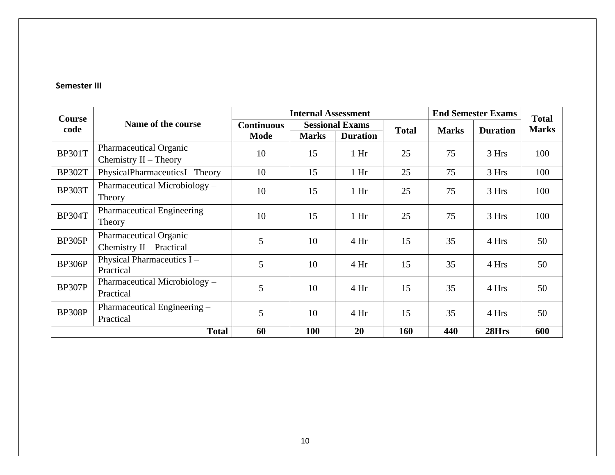#### **Semester III**

| Course        |                                                    |                                             | <b>Internal Assessment</b> |                 |              | <b>End Semester Exams</b> | <b>Total</b> |     |
|---------------|----------------------------------------------------|---------------------------------------------|----------------------------|-----------------|--------------|---------------------------|--------------|-----|
| code          | Name of the course                                 | <b>Sessional Exams</b><br><b>Continuous</b> |                            | <b>Total</b>    | <b>Marks</b> | <b>Duration</b>           | <b>Marks</b> |     |
|               |                                                    | <b>Mode</b>                                 | <b>Marks</b>               | <b>Duration</b> |              |                           |              |     |
| <b>BP301T</b> | Pharmaceutical Organic<br>Chemistry $II$ – Theory  | 10                                          | 15                         | 1 <sub>hr</sub> | 25           | 75                        | 3 Hrs        | 100 |
| <b>BP302T</b> | PhysicalPharmaceuticsI-Theory                      | 10                                          | 15                         | 1 <sub>hr</sub> | 25           | 75                        | 3 Hrs        | 100 |
| <b>BP303T</b> | Pharmaceutical Microbiology –<br>Theory            | 10                                          | 15                         | 1 <sub>hr</sub> | 25           | 75                        | 3 Hrs        | 100 |
| <b>BP304T</b> | Pharmaceutical Engineering -<br>Theory             | 10                                          | 15                         | 1 <sub>hr</sub> | 25           | 75                        | 3 Hrs        | 100 |
| <b>BP305P</b> | Pharmaceutical Organic<br>Chemistry II - Practical | 5                                           | 10                         | 4 Hr            | 15           | 35                        | 4 Hrs        | 50  |
| BP306P        | Physical Pharmaceutics I -<br>Practical            | 5                                           | 10                         | 4 Hr            | 15           | 35                        | 4 Hrs        | 50  |
| <b>BP307P</b> | Pharmaceutical Microbiology -<br>Practical         | 5                                           | 10                         | 4 Hr            | 15           | 35                        | 4 Hrs        | 50  |
| <b>BP308P</b> | Pharmaceutical Engineering –<br>Practical          | 5                                           | 10                         | 4 Hr            | 15           | 35                        | 4 Hrs        | 50  |
|               | <b>Total</b>                                       | 60                                          | 100                        | 20              | 160          | 440                       | 28Hrs        | 600 |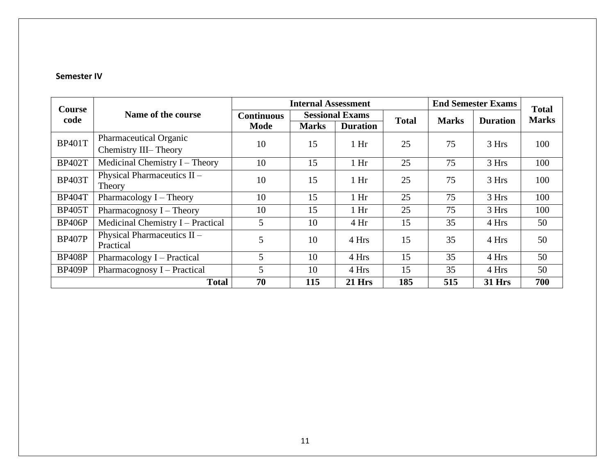#### **Semester IV**

| <b>Course</b>              |                                          |                                             | <b>Internal Assessment</b> |                 |              | <b>End Semester Exams</b> | <b>Total</b>    |              |
|----------------------------|------------------------------------------|---------------------------------------------|----------------------------|-----------------|--------------|---------------------------|-----------------|--------------|
| Name of the course<br>code |                                          | <b>Sessional Exams</b><br><b>Continuous</b> |                            |                 | <b>Total</b> | <b>Marks</b>              | <b>Duration</b> | <b>Marks</b> |
|                            |                                          | Mode                                        | <b>Marks</b>               | <b>Duration</b> |              |                           |                 |              |
| <b>BP401T</b>              | Pharmaceutical Organic                   | 10                                          | 15                         | 1 <sub>hr</sub> | 25           | 75                        | 3 Hrs           | 100          |
|                            | Chemistry III-Theory                     |                                             |                            |                 |              |                           |                 |              |
| <b>BP402T</b>              | Medicinal Chemistry $I$ – Theory         | 10                                          | 15                         | 1 <sub>hr</sub> | 25           | 75                        | 3 Hrs           | 100          |
| <b>BP403T</b>              | Physical Pharmaceutics II -<br>Theory    | 10                                          | 15                         | 1 <sub>hr</sub> | 25           | 75                        | 3 Hrs           | 100          |
| <b>BP404T</b>              | Pharmacology $I$ – Theory                | 10                                          | 15                         | 1 <sub>hr</sub> | 25           | 75                        | 3 Hrs           | 100          |
| <b>BP405T</b>              | Pharmacognosy $I$ – Theory               | 10                                          | 15                         | 1 <sub>hr</sub> | 25           | 75                        | 3 Hrs           | 100          |
| <b>BP406P</b>              | Medicinal Chemistry I – Practical        | 5                                           | 10                         | 4 Hr            | 15           | 35                        | 4 Hrs           | 50           |
| <b>BP407P</b>              | Physical Pharmaceutics II -<br>Practical | 5                                           | 10                         | 4 Hrs           | 15           | 35                        | 4 Hrs           | 50           |
| <b>BP408P</b>              | Pharmacology I – Practical               | $\mathfrak{S}$                              | 10                         | 4 Hrs           | 15           | 35                        | 4 Hrs           | 50           |
| <b>BP409P</b>              | Pharmacognosy I – Practical              | 5                                           | 10                         | 4 Hrs           | 15           | 35                        | 4 Hrs           | 50           |
|                            | <b>Total</b>                             | 70                                          | 115                        | <b>21 Hrs</b>   | 185          | 515                       | <b>31 Hrs</b>   | 700          |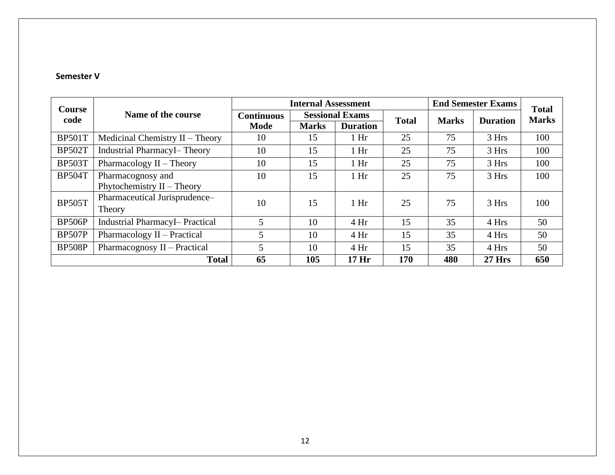#### **Semester V**

| <b>Course</b> |                                       | <b>Internal Assessment</b> |                        |                  |              | <b>End Semester Exams</b> | <b>Total</b>    |              |
|---------------|---------------------------------------|----------------------------|------------------------|------------------|--------------|---------------------------|-----------------|--------------|
| code          | Name of the course                    | <b>Continuous</b>          | <b>Sessional Exams</b> |                  | <b>Total</b> | <b>Marks</b>              | <b>Duration</b> | <b>Marks</b> |
|               |                                       | Mode                       | <b>Marks</b>           | <b>Duration</b>  |              |                           |                 |              |
| <b>BP501T</b> | Medicinal Chemistry II - Theory       | 10                         | 15                     | 1 <sub>hr</sub>  | 25           | 75                        | 3 Hrs           | 100          |
| <b>BP502T</b> | <b>Industrial PharmacyI- Theory</b>   | 10                         | 15                     | 1 <sub>hr</sub>  | 25           | 75                        | 3 Hrs           | 100          |
| <b>BP503T</b> | Pharmacology $II$ – Theory            | 10                         | 15                     | 1 <sub>hr</sub>  | 25           | 75                        | 3 Hrs           | 100          |
| <b>BP504T</b> | Pharmacognosy and                     | 10                         | 15                     | 1 <sub>hr</sub>  | 25           | 75                        | 3 Hrs           | 100          |
|               | Phytochemistry II - Theory            |                            |                        |                  |              |                           |                 |              |
| <b>BP505T</b> | Pharmaceutical Jurisprudence-         | 10                         | 15                     | 1 <sub>hr</sub>  | 25           | 75                        | 3 Hrs           | 100          |
|               | Theory                                |                            |                        |                  |              |                           |                 |              |
| <b>BP506P</b> | <b>Industrial PharmacyI-Practical</b> | 5                          | 10                     | 4Hr              | 15           | 35                        | 4 Hrs           | 50           |
| <b>BP507P</b> | Pharmacology II – Practical           | 5                          | 10                     | 4 Hr             | 15           | 35                        | 4 Hrs           | 50           |
| <b>BP508P</b> | Pharmacognosy II – Practical          | 5                          | 10                     | 4Hr              | 15           | 35                        | 4 Hrs           | 50           |
|               | <b>Total</b>                          | 65                         | 105                    | 17 <sub>Hi</sub> | 170          | 480                       | <b>27 Hrs</b>   | 650          |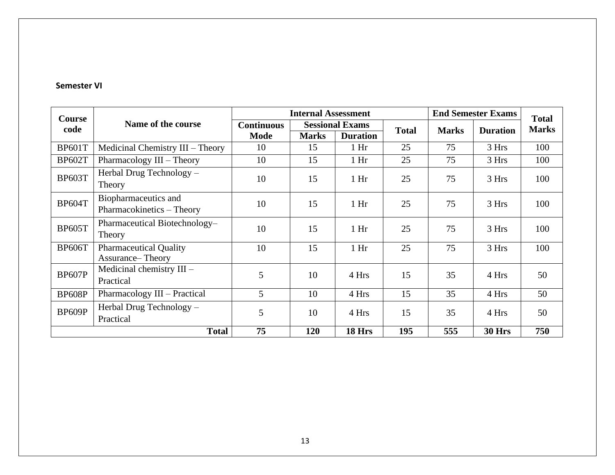#### **Semester VI**

| Course        |                                                           |                   | <b>Internal Assessment</b> |                        |              | <b>End Semester Exams</b> | <b>Total</b>    |              |
|---------------|-----------------------------------------------------------|-------------------|----------------------------|------------------------|--------------|---------------------------|-----------------|--------------|
| code          | Name of the course                                        | <b>Continuous</b> |                            | <b>Sessional Exams</b> | <b>Total</b> | <b>Marks</b>              | <b>Duration</b> | <b>Marks</b> |
|               |                                                           | <b>Mode</b>       | <b>Marks</b>               | <b>Duration</b>        |              |                           |                 |              |
| <b>BP601T</b> | Medicinal Chemistry III - Theory                          | 10                | 15                         | 1 <sub>hr</sub>        | 25           | 75                        | 3 Hrs           | 100          |
| <b>BP602T</b> | Pharmacology III - Theory                                 | 10                | 15                         | 1 <sub>hr</sub>        | 25           | 75                        | 3 Hrs           | 100          |
| <b>BP603T</b> | Herbal Drug Technology -<br>Theory                        | 10                | 15                         | 1 <sub>hr</sub>        | 25           | 75                        | 3 Hrs           | 100          |
| <b>BP604T</b> | Biopharmaceutics and<br>Pharmacokinetics - Theory         | 10                | 15                         | 1 <sub>hr</sub>        | 25           | 75                        | 3 Hrs           | 100          |
| <b>BP605T</b> | Pharmaceutical Biotechnology-<br>Theory                   | 10                | 15                         | 1 <sub>hr</sub>        | 25           | 75                        | 3 Hrs           | 100          |
| <b>BP606T</b> | <b>Pharmaceutical Quality</b><br><b>Assurance– Theory</b> | 10                | 15                         | 1 <sub>hr</sub>        | 25           | 75                        | 3 Hrs           | 100          |
| <b>BP607P</b> | Medicinal chemistry III -<br>Practical                    | 5                 | 10                         | 4 Hrs                  | 15           | 35                        | 4 Hrs           | 50           |
| <b>BP608P</b> | Pharmacology III - Practical                              | 5                 | 10                         | 4 Hrs                  | 15           | 35                        | 4 Hrs           | 50           |
| BP609P        | Herbal Drug Technology -<br>Practical                     | 5                 | 10                         | 4 Hrs                  | 15           | 35                        | 4 Hrs           | 50           |
|               | <b>Total</b>                                              |                   | 120                        | 18 Hrs                 | 195          | 555                       | <b>30 Hrs</b>   | 750          |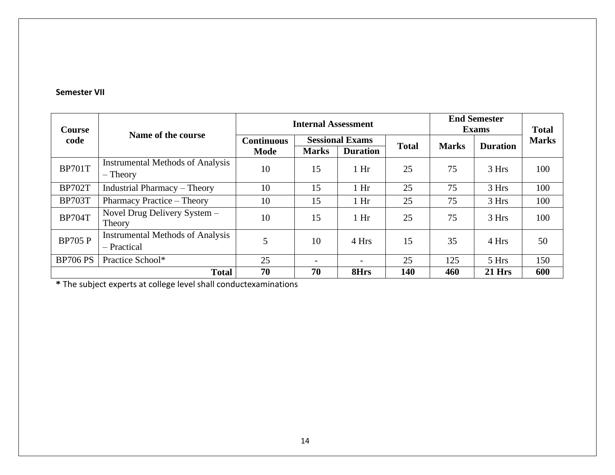#### **Semester VII**

| <b>Course</b>   |                                                       | <b>Internal Assessment</b> | <b>End Semester</b><br><b>Exams</b>         | <b>Total</b>             |              |              |                 |              |
|-----------------|-------------------------------------------------------|----------------------------|---------------------------------------------|--------------------------|--------------|--------------|-----------------|--------------|
| code            | Name of the course                                    |                            | <b>Sessional Exams</b><br><b>Continuous</b> |                          | <b>Total</b> | <b>Marks</b> | <b>Duration</b> | <b>Marks</b> |
|                 |                                                       | <b>Mode</b>                | <b>Marks</b>                                | <b>Duration</b>          |              |              |                 |              |
| <b>BP701T</b>   | <b>Instrumental Methods of Analysis</b><br>$-$ Theory | 10                         | 15                                          | 1 <sub>hr</sub>          | 25           | 75           | 3 Hrs           | 100          |
| <b>BP702T</b>   | <b>Industrial Pharmacy - Theory</b>                   | 10                         | 15                                          | 1 <sub>hr</sub>          | 25           | 75           | 3 Hrs           | 100          |
| <b>BP703T</b>   | Pharmacy Practice – Theory                            | 10                         | 15                                          | 1 <sub>hr</sub>          | 25           | 75           | 3 Hrs           | 100          |
| <b>BP704T</b>   | Novel Drug Delivery System -<br>Theory                | 10                         | 15                                          | 1 <sub>hr</sub>          | 25           | 75           | 3 Hrs           | 100          |
| <b>BP705 P</b>  | <b>Instrumental Methods of Analysis</b>               | 5                          | 10                                          | 4 Hrs                    | 15           | 35           |                 | 50           |
|                 | - Practical                                           |                            |                                             |                          |              |              | 4 Hrs           |              |
| <b>BP706 PS</b> | Practice School*                                      | 25                         |                                             | $\overline{\phantom{0}}$ | 25           | 125          | 5 Hrs           | 150          |
|                 | <b>Total</b>                                          | 70                         | 70                                          | 8Hrs                     | 140          | 460          | $21$ Hrs        | 600          |

**\*** The subject experts at college level shall conductexaminations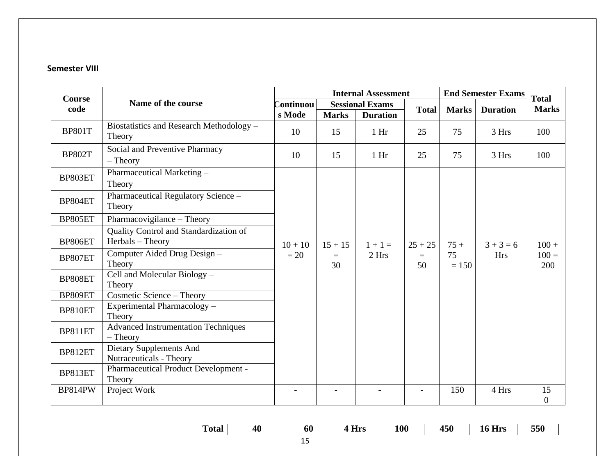#### **Semester VIII**

|                       |                                                            |           |                | <b>Internal Assessment</b> |              |               | <b>End Semester Exams</b> | <b>Total</b>           |
|-----------------------|------------------------------------------------------------|-----------|----------------|----------------------------|--------------|---------------|---------------------------|------------------------|
| <b>Course</b><br>code | Name of the course                                         | Continuou |                | <b>Sessional Exams</b>     | <b>Total</b> | <b>Marks</b>  | <b>Duration</b>           | <b>Marks</b>           |
|                       |                                                            | s Mode    | <b>Marks</b>   | <b>Duration</b>            |              |               |                           |                        |
| <b>BP801T</b>         | Biostatistics and Research Methodology -<br>Theory         | 10        | 15             | 1 <sub>hr</sub>            | 25           | 75            | 3 Hrs                     | 100                    |
| <b>BP802T</b>         | Social and Preventive Pharmacy<br>$-$ Theory               | 10        | 15             | 1 <sub>hr</sub>            | 25           | 75            | 3 Hrs                     | 100                    |
| BP803ET               | Pharmaceutical Marketing -<br>Theory                       |           |                |                            |              |               |                           |                        |
| BP804ET               | Pharmaceutical Regulatory Science -<br>Theory              |           |                |                            |              |               |                           |                        |
| BP805ET               | Pharmacovigilance - Theory                                 |           |                |                            |              |               |                           |                        |
| BP806ET               | Quality Control and Standardization of<br>Herbals - Theory | $10 + 10$ | $15 + 15$      | $1 + 1 =$                  | $25 + 25$    | $75+$         | $3 + 3 = 6$               | $100 +$                |
| BP807ET               | Computer Aided Drug Design -<br>Theory                     | $= 20$    | $\equiv$<br>30 | 2 Hrs                      | $=$<br>50    | 75<br>$= 150$ | <b>Hrs</b>                | $100 =$<br>200         |
| BP808ET               | Cell and Molecular Biology -<br>Theory                     |           |                |                            |              |               |                           |                        |
| BP809ET               | Cosmetic Science - Theory                                  |           |                |                            |              |               |                           |                        |
| BP810ET               | Experimental Pharmacology -<br>Theory                      |           |                |                            |              |               |                           |                        |
| BP811ET               | <b>Advanced Instrumentation Techniques</b><br>$-$ Theory   |           |                |                            |              |               |                           |                        |
| BP812ET               | Dietary Supplements And<br>Nutraceuticals - Theory         |           |                |                            |              |               |                           |                        |
| BP813ET               | Pharmaceutical Product Development -<br>Theory             |           |                |                            |              |               |                           |                        |
| <b>BP814PW</b>        | Project Work                                               |           |                |                            |              | 150           | 4 Hrs                     | 15<br>$\boldsymbol{0}$ |

|    | <b>Total</b> | 40 | 60 | $-$<br>J wa<br>$\sim$ 11.8 | <b>100</b> | 1 F A<br>1JV | $-$<br><b>Hrs</b><br>ΨT | 550 |
|----|--------------|----|----|----------------------------|------------|--------------|-------------------------|-----|
| -- |              |    |    |                            |            |              |                         |     |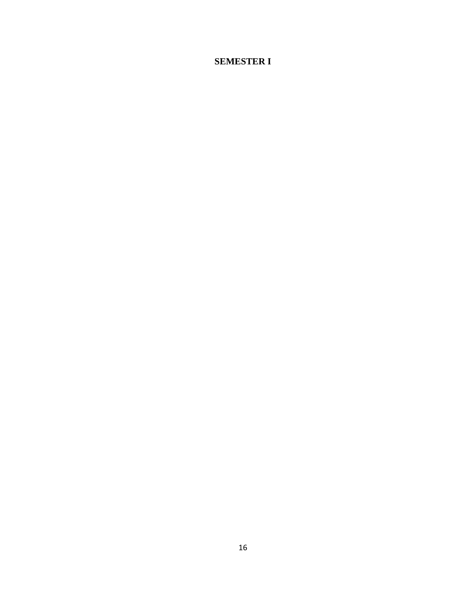### **SEMESTER I**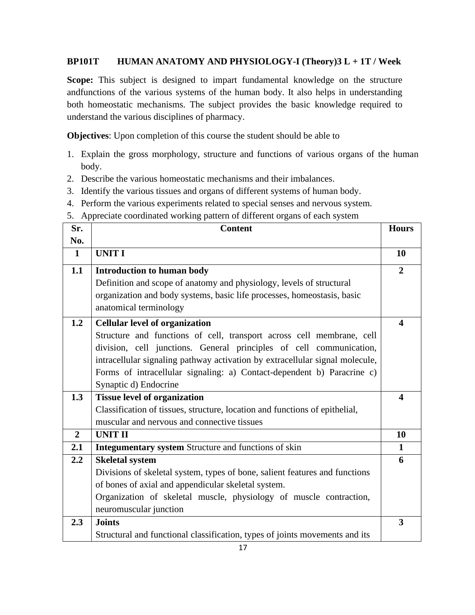#### **BP101T HUMAN ANATOMY AND PHYSIOLOGY-I (Theory)3 L + 1T / Week**

**Scope:** This subject is designed to impart fundamental knowledge on the structure andfunctions of the various systems of the human body. It also helps in understanding both homeostatic mechanisms. The subject provides the basic knowledge required to understand the various disciplines of pharmacy.

**Objectives**: Upon completion of this course the student should be able to

- 1. Explain the gross morphology, structure and functions of various organs of the human body.
- 2. Describe the various homeostatic mechanisms and their imbalances.
- 3. Identify the various tissues and organs of different systems of human body.
- 4. Perform the various experiments related to special senses and nervous system.
- 5. Appreciate coordinated working pattern of different organs of each system

| Sr.            | <b>Content</b>                                                               | <b>Hours</b>            |
|----------------|------------------------------------------------------------------------------|-------------------------|
| No.            |                                                                              |                         |
| $\mathbf{1}$   | <b>UNIT I</b>                                                                | 10                      |
| 1.1            | <b>Introduction to human body</b>                                            | $\overline{2}$          |
|                | Definition and scope of anatomy and physiology, levels of structural         |                         |
|                | organization and body systems, basic life processes, homeostasis, basic      |                         |
|                | anatomical terminology                                                       |                         |
| 1.2            | <b>Cellular level of organization</b>                                        | $\overline{\mathbf{4}}$ |
|                | Structure and functions of cell, transport across cell membrane, cell        |                         |
|                | division, cell junctions. General principles of cell communication,          |                         |
|                | intracellular signaling pathway activation by extracellular signal molecule, |                         |
|                | Forms of intracellular signaling: a) Contact-dependent b) Paracrine c)       |                         |
|                | Synaptic d) Endocrine                                                        |                         |
| 1.3            | <b>Tissue level of organization</b>                                          | $\overline{\mathbf{4}}$ |
|                | Classification of tissues, structure, location and functions of epithelial,  |                         |
|                | muscular and nervous and connective tissues                                  |                         |
| $\overline{2}$ | <b>UNIT II</b>                                                               | 10                      |
| 2.1            | Integumentary system Structure and functions of skin                         | $\mathbf{1}$            |
| 2.2            | <b>Skeletal system</b>                                                       | 6                       |
|                | Divisions of skeletal system, types of bone, salient features and functions  |                         |
|                | of bones of axial and appendicular skeletal system.                          |                         |
|                | Organization of skeletal muscle, physiology of muscle contraction,           |                         |
|                | neuromuscular junction                                                       |                         |
| 2.3            | <b>Joints</b>                                                                | 3                       |
|                | Structural and functional classification, types of joints movements and its  |                         |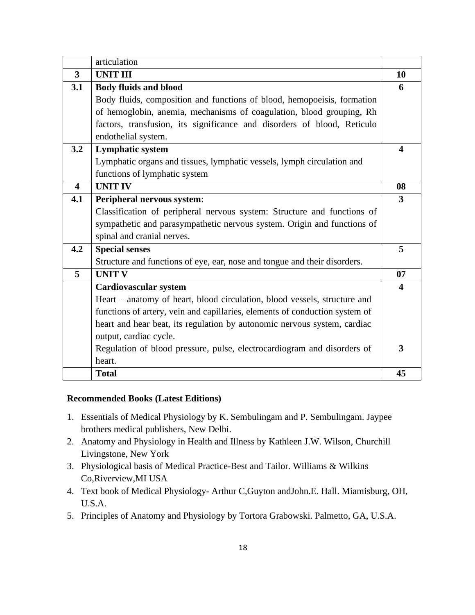|                         | articulation                                                                |                         |
|-------------------------|-----------------------------------------------------------------------------|-------------------------|
| 3                       | <b>UNIT III</b>                                                             | 10                      |
| 3.1                     | <b>Body fluids and blood</b>                                                | 6                       |
|                         | Body fluids, composition and functions of blood, hemopoeisis, formation     |                         |
|                         | of hemoglobin, anemia, mechanisms of coagulation, blood grouping, Rh        |                         |
|                         | factors, transfusion, its significance and disorders of blood, Reticulo     |                         |
|                         | endothelial system.                                                         |                         |
| 3.2                     | <b>Lymphatic system</b>                                                     | $\boldsymbol{4}$        |
|                         | Lymphatic organs and tissues, lymphatic vessels, lymph circulation and      |                         |
|                         | functions of lymphatic system                                               |                         |
| $\overline{\mathbf{4}}$ | <b>UNIT IV</b>                                                              | 08                      |
| 4.1                     | Peripheral nervous system:                                                  | 3                       |
|                         | Classification of peripheral nervous system: Structure and functions of     |                         |
|                         | sympathetic and parasympathetic nervous system. Origin and functions of     |                         |
|                         | spinal and cranial nerves.                                                  |                         |
| 4.2                     | <b>Special senses</b>                                                       | 5                       |
|                         | Structure and functions of eye, ear, nose and tongue and their disorders.   |                         |
| 5                       | <b>UNIT V</b>                                                               | 07                      |
|                         | <b>Cardiovascular system</b>                                                | $\overline{\mathbf{4}}$ |
|                         | Heart – anatomy of heart, blood circulation, blood vessels, structure and   |                         |
|                         | functions of artery, vein and capillaries, elements of conduction system of |                         |
|                         | heart and hear beat, its regulation by autonomic nervous system, cardiac    |                         |
|                         | output, cardiac cycle.                                                      |                         |
|                         | Regulation of blood pressure, pulse, electrocardiogram and disorders of     | 3                       |
|                         | heart.                                                                      |                         |
|                         | <b>Total</b>                                                                | 45                      |

#### **Recommended Books (Latest Editions)**

- 1. Essentials of Medical Physiology by K. Sembulingam and P. Sembulingam. Jaypee brothers medical publishers, New Delhi.
- 2. Anatomy and Physiology in Health and Illness by Kathleen J.W. Wilson, Churchill Livingstone, New York
- 3. Physiological basis of Medical Practice-Best and Tailor. Williams & Wilkins Co,Riverview,MI USA
- 4. Text book of Medical Physiology- Arthur C,Guyton andJohn.E. Hall. Miamisburg, OH, U.S.A.
- 5. Principles of Anatomy and Physiology by Tortora Grabowski. Palmetto, GA, U.S.A.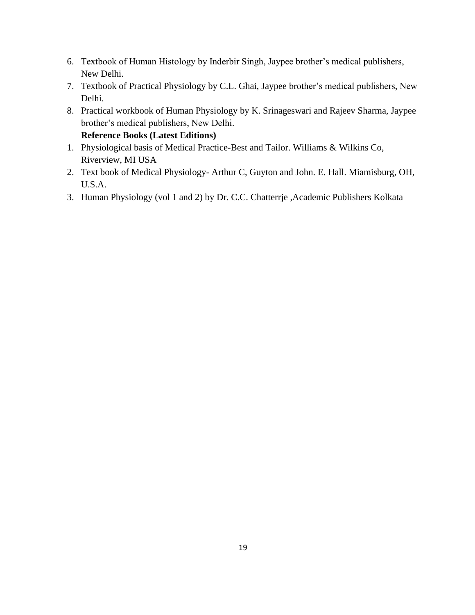- 6. Textbook of Human Histology by Inderbir Singh, Jaypee brother's medical publishers, New Delhi.
- 7. Textbook of Practical Physiology by C.L. Ghai, Jaypee brother's medical publishers, New Delhi.
- 8. Practical workbook of Human Physiology by K. Srinageswari and Rajeev Sharma, Jaypee brother's medical publishers, New Delhi. **Reference Books (Latest Editions)**
- 1. Physiological basis of Medical Practice-Best and Tailor. Williams & Wilkins Co, Riverview, MI USA
- 2. Text book of Medical Physiology- Arthur C, Guyton and John. E. Hall. Miamisburg, OH, U.S.A.
- 3. Human Physiology (vol 1 and 2) by Dr. C.C. Chatterrje ,Academic Publishers Kolkata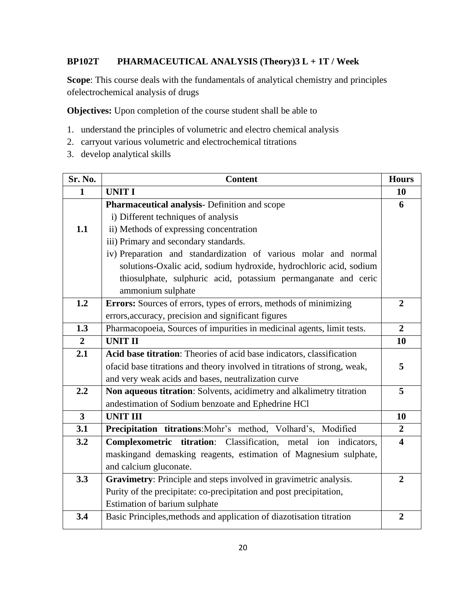#### **BP102T PHARMACEUTICAL ANALYSIS (Theory)3 L + 1T / Week**

**Scope**: This course deals with the fundamentals of analytical chemistry and principles ofelectrochemical analysis of drugs

**Objectives:** Upon completion of the course student shall be able to

- 1. understand the principles of volumetric and electro chemical analysis
- 2. carryout various volumetric and electrochemical titrations
- 3. develop analytical skills

| Sr. No.        | <b>Content</b>                                                            | <b>Hours</b>            |
|----------------|---------------------------------------------------------------------------|-------------------------|
| $\mathbf{1}$   | <b>UNIT I</b>                                                             | 10                      |
|                | Pharmaceutical analysis- Definition and scope                             | 6                       |
|                | i) Different techniques of analysis                                       |                         |
| 1.1            | ii) Methods of expressing concentration                                   |                         |
|                | iii) Primary and secondary standards.                                     |                         |
|                | iv) Preparation and standardization of various molar and normal           |                         |
|                | solutions-Oxalic acid, sodium hydroxide, hydrochloric acid, sodium        |                         |
|                | thiosulphate, sulphuric acid, potassium permanganate and ceric            |                         |
|                | ammonium sulphate                                                         |                         |
| 1.2            | Errors: Sources of errors, types of errors, methods of minimizing         | $\overline{2}$          |
|                | errors, accuracy, precision and significant figures                       |                         |
| 1.3            | Pharmacopoeia, Sources of impurities in medicinal agents, limit tests.    | $\overline{2}$          |
| $\overline{2}$ | <b>UNIT II</b>                                                            | 10                      |
| 2.1            | Acid base titration: Theories of acid base indicators, classification     |                         |
|                | ofacid base titrations and theory involved in titrations of strong, weak, | 5                       |
|                | and very weak acids and bases, neutralization curve                       |                         |
| 2.2            | Non aqueous titration: Solvents, acidimetry and alkalimetry titration     | 5                       |
|                | andestimation of Sodium benzoate and Ephedrine HCl                        |                         |
| $\overline{3}$ | <b>UNIT III</b>                                                           | 10                      |
| 3.1            | Precipitation titrations: Mohr's method, Volhard's, Modified              | $\overline{2}$          |
| 3.2            | Complexometric titration: Classification, metal ion indicators,           | $\overline{\mathbf{4}}$ |
|                | maskingand demasking reagents, estimation of Magnesium sulphate,          |                         |
|                | and calcium gluconate.                                                    |                         |
| 3.3            | Gravimetry: Principle and steps involved in gravimetric analysis.         | $\overline{2}$          |
|                | Purity of the precipitate: co-precipitation and post precipitation,       |                         |
|                | Estimation of barium sulphate                                             |                         |
| 3.4            | Basic Principles, methods and application of diazotisation titration      | $\overline{2}$          |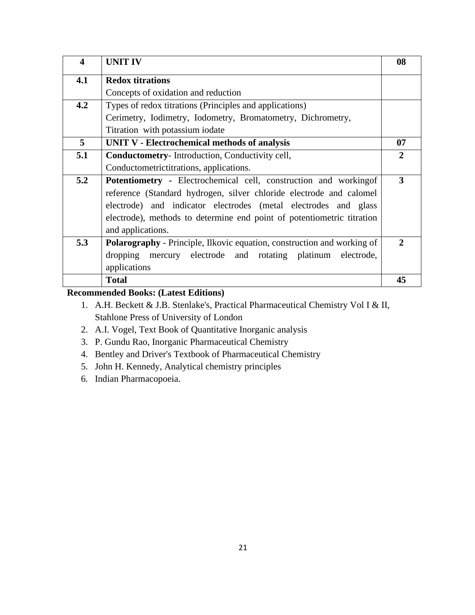| $\overline{\mathbf{4}}$ | <b>UNIT IV</b>                                                                 | 08                    |
|-------------------------|--------------------------------------------------------------------------------|-----------------------|
| 4.1                     | <b>Redox titrations</b>                                                        |                       |
|                         | Concepts of oxidation and reduction                                            |                       |
| 4.2                     | Types of redox titrations (Principles and applications)                        |                       |
|                         | Cerimetry, Iodimetry, Iodometry, Bromatometry, Dichrometry,                    |                       |
|                         | Titration with potassium iodate                                                |                       |
| 5                       | <b>UNIT V - Electrochemical methods of analysis</b>                            | 07                    |
| 5.1                     | <b>Conductometry-Introduction, Conductivity cell,</b>                          | $\mathbf{2}$          |
|                         | Conductometrictitrations, applications.                                        |                       |
| 5.2                     | Potentiometry - Electrochemical cell, construction and working of              | 3                     |
|                         | reference (Standard hydrogen, silver chloride electrode and calomel            |                       |
|                         | electrode) and indicator electrodes (metal electrodes and glass                |                       |
|                         | electrode), methods to determine end point of potentiometric titration         |                       |
|                         | and applications.                                                              |                       |
| 5.3                     | <b>Polarography</b> - Principle, Ilkovic equation, construction and working of | $\mathcal{D}_{\cdot}$ |
|                         | dropping mercury electrode and rotating platinum<br>electrode,                 |                       |
|                         | applications                                                                   |                       |
|                         | <b>Total</b>                                                                   | 45                    |

### **Recommended Books: (Latest Editions)**

- 1. A.H. Beckett & J.B. Stenlake's, Practical Pharmaceutical Chemistry Vol I & II, Stahlone Press of University of London
- 2. A.I. Vogel, Text Book of Quantitative Inorganic analysis
- 3. P. Gundu Rao, Inorganic Pharmaceutical Chemistry
- 4. Bentley and Driver's Textbook of Pharmaceutical Chemistry
- 5. John H. Kennedy, Analytical chemistry principles
- 6. Indian Pharmacopoeia.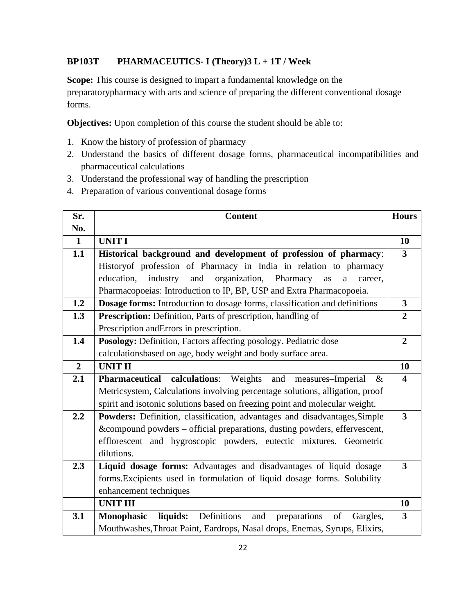#### **BP103T PHARMACEUTICS- I (Theory)3 L + 1T / Week**

**Scope:** This course is designed to impart a fundamental knowledge on the preparatorypharmacy with arts and science of preparing the different conventional dosage forms.

**Objectives:** Upon completion of this course the student should be able to:

- 1. Know the history of profession of pharmacy
- 2. Understand the basics of different dosage forms, pharmaceutical incompatibilities and pharmaceutical calculations
- 3. Understand the professional way of handling the prescription
- 4. Preparation of various conventional dosage forms

| Sr.            | <b>Content</b>                                                                     | <b>Hours</b>            |
|----------------|------------------------------------------------------------------------------------|-------------------------|
| No.            |                                                                                    |                         |
| $\mathbf{1}$   | <b>UNIT I</b>                                                                      | 10                      |
| 1.1            | Historical background and development of profession of pharmacy:                   | $\mathbf{3}$            |
|                | Historyof profession of Pharmacy in India in relation to pharmacy                  |                         |
|                | organization, Pharmacy<br>education,<br>industry<br>and<br>as<br>career.<br>a      |                         |
|                | Pharmacopoeias: Introduction to IP, BP, USP and Extra Pharmacopoeia.               |                         |
| 1.2            | Dosage forms: Introduction to dosage forms, classification and definitions         | $\overline{\mathbf{3}}$ |
| 1.3            | Prescription: Definition, Parts of prescription, handling of                       | $\overline{2}$          |
|                | Prescription and Errors in prescription.                                           |                         |
| 1.4            | Posology: Definition, Factors affecting posology. Pediatric dose                   | $\overline{2}$          |
|                | calculationsbased on age, body weight and body surface area.                       |                         |
| $\overline{2}$ | <b>UNIT II</b>                                                                     | 10                      |
| 2.1            | <b>Pharmaceutical calculations:</b> Weights<br>and<br>measures-Imperial<br>&       | $\overline{\mathbf{4}}$ |
|                | Metricsystem, Calculations involving percentage solutions, alligation, proof       |                         |
|                | spirit and isotonic solutions based on freezing point and molecular weight.        |                         |
| 2.2            | Powders: Definition, classification, advantages and disadvantages, Simple          | 3                       |
|                | &compound powders – official preparations, dusting powders, effervescent,          |                         |
|                | efflorescent and hygroscopic powders, eutectic mixtures. Geometric                 |                         |
|                | dilutions.                                                                         |                         |
| 2.3            | Liquid dosage forms: Advantages and disadvantages of liquid dosage                 | 3                       |
|                | forms. Excipients used in formulation of liquid dosage forms. Solubility           |                         |
|                | enhancement techniques                                                             |                         |
|                | <b>UNIT III</b>                                                                    | 10                      |
| 3.1            | liquids: Definitions<br>preparations<br>and<br><b>Monophasic</b><br>of<br>Gargles, | $\mathbf{3}$            |
|                | Mouthwashes, Throat Paint, Eardrops, Nasal drops, Enemas, Syrups, Elixirs,         |                         |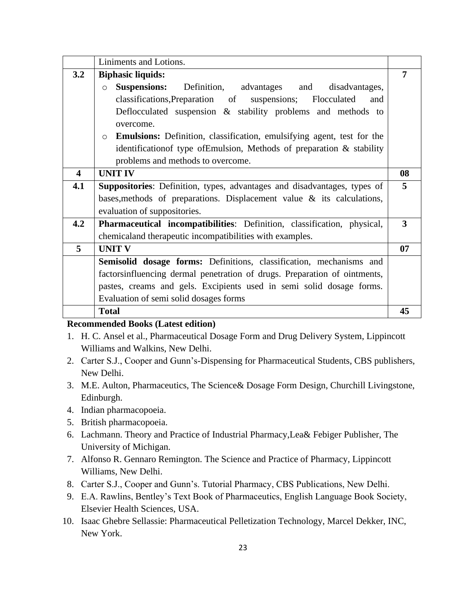|                         | Liniments and Lotions.                                                                   |    |
|-------------------------|------------------------------------------------------------------------------------------|----|
| 3.2                     | <b>Biphasic liquids:</b>                                                                 | 7  |
|                         | <b>Suspensions:</b><br>Definition, advantages and disadvantages,<br>$\Omega$             |    |
|                         | classifications, Preparation of suspensions; Flocculated<br>and                          |    |
|                         | Deflocculated suspension $\&$ stability problems and methods to<br>overcome.             |    |
|                         | <b>Emulsions:</b> Definition, classification, emulsifying agent, test for the<br>$\circ$ |    |
|                         | identification of type of Emulsion, Methods of preparation $\&$ stability                |    |
|                         | problems and methods to overcome.                                                        |    |
| $\overline{\mathbf{4}}$ | <b>UNIT IV</b>                                                                           | 08 |
| 4.1                     | <b>Suppositories:</b> Definition, types, advantages and disadvantages, types of          | 5  |
|                         | bases, methods of preparations. Displacement value $\&$ its calculations,                |    |
|                         | evaluation of suppositories.                                                             |    |
| 4.2                     | Pharmaceutical incompatibilities: Definition, classification, physical,                  | 3  |
|                         | chemicaland therapeutic incompatibilities with examples.                                 |    |
| 5                       | <b>UNIT V</b>                                                                            | 07 |
|                         | Semisolid dosage forms: Definitions, classification, mechanisms and                      |    |
|                         | factorsinfluencing dermal penetration of drugs. Preparation of ointments,                |    |
|                         | pastes, creams and gels. Excipients used in semi solid dosage forms.                     |    |
|                         | Evaluation of semi solid dosages forms                                                   |    |
|                         | <b>Total</b>                                                                             | 45 |

#### **Recommended Books (Latest edition)**

- 1. H. C. Ansel et al., Pharmaceutical Dosage Form and Drug Delivery System, Lippincott Williams and Walkins, New Delhi.
- 2. Carter S.J., Cooper and Gunn's-Dispensing for Pharmaceutical Students, CBS publishers, New Delhi.
- 3. M.E. Aulton, Pharmaceutics, The Science& Dosage Form Design, Churchill Livingstone, Edinburgh.
- 4. Indian pharmacopoeia.
- 5. British pharmacopoeia.
- 6. Lachmann. Theory and Practice of Industrial Pharmacy,Lea& Febiger Publisher, The University of Michigan.
- 7. Alfonso R. Gennaro Remington. The Science and Practice of Pharmacy, Lippincott Williams, New Delhi.
- 8. Carter S.J., Cooper and Gunn's. Tutorial Pharmacy, CBS Publications, New Delhi.
- 9. E.A. Rawlins, Bentley's Text Book of Pharmaceutics, English Language Book Society, Elsevier Health Sciences, USA.
- 10. Isaac Ghebre Sellassie: Pharmaceutical Pelletization Technology, Marcel Dekker, INC, New York.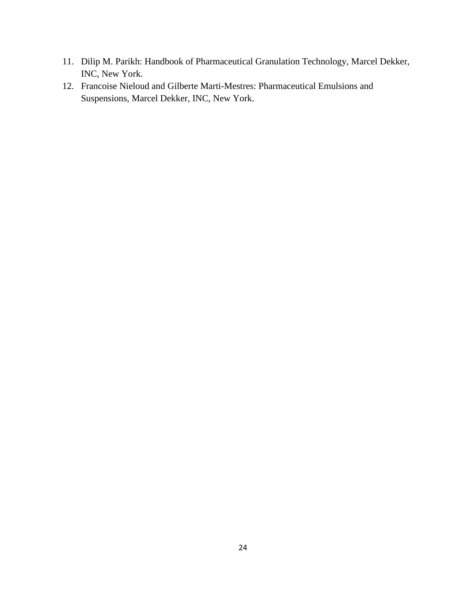- 11. Dilip M. Parikh: Handbook of Pharmaceutical Granulation Technology, Marcel Dekker, INC, New York.
- 12. Francoise Nieloud and Gilberte Marti-Mestres: Pharmaceutical Emulsions and Suspensions, Marcel Dekker, INC, New York.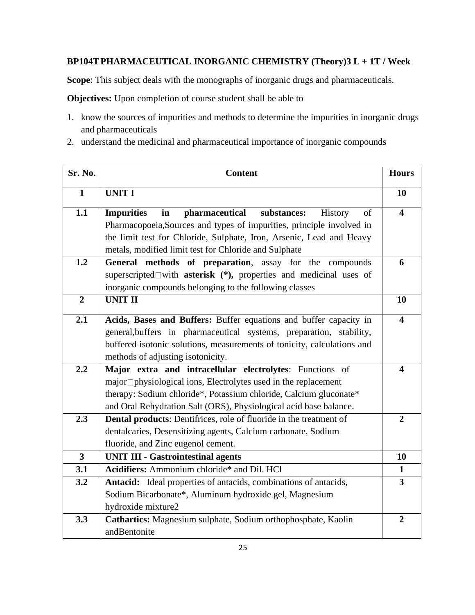#### **BP104TPHARMACEUTICAL INORGANIC CHEMISTRY (Theory)3 L + 1T / Week**

**Scope**: This subject deals with the monographs of inorganic drugs and pharmaceuticals.

**Objectives:** Upon completion of course student shall be able to

- 1. know the sources of impurities and methods to determine the impurities in inorganic drugs and pharmaceuticals
- 2. understand the medicinal and pharmaceutical importance of inorganic compounds

| Sr. No.        | <b>Content</b>                                                                                                                                     | <b>Hours</b>            |
|----------------|----------------------------------------------------------------------------------------------------------------------------------------------------|-------------------------|
| $\mathbf{1}$   | <b>UNIT I</b>                                                                                                                                      | 10                      |
| 1.1            | pharmaceutical<br>substances:<br><b>Impurities</b><br>in<br>History<br>of<br>Pharmacopoeia, Sources and types of impurities, principle involved in | $\overline{\mathbf{4}}$ |
|                | the limit test for Chloride, Sulphate, Iron, Arsenic, Lead and Heavy                                                                               |                         |
|                | metals, modified limit test for Chloride and Sulphate                                                                                              |                         |
| 1.2            | General methods of preparation, assay for the compounds                                                                                            | 6                       |
|                | superscripted $\square$ with <b>asterisk</b> (*), properties and medicinal uses of                                                                 |                         |
|                | inorganic compounds belonging to the following classes                                                                                             |                         |
| $\overline{2}$ | <b>UNIT II</b>                                                                                                                                     | 10                      |
| 2.1            | Acids, Bases and Buffers: Buffer equations and buffer capacity in                                                                                  | $\overline{\mathbf{4}}$ |
|                | general, buffers in pharmaceutical systems, preparation, stability,                                                                                |                         |
|                | buffered isotonic solutions, measurements of tonicity, calculations and                                                                            |                         |
|                | methods of adjusting isotonicity.                                                                                                                  |                         |
| 2.2            | Major extra and intracellular electrolytes: Functions of                                                                                           | $\overline{\mathbf{4}}$ |
|                | major <sup>[1</sup> physiological ions, Electrolytes used in the replacement                                                                       |                         |
|                | therapy: Sodium chloride*, Potassium chloride, Calcium gluconate*                                                                                  |                         |
|                | and Oral Rehydration Salt (ORS), Physiological acid base balance.                                                                                  |                         |
| 2.3            | <b>Dental products:</b> Dentifrices, role of fluoride in the treatment of                                                                          | $\overline{2}$          |
|                | dentalcaries, Desensitizing agents, Calcium carbonate, Sodium                                                                                      |                         |
|                | fluoride, and Zinc eugenol cement.                                                                                                                 |                         |
| $\overline{3}$ | <b>UNIT III - Gastrointestinal agents</b>                                                                                                          | 10                      |
| 3.1            | Acidifiers: Ammonium chloride* and Dil. HCl                                                                                                        | $\mathbf{1}$            |
| 3.2            | Antacid: Ideal properties of antacids, combinations of antacids,                                                                                   | 3                       |
|                | Sodium Bicarbonate*, Aluminum hydroxide gel, Magnesium                                                                                             |                         |
|                | hydroxide mixture2                                                                                                                                 |                         |
| 3.3            | Cathartics: Magnesium sulphate, Sodium orthophosphate, Kaolin                                                                                      | $\overline{2}$          |
|                | andBentonite                                                                                                                                       |                         |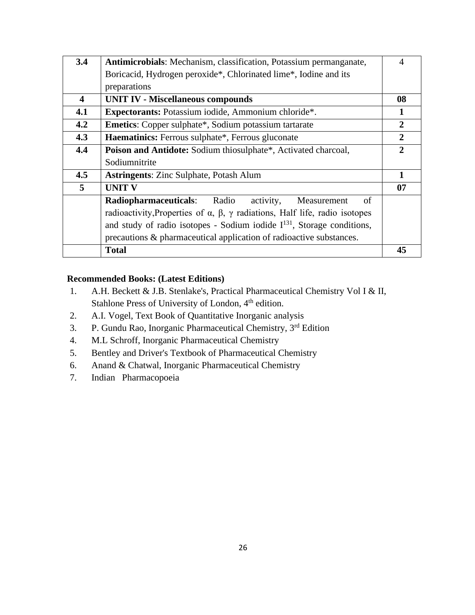| 3.4                     | <b>Antimicrobials:</b> Mechanism, classification, Potassium permanganate,                        | $\overline{A}$ |
|-------------------------|--------------------------------------------------------------------------------------------------|----------------|
|                         | Boricacid, Hydrogen peroxide*, Chlorinated lime*, Iodine and its                                 |                |
|                         | preparations                                                                                     |                |
| $\overline{\mathbf{4}}$ | <b>UNIT IV - Miscellaneous compounds</b>                                                         | 08             |
| 4.1                     | Expectorants: Potassium iodide, Ammonium chloride*.                                              | 1              |
| 4.2                     | <b>Emetics:</b> Copper sulphate*, Sodium potassium tartarate                                     | $\mathbf{2}$   |
| 4.3                     | <b>Haematinics:</b> Ferrous sulphate*, Ferrous gluconate                                         | $\overline{2}$ |
| 4.4                     | Poison and Antidote: Sodium thiosulphate*, Activated charcoal,                                   | $\mathbf{2}$   |
|                         | Sodiumnitrite                                                                                    |                |
| 4.5                     | <b>Astringents: Zinc Sulphate, Potash Alum</b>                                                   | $\mathbf{1}$   |
| 5                       | <b>UNIT V</b>                                                                                    | 07             |
|                         | <b>Radiopharmaceuticals:</b> Radio<br>activity,<br>of<br>Measurement                             |                |
|                         | radioactivity, Properties of $\alpha$ , $\beta$ , $\gamma$ radiations, Half life, radio isotopes |                |
|                         | and study of radio isotopes - Sodium iodide $I^{131}$ , Storage conditions,                      |                |
|                         | precautions & pharmaceutical application of radioactive substances.                              |                |
|                         | <b>Total</b>                                                                                     | 45             |

#### **Recommended Books: (Latest Editions)**

- 1. A.H. Beckett & J.B. Stenlake's, Practical Pharmaceutical Chemistry Vol I & II, Stahlone Press of University of London, 4<sup>th</sup> edition.
- 2. A.I. Vogel, Text Book of Quantitative Inorganic analysis
- 3. P. Gundu Rao, Inorganic Pharmaceutical Chemistry, 3<sup>rd</sup> Edition
- 4. M.L Schroff, Inorganic Pharmaceutical Chemistry
- 5. Bentley and Driver's Textbook of Pharmaceutical Chemistry
- 6. Anand & Chatwal, Inorganic Pharmaceutical Chemistry
- 7. Indian Pharmacopoeia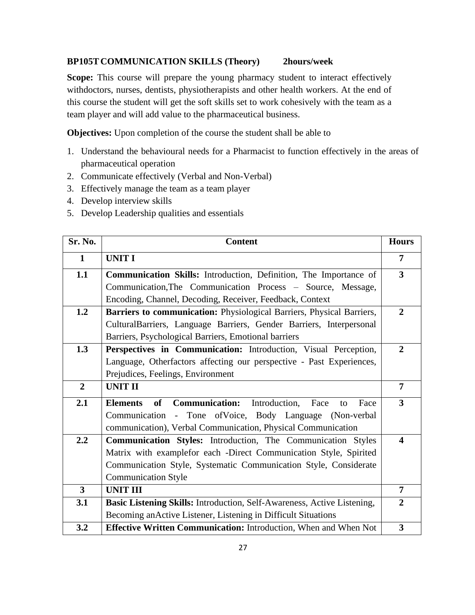#### **BP105T COMMUNICATION SKILLS (Theory) 2hours/week**

**Scope:** This course will prepare the young pharmacy student to interact effectively withdoctors, nurses, dentists, physiotherapists and other health workers. At the end of this course the student will get the soft skills set to work cohesively with the team as a team player and will add value to the pharmaceutical business.

**Objectives:** Upon completion of the course the student shall be able to

- 1. Understand the behavioural needs for a Pharmacist to function effectively in the areas of pharmaceutical operation
- 2. Communicate effectively (Verbal and Non-Verbal)
- 3. Effectively manage the team as a team player
- 4. Develop interview skills
- 5. Develop Leadership qualities and essentials

| Sr. No.                 | <b>Content</b>                                                                               | <b>Hours</b>            |
|-------------------------|----------------------------------------------------------------------------------------------|-------------------------|
| 1                       | <b>UNIT I</b>                                                                                | 7                       |
| 1.1                     | Communication Skills: Introduction, Definition, The Importance of                            | $\overline{\mathbf{3}}$ |
|                         | Communication, The Communication Process – Source, Message,                                  |                         |
|                         | Encoding, Channel, Decoding, Receiver, Feedback, Context                                     |                         |
| 1.2                     | Barriers to communication: Physiological Barriers, Physical Barriers,                        | $\overline{2}$          |
|                         | CulturalBarriers, Language Barriers, Gender Barriers, Interpersonal                          |                         |
|                         | Barriers, Psychological Barriers, Emotional barriers                                         |                         |
| 1.3                     | Perspectives in Communication: Introduction, Visual Perception,                              | $\overline{2}$          |
|                         | Language, Otherfactors affecting our perspective - Past Experiences,                         |                         |
|                         | Prejudices, Feelings, Environment                                                            |                         |
| $\overline{2}$          | <b>UNIT II</b>                                                                               | 7                       |
| 2.1                     | <b>Communication:</b><br><b>of</b><br>Introduction,<br><b>Elements</b><br>Face<br>Face<br>to | $\overline{\mathbf{3}}$ |
|                         | Communication - Tone of Voice, Body Language (Non-verbal                                     |                         |
|                         | communication), Verbal Communication, Physical Communication                                 |                         |
| 2.2                     | Communication Styles: Introduction, The Communication Styles                                 | 4                       |
|                         | Matrix with examplefor each -Direct Communication Style, Spirited                            |                         |
|                         | Communication Style, Systematic Communication Style, Considerate                             |                         |
|                         | <b>Communication Style</b>                                                                   |                         |
| $\overline{\mathbf{3}}$ | <b>UNIT III</b>                                                                              | $\overline{7}$          |
| 3.1                     | Basic Listening Skills: Introduction, Self-Awareness, Active Listening,                      | $\overline{2}$          |
|                         | Becoming an Active Listener, Listening in Difficult Situations                               |                         |
| 3.2                     | Effective Written Communication: Introduction, When and When Not                             | 3                       |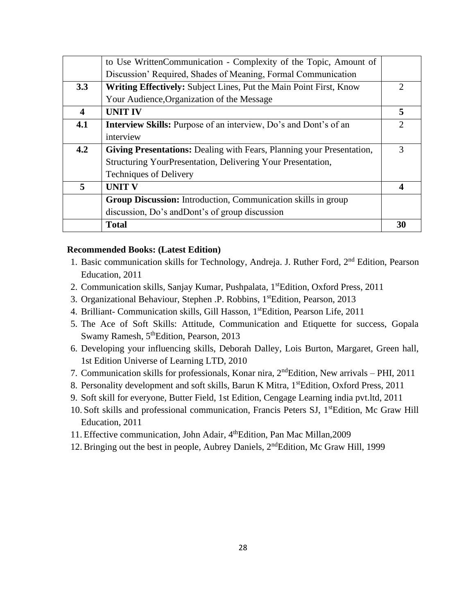|                  | to Use WrittenCommunication - Complexity of the Topic, Amount of             |                             |
|------------------|------------------------------------------------------------------------------|-----------------------------|
|                  | Discussion' Required, Shades of Meaning, Formal Communication                |                             |
| 3.3              | Writing Effectively: Subject Lines, Put the Main Point First, Know           | $\mathcal{D}_{\mathcal{A}}$ |
|                  | Your Audience, Organization of the Message                                   |                             |
| $\boldsymbol{4}$ | <b>UNIT IV</b>                                                               | 5                           |
| 4.1              | <b>Interview Skills:</b> Purpose of an interview, Do's and Dont's of an      | $\mathcal{D}_{\mathcal{A}}$ |
|                  | interview                                                                    |                             |
| 4.2              | <b>Giving Presentations:</b> Dealing with Fears, Planning your Presentation, | 3                           |
|                  | Structuring YourPresentation, Delivering Your Presentation,                  |                             |
|                  | <b>Techniques of Delivery</b>                                                |                             |
| 5                | <b>UNIT V</b>                                                                | $\boldsymbol{4}$            |
|                  | Group Discussion: Introduction, Communication skills in group                |                             |
|                  | discussion, Do's and Dont's of group discussion                              |                             |
|                  | <b>Total</b>                                                                 | 30                          |

#### **Recommended Books: (Latest Edition)**

- 1. Basic communication skills for Technology, Andreja. J. Ruther Ford, 2<sup>nd</sup> Edition, Pearson Education, 2011
- 2. Communication skills, Sanjay Kumar, Pushpalata, 1<sup>st</sup>Edition, Oxford Press, 2011
- 3. Organizational Behaviour, Stephen .P. Robbins, 1stEdition, Pearson, 2013
- 4. Brilliant- Communication skills, Gill Hasson, 1stEdition, Pearson Life, 2011
- 5. The Ace of Soft Skills: Attitude, Communication and Etiquette for success, Gopala Swamy Ramesh, 5<sup>th</sup>Edition, Pearson, 2013
- 6. Developing your influencing skills, Deborah Dalley, Lois Burton, Margaret, Green hall, 1st Edition Universe of Learning LTD, 2010
- 7. Communication skills for professionals, Konar nira, 2ndEdition, New arrivals PHI, 2011
- 8. Personality development and soft skills, Barun K Mitra, 1<sup>st</sup>Edition, Oxford Press, 2011
- 9. Soft skill for everyone, Butter Field, 1st Edition, Cengage Learning india pvt.ltd, 2011
- 10. Soft skills and professional communication, Francis Peters SJ, 1<sup>st</sup>Edition, Mc Graw Hill Education, 2011
- 11. Effective communication, John Adair, 4<sup>th</sup>Edition, Pan Mac Millan, 2009
- 12. Bringing out the best in people, Aubrey Daniels, 2ndEdition, Mc Graw Hill, 1999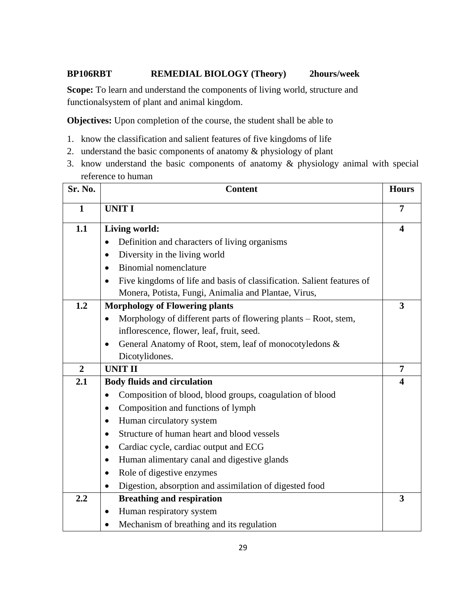#### **BP106RBT REMEDIAL BIOLOGY (Theory) 2hours/week**

**Scope:** To learn and understand the components of living world, structure and functionalsystem of plant and animal kingdom.

**Objectives:** Upon completion of the course, the student shall be able to

- 1. know the classification and salient features of five kingdoms of life
- 2. understand the basic components of anatomy & physiology of plant
- 3. know understand the basic components of anatomy & physiology animal with special reference to human

| Sr. No.        | <b>Content</b>                                                               | <b>Hours</b>            |
|----------------|------------------------------------------------------------------------------|-------------------------|
| 1              | <b>UNIT I</b>                                                                | 7                       |
| 1.1            | Living world:                                                                | $\boldsymbol{4}$        |
|                | Definition and characters of living organisms<br>$\bullet$                   |                         |
|                | Diversity in the living world<br>$\bullet$                                   |                         |
|                | Binomial nomenclature<br>$\bullet$                                           |                         |
|                | Five kingdoms of life and basis of classification. Salient features of       |                         |
|                | Monera, Potista, Fungi, Animalia and Plantae, Virus,                         |                         |
| 1.2            | <b>Morphology of Flowering plants</b>                                        | 3                       |
|                | Morphology of different parts of flowering plants – Root, stem,<br>$\bullet$ |                         |
|                | inflorescence, flower, leaf, fruit, seed.                                    |                         |
|                | General Anatomy of Root, stem, leaf of monocotyledons &<br>٠                 |                         |
|                | Dicotylidones.                                                               |                         |
| $\overline{2}$ | <b>UNIT II</b>                                                               | 7                       |
| 2.1            | <b>Body fluids and circulation</b>                                           | $\overline{\mathbf{4}}$ |
|                | Composition of blood, blood groups, coagulation of blood                     |                         |
|                | Composition and functions of lymph<br>$\bullet$                              |                         |
|                | Human circulatory system                                                     |                         |
|                | Structure of human heart and blood vessels                                   |                         |
|                | Cardiac cycle, cardiac output and ECG<br>$\bullet$                           |                         |
|                | Human alimentary canal and digestive glands<br>٠                             |                         |
|                | Role of digestive enzymes<br>$\bullet$                                       |                         |
|                | Digestion, absorption and assimilation of digested food                      |                         |
| 2.2            | <b>Breathing and respiration</b>                                             | 3                       |
|                | Human respiratory system<br>٠                                                |                         |
|                | Mechanism of breathing and its regulation                                    |                         |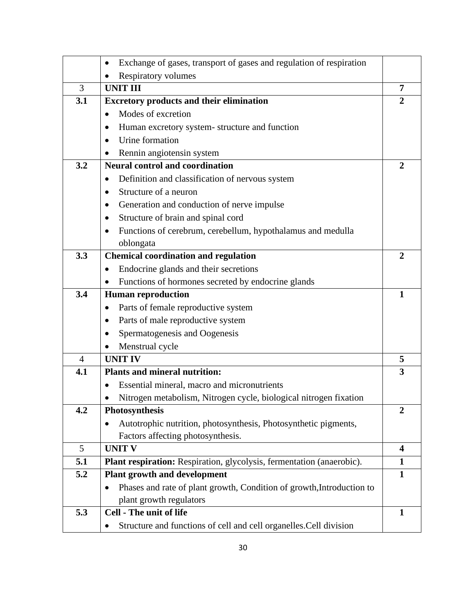|                | Exchange of gases, transport of gases and regulation of respiration<br>٠ |                |
|----------------|--------------------------------------------------------------------------|----------------|
|                | <b>Respiratory volumes</b><br>٠                                          |                |
| 3              | <b>UNIT III</b>                                                          | 7              |
| 3.1            | <b>Excretory products and their elimination</b>                          | $\overline{2}$ |
|                | Modes of excretion<br>$\bullet$                                          |                |
|                | Human excretory system-structure and function<br>$\bullet$               |                |
|                | Urine formation                                                          |                |
|                | Rennin angiotensin system                                                |                |
| 3.2            | <b>Neural control and coordination</b>                                   | $\overline{2}$ |
|                | Definition and classification of nervous system<br>٠                     |                |
|                | Structure of a neuron                                                    |                |
|                | Generation and conduction of nerve impulse<br>٠                          |                |
|                | Structure of brain and spinal cord<br>٠                                  |                |
|                | Functions of cerebrum, cerebellum, hypothalamus and medulla<br>$\bullet$ |                |
|                | oblongata                                                                |                |
| 3.3            | <b>Chemical coordination and regulation</b>                              | $\mathbf{2}$   |
|                | Endocrine glands and their secretions                                    |                |
|                | Functions of hormones secreted by endocrine glands                       |                |
| 3.4            | <b>Human reproduction</b>                                                | 1              |
|                | Parts of female reproductive system<br>$\bullet$                         |                |
|                | Parts of male reproductive system                                        |                |
|                | Spermatogenesis and Oogenesis                                            |                |
|                | Menstrual cycle                                                          |                |
| $\overline{4}$ | <b>UNIT IV</b>                                                           | 5              |
| 4.1            | <b>Plants and mineral nutrition:</b>                                     | 3              |
|                | Essential mineral, macro and micronutrients                              |                |
|                | Nitrogen metabolism, Nitrogen cycle, biological nitrogen fixation        |                |
| 4.2            | Photosynthesis                                                           | $\overline{2}$ |
|                | Autotrophic nutrition, photosynthesis, Photosynthetic pigments,          |                |
|                | Factors affecting photosynthesis.                                        |                |
| 5              | <b>UNIT V</b>                                                            | 4              |
| 5.1            | Plant respiration: Respiration, glycolysis, fermentation (anaerobic).    | $\mathbf{1}$   |
| 5.2            | <b>Plant growth and development</b>                                      | $\mathbf{1}$   |
|                | Phases and rate of plant growth, Condition of growth, Introduction to    |                |
|                | plant growth regulators                                                  |                |
| 5.3            | <b>Cell - The unit of life</b>                                           | $\mathbf{1}$   |
|                | Structure and functions of cell and cell organelles. Cell division       |                |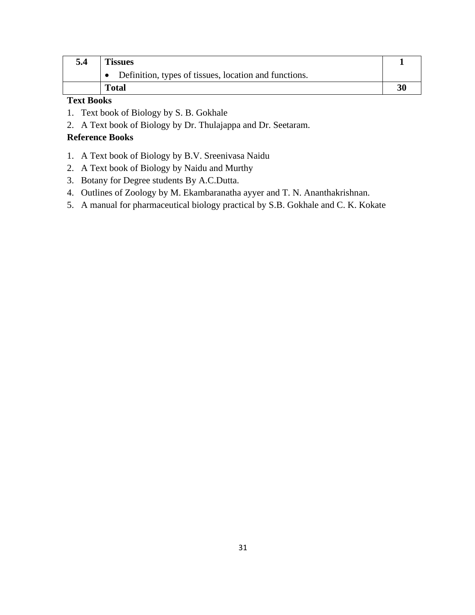| 5.4 | <b>Tissues</b>                                        |  |
|-----|-------------------------------------------------------|--|
|     | Definition, types of tissues, location and functions. |  |
|     | <b>Total</b>                                          |  |

### **Text Books**

- 1. Text book of Biology by S. B. Gokhale
- 2. A Text book of Biology by Dr. Thulajappa and Dr. Seetaram.

#### **Reference Books**

- 1. A Text book of Biology by B.V. Sreenivasa Naidu
- 2. A Text book of Biology by Naidu and Murthy
- 3. Botany for Degree students By A.C.Dutta.
- 4. Outlines of Zoology by M. Ekambaranatha ayyer and T. N. Ananthakrishnan.
- 5. A manual for pharmaceutical biology practical by S.B. Gokhale and C. K. Kokate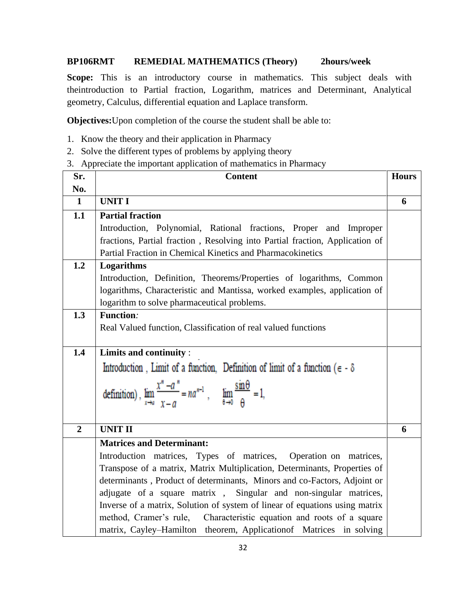#### **BP106RMT REMEDIAL MATHEMATICS (Theory) 2hours/week**

Scope: This is an introductory course in mathematics. This subject deals with theintroduction to Partial fraction, Logarithm, matrices and Determinant, Analytical geometry, Calculus, differential equation and Laplace transform.

**Objectives:**Upon completion of the course the student shall be able to:

- 1. Know the theory and their application in Pharmacy
- 2. Solve the different types of problems by applying theory
- 3. Appreciate the important application of mathematics in Pharmacy

| Sr.            | <b>Content</b>                                                                                                            | <b>Hours</b> |
|----------------|---------------------------------------------------------------------------------------------------------------------------|--------------|
| No.            |                                                                                                                           |              |
| $\mathbf{1}$   | <b>UNIT I</b>                                                                                                             | 6            |
| 1.1            | <b>Partial fraction</b>                                                                                                   |              |
|                | Introduction, Polynomial, Rational fractions, Proper and Improper                                                         |              |
|                | fractions, Partial fraction, Resolving into Partial fraction, Application of                                              |              |
|                | Partial Fraction in Chemical Kinetics and Pharmacokinetics                                                                |              |
| 1.2            | Logarithms                                                                                                                |              |
|                | Introduction, Definition, Theorems/Properties of logarithms, Common                                                       |              |
|                | logarithms, Characteristic and Mantissa, worked examples, application of                                                  |              |
|                | logarithm to solve pharmaceutical problems.                                                                               |              |
| 1.3            | Function:                                                                                                                 |              |
|                | Real Valued function, Classification of real valued functions                                                             |              |
|                |                                                                                                                           |              |
| 1.4            | Limits and continuity:                                                                                                    |              |
|                | Introduction, Limit of a function, Definition of limit of a function ( $\epsilon$ - $\delta$                              |              |
|                | definition), $\lim_{x \to a} \frac{x^n - a^n}{x - a} = na^{n-1}$ , $\lim_{\theta \to 0} \frac{\sin \theta}{\theta} = 1$ , |              |
|                |                                                                                                                           |              |
| $\overline{2}$ | <b>UNIT II</b>                                                                                                            | 6            |
|                | <b>Matrices and Determinant:</b>                                                                                          |              |
|                | Introduction matrices, Types of matrices, Operation on matrices,                                                          |              |
|                | Transpose of a matrix, Matrix Multiplication, Determinants, Properties of                                                 |              |
|                | determinants, Product of determinants, Minors and co-Factors, Adjoint or                                                  |              |
|                | adjugate of a square matrix, Singular and non-singular matrices,                                                          |              |
|                | Inverse of a matrix, Solution of system of linear of equations using matrix                                               |              |
|                | method, Cramer's rule, Characteristic equation and roots of a square                                                      |              |
|                | matrix, Cayley-Hamilton theorem, Application of Matrices in solving                                                       |              |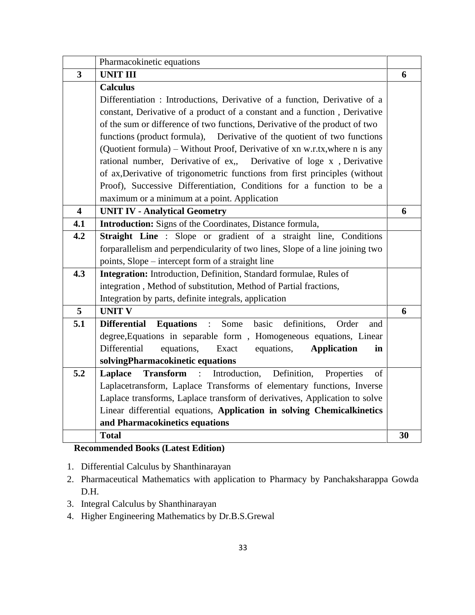|                         | Pharmacokinetic equations                                                                |    |
|-------------------------|------------------------------------------------------------------------------------------|----|
| $\overline{\mathbf{3}}$ | <b>UNIT III</b>                                                                          | 6  |
|                         | <b>Calculus</b>                                                                          |    |
|                         | Differentiation : Introductions, Derivative of a function, Derivative of a               |    |
|                         | constant, Derivative of a product of a constant and a function, Derivative               |    |
|                         | of the sum or difference of two functions, Derivative of the product of two              |    |
|                         | functions (product formula), Derivative of the quotient of two functions                 |    |
|                         | (Quotient formula) – Without Proof, Derivative of xn w.r.tx, where n is any              |    |
|                         | rational number, Derivative of ex,, Derivative of loge x, Derivative                     |    |
|                         | of ax, Derivative of trigonometric functions from first principles (without              |    |
|                         | Proof), Successive Differentiation, Conditions for a function to be a                    |    |
|                         | maximum or a minimum at a point. Application                                             |    |
| $\overline{\mathbf{4}}$ | <b>UNIT IV - Analytical Geometry</b>                                                     | 6  |
| 4.1                     | <b>Introduction:</b> Signs of the Coordinates, Distance formula,                         |    |
| 4.2                     | Straight Line: Slope or gradient of a straight line, Conditions                          |    |
|                         | forparallelism and perpendicularity of two lines, Slope of a line joining two            |    |
|                         | points, Slope – intercept form of a straight line                                        |    |
| 4.3                     | Integration: Introduction, Definition, Standard formulae, Rules of                       |    |
|                         | integration, Method of substitution, Method of Partial fractions,                        |    |
|                         | Integration by parts, definite integrals, application                                    |    |
| 5                       | <b>UNIT V</b>                                                                            | 6  |
| 5.1                     | definitions,<br><b>Equations</b><br>Some<br>basic<br><b>Differential</b><br>Order<br>and |    |
|                         | degree, Equations in separable form, Homogeneous equations, Linear                       |    |
|                         | Differential<br>equations,<br>Exact<br>equations,<br><b>Application</b><br>in            |    |
|                         | solvingPharmacokinetic equations                                                         |    |
| 5.2                     | <b>Transform</b> : Introduction,<br>Definition,<br>Properties<br>Laplace<br>of           |    |
|                         | Laplacetransform, Laplace Transforms of elementary functions, Inverse                    |    |
|                         | Laplace transforms, Laplace transform of derivatives, Application to solve               |    |
|                         | Linear differential equations, Application in solving Chemicalkinetics                   |    |
|                         | and Pharmacokinetics equations                                                           |    |
|                         | <b>Total</b>                                                                             | 30 |

#### **Recommended Books (Latest Edition)**

1. Differential Calculus by Shanthinarayan

- 2. Pharmaceutical Mathematics with application to Pharmacy by Panchaksharappa Gowda D.H.
- 3. Integral Calculus by Shanthinarayan
- 4. Higher Engineering Mathematics by Dr.B.S.Grewal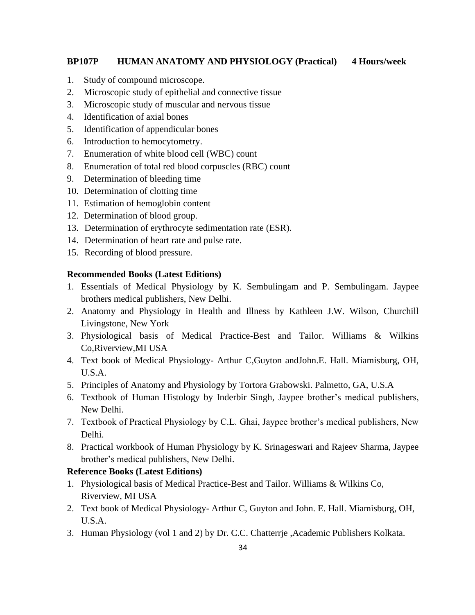#### **BP107P HUMAN ANATOMY AND PHYSIOLOGY (Practical) 4 Hours/week**

- 1. Study of compound microscope.
- 2. Microscopic study of epithelial and connective tissue
- 3. Microscopic study of muscular and nervous tissue
- 4. Identification of axial bones
- 5. Identification of appendicular bones
- 6. Introduction to hemocytometry.
- 7. Enumeration of white blood cell (WBC) count
- 8. Enumeration of total red blood corpuscles (RBC) count
- 9. Determination of bleeding time
- 10. Determination of clotting time
- 11. Estimation of hemoglobin content
- 12. Determination of blood group.
- 13. Determination of erythrocyte sedimentation rate (ESR).
- 14. Determination of heart rate and pulse rate.
- 15. Recording of blood pressure.

#### **Recommended Books (Latest Editions)**

- 1. Essentials of Medical Physiology by K. Sembulingam and P. Sembulingam. Jaypee brothers medical publishers, New Delhi.
- 2. Anatomy and Physiology in Health and Illness by Kathleen J.W. Wilson, Churchill Livingstone, New York
- 3. Physiological basis of Medical Practice-Best and Tailor. Williams & Wilkins Co,Riverview,MI USA
- 4. Text book of Medical Physiology- Arthur C,Guyton andJohn.E. Hall. Miamisburg, OH, U.S.A.
- 5. Principles of Anatomy and Physiology by Tortora Grabowski. Palmetto, GA, U.S.A
- 6. Textbook of Human Histology by Inderbir Singh, Jaypee brother's medical publishers, New Delhi.
- 7. Textbook of Practical Physiology by C.L. Ghai, Jaypee brother's medical publishers, New Delhi.
- 8. Practical workbook of Human Physiology by K. Srinageswari and Rajeev Sharma, Jaypee brother's medical publishers, New Delhi.

#### **Reference Books (Latest Editions)**

- 1. Physiological basis of Medical Practice-Best and Tailor. Williams & Wilkins Co, Riverview, MI USA
- 2. Text book of Medical Physiology- Arthur C, Guyton and John. E. Hall. Miamisburg, OH, U.S.A.
- 3. Human Physiology (vol 1 and 2) by Dr. C.C. Chatterrje ,Academic Publishers Kolkata.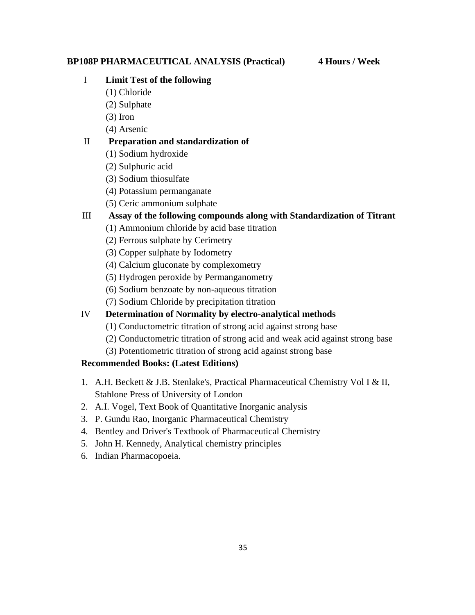#### **BP108P PHARMACEUTICAL ANALYSIS (Practical) 4 Hours / Week**

#### I **Limit Test of the following**

- (1) Chloride
- (2) Sulphate
- (3) Iron
- (4) Arsenic

#### II **Preparation and standardization of**

- (1) Sodium hydroxide
- (2) Sulphuric acid
- (3) Sodium thiosulfate
- (4) Potassium permanganate
- (5) Ceric ammonium sulphate

#### III **Assay of the following compounds along with Standardization of Titrant**

- (1) Ammonium chloride by acid base titration
- (2) Ferrous sulphate by Cerimetry
- (3) Copper sulphate by Iodometry
- (4) Calcium gluconate by complexometry
- (5) Hydrogen peroxide by Permanganometry
- (6) Sodium benzoate by non-aqueous titration
- (7) Sodium Chloride by precipitation titration

#### IV **Determination of Normality by electro-analytical methods**

- (1) Conductometric titration of strong acid against strong base
- (2) Conductometric titration of strong acid and weak acid against strong base
- (3) Potentiometric titration of strong acid against strong base

#### **Recommended Books: (Latest Editions)**

- 1. A.H. Beckett & J.B. Stenlake's, Practical Pharmaceutical Chemistry Vol I & II, Stahlone Press of University of London
- 2. A.I. Vogel, Text Book of Quantitative Inorganic analysis
- 3. P. Gundu Rao, Inorganic Pharmaceutical Chemistry
- 4. Bentley and Driver's Textbook of Pharmaceutical Chemistry
- 5. John H. Kennedy, Analytical chemistry principles
- 6. Indian Pharmacopoeia.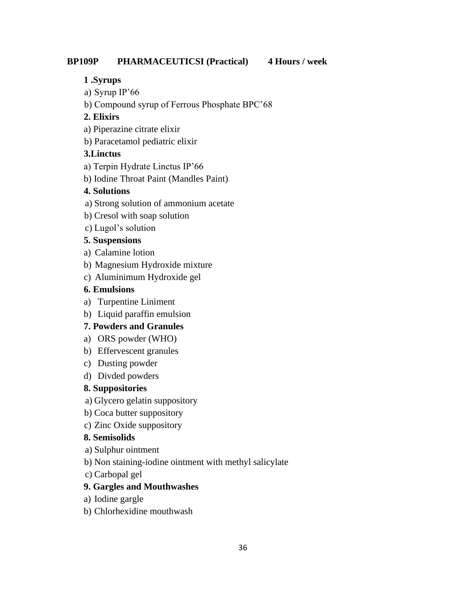#### **BP109P PHARMACEUTICSI (Practical) 4 Hours / week**

#### **1 .Syrups**

- a) Syrup IP'66
- b) Compound syrup of Ferrous Phosphate BPC'68

#### **2. Elixirs**

- a) Piperazine citrate elixir
- b) Paracetamol pediatric elixir

#### **3.Linctus**

- a) Terpin Hydrate Linctus IP'66
- b) Iodine Throat Paint (Mandles Paint)

#### **4. Solutions**

- a) Strong solution of ammonium acetate
- b) Cresol with soap solution
- c) Lugol's solution

#### **5. Suspensions**

- a) Calamine lotion
- b) Magnesium Hydroxide mixture
- c) Aluminimum Hydroxide gel

#### **6. Emulsions**

- a) Turpentine Liniment
- b) Liquid paraffin emulsion

#### **7. Powders and Granules**

- a) ORS powder (WHO)
- b) Effervescent granules
- c) Dusting powder
- d) Divded powders

#### **8. Suppositories**

- a) Glycero gelatin suppository
- b) Coca butter suppository
- c) Zinc Oxide suppository

#### **8. Semisolids**

- a) Sulphur ointment
- b) Non staining-iodine ointment with methyl salicylate
- c) Carbopal gel

#### **9. Gargles and Mouthwashes**

- a) Iodine gargle
- b) Chlorhexidine mouthwash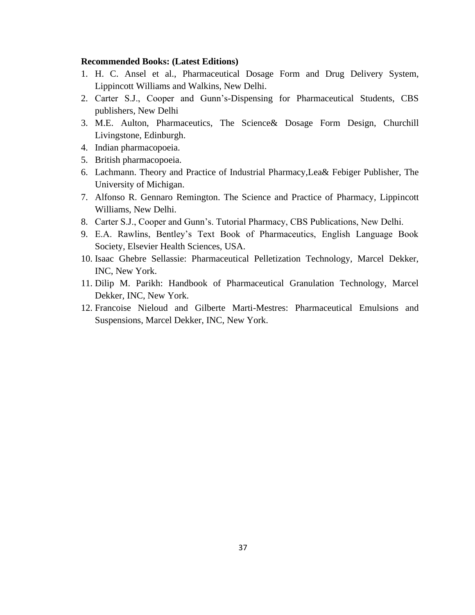- 1. H. C. Ansel et al., Pharmaceutical Dosage Form and Drug Delivery System, Lippincott Williams and Walkins, New Delhi.
- 2. Carter S.J., Cooper and Gunn's-Dispensing for Pharmaceutical Students, CBS publishers, New Delhi
- 3. M.E. Aulton, Pharmaceutics, The Science& Dosage Form Design, Churchill Livingstone, Edinburgh.
- 4. Indian pharmacopoeia.
- 5. British pharmacopoeia.
- 6. Lachmann. Theory and Practice of Industrial Pharmacy,Lea& Febiger Publisher, The University of Michigan.
- 7. Alfonso R. Gennaro Remington. The Science and Practice of Pharmacy, Lippincott Williams, New Delhi.
- 8. Carter S.J., Cooper and Gunn's. Tutorial Pharmacy, CBS Publications, New Delhi.
- 9. E.A. Rawlins, Bentley's Text Book of Pharmaceutics, English Language Book Society, Elsevier Health Sciences, USA.
- 10. Isaac Ghebre Sellassie: Pharmaceutical Pelletization Technology, Marcel Dekker, INC, New York.
- 11. Dilip M. Parikh: Handbook of Pharmaceutical Granulation Technology, Marcel Dekker, INC, New York.
- 12. Francoise Nieloud and Gilberte Marti-Mestres: Pharmaceutical Emulsions and Suspensions, Marcel Dekker, INC, New York.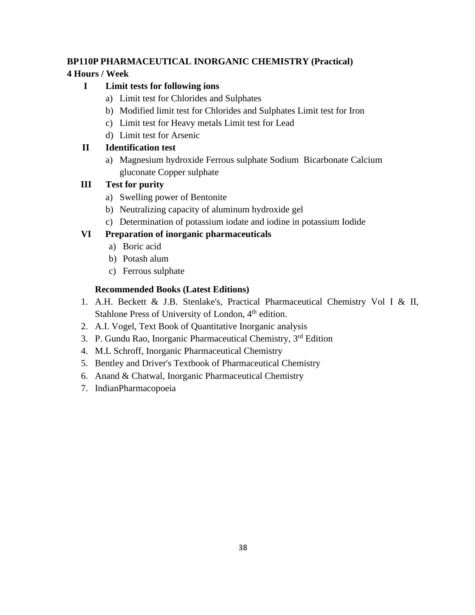# **BP110P PHARMACEUTICAL INORGANIC CHEMISTRY (Practical)**

# **4 Hours / Week**

# **I Limit tests for following ions**

- a) Limit test for Chlorides and Sulphates
- b) Modified limit test for Chlorides and Sulphates Limit test for Iron
- c) Limit test for Heavy metals Limit test for Lead
- d) Limit test for Arsenic

# **II Identification test**

a) Magnesium hydroxide Ferrous sulphate Sodium Bicarbonate Calcium gluconate Copper sulphate

# **III Test for purity**

- a) Swelling power of Bentonite
- b) Neutralizing capacity of aluminum hydroxide gel
- c) Determination of potassium iodate and iodine in potassium Iodide

# **VI Preparation of inorganic pharmaceuticals**

- a) Boric acid
- b) Potash alum
- c) Ferrous sulphate

- 1. A.H. Beckett & J.B. Stenlake's, Practical Pharmaceutical Chemistry Vol I & II, Stahlone Press of University of London,  $4<sup>th</sup>$  edition.
- 2. A.I. Vogel, Text Book of Quantitative Inorganic analysis
- 3. P. Gundu Rao, Inorganic Pharmaceutical Chemistry, 3rd Edition
- 4. M.L Schroff, Inorganic Pharmaceutical Chemistry
- 5. Bentley and Driver's Textbook of Pharmaceutical Chemistry
- 6. Anand & Chatwal, Inorganic Pharmaceutical Chemistry
- 7. IndianPharmacopoeia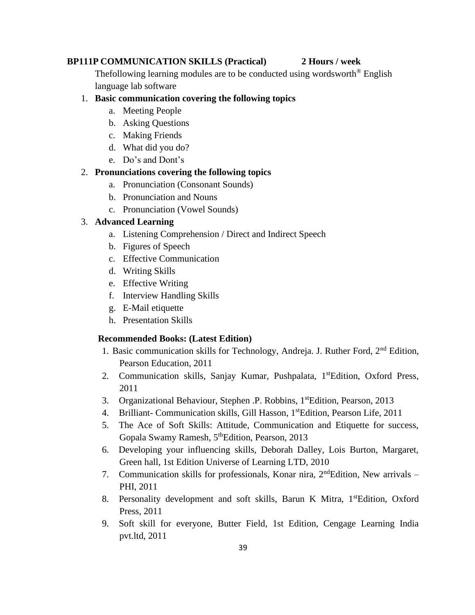#### **BP111P COMMUNICATION SKILLS (Practical) 2 Hours / week**

Thefollowing learning modules are to be conducted using wordsworth<sup>®</sup> English language lab software

# 1. **Basic communication covering the following topics**

- a. Meeting People
- b. Asking Questions
- c. Making Friends
- d. What did you do?
- e. Do's and Dont's

#### 2. **Pronunciations covering the following topics**

- a. Pronunciation (Consonant Sounds)
- b. Pronunciation and Nouns
- c. Pronunciation (Vowel Sounds)

#### 3. **Advanced Learning**

- a. Listening Comprehension / Direct and Indirect Speech
- b. Figures of Speech
- c. Effective Communication
- d. Writing Skills
- e. Effective Writing
- f. Interview Handling Skills
- g. E-Mail etiquette
- h. Presentation Skills

- 1. Basic communication skills for Technology, Andreja. J. Ruther Ford,  $2<sup>nd</sup>$  Edition, Pearson Education, 2011
- 2. Communication skills, Sanjay Kumar, Pushpalata, 1<sup>st</sup>Edition, Oxford Press, 2011
- 3. Organizational Behaviour, Stephen .P. Robbins, 1<sup>st</sup>Edition, Pearson, 2013
- 4. Brilliant- Communication skills, Gill Hasson, 1<sup>st</sup>Edition, Pearson Life, 2011
- 5. The Ace of Soft Skills: Attitude, Communication and Etiquette for success, Gopala Swamy Ramesh, 5<sup>th</sup>Edition, Pearson, 2013
- 6. Developing your influencing skills, Deborah Dalley, Lois Burton, Margaret, Green hall, 1st Edition Universe of Learning LTD, 2010
- 7. Communication skills for professionals, Konar nira,  $2<sup>nd</sup>$ Edition, New arrivals PHI, 2011
- 8. Personality development and soft skills, Barun K Mitra, 1<sup>st</sup>Edition, Oxford Press, 2011
- 9. Soft skill for everyone, Butter Field, 1st Edition, Cengage Learning India pvt.ltd, 2011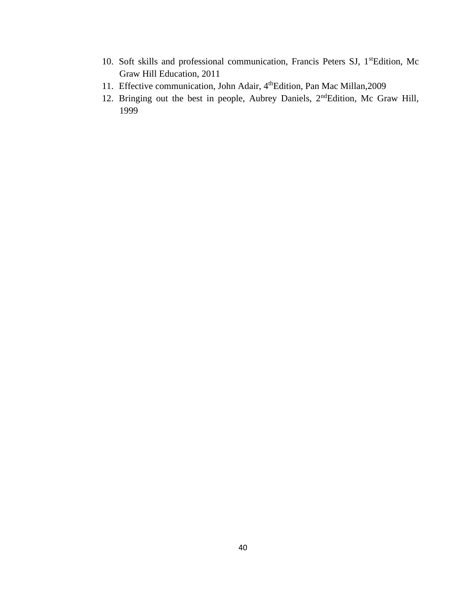- 10. Soft skills and professional communication, Francis Peters SJ, 1stEdition, Mc Graw Hill Education, 2011
- 11. Effective communication, John Adair, 4<sup>th</sup>Edition, Pan Mac Millan, 2009
- 12. Bringing out the best in people, Aubrey Daniels, 2<sup>nd</sup>Edition, Mc Graw Hill, 1999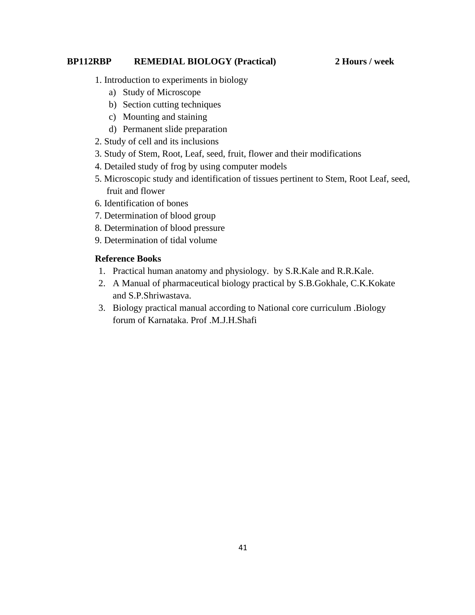#### **BP112RBP REMEDIAL BIOLOGY (Practical) 2 Hours / week**

- 1. Introduction to experiments in biology
	- a) Study of Microscope
	- b) Section cutting techniques
	- c) Mounting and staining
	- d) Permanent slide preparation
- 2. Study of cell and its inclusions
- 3. Study of Stem, Root, Leaf, seed, fruit, flower and their modifications
- 4. Detailed study of frog by using computer models
- 5. Microscopic study and identification of tissues pertinent to Stem, Root Leaf, seed, fruit and flower
- 6. Identification of bones
- 7. Determination of blood group
- 8. Determination of blood pressure
- 9. Determination of tidal volume

# **Reference Books**

- 1. Practical human anatomy and physiology. by S.R.Kale and R.R.Kale.
- 2. A Manual of pharmaceutical biology practical by S.B.Gokhale, C.K.Kokate and S.P.Shriwastava.
- 3. Biology practical manual according to National core curriculum .Biology forum of Karnataka. Prof .M.J.H.Shafi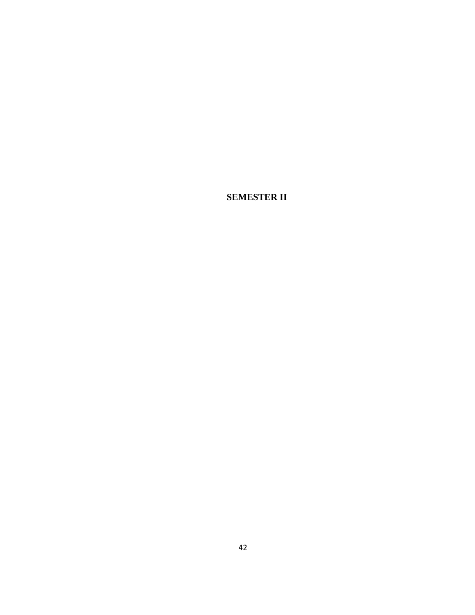**SEMESTER II**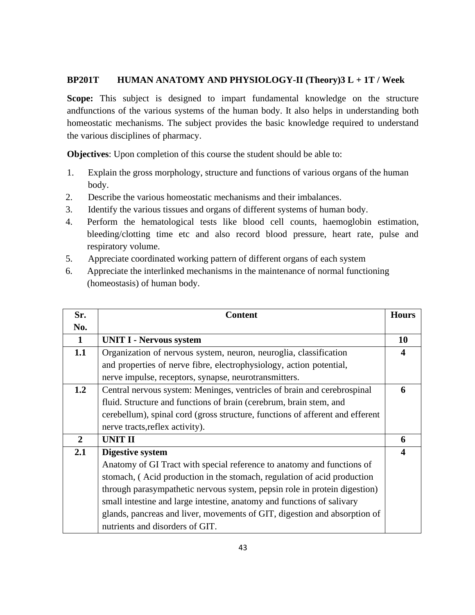### **BP201T HUMAN ANATOMY AND PHYSIOLOGY-II (Theory)3 L + 1T / Week**

**Scope:** This subject is designed to impart fundamental knowledge on the structure andfunctions of the various systems of the human body. It also helps in understanding both homeostatic mechanisms. The subject provides the basic knowledge required to understand the various disciplines of pharmacy.

**Objectives**: Upon completion of this course the student should be able to:

- 1. Explain the gross morphology, structure and functions of various organs of the human body.
- 2. Describe the various homeostatic mechanisms and their imbalances.
- 3. Identify the various tissues and organs of different systems of human body.
- 4. Perform the hematological tests like blood cell counts, haemoglobin estimation, bleeding/clotting time etc and also record blood pressure, heart rate, pulse and respiratory volume.
- 5. Appreciate coordinated working pattern of different organs of each system
- 6. Appreciate the interlinked mechanisms in the maintenance of normal functioning (homeostasis) of human body.

| Sr.          | <b>Content</b>                                                                | <b>Hours</b>          |
|--------------|-------------------------------------------------------------------------------|-----------------------|
| No.          |                                                                               |                       |
| $\mathbf{1}$ | <b>UNIT I - Nervous system</b>                                                | 10                    |
| 1.1          | Organization of nervous system, neuron, neuroglia, classification             | $\boldsymbol{\Delta}$ |
|              | and properties of nerve fibre, electrophysiology, action potential,           |                       |
|              | nerve impulse, receptors, synapse, neurotransmitters.                         |                       |
| 1.2          | Central nervous system: Meninges, ventricles of brain and cerebrospinal       | 6                     |
|              | fluid. Structure and functions of brain (cerebrum, brain stem, and            |                       |
|              | cerebellum), spinal cord (gross structure, functions of afferent and efferent |                       |
|              | nerve tracts, reflex activity).                                               |                       |
| $\mathbf{2}$ | <b>UNIT II</b>                                                                | 6                     |
| 2.1          | Digestive system                                                              |                       |
|              | Anatomy of GI Tract with special reference to anatomy and functions of        |                       |
|              | stomach, (Acid production in the stomach, regulation of acid production       |                       |
|              | through parasympathetic nervous system, pepsin role in protein digestion)     |                       |
|              | small intestine and large intestine, anatomy and functions of salivary        |                       |
|              | glands, pancreas and liver, movements of GIT, digestion and absorption of     |                       |
|              | nutrients and disorders of GIT.                                               |                       |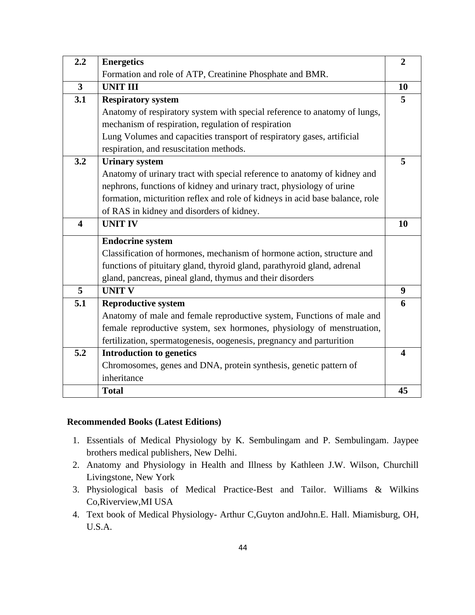| 2.2                     | <b>Energetics</b>                                                            | $\overline{2}$   |
|-------------------------|------------------------------------------------------------------------------|------------------|
|                         | Formation and role of ATP, Creatinine Phosphate and BMR.                     |                  |
| $\overline{3}$          | <b>UNIT III</b>                                                              | 10               |
| 3.1                     | <b>Respiratory system</b>                                                    | 5                |
|                         | Anatomy of respiratory system with special reference to anatomy of lungs,    |                  |
|                         | mechanism of respiration, regulation of respiration                          |                  |
|                         | Lung Volumes and capacities transport of respiratory gases, artificial       |                  |
|                         | respiration, and resuscitation methods.                                      |                  |
| 3.2                     | <b>Urinary system</b>                                                        | 5                |
|                         | Anatomy of urinary tract with special reference to anatomy of kidney and     |                  |
|                         | nephrons, functions of kidney and urinary tract, physiology of urine         |                  |
|                         | formation, micturition reflex and role of kidneys in acid base balance, role |                  |
|                         | of RAS in kidney and disorders of kidney.                                    |                  |
| $\overline{\mathbf{4}}$ | <b>UNIT IV</b>                                                               | 10               |
|                         | <b>Endocrine system</b>                                                      |                  |
|                         | Classification of hormones, mechanism of hormone action, structure and       |                  |
|                         | functions of pituitary gland, thyroid gland, parathyroid gland, adrenal      |                  |
|                         | gland, pancreas, pineal gland, thymus and their disorders                    |                  |
| 5                       | <b>UNIT V</b>                                                                | $\boldsymbol{9}$ |
| 5.1                     | <b>Reproductive system</b>                                                   | 6                |
|                         | Anatomy of male and female reproductive system, Functions of male and        |                  |
|                         | female reproductive system, sex hormones, physiology of menstruation,        |                  |
|                         | fertilization, spermatogenesis, oogenesis, pregnancy and parturition         |                  |
| 5.2                     | <b>Introduction to genetics</b>                                              | 4                |
|                         | Chromosomes, genes and DNA, protein synthesis, genetic pattern of            |                  |
|                         | inheritance                                                                  |                  |
|                         | <b>Total</b>                                                                 | 45               |

- 1. Essentials of Medical Physiology by K. Sembulingam and P. Sembulingam. Jaypee brothers medical publishers, New Delhi.
- 2. Anatomy and Physiology in Health and Illness by Kathleen J.W. Wilson, Churchill Livingstone, New York
- 3. Physiological basis of Medical Practice-Best and Tailor. Williams & Wilkins Co,Riverview,MI USA
- 4. Text book of Medical Physiology- Arthur C,Guyton andJohn.E. Hall. Miamisburg, OH, U.S.A.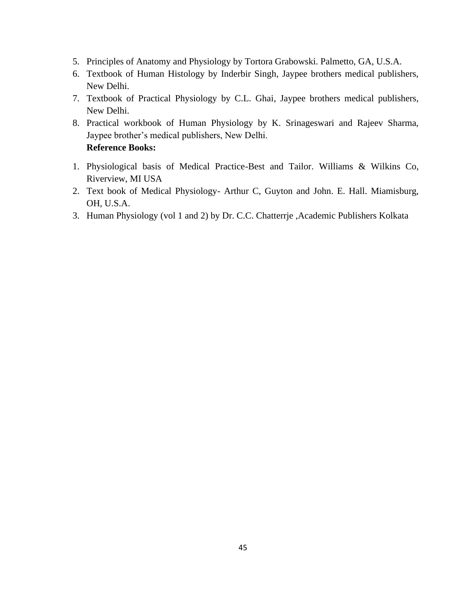- 5. Principles of Anatomy and Physiology by Tortora Grabowski. Palmetto, GA, U.S.A.
- 6. Textbook of Human Histology by Inderbir Singh, Jaypee brothers medical publishers, New Delhi.
- 7. Textbook of Practical Physiology by C.L. Ghai, Jaypee brothers medical publishers, New Delhi.
- 8. Practical workbook of Human Physiology by K. Srinageswari and Rajeev Sharma, Jaypee brother's medical publishers, New Delhi. **Reference Books:**
- 1. Physiological basis of Medical Practice-Best and Tailor. Williams & Wilkins Co, Riverview, MI USA
- 2. Text book of Medical Physiology- Arthur C, Guyton and John. E. Hall. Miamisburg, OH, U.S.A.
- 3. Human Physiology (vol 1 and 2) by Dr. C.C. Chatterrje ,Academic Publishers Kolkata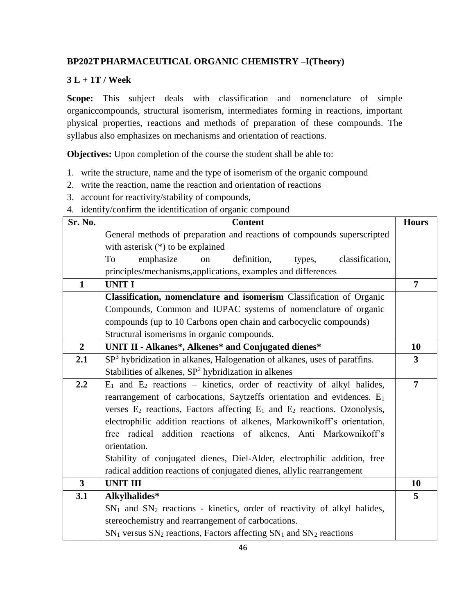# **BP202TPHARMACEUTICAL ORGANIC CHEMISTRY –I(Theory)**

# **3 L + 1T / Week**

**Scope:** This subject deals with classification and nomenclature of simple organiccompounds, structural isomerism, intermediates forming in reactions, important physical properties, reactions and methods of preparation of these compounds. The syllabus also emphasizes on mechanisms and orientation of reactions.

**Objectives:** Upon completion of the course the student shall be able to:

- 1. write the structure, name and the type of isomerism of the organic compound
- 2. write the reaction, name the reaction and orientation of reactions
- 3. account for reactivity/stability of compounds,
- 4. identify/confirm the identification of organic compound

| Sr. No.                 | <b>Content</b>                                                                     | <b>Hours</b>   |
|-------------------------|------------------------------------------------------------------------------------|----------------|
|                         | General methods of preparation and reactions of compounds superscripted            |                |
|                         | with asterisk $(*)$ to be explained                                                |                |
|                         | emphasize<br>To<br>definition,<br>classification,<br>on<br>types,                  |                |
|                         | principles/mechanisms, applications, examples and differences                      |                |
| $\mathbf{1}$            | <b>UNIT I</b>                                                                      | 7              |
|                         | Classification, nomenclature and isomerism Classification of Organic               |                |
|                         | Compounds, Common and IUPAC systems of nomenclature of organic                     |                |
|                         | compounds (up to 10 Carbons open chain and carbocyclic compounds)                  |                |
|                         | Structural isomerisms in organic compounds.                                        |                |
| $\overline{2}$          | UNIT II - Alkanes*, Alkenes* and Conjugated dienes*                                | 10             |
| 2.1                     | $SP3$ hybridization in alkanes, Halogenation of alkanes, uses of paraffins.        | $\mathbf{3}$   |
|                         | Stabilities of alkenes, $SP2$ hybridization in alkenes                             |                |
| 2.2                     | $E_1$ and $E_2$ reactions – kinetics, order of reactivity of alkyl halides,        | $\overline{7}$ |
|                         | rearrangement of carbocations, Saytzeffs orientation and evidences. E <sub>1</sub> |                |
|                         | verses $E_2$ reactions, Factors affecting $E_1$ and $E_2$ reactions. Ozonolysis,   |                |
|                         | electrophilic addition reactions of alkenes, Markownikoff's orientation,           |                |
|                         | free radical addition reactions of alkenes, Anti Markownikoff's                    |                |
|                         | orientation.                                                                       |                |
|                         | Stability of conjugated dienes, Diel-Alder, electrophilic addition, free           |                |
|                         | radical addition reactions of conjugated dienes, allylic rearrangement             |                |
| $\overline{\mathbf{3}}$ | <b>UNIT III</b>                                                                    | 10             |
| 3.1                     | Alkylhalides*                                                                      | 5              |
|                         | $SN1$ and $SN2$ reactions - kinetics, order of reactivity of alkyl halides,        |                |
|                         | stereochemistry and rearrangement of carbocations.                                 |                |
|                         | $SN_1$ versus $SN_2$ reactions, Factors affecting $SN_1$ and $SN_2$ reactions      |                |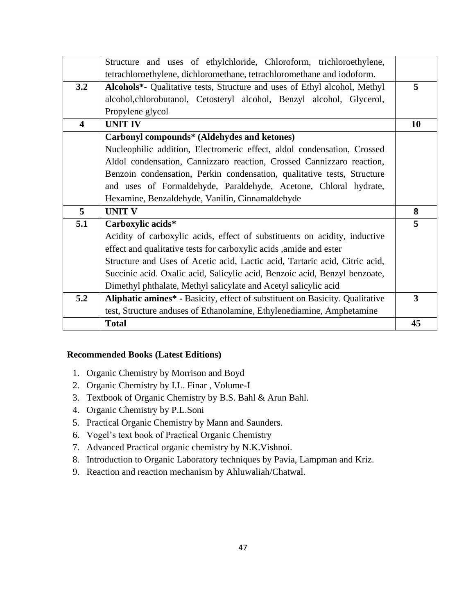|                         | Structure and uses of ethylchloride, Chloroform, trichloroethylene,          |           |
|-------------------------|------------------------------------------------------------------------------|-----------|
|                         | tetrachloroethylene, dichloromethane, tetrachloromethane and iodoform.       |           |
| 3.2                     | Alcohols*- Qualitative tests, Structure and uses of Ethyl alcohol, Methyl    | 5         |
|                         | alcohol, chlorobutanol, Cetosteryl alcohol, Benzyl alcohol, Glycerol,        |           |
|                         | Propylene glycol                                                             |           |
| $\overline{\mathbf{4}}$ | <b>UNIT IV</b>                                                               | <b>10</b> |
|                         | Carbonyl compounds* (Aldehydes and ketones)                                  |           |
|                         | Nucleophilic addition, Electromeric effect, aldol condensation, Crossed      |           |
|                         | Aldol condensation, Cannizzaro reaction, Crossed Cannizzaro reaction,        |           |
|                         | Benzoin condensation, Perkin condensation, qualitative tests, Structure      |           |
|                         | and uses of Formaldehyde, Paraldehyde, Acetone, Chloral hydrate,             |           |
|                         | Hexamine, Benzaldehyde, Vanilin, Cinnamaldehyde                              |           |
| 5 <sup>5</sup>          | <b>UNIT V</b>                                                                | 8         |
| 5.1                     | Carboxylic acids*                                                            | 5         |
|                         | Acidity of carboxylic acids, effect of substituents on acidity, inductive    |           |
|                         | effect and qualitative tests for carboxylic acids, amide and ester           |           |
|                         |                                                                              |           |
|                         | Structure and Uses of Acetic acid, Lactic acid, Tartaric acid, Citric acid,  |           |
|                         | Succinic acid. Oxalic acid, Salicylic acid, Benzoic acid, Benzyl benzoate,   |           |
|                         | Dimethyl phthalate, Methyl salicylate and Acetyl salicylic acid              |           |
| 5.2                     | Aliphatic amines* - Basicity, effect of substituent on Basicity. Qualitative | 3         |
|                         | test, Structure anduses of Ethanolamine, Ethylenediamine, Amphetamine        |           |

- 1. Organic Chemistry by Morrison and Boyd
- 2. Organic Chemistry by I.L. Finar , Volume-I
- 3. Textbook of Organic Chemistry by B.S. Bahl & Arun Bahl.
- 4. Organic Chemistry by P.L.Soni
- 5. Practical Organic Chemistry by Mann and Saunders.
- 6. Vogel's text book of Practical Organic Chemistry
- 7. Advanced Practical organic chemistry by N.K.Vishnoi.
- 8. Introduction to Organic Laboratory techniques by Pavia, Lampman and Kriz.
- 9. Reaction and reaction mechanism by Ahluwaliah/Chatwal.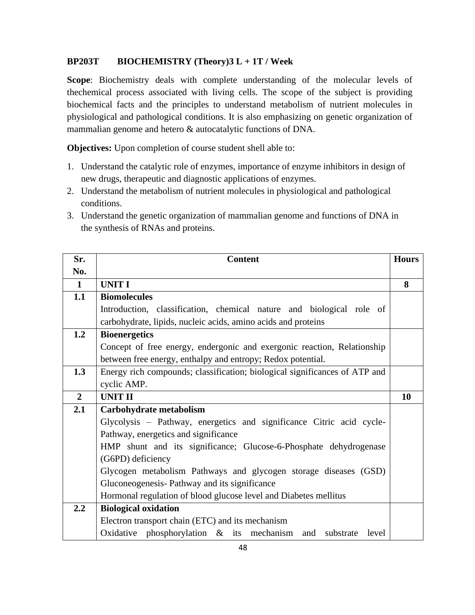# **BP203T BIOCHEMISTRY (Theory)3 L + 1T / Week**

**Scope**: Biochemistry deals with complete understanding of the molecular levels of thechemical process associated with living cells. The scope of the subject is providing biochemical facts and the principles to understand metabolism of nutrient molecules in physiological and pathological conditions. It is also emphasizing on genetic organization of mammalian genome and hetero & autocatalytic functions of DNA.

**Objectives:** Upon completion of course student shell able to:

- 1. Understand the catalytic role of enzymes, importance of enzyme inhibitors in design of new drugs, therapeutic and diagnostic applications of enzymes.
- 2. Understand the metabolism of nutrient molecules in physiological and pathological conditions.
- 3. Understand the genetic organization of mammalian genome and functions of DNA in the synthesis of RNAs and proteins.

| Sr.            | <b>Content</b>                                                             | <b>Hours</b> |
|----------------|----------------------------------------------------------------------------|--------------|
| No.            |                                                                            |              |
| $\mathbf{1}$   | <b>UNIT I</b>                                                              | 8            |
| 1.1            | <b>Biomolecules</b>                                                        |              |
|                | Introduction, classification, chemical nature and biological role of       |              |
|                | carbohydrate, lipids, nucleic acids, amino acids and proteins              |              |
| 1.2            | <b>Bioenergetics</b>                                                       |              |
|                | Concept of free energy, endergonic and exergonic reaction, Relationship    |              |
|                | between free energy, enthalpy and entropy; Redox potential.                |              |
| 1.3            | Energy rich compounds; classification; biological significances of ATP and |              |
|                | cyclic AMP.                                                                |              |
| $\overline{2}$ | <b>UNIT II</b>                                                             | 10           |
| 2.1            | Carbohydrate metabolism                                                    |              |
|                | Glycolysis – Pathway, energetics and significance Citric acid cycle-       |              |
|                | Pathway, energetics and significance                                       |              |
|                | HMP shunt and its significance; Glucose-6-Phosphate dehydrogenase          |              |
|                | (G6PD) deficiency                                                          |              |
|                | Glycogen metabolism Pathways and glycogen storage diseases (GSD)           |              |
|                | Gluconeogenesis- Pathway and its significance                              |              |
|                | Hormonal regulation of blood glucose level and Diabetes mellitus           |              |
| 2.2            | <b>Biological oxidation</b>                                                |              |
|                | Electron transport chain (ETC) and its mechanism                           |              |
|                | Oxidative phosphorylation $\&$ its mechanism<br>and substrate level        |              |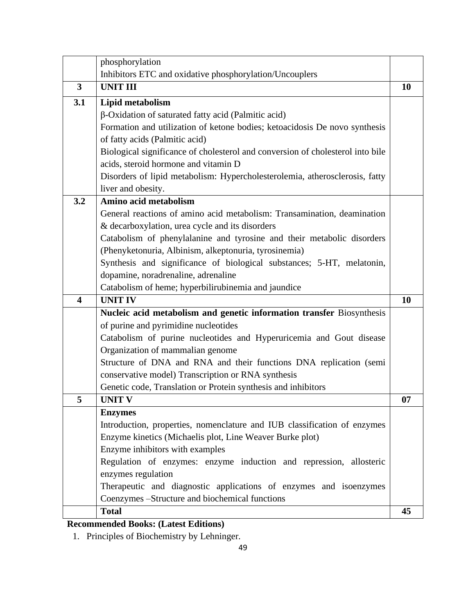|                         | phosphorylation                                                                |    |
|-------------------------|--------------------------------------------------------------------------------|----|
|                         | Inhibitors ETC and oxidative phosphorylation/Uncouplers                        |    |
| $\overline{\mathbf{3}}$ | <b>UNIT III</b>                                                                | 10 |
| 3.1                     | Lipid metabolism                                                               |    |
|                         | β-Oxidation of saturated fatty acid (Palmitic acid)                            |    |
|                         | Formation and utilization of ketone bodies; ketoacidosis De novo synthesis     |    |
|                         | of fatty acids (Palmitic acid)                                                 |    |
|                         | Biological significance of cholesterol and conversion of cholesterol into bile |    |
|                         | acids, steroid hormone and vitamin D                                           |    |
|                         | Disorders of lipid metabolism: Hypercholesterolemia, atherosclerosis, fatty    |    |
|                         | liver and obesity.                                                             |    |
| 3.2                     | Amino acid metabolism                                                          |    |
|                         | General reactions of amino acid metabolism: Transamination, deamination        |    |
|                         | & decarboxylation, urea cycle and its disorders                                |    |
|                         | Catabolism of phenylalanine and tyrosine and their metabolic disorders         |    |
|                         | (Phenyketonuria, Albinism, alkeptonuria, tyrosinemia)                          |    |
|                         | Synthesis and significance of biological substances; 5-HT, melatonin,          |    |
|                         | dopamine, noradrenaline, adrenaline                                            |    |
|                         | Catabolism of heme; hyperbilirubinemia and jaundice                            |    |
| $\overline{\mathbf{4}}$ | <b>UNIT IV</b>                                                                 | 10 |
|                         | Nucleic acid metabolism and genetic information transfer Biosynthesis          |    |
|                         | of purine and pyrimidine nucleotides                                           |    |
|                         | Catabolism of purine nucleotides and Hyperuricemia and Gout disease            |    |
|                         | Organization of mammalian genome                                               |    |
|                         | Structure of DNA and RNA and their functions DNA replication (semi             |    |
|                         | conservative model) Transcription or RNA synthesis                             |    |
|                         | Genetic code, Translation or Protein synthesis and inhibitors                  |    |
| 5                       | <b>UNIT V</b>                                                                  | 07 |
|                         | <b>Enzymes</b>                                                                 |    |
|                         | Introduction, properties, nomenclature and IUB classification of enzymes       |    |
|                         | Enzyme kinetics (Michaelis plot, Line Weaver Burke plot)                       |    |
|                         | Enzyme inhibitors with examples                                                |    |
|                         | Regulation of enzymes: enzyme induction and repression, allosteric             |    |
|                         | enzymes regulation                                                             |    |
|                         | Therapeutic and diagnostic applications of enzymes and isoenzymes              |    |
|                         | Coenzymes -Structure and biochemical functions                                 |    |
|                         | <b>Total</b>                                                                   | 45 |

# **Recommended Books: (Latest Editions)**

1. Principles of Biochemistry by Lehninger.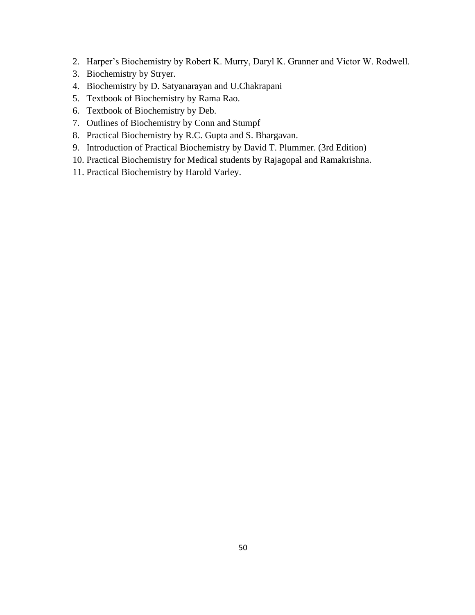- 2. Harper's Biochemistry by Robert K. Murry, Daryl K. Granner and Victor W. Rodwell.
- 3. Biochemistry by Stryer.
- 4. Biochemistry by D. Satyanarayan and U.Chakrapani
- 5. Textbook of Biochemistry by Rama Rao.
- 6. Textbook of Biochemistry by Deb.
- 7. Outlines of Biochemistry by Conn and Stumpf
- 8. Practical Biochemistry by R.C. Gupta and S. Bhargavan.
- 9. Introduction of Practical Biochemistry by David T. Plummer. (3rd Edition)
- 10. Practical Biochemistry for Medical students by Rajagopal and Ramakrishna.
- 11. Practical Biochemistry by Harold Varley.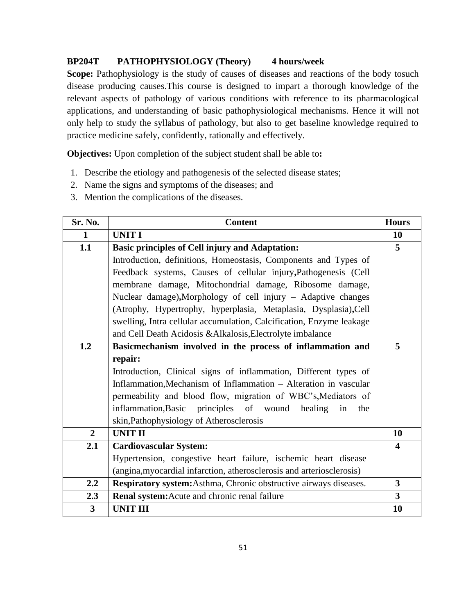# **BP204T PATHOPHYSIOLOGY (Theory) 4 hours/week**

Scope: Pathophysiology is the study of causes of diseases and reactions of the body tosuch disease producing causes.This course is designed to impart a thorough knowledge of the relevant aspects of pathology of various conditions with reference to its pharmacological applications, and understanding of basic pathophysiological mechanisms. Hence it will not only help to study the syllabus of pathology, but also to get baseline knowledge required to practice medicine safely, confidently, rationally and effectively.

**Objectives:** Upon completion of the subject student shall be able to**:**

- 1. Describe the etiology and pathogenesis of the selected disease states;
- 2. Name the signs and symptoms of the diseases; and
- 3. Mention the complications of the diseases.

| Sr. No.        | <b>Content</b>                                                        | <b>Hours</b>            |
|----------------|-----------------------------------------------------------------------|-------------------------|
| $\mathbf{1}$   | <b>UNIT I</b>                                                         | 10                      |
| 1.1            | <b>Basic principles of Cell injury and Adaptation:</b>                | 5                       |
|                | Introduction, definitions, Homeostasis, Components and Types of       |                         |
|                | Feedback systems, Causes of cellular injury, Pathogenesis (Cell       |                         |
|                | membrane damage, Mitochondrial damage, Ribosome damage,               |                         |
|                | Nuclear damage), Morphology of cell injury - Adaptive changes         |                         |
|                | (Atrophy, Hypertrophy, hyperplasia, Metaplasia, Dysplasia), Cell      |                         |
|                | swelling, Intra cellular accumulation, Calcification, Enzyme leakage  |                         |
|                | and Cell Death Acidosis & Alkalosis, Electrolyte imbalance            |                         |
| 1.2            | Basicmechanism involved in the process of inflammation and            | 5                       |
|                | repair:                                                               |                         |
|                | Introduction, Clinical signs of inflammation, Different types of      |                         |
|                | Inflammation, Mechanism of Inflammation – Alteration in vascular      |                         |
|                | permeability and blood flow, migration of WBC's, Mediators of         |                         |
|                | inflammation, Basic<br>principles of wound<br>healing<br>in<br>the    |                         |
|                | skin, Pathophysiology of Atherosclerosis                              |                         |
| $\overline{2}$ | <b>UNIT II</b>                                                        | 10                      |
| 2.1            | <b>Cardiovascular System:</b>                                         | $\overline{\mathbf{4}}$ |
|                | Hypertension, congestive heart failure, ischemic heart disease        |                         |
|                | (angina, myocardial infarction, atherosclerosis and arteriosclerosis) |                         |
| 2.2            | Respiratory system: Asthma, Chronic obstructive airways diseases.     | $\overline{\mathbf{3}}$ |
| 2.3            | Renal system: Acute and chronic renal failure                         | $\overline{\mathbf{3}}$ |
| 3              | <b>UNIT III</b>                                                       | 10                      |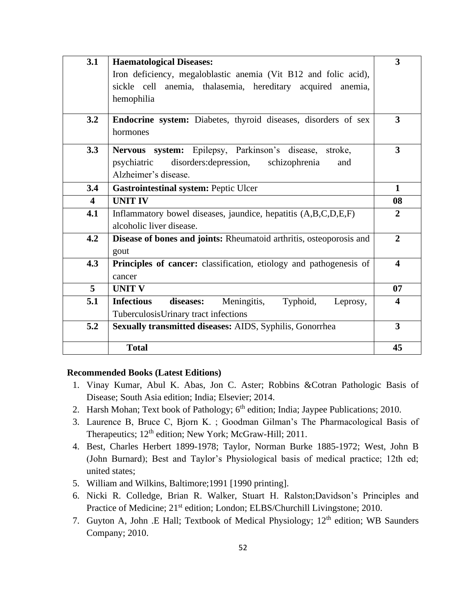| 3.1                     | <b>Haematological Diseases:</b>                                       | $\overline{\mathbf{3}}$ |
|-------------------------|-----------------------------------------------------------------------|-------------------------|
|                         | Iron deficiency, megaloblastic anemia (Vit B12 and folic acid),       |                         |
|                         | sickle cell anemia, thalasemia, hereditary acquired anemia,           |                         |
|                         | hemophilia                                                            |                         |
|                         |                                                                       |                         |
| 3.2                     | Endocrine system: Diabetes, thyroid diseases, disorders of sex        | 3                       |
|                         | hormones                                                              |                         |
| 3.3                     | Nervous system: Epilepsy, Parkinson's disease, stroke,                | 3                       |
|                         | psychiatric disorders: depression,<br>schizophrenia<br>and            |                         |
|                         | Alzheimer's disease.                                                  |                         |
| 3.4                     | <b>Gastrointestinal system: Peptic Ulcer</b>                          | $\mathbf{1}$            |
| $\overline{\mathbf{4}}$ | <b>UNIT IV</b>                                                        | 08                      |
| 4.1                     | Inflammatory bowel diseases, jaundice, hepatitis (A,B,C,D,E,F)        | $\overline{2}$          |
|                         | alcoholic liver disease.                                              |                         |
| 4.2                     | Disease of bones and joints: Rheumatoid arthritis, osteoporosis and   | $\overline{2}$          |
|                         | gout                                                                  |                         |
| 4.3                     | Principles of cancer: classification, etiology and pathogenesis of    | 4                       |
|                         | cancer                                                                |                         |
| 5                       | <b>UNIT V</b>                                                         | 07                      |
| 5.1                     | <b>Infectious</b><br>diseases:<br>Meningitis,<br>Typhoid,<br>Leprosy, | 4                       |
|                         | TuberculosisUrinary tract infections                                  |                         |
| 5.2                     | Sexually transmitted diseases: AIDS, Syphilis, Gonorrhea              | $\overline{3}$          |
|                         |                                                                       |                         |
|                         | <b>Total</b>                                                          | 45                      |

- 1. Vinay Kumar, Abul K. Abas, Jon C. Aster; Robbins &Cotran Pathologic Basis of Disease; South Asia edition; India; Elsevier; 2014.
- 2. Harsh Mohan; Text book of Pathology; 6<sup>th</sup> edition; India; Jaypee Publications; 2010.
- 3. Laurence B, Bruce C, Bjorn K. ; Goodman Gilman's The Pharmacological Basis of Therapeutics; 12<sup>th</sup> edition; New York; McGraw-Hill; 2011.
- 4. Best, Charles Herbert 1899-1978; Taylor, Norman Burke 1885-1972; West, John B (John Burnard); Best and Taylor's Physiological basis of medical practice; 12th ed; united states;
- 5. William and Wilkins, Baltimore;1991 [1990 printing].
- 6. Nicki R. Colledge, Brian R. Walker, Stuart H. Ralston;Davidson's Principles and Practice of Medicine; 21<sup>st</sup> edition; London; ELBS/Churchill Livingstone; 2010.
- 7. Guyton A, John .E Hall; Textbook of Medical Physiology; 12<sup>th</sup> edition; WB Saunders Company; 2010.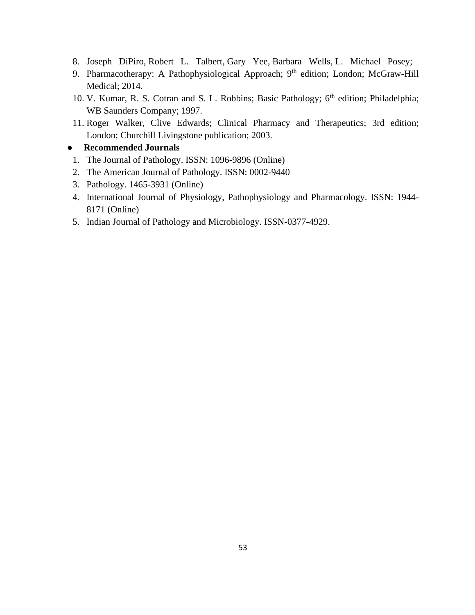- 8. Joseph DiPiro, Robert L. Talbert, Gary Yee, Barbara Wells, L. Michael Posey;
- 9. Pharmacotherapy: A Pathophysiological Approach; 9<sup>th</sup> edition; London; McGraw-Hill Medical; 2014.
- 10. V. Kumar, R. S. Cotran and S. L. Robbins; Basic Pathology; 6<sup>th</sup> edition; Philadelphia; WB Saunders Company; 1997.
- 11. Roger Walker, Clive Edwards; Clinical Pharmacy and Therapeutics; 3rd edition; London; Churchill Livingstone publication; 2003.

#### ● **Recommended Journals**

- 1. The Journal of Pathology. ISSN: 1096-9896 (Online)
- 2. The American Journal of Pathology. ISSN: 0002-9440
- 3. Pathology. 1465-3931 (Online)
- 4. International Journal of Physiology, Pathophysiology and Pharmacology. ISSN: 1944- 8171 (Online)
- 5. Indian Journal of Pathology and Microbiology. ISSN-0377-4929.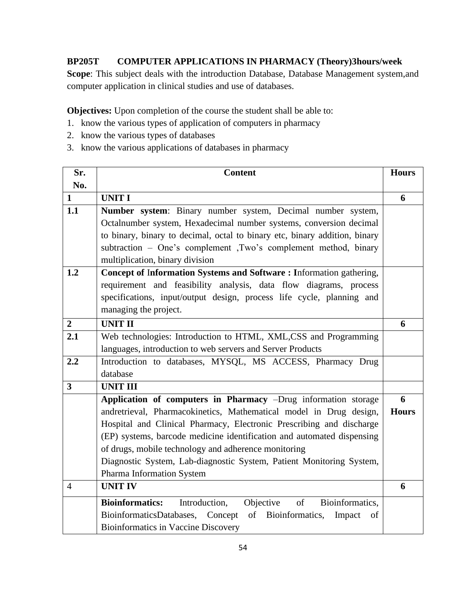# **BP205T COMPUTER APPLICATIONS IN PHARMACY (Theory)3hours/week**

**Scope**: This subject deals with the introduction Database, Database Management system,and computer application in clinical studies and use of databases.

**Objectives:** Upon completion of the course the student shall be able to:

- 1. know the various types of application of computers in pharmacy
- 2. know the various types of databases
- 3. know the various applications of databases in pharmacy

| Sr.                     | <b>Content</b>                                                                | <b>Hours</b> |
|-------------------------|-------------------------------------------------------------------------------|--------------|
| No.                     |                                                                               |              |
| $\mathbf{1}$            | <b>UNIT I</b>                                                                 | 6            |
| 1.1                     | Number system: Binary number system, Decimal number system,                   |              |
|                         | Octalnumber system, Hexadecimal number systems, conversion decimal            |              |
|                         | to binary, binary to decimal, octal to binary etc, binary addition, binary    |              |
|                         | subtraction - One's complement ,Two's complement method, binary               |              |
|                         | multiplication, binary division                                               |              |
| 1.2                     | Concept of Information Systems and Software: Information gathering,           |              |
|                         | requirement and feasibility analysis, data flow diagrams, process             |              |
|                         | specifications, input/output design, process life cycle, planning and         |              |
|                         | managing the project.                                                         |              |
| $\overline{2}$          | <b>UNIT II</b>                                                                | 6            |
| 2.1                     | Web technologies: Introduction to HTML, XML,CSS and Programming               |              |
|                         | languages, introduction to web servers and Server Products                    |              |
| 2.2                     | Introduction to databases, MYSQL, MS ACCESS, Pharmacy Drug                    |              |
|                         | database                                                                      |              |
| $\overline{\mathbf{3}}$ | <b>UNIT III</b>                                                               |              |
|                         | Application of computers in Pharmacy -Drug information storage                | 6            |
|                         | andretrieval, Pharmacokinetics, Mathematical model in Drug design,            | <b>Hours</b> |
|                         | Hospital and Clinical Pharmacy, Electronic Prescribing and discharge          |              |
|                         | (EP) systems, barcode medicine identification and automated dispensing        |              |
|                         | of drugs, mobile technology and adherence monitoring                          |              |
|                         | Diagnostic System, Lab-diagnostic System, Patient Monitoring System,          |              |
|                         | Pharma Information System                                                     |              |
| $\overline{4}$          | <b>UNIT IV</b>                                                                | 6            |
|                         | Objective<br>of<br><b>Bioinformatics:</b><br>Introduction,<br>Bioinformatics. |              |
|                         | of Bioinformatics,<br>BioinformaticsDatabases, Concept<br>Impact<br>of        |              |
|                         | <b>Bioinformatics in Vaccine Discovery</b>                                    |              |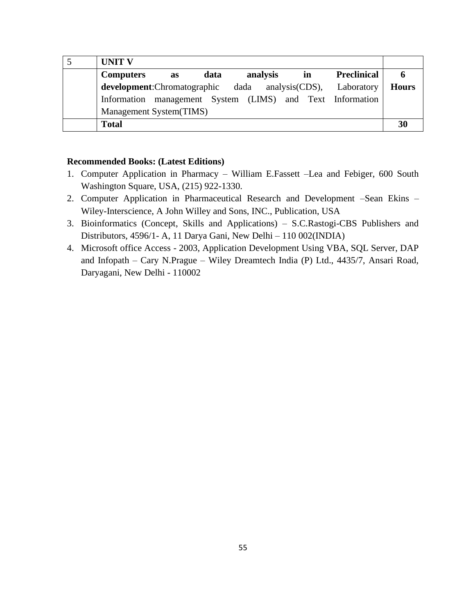| <b>UNIT V</b>                                                                 |              |
|-------------------------------------------------------------------------------|--------------|
| <b>Preclinical</b><br><b>Computers</b><br>analysis<br>data<br>in<br><b>as</b> |              |
| <b>development:</b> Chromatographic dada analysis(CDS), Laboratory            | <b>Hours</b> |
| Information management System (LIMS) and Text Information                     |              |
| Management System(TIMS)                                                       |              |
| <b>Total</b>                                                                  | 30           |

- 1. Computer Application in Pharmacy William E.Fassett –Lea and Febiger, 600 South Washington Square, USA, (215) 922-1330.
- 2. Computer Application in Pharmaceutical Research and Development –Sean Ekins Wiley-Interscience, A John Willey and Sons, INC., Publication, USA
- 3. Bioinformatics (Concept, Skills and Applications) S.C.Rastogi-CBS Publishers and Distributors, 4596/1- A, 11 Darya Gani, New Delhi – 110 002(INDIA)
- 4. Microsoft office Access 2003, Application Development Using VBA, SQL Server, DAP and Infopath – Cary N.Prague – Wiley Dreamtech India (P) Ltd., 4435/7, Ansari Road, Daryagani, New Delhi - 110002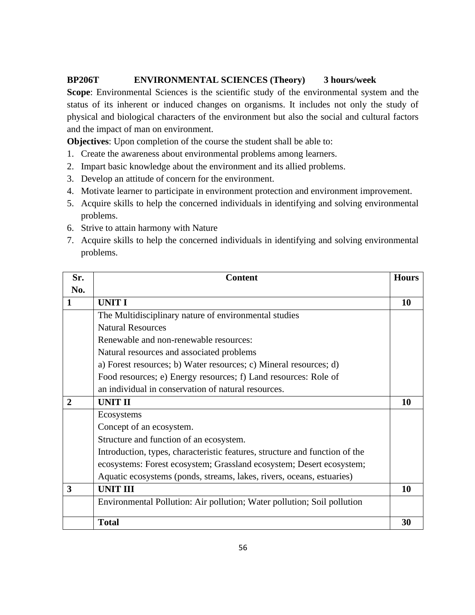# **BP206T ENVIRONMENTAL SCIENCES (Theory) 3 hours/week**

**Scope**: Environmental Sciences is the scientific study of the environmental system and the status of its inherent or induced changes on organisms. It includes not only the study of physical and biological characters of the environment but also the social and cultural factors and the impact of man on environment.

**Objectives**: Upon completion of the course the student shall be able to:

- 1. Create the awareness about environmental problems among learners.
- 2. Impart basic knowledge about the environment and its allied problems.
- 3. Develop an attitude of concern for the environment.
- 4. Motivate learner to participate in environment protection and environment improvement.
- 5. Acquire skills to help the concerned individuals in identifying and solving environmental problems.
- 6. Strive to attain harmony with Nature
- 7. Acquire skills to help the concerned individuals in identifying and solving environmental problems.

| Sr.            | <b>Content</b>                                                              | <b>Hours</b> |
|----------------|-----------------------------------------------------------------------------|--------------|
| No.            |                                                                             |              |
| 1              | <b>UNIT I</b>                                                               | 10           |
|                | The Multidisciplinary nature of environmental studies                       |              |
|                | <b>Natural Resources</b>                                                    |              |
|                | Renewable and non-renewable resources:                                      |              |
|                | Natural resources and associated problems                                   |              |
|                | a) Forest resources; b) Water resources; c) Mineral resources; d)           |              |
|                | Food resources; e) Energy resources; f) Land resources: Role of             |              |
|                | an individual in conservation of natural resources.                         |              |
| $\overline{2}$ | <b>UNIT II</b>                                                              | 10           |
|                | Ecosystems                                                                  |              |
|                | Concept of an ecosystem.                                                    |              |
|                | Structure and function of an ecosystem.                                     |              |
|                | Introduction, types, characteristic features, structure and function of the |              |
|                | ecosystems: Forest ecosystem; Grassland ecosystem; Desert ecosystem;        |              |
|                | Aquatic ecosystems (ponds, streams, lakes, rivers, oceans, estuaries)       |              |
| 3              | <b>UNIT III</b>                                                             | 10           |
|                | Environmental Pollution: Air pollution; Water pollution; Soil pollution     |              |
|                | <b>Total</b>                                                                | 30           |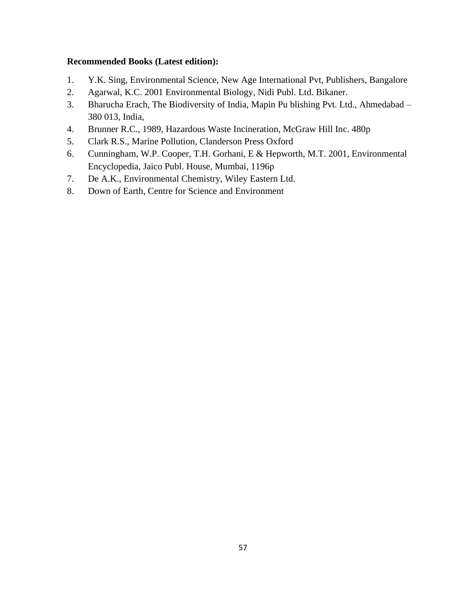- 1. Y.K. Sing, Environmental Science, New Age International Pvt, Publishers, Bangalore
- 2. Agarwal, K.C. 2001 Environmental Biology, Nidi Publ. Ltd. Bikaner.
- 3. Bharucha Erach, The Biodiversity of India, Mapin Pu blishing Pvt. Ltd., Ahmedabad 380 013, India,
- 4. Brunner R.C., 1989, Hazardous Waste Incineration, McGraw Hill Inc. 480p
- 5. Clark R.S., Marine Pollution, Clanderson Press Oxford
- 6. Cunningham, W.P. Cooper, T.H. Gorhani, E & Hepworth, M.T. 2001, Environmental Encyclopedia, Jaico Publ. House, Mumbai, 1196p
- 7. De A.K., Environmental Chemistry, Wiley Eastern Ltd.
- 8. Down of Earth, Centre for Science and Environment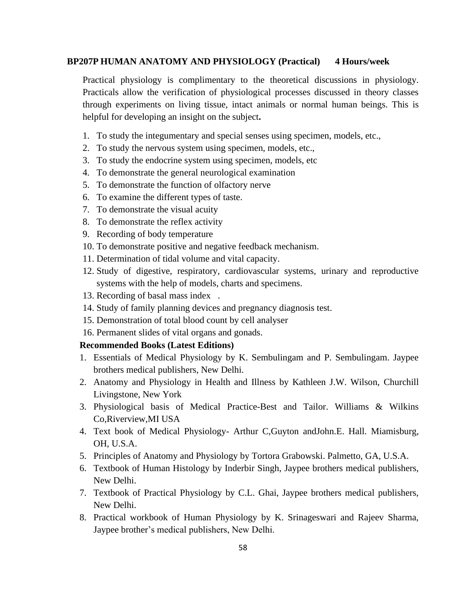#### **BP207P HUMAN ANATOMY AND PHYSIOLOGY (Practical) 4 Hours/week**

Practical physiology is complimentary to the theoretical discussions in physiology. Practicals allow the verification of physiological processes discussed in theory classes through experiments on living tissue, intact animals or normal human beings. This is helpful for developing an insight on the subject**.**

- 1. To study the integumentary and special senses using specimen, models, etc.,
- 2. To study the nervous system using specimen, models, etc.,
- 3. To study the endocrine system using specimen, models, etc
- 4. To demonstrate the general neurological examination
- 5. To demonstrate the function of olfactory nerve
- 6. To examine the different types of taste.
- 7. To demonstrate the visual acuity
- 8. To demonstrate the reflex activity
- 9. Recording of body temperature
- 10. To demonstrate positive and negative feedback mechanism.
- 11. Determination of tidal volume and vital capacity.
- 12. Study of digestive, respiratory, cardiovascular systems, urinary and reproductive systems with the help of models, charts and specimens.
- 13. Recording of basal mass index .
- 14. Study of family planning devices and pregnancy diagnosis test.
- 15. Demonstration of total blood count by cell analyser
- 16. Permanent slides of vital organs and gonads.

- 1. Essentials of Medical Physiology by K. Sembulingam and P. Sembulingam. Jaypee brothers medical publishers, New Delhi.
- 2. Anatomy and Physiology in Health and Illness by Kathleen J.W. Wilson, Churchill Livingstone, New York
- 3. Physiological basis of Medical Practice-Best and Tailor. Williams & Wilkins Co,Riverview,MI USA
- 4. Text book of Medical Physiology- Arthur C,Guyton andJohn.E. Hall. Miamisburg, OH, U.S.A.
- 5. Principles of Anatomy and Physiology by Tortora Grabowski. Palmetto, GA, U.S.A.
- 6. Textbook of Human Histology by Inderbir Singh, Jaypee brothers medical publishers, New Delhi.
- 7. Textbook of Practical Physiology by C.L. Ghai, Jaypee brothers medical publishers, New Delhi.
- 8. Practical workbook of Human Physiology by K. Srinageswari and Rajeev Sharma, Jaypee brother's medical publishers, New Delhi.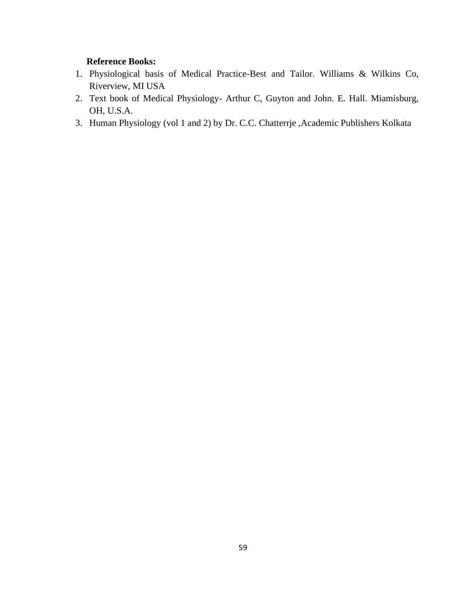# **Reference Books:**

- 1. Physiological basis of Medical Practice-Best and Tailor. Williams & Wilkins Co, Riverview, MI USA
- 2. Text book of Medical Physiology- Arthur C, Guyton and John. E. Hall. Miamisburg, OH, U.S.A.
- 3. Human Physiology (vol 1 and 2) by Dr. C.C. Chatterrje ,Academic Publishers Kolkata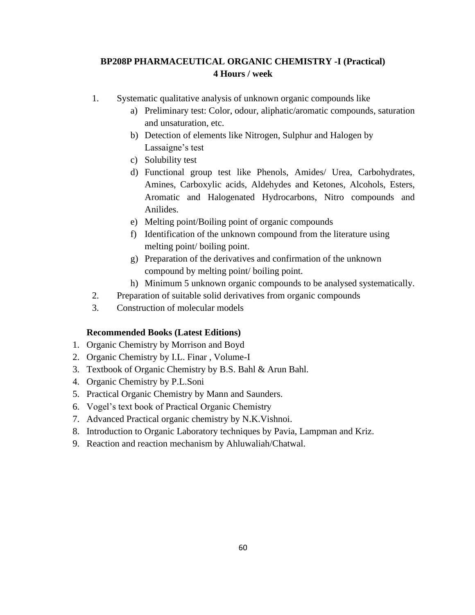# **BP208P PHARMACEUTICAL ORGANIC CHEMISTRY -I (Practical) 4 Hours / week**

- 1. Systematic qualitative analysis of unknown organic compounds like
	- a) Preliminary test: Color, odour, aliphatic/aromatic compounds, saturation and unsaturation, etc.
	- b) Detection of elements like Nitrogen, Sulphur and Halogen by Lassaigne's test
	- c) Solubility test
	- d) Functional group test like Phenols, Amides/ Urea, Carbohydrates, Amines, Carboxylic acids, Aldehydes and Ketones, Alcohols, Esters, Aromatic and Halogenated Hydrocarbons, Nitro compounds and Anilides.
	- e) Melting point/Boiling point of organic compounds
	- f) Identification of the unknown compound from the literature using melting point/ boiling point.
	- g) Preparation of the derivatives and confirmation of the unknown compound by melting point/ boiling point.
	- h) Minimum 5 unknown organic compounds to be analysed systematically.
- 2. Preparation of suitable solid derivatives from organic compounds
- 3. Construction of molecular models

- 1. Organic Chemistry by Morrison and Boyd
- 2. Organic Chemistry by I.L. Finar , Volume-I
- 3. Textbook of Organic Chemistry by B.S. Bahl & Arun Bahl.
- 4. Organic Chemistry by P.L.Soni
- 5. Practical Organic Chemistry by Mann and Saunders.
- 6. Vogel's text book of Practical Organic Chemistry
- 7. Advanced Practical organic chemistry by N.K.Vishnoi.
- 8. Introduction to Organic Laboratory techniques by Pavia, Lampman and Kriz.
- 9. Reaction and reaction mechanism by Ahluwaliah/Chatwal.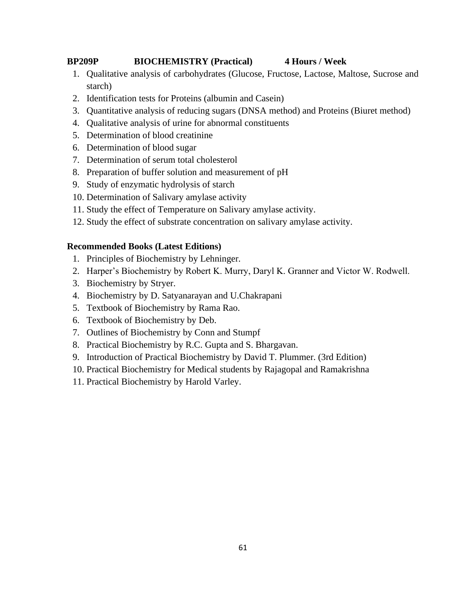# **BP209P BIOCHEMISTRY (Practical) 4 Hours / Week**

- 1. Qualitative analysis of carbohydrates (Glucose, Fructose, Lactose, Maltose, Sucrose and starch)
- 2. Identification tests for Proteins (albumin and Casein)
- 3. Quantitative analysis of reducing sugars (DNSA method) and Proteins (Biuret method)
- 4. Qualitative analysis of urine for abnormal constituents
- 5. Determination of blood creatinine
- 6. Determination of blood sugar
- 7. Determination of serum total cholesterol
- 8. Preparation of buffer solution and measurement of pH
- 9. Study of enzymatic hydrolysis of starch
- 10. Determination of Salivary amylase activity
- 11. Study the effect of Temperature on Salivary amylase activity.
- 12. Study the effect of substrate concentration on salivary amylase activity.

- 1. Principles of Biochemistry by Lehninger.
- 2. Harper's Biochemistry by Robert K. Murry, Daryl K. Granner and Victor W. Rodwell.
- 3. Biochemistry by Stryer.
- 4. Biochemistry by D. Satyanarayan and U.Chakrapani
- 5. Textbook of Biochemistry by Rama Rao.
- 6. Textbook of Biochemistry by Deb.
- 7. Outlines of Biochemistry by Conn and Stumpf
- 8. Practical Biochemistry by R.C. Gupta and S. Bhargavan.
- 9. Introduction of Practical Biochemistry by David T. Plummer. (3rd Edition)
- 10. Practical Biochemistry for Medical students by Rajagopal and Ramakrishna
- 11. Practical Biochemistry by Harold Varley.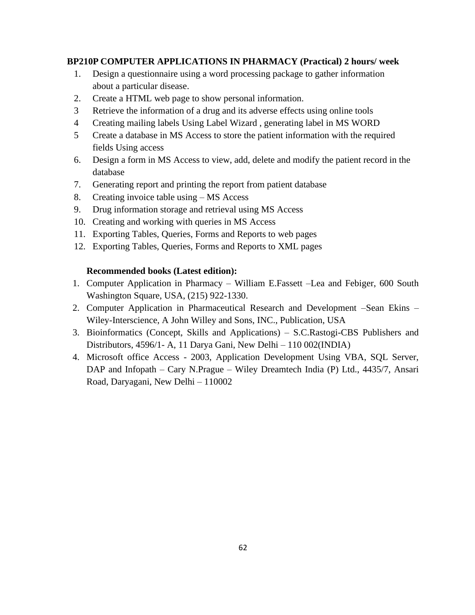### **BP210P COMPUTER APPLICATIONS IN PHARMACY (Practical) 2 hours/ week**

- 1. Design a questionnaire using a word processing package to gather information about a particular disease.
- 2. Create a HTML web page to show personal information.
- 3 Retrieve the information of a drug and its adverse effects using online tools
- 4 Creating mailing labels Using Label Wizard , generating label in MS WORD
- 5 Create a database in MS Access to store the patient information with the required fields Using access
- 6. Design a form in MS Access to view, add, delete and modify the patient record in the database
- 7. Generating report and printing the report from patient database
- 8. Creating invoice table using MS Access
- 9. Drug information storage and retrieval using MS Access
- 10. Creating and working with queries in MS Access
- 11. Exporting Tables, Queries, Forms and Reports to web pages
- 12. Exporting Tables, Queries, Forms and Reports to XML pages

- 1. Computer Application in Pharmacy William E.Fassett –Lea and Febiger, 600 South Washington Square, USA, (215) 922-1330.
- 2. Computer Application in Pharmaceutical Research and Development –Sean Ekins Wiley-Interscience, A John Willey and Sons, INC., Publication, USA
- 3. Bioinformatics (Concept, Skills and Applications) S.C.Rastogi-CBS Publishers and Distributors, 4596/1- A, 11 Darya Gani, New Delhi – 110 002(INDIA)
- 4. Microsoft office Access 2003, Application Development Using VBA, SQL Server, DAP and Infopath – Cary N.Prague – Wiley Dreamtech India (P) Ltd., 4435/7, Ansari Road, Daryagani, New Delhi – 110002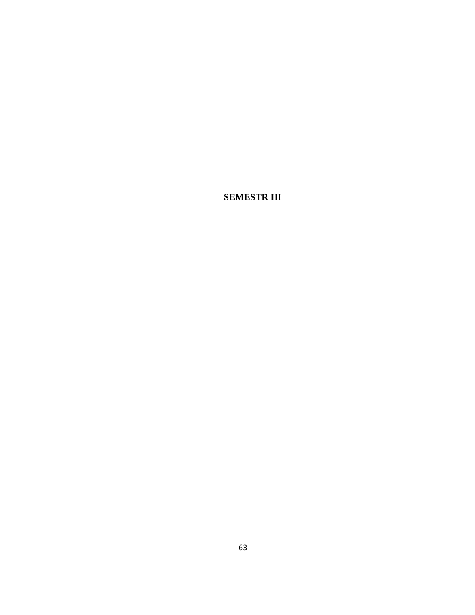**SEMESTR III**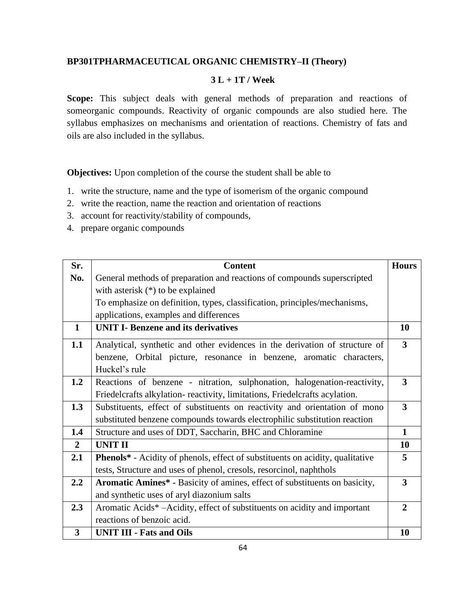# **BP301TPHARMACEUTICAL ORGANIC CHEMISTRY–II (Theory)**

#### **3 L + 1T / Week**

Scope: This subject deals with general methods of preparation and reactions of someorganic compounds. Reactivity of organic compounds are also studied here. The syllabus emphasizes on mechanisms and orientation of reactions. Chemistry of fats and oils are also included in the syllabus.

**Objectives:** Upon completion of the course the student shall be able to

- 1. write the structure, name and the type of isomerism of the organic compound
- 2. write the reaction, name the reaction and orientation of reactions
- 3. account for reactivity/stability of compounds,
- 4. prepare organic compounds

| Sr.            | <b>Content</b>                                                                       | <b>Hours</b>            |
|----------------|--------------------------------------------------------------------------------------|-------------------------|
| No.            | General methods of preparation and reactions of compounds superscripted              |                         |
|                | with asterisk $(*)$ to be explained                                                  |                         |
|                | To emphasize on definition, types, classification, principles/mechanisms,            |                         |
|                | applications, examples and differences                                               |                         |
| $\mathbf{1}$   | <b>UNIT I- Benzene and its derivatives</b>                                           | 10                      |
| 1.1            | Analytical, synthetic and other evidences in the derivation of structure of          | $\overline{\mathbf{3}}$ |
|                | benzene, Orbital picture, resonance in benzene, aromatic characters,                 |                         |
|                | Huckel's rule                                                                        |                         |
| 1.2            | Reactions of benzene - nitration, sulphonation, halogenation-reactivity,             | $\overline{\mathbf{3}}$ |
|                | Friedelcrafts alkylation-reactivity, limitations, Friedelcrafts acylation.           |                         |
| 1.3            | Substituents, effect of substituents on reactivity and orientation of mono           | $\overline{\mathbf{3}}$ |
|                | substituted benzene compounds towards electrophilic substitution reaction            |                         |
| 1.4            | Structure and uses of DDT, Saccharin, BHC and Chloramine                             | $\mathbf{1}$            |
| $\overline{2}$ | <b>UNIT II</b>                                                                       | 10                      |
| 2.1            | <b>Phenols*</b> - Acidity of phenols, effect of substituents on acidity, qualitative | 5                       |
|                | tests, Structure and uses of phenol, cresols, resorcinol, naphthols                  |                         |
| 2.2            | Aromatic Amines* - Basicity of amines, effect of substituents on basicity,           | $\overline{\mathbf{3}}$ |
|                | and synthetic uses of aryl diazonium salts                                           |                         |
| 2.3            | Aromatic Acids* - Acidity, effect of substituents on acidity and important           | $\overline{2}$          |
|                | reactions of benzoic acid.                                                           |                         |
| 3              | <b>UNIT III - Fats and Oils</b>                                                      | 10                      |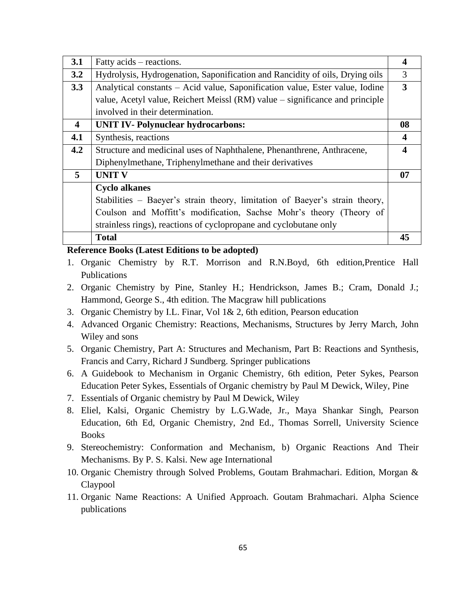| 3.1         | Fatty acids – reactions.                                                     | 4                |
|-------------|------------------------------------------------------------------------------|------------------|
| 3.2         | Hydrolysis, Hydrogenation, Saponification and Rancidity of oils, Drying oils | 3                |
| 3.3         | Analytical constants - Acid value, Saponification value, Ester value, Iodine | 3                |
|             | value, Acetyl value, Reichert Meissl (RM) value – significance and principle |                  |
|             | involved in their determination.                                             |                  |
| 4           | <b>UNIT IV- Polynuclear hydrocarbons:</b>                                    | 08               |
| 4.1         | Synthesis, reactions                                                         | $\boldsymbol{4}$ |
| 4.2         | Structure and medicinal uses of Naphthalene, Phenanthrene, Anthracene,       | 4                |
|             | Diphenylmethane, Triphenylmethane and their derivatives                      |                  |
| $5^{\circ}$ | <b>UNIT V</b>                                                                | 07               |
|             | <b>Cyclo alkanes</b>                                                         |                  |
|             | Stabilities – Baeyer's strain theory, limitation of Baeyer's strain theory,  |                  |
|             | Coulson and Moffitt's modification, Sachse Mohr's theory (Theory of          |                  |
|             | strainless rings), reactions of cyclopropane and cyclobutane only            |                  |
|             | <b>Total</b>                                                                 | 45               |

#### **Reference Books (Latest Editions to be adopted)**

- 1. Organic Chemistry by R.T. Morrison and R.N.Boyd, 6th edition,Prentice Hall Publications
- 2. Organic Chemistry by Pine, Stanley H.; Hendrickson, James B.; Cram, Donald J.; Hammond, George S., 4th edition. The Macgraw hill publications
- 3. Organic Chemistry by I.L. Finar, Vol 1& 2, 6th edition, Pearson education
- 4. Advanced Organic Chemistry: Reactions, Mechanisms, Structures by Jerry March, John Wiley and sons
- 5. Organic Chemistry, Part A: Structures and Mechanism, Part B: Reactions and Synthesis, Francis and Carry, Richard J Sundberg. Springer publications
- 6. A Guidebook to Mechanism in Organic Chemistry, 6th edition, Peter Sykes, Pearson Education Peter Sykes, Essentials of Organic chemistry by Paul M Dewick, Wiley, Pine
- 7. Essentials of Organic chemistry by Paul M Dewick, Wiley
- 8. Eliel, Kalsi, Organic Chemistry by L.G.Wade, Jr., Maya Shankar Singh, Pearson Education, 6th Ed, Organic Chemistry, 2nd Ed., Thomas Sorrell, University Science Books
- 9. Stereochemistry: Conformation and Mechanism, b) Organic Reactions And Their Mechanisms. By P. S. Kalsi. New age International
- 10. Organic Chemistry through Solved Problems, Goutam Brahmachari. Edition, Morgan & Claypool
- 11. Organic Name Reactions: A Unified Approach. Goutam Brahmachari. Alpha Science publications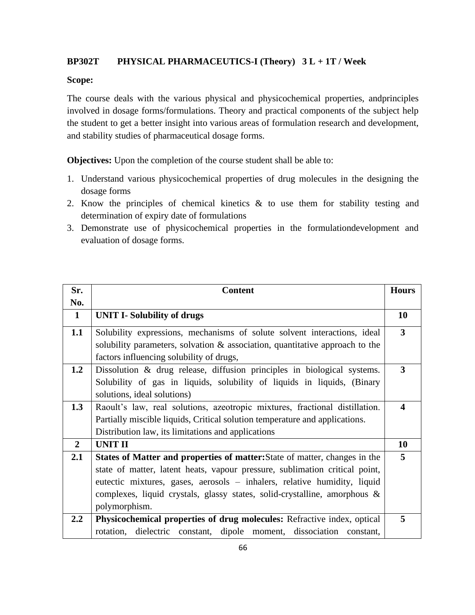# **BP302T PHYSICAL PHARMACEUTICS-I (Theory) 3 L + 1T / Week**

#### **Scope:**

The course deals with the various physical and physicochemical properties, andprinciples involved in dosage forms/formulations. Theory and practical components of the subject help the student to get a better insight into various areas of formulation research and development, and stability studies of pharmaceutical dosage forms.

**Objectives:** Upon the completion of the course student shall be able to:

- 1. Understand various physicochemical properties of drug molecules in the designing the dosage forms
- 2. Know the principles of chemical kinetics & to use them for stability testing and determination of expiry date of formulations
- 3. Demonstrate use of physicochemical properties in the formulationdevelopment and evaluation of dosage forms.

| Sr.              | <b>Content</b>                                                                  | <b>Hours</b>             |
|------------------|---------------------------------------------------------------------------------|--------------------------|
| No.              |                                                                                 |                          |
| $\mathbf{1}$     | <b>UNIT I-Solubility of drugs</b>                                               | 10                       |
| 1.1              | Solubility expressions, mechanisms of solute solvent interactions, ideal        | 3                        |
|                  | solubility parameters, solvation $\&$ association, quantitative approach to the |                          |
|                  | factors influencing solubility of drugs,                                        |                          |
| 1.2              | Dissolution & drug release, diffusion principles in biological systems.         | 3                        |
|                  | Solubility of gas in liquids, solubility of liquids in liquids, (Binary         |                          |
|                  | solutions, ideal solutions)                                                     |                          |
| 1.3              | Raoult's law, real solutions, azeotropic mixtures, fractional distillation.     | $\boldsymbol{\varDelta}$ |
|                  | Partially miscible liquids, Critical solution temperature and applications.     |                          |
|                  | Distribution law, its limitations and applications                              |                          |
| $\overline{2}$   | <b>UNIT II</b>                                                                  | 10                       |
| 2.1              | States of Matter and properties of matter: State of matter, changes in the      | 5                        |
|                  | state of matter, latent heats, vapour pressure, sublimation critical point,     |                          |
|                  | eutectic mixtures, gases, aerosols – inhalers, relative humidity, liquid        |                          |
|                  | complexes, liquid crystals, glassy states, solid-crystalline, amorphous $\&$    |                          |
|                  | polymorphism.                                                                   |                          |
| $2.2\phantom{0}$ | Physicochemical properties of drug molecules: Refractive index, optical         | 5                        |
|                  | rotation, dielectric constant, dipole moment, dissociation constant,            |                          |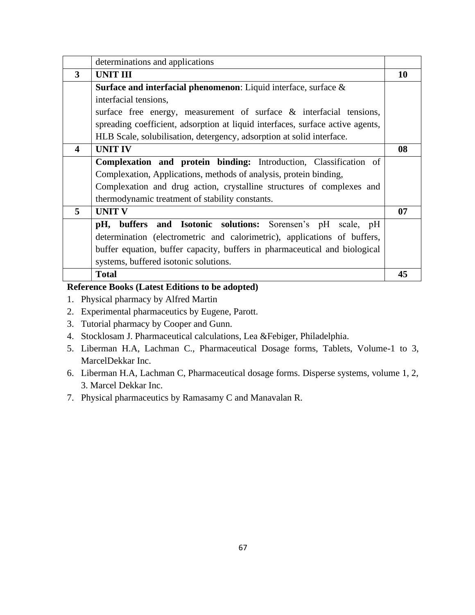|                         | determinations and applications                                                |    |
|-------------------------|--------------------------------------------------------------------------------|----|
| 3                       | <b>UNIT III</b>                                                                | 10 |
|                         | <b>Surface and interfacial phenomenon:</b> Liquid interface, surface $\&$      |    |
|                         | interfacial tensions,                                                          |    |
|                         | surface free energy, measurement of surface & interfacial tensions,            |    |
|                         | spreading coefficient, adsorption at liquid interfaces, surface active agents, |    |
|                         | HLB Scale, solubilisation, detergency, adsorption at solid interface.          |    |
| $\overline{\mathbf{4}}$ | <b>UNIT IV</b>                                                                 | 08 |
|                         | Complexation and protein binding: Introduction, Classification of              |    |
|                         | Complexation, Applications, methods of analysis, protein binding,              |    |
|                         | Complexation and drug action, crystalline structures of complexes and          |    |
|                         | thermodynamic treatment of stability constants.                                |    |
| 5                       | <b>UNIT V</b>                                                                  | 07 |
|                         | pH, buffers and Isotonic solutions: Sorensen's pH scale, pH                    |    |
|                         | determination (electrometric and calorimetric), applications of buffers,       |    |
|                         | buffer equation, buffer capacity, buffers in pharmaceutical and biological     |    |
|                         | systems, buffered isotonic solutions.                                          |    |
|                         | <b>Total</b>                                                                   | 45 |

# **Reference Books (Latest Editions to be adopted)**

- 1. Physical pharmacy by Alfred Martin
- 2. Experimental pharmaceutics by Eugene, Parott.
- 3. Tutorial pharmacy by Cooper and Gunn.
- 4. Stocklosam J. Pharmaceutical calculations, Lea &Febiger, Philadelphia.
- 5. Liberman H.A, Lachman C., Pharmaceutical Dosage forms, Tablets, Volume-1 to 3, MarcelDekkar Inc.
- 6. Liberman H.A, Lachman C, Pharmaceutical dosage forms. Disperse systems, volume 1, 2, 3. Marcel Dekkar Inc.
- 7. Physical pharmaceutics by Ramasamy C and Manavalan R.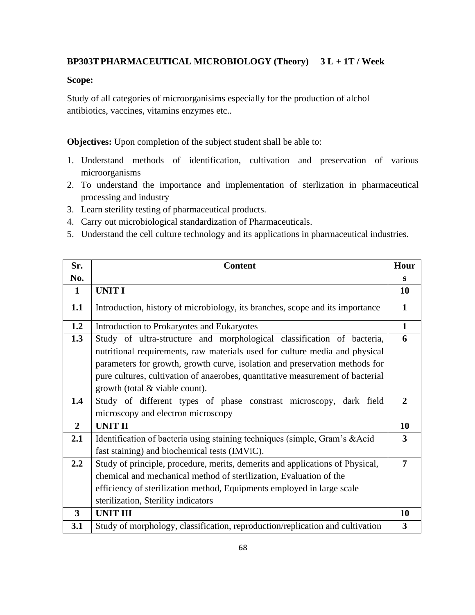# **BP303TPHARMACEUTICAL MICROBIOLOGY (Theory) 3 L + 1T / Week**

# **Scope:**

Study of all categories of microorganisims especially for the production of alchol antibiotics, vaccines, vitamins enzymes etc..

**Objectives:** Upon completion of the subject student shall be able to:

- 1. Understand methods of identification, cultivation and preservation of various microorganisms
- 2. To understand the importance and implementation of sterlization in pharmaceutical processing and industry
- 3. Learn sterility testing of pharmaceutical products.
- 4. Carry out microbiological standardization of Pharmaceuticals.
- 5. Understand the cell culture technology and its applications in pharmaceutical industries.

| Sr.            | <b>Content</b>                                                                                                                                                                                                                                                                                                                                           | Hour                    |
|----------------|----------------------------------------------------------------------------------------------------------------------------------------------------------------------------------------------------------------------------------------------------------------------------------------------------------------------------------------------------------|-------------------------|
| No.            |                                                                                                                                                                                                                                                                                                                                                          | S                       |
| $\mathbf{1}$   | <b>UNIT I</b>                                                                                                                                                                                                                                                                                                                                            | <b>10</b>               |
| 1.1            | Introduction, history of microbiology, its branches, scope and its importance                                                                                                                                                                                                                                                                            | $\mathbf{1}$            |
| 1.2            | Introduction to Prokaryotes and Eukaryotes                                                                                                                                                                                                                                                                                                               | $\mathbf{1}$            |
| 1.3            | Study of ultra-structure and morphological classification of bacteria,<br>nutritional requirements, raw materials used for culture media and physical<br>parameters for growth, growth curve, isolation and preservation methods for<br>pure cultures, cultivation of anaerobes, quantitative measurement of bacterial<br>growth (total & viable count). | 6                       |
| 1.4            | Study of different types of phase constrast microscopy, dark field<br>microscopy and electron microscopy                                                                                                                                                                                                                                                 | $\overline{2}$          |
| $\overline{2}$ | <b>UNIT II</b>                                                                                                                                                                                                                                                                                                                                           | 10                      |
| 2.1            | Identification of bacteria using staining techniques (simple, Gram's &Acid<br>fast staining) and biochemical tests (IMViC).                                                                                                                                                                                                                              | $\mathbf{3}$            |
| 2.2            | Study of principle, procedure, merits, demerits and applications of Physical,<br>chemical and mechanical method of sterilization, Evaluation of the<br>efficiency of sterilization method, Equipments employed in large scale<br>sterilization, Sterility indicators                                                                                     | 7                       |
| 3              | <b>UNIT III</b>                                                                                                                                                                                                                                                                                                                                          | 10                      |
| 3.1            | Study of morphology, classification, reproduction/replication and cultivation                                                                                                                                                                                                                                                                            | $\overline{\mathbf{3}}$ |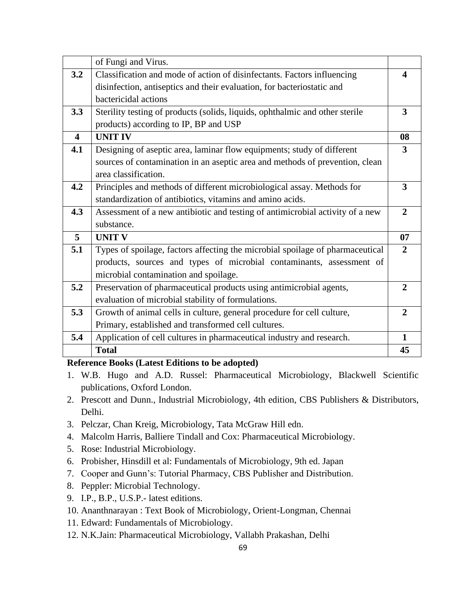|                         | of Fungi and Virus.                                                           |                         |
|-------------------------|-------------------------------------------------------------------------------|-------------------------|
| 3.2                     | Classification and mode of action of disinfectants. Factors influencing       | 4                       |
|                         | disinfection, antiseptics and their evaluation, for bacteriostatic and        |                         |
|                         | bactericidal actions                                                          |                         |
| 3.3                     | Sterility testing of products (solids, liquids, ophthalmic and other sterile  | $\overline{\mathbf{3}}$ |
|                         | products) according to IP, BP and USP                                         |                         |
| $\overline{\mathbf{4}}$ | <b>UNIT IV</b>                                                                | 08                      |
| 4.1                     | Designing of aseptic area, laminar flow equipments; study of different        | 3                       |
|                         | sources of contamination in an aseptic area and methods of prevention, clean  |                         |
|                         | area classification.                                                          |                         |
| 4.2                     | Principles and methods of different microbiological assay. Methods for        | 3                       |
|                         | standardization of antibiotics, vitamins and amino acids.                     |                         |
| 4.3                     | Assessment of a new antibiotic and testing of antimicrobial activity of a new | $\overline{2}$          |
|                         | substance.                                                                    |                         |
| 5                       | <b>UNIT V</b>                                                                 | 07                      |
| 5.1                     | Types of spoilage, factors affecting the microbial spoilage of pharmaceutical | $\overline{2}$          |
|                         | products, sources and types of microbial contaminants, assessment of          |                         |
|                         | microbial contamination and spoilage.                                         |                         |
| 5.2                     | Preservation of pharmaceutical products using antimicrobial agents,           | $\overline{2}$          |
|                         | evaluation of microbial stability of formulations.                            |                         |
| 5.3                     | Growth of animal cells in culture, general procedure for cell culture,        | $\overline{2}$          |
|                         | Primary, established and transformed cell cultures.                           |                         |
| 5.4                     | Application of cell cultures in pharmaceutical industry and research.         | $\mathbf{1}$            |
|                         | <b>Total</b>                                                                  | 45                      |

# **Reference Books (Latest Editions to be adopted)**

- 1. W.B. Hugo and A.D. Russel: Pharmaceutical Microbiology, Blackwell Scientific publications, Oxford London.
- 2. Prescott and Dunn., Industrial Microbiology, 4th edition, CBS Publishers & Distributors, Delhi.
- 3. Pelczar, Chan Kreig, Microbiology, Tata McGraw Hill edn.
- 4. Malcolm Harris, Balliere Tindall and Cox: Pharmaceutical Microbiology.
- 5. Rose: Industrial Microbiology.
- 6. Probisher, Hinsdill et al: Fundamentals of Microbiology, 9th ed. Japan
- 7. Cooper and Gunn's: Tutorial Pharmacy, CBS Publisher and Distribution.
- 8. Peppler: Microbial Technology.
- 9. I.P., B.P., U.S.P.- latest editions.
- 10. Ananthnarayan : Text Book of Microbiology, Orient-Longman, Chennai
- 11. Edward: Fundamentals of Microbiology.
- 12. N.K.Jain: Pharmaceutical Microbiology, Vallabh Prakashan, Delhi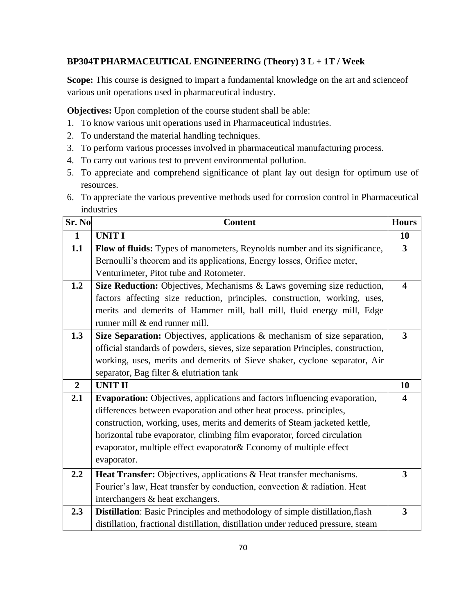# **BP304TPHARMACEUTICAL ENGINEERING (Theory) 3 L + 1T / Week**

**Scope:** This course is designed to impart a fundamental knowledge on the art and scienceof various unit operations used in pharmaceutical industry.

**Objectives:** Upon completion of the course student shall be able:

- 1. To know various unit operations used in Pharmaceutical industries.
- 2. To understand the material handling techniques.
- 3. To perform various processes involved in pharmaceutical manufacturing process.
- 4. To carry out various test to prevent environmental pollution.
- 5. To appreciate and comprehend significance of plant lay out design for optimum use of resources.
- 6. To appreciate the various preventive methods used for corrosion control in Pharmaceutical industries

| Sr. No.        | <b>Content</b>                                                                    | <b>Hours</b>            |
|----------------|-----------------------------------------------------------------------------------|-------------------------|
| $\mathbf{1}$   | <b>UNIT I</b>                                                                     | 10                      |
| 1.1            | Flow of fluids: Types of manometers, Reynolds number and its significance,        | $\mathbf{3}$            |
|                | Bernoulli's theorem and its applications, Energy losses, Orifice meter,           |                         |
|                | Venturimeter, Pitot tube and Rotometer.                                           |                         |
| 1.2            | Size Reduction: Objectives, Mechanisms & Laws governing size reduction,           | $\overline{\mathbf{4}}$ |
|                | factors affecting size reduction, principles, construction, working, uses,        |                         |
|                | merits and demerits of Hammer mill, ball mill, fluid energy mill, Edge            |                         |
|                | runner mill & end runner mill.                                                    |                         |
| 1.3            | Size Separation: Objectives, applications & mechanism of size separation,         | $\overline{\mathbf{3}}$ |
|                | official standards of powders, sieves, size separation Principles, construction,  |                         |
|                | working, uses, merits and demerits of Sieve shaker, cyclone separator, Air        |                         |
|                | separator, Bag filter & elutriation tank                                          |                         |
| $\overline{2}$ | <b>UNIT II</b>                                                                    | 10                      |
| 2.1            | <b>Evaporation:</b> Objectives, applications and factors influencing evaporation, | 4                       |
|                | differences between evaporation and other heat process. principles,               |                         |
|                | construction, working, uses, merits and demerits of Steam jacketed kettle,        |                         |
|                | horizontal tube evaporator, climbing film evaporator, forced circulation          |                         |
|                | evaporator, multiple effect evaporator & Economy of multiple effect               |                         |
|                | evaporator.                                                                       |                         |
| 2.2            | Heat Transfer: Objectives, applications & Heat transfer mechanisms.               | $\overline{\mathbf{3}}$ |
|                | Fourier's law, Heat transfer by conduction, convection & radiation. Heat          |                         |
|                | interchangers & heat exchangers.                                                  |                         |
| 2.3            | Distillation: Basic Principles and methodology of simple distillation, flash      | 3                       |
|                | distillation, fractional distillation, distillation under reduced pressure, steam |                         |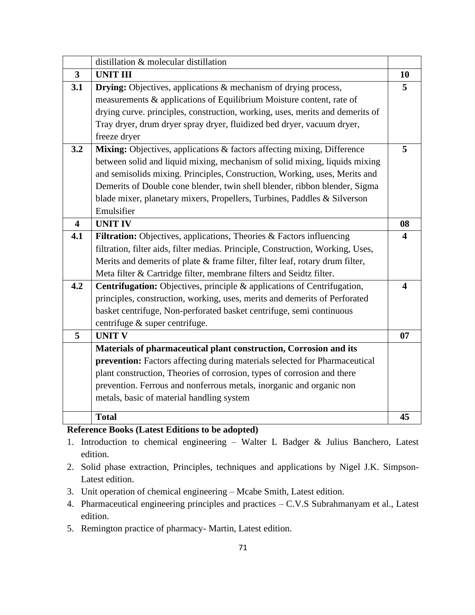|                         | distillation & molecular distillation                                           |                         |
|-------------------------|---------------------------------------------------------------------------------|-------------------------|
| $\overline{3}$          | <b>UNIT III</b>                                                                 | 10                      |
| 3.1                     | <b>Drying:</b> Objectives, applications & mechanism of drying process,          | 5                       |
|                         | measurements & applications of Equilibrium Moisture content, rate of            |                         |
|                         | drying curve. principles, construction, working, uses, merits and demerits of   |                         |
|                         | Tray dryer, drum dryer spray dryer, fluidized bed dryer, vacuum dryer,          |                         |
|                         | freeze dryer                                                                    |                         |
| 3.2                     | Mixing: Objectives, applications & factors affecting mixing, Difference         | 5                       |
|                         | between solid and liquid mixing, mechanism of solid mixing, liquids mixing      |                         |
|                         | and semisolids mixing. Principles, Construction, Working, uses, Merits and      |                         |
|                         | Demerits of Double cone blender, twin shell blender, ribbon blender, Sigma      |                         |
|                         | blade mixer, planetary mixers, Propellers, Turbines, Paddles & Silverson        |                         |
|                         | Emulsifier                                                                      |                         |
| $\overline{\mathbf{4}}$ | <b>UNIT IV</b>                                                                  | 08                      |
| 4.1                     | Filtration: Objectives, applications, Theories & Factors influencing            | $\overline{\mathbf{4}}$ |
|                         | filtration, filter aids, filter medias. Principle, Construction, Working, Uses, |                         |
|                         | Merits and demerits of plate & frame filter, filter leaf, rotary drum filter,   |                         |
|                         | Meta filter & Cartridge filter, membrane filters and Seidtz filter.             |                         |
| 4.2                     | <b>Centrifugation:</b> Objectives, principle & applications of Centrifugation,  | $\overline{\mathbf{4}}$ |
|                         | principles, construction, working, uses, merits and demerits of Perforated      |                         |
|                         | basket centrifuge, Non-perforated basket centrifuge, semi continuous            |                         |
|                         | centrifuge & super centrifuge.                                                  |                         |
| 5                       | <b>UNIT V</b>                                                                   | 07                      |
|                         | Materials of pharmaceutical plant construction, Corrosion and its               |                         |
|                         | prevention: Factors affecting during materials selected for Pharmaceutical      |                         |
|                         | plant construction, Theories of corrosion, types of corrosion and there         |                         |
|                         | prevention. Ferrous and nonferrous metals, inorganic and organic non            |                         |
|                         | metals, basic of material handling system                                       |                         |
|                         | <b>Total</b>                                                                    | 45                      |
|                         |                                                                                 |                         |

# **Reference Books (Latest Editions to be adopted)**

- 1. Introduction to chemical engineering Walter L Badger & Julius Banchero, Latest edition.
- 2. Solid phase extraction, Principles, techniques and applications by Nigel J.K. Simpson-Latest edition.
- 3. Unit operation of chemical engineering Mcabe Smith, Latest edition.
- 4. Pharmaceutical engineering principles and practices C.V.S Subrahmanyam et al., Latest edition.
- 5. Remington practice of pharmacy- Martin, Latest edition.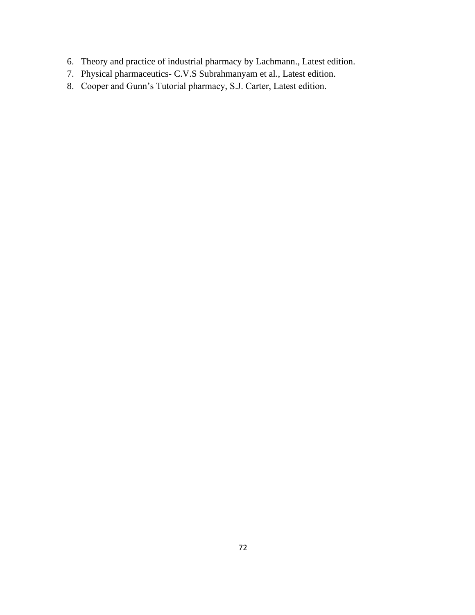- 6. Theory and practice of industrial pharmacy by Lachmann., Latest edition.
- 7. Physical pharmaceutics- C.V.S Subrahmanyam et al., Latest edition.
- 8. Cooper and Gunn's Tutorial pharmacy, S.J. Carter, Latest edition.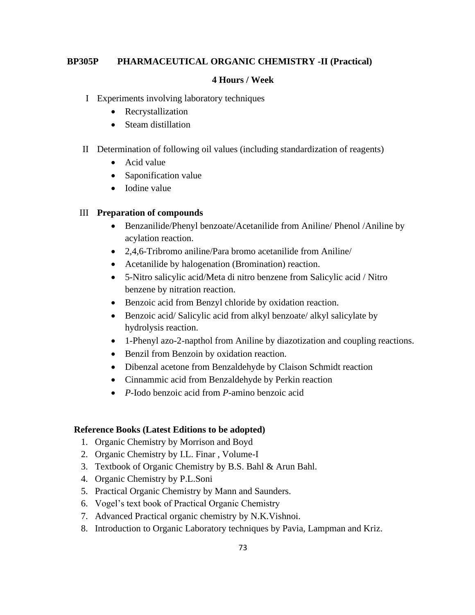## **BP305P PHARMACEUTICAL ORGANIC CHEMISTRY -II (Practical)**

## **4 Hours / Week**

- I Experiments involving laboratory techniques
	- Recrystallization
	- Steam distillation
- II Determination of following oil values (including standardization of reagents)
	- Acid value
	- Saponification value
	- Iodine value

#### III **Preparation of compounds**

- Benzanilide/Phenyl benzoate/Acetanilide from Aniline/ Phenol /Aniline by acylation reaction.
- 2,4,6-Tribromo aniline/Para bromo acetanilide from Aniline/
- Acetanilide by halogenation (Bromination) reaction.
- 5-Nitro salicylic acid/Meta di nitro benzene from Salicylic acid / Nitro benzene by nitration reaction.
- Benzoic acid from Benzyl chloride by oxidation reaction.
- Benzoic acid/ Salicylic acid from alkyl benzoate/ alkyl salicylate by hydrolysis reaction.
- 1-Phenyl azo-2-napthol from Aniline by diazotization and coupling reactions.
- Benzil from Benzoin by oxidation reaction.
- Dibenzal acetone from Benzaldehyde by Claison Schmidt reaction
- Cinnammic acid from Benzaldehyde by Perkin reaction
- *P*-Iodo benzoic acid from *P*-amino benzoic acid

- 1. Organic Chemistry by Morrison and Boyd
- 2. Organic Chemistry by I.L. Finar , Volume-I
- 3. Textbook of Organic Chemistry by B.S. Bahl & Arun Bahl.
- 4. Organic Chemistry by P.L.Soni
- 5. Practical Organic Chemistry by Mann and Saunders.
- 6. Vogel's text book of Practical Organic Chemistry
- 7. Advanced Practical organic chemistry by N.K.Vishnoi.
- 8. Introduction to Organic Laboratory techniques by Pavia, Lampman and Kriz.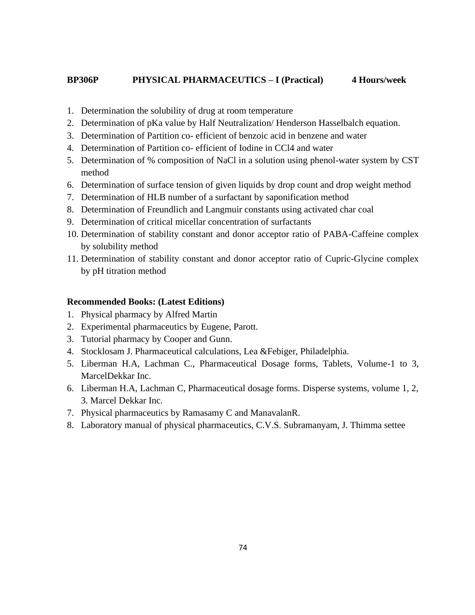## **BP306P PHYSICAL PHARMACEUTICS – I (Practical) 4 Hours/week**

- 1. Determination the solubility of drug at room temperature
- 2. Determination of pKa value by Half Neutralization/ Henderson Hasselbalch equation.
- 3. Determination of Partition co- efficient of benzoic acid in benzene and water
- 4. Determination of Partition co- efficient of Iodine in CCl4 and water
- 5. Determination of % composition of NaCl in a solution using phenol-water system by CST method
- 6. Determination of surface tension of given liquids by drop count and drop weight method
- 7. Determination of HLB number of a surfactant by saponification method
- 8. Determination of Freundlich and Langmuir constants using activated char coal
- 9. Determination of critical micellar concentration of surfactants
- 10. Determination of stability constant and donor acceptor ratio of PABA-Caffeine complex by solubility method
- 11. Determination of stability constant and donor acceptor ratio of Cupric-Glycine complex by pH titration method

## **Recommended Books: (Latest Editions)**

- 1. Physical pharmacy by Alfred Martin
- 2. Experimental pharmaceutics by Eugene, Parott.
- 3. Tutorial pharmacy by Cooper and Gunn.
- 4. Stocklosam J. Pharmaceutical calculations, Lea &Febiger, Philadelphia.
- 5. Liberman H.A, Lachman C., Pharmaceutical Dosage forms, Tablets, Volume-1 to 3, MarcelDekkar Inc.
- 6. Liberman H.A, Lachman C, Pharmaceutical dosage forms. Disperse systems, volume 1, 2, 3. Marcel Dekkar Inc.
- 7. Physical pharmaceutics by Ramasamy C and ManavalanR.
- 8. Laboratory manual of physical pharmaceutics, C.V.S. Subramanyam, J. Thimma settee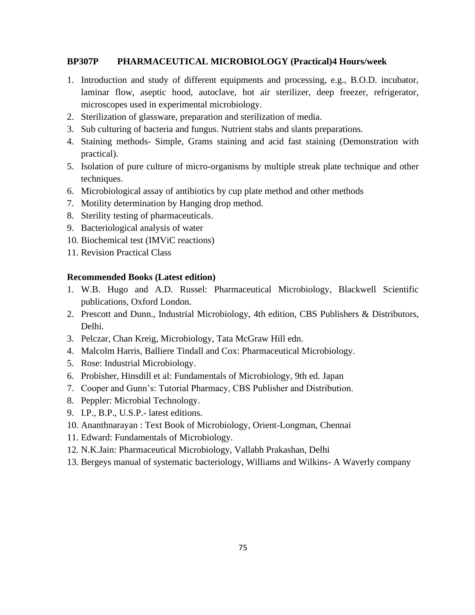## **BP307P PHARMACEUTICAL MICROBIOLOGY (Practical)4 Hours/week**

- 1. Introduction and study of different equipments and processing, e.g., B.O.D. incubator, laminar flow, aseptic hood, autoclave, hot air sterilizer, deep freezer, refrigerator, microscopes used in experimental microbiology.
- 2. Sterilization of glassware, preparation and sterilization of media.
- 3. Sub culturing of bacteria and fungus. Nutrient stabs and slants preparations.
- 4. Staining methods- Simple, Grams staining and acid fast staining (Demonstration with practical).
- 5. Isolation of pure culture of micro-organisms by multiple streak plate technique and other techniques.
- 6. Microbiological assay of antibiotics by cup plate method and other methods
- 7. Motility determination by Hanging drop method.
- 8. Sterility testing of pharmaceuticals.
- 9. Bacteriological analysis of water
- 10. Biochemical test (IMViC reactions)
- 11. Revision Practical Class

#### **Recommended Books (Latest edition)**

- 1. W.B. Hugo and A.D. Russel: Pharmaceutical Microbiology, Blackwell Scientific publications, Oxford London.
- 2. Prescott and Dunn., Industrial Microbiology, 4th edition, CBS Publishers & Distributors, Delhi.
- 3. Pelczar, Chan Kreig, Microbiology, Tata McGraw Hill edn.
- 4. Malcolm Harris, Balliere Tindall and Cox: Pharmaceutical Microbiology.
- 5. Rose: Industrial Microbiology.
- 6. Probisher, Hinsdill et al: Fundamentals of Microbiology, 9th ed. Japan
- 7. Cooper and Gunn's: Tutorial Pharmacy, CBS Publisher and Distribution.
- 8. Peppler: Microbial Technology.
- 9. I.P., B.P., U.S.P.- latest editions.
- 10. Ananthnarayan : Text Book of Microbiology, Orient-Longman, Chennai
- 11. Edward: Fundamentals of Microbiology.
- 12. N.K.Jain: Pharmaceutical Microbiology, Vallabh Prakashan, Delhi
- 13. Bergeys manual of systematic bacteriology, Williams and Wilkins- A Waverly company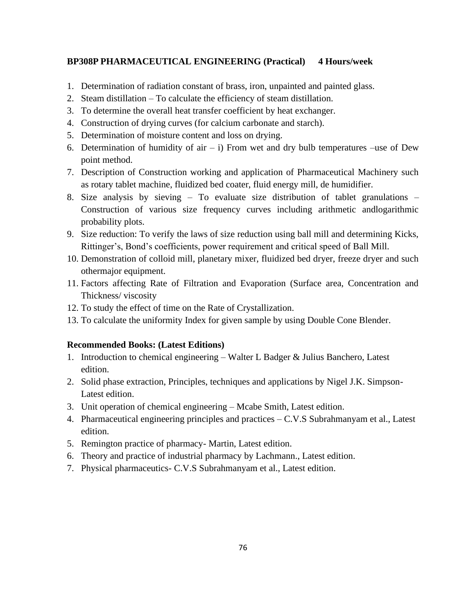## **BP308P PHARMACEUTICAL ENGINEERING (Practical) 4 Hours/week**

- 1. Determination of radiation constant of brass, iron, unpainted and painted glass.
- 2. Steam distillation To calculate the efficiency of steam distillation.
- 3. To determine the overall heat transfer coefficient by heat exchanger.
- 4. Construction of drying curves (for calcium carbonate and starch).
- 5. Determination of moisture content and loss on drying.
- 6. Determination of humidity of air  $-$  i) From wet and dry bulb temperatures –use of Dew point method.
- 7. Description of Construction working and application of Pharmaceutical Machinery such as rotary tablet machine, fluidized bed coater, fluid energy mill, de humidifier.
- 8. Size analysis by sieving To evaluate size distribution of tablet granulations Construction of various size frequency curves including arithmetic andlogarithmic probability plots.
- 9. Size reduction: To verify the laws of size reduction using ball mill and determining Kicks, Rittinger's, Bond's coefficients, power requirement and critical speed of Ball Mill.
- 10. Demonstration of colloid mill, planetary mixer, fluidized bed dryer, freeze dryer and such othermajor equipment.
- 11. Factors affecting Rate of Filtration and Evaporation (Surface area, Concentration and Thickness/ viscosity
- 12. To study the effect of time on the Rate of Crystallization.
- 13. To calculate the uniformity Index for given sample by using Double Cone Blender.

#### **Recommended Books: (Latest Editions)**

- 1. Introduction to chemical engineering Walter L Badger & Julius Banchero, Latest edition.
- 2. Solid phase extraction, Principles, techniques and applications by Nigel J.K. Simpson-Latest edition.
- 3. Unit operation of chemical engineering Mcabe Smith, Latest edition.
- 4. Pharmaceutical engineering principles and practices C.V.S Subrahmanyam et al., Latest edition.
- 5. Remington practice of pharmacy- Martin, Latest edition.
- 6. Theory and practice of industrial pharmacy by Lachmann., Latest edition.
- 7. Physical pharmaceutics- C.V.S Subrahmanyam et al., Latest edition.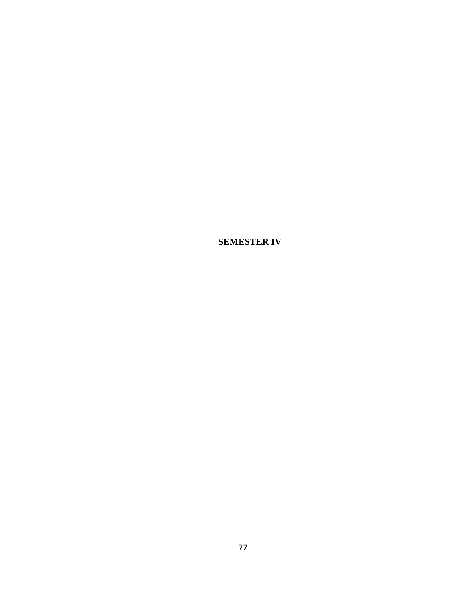**SEMESTER IV**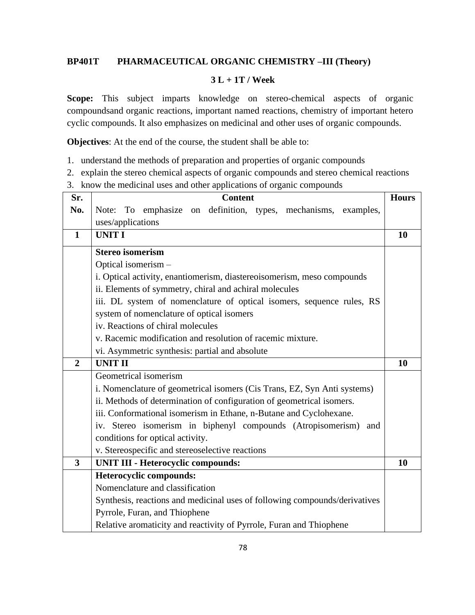# **BP401T PHARMACEUTICAL ORGANIC CHEMISTRY –III (Theory)**

## **3 L + 1T / Week**

**Scope:** This subject imparts knowledge on stereo-chemical aspects of organic compoundsand organic reactions, important named reactions, chemistry of important hetero cyclic compounds. It also emphasizes on medicinal and other uses of organic compounds.

**Objectives**: At the end of the course, the student shall be able to:

- 1. understand the methods of preparation and properties of organic compounds
- 2. explain the stereo chemical aspects of organic compounds and stereo chemical reactions
- 3. know the medicinal uses and other applications of organic compounds

| Sr.                     | <b>Content</b>                                                             | <b>Hours</b> |
|-------------------------|----------------------------------------------------------------------------|--------------|
| No.                     | Note: To emphasize on definition, types, mechanisms, examples,             |              |
|                         | uses/applications                                                          |              |
| $\mathbf{1}$            | <b>UNIT I</b>                                                              | 10           |
|                         | <b>Stereo isomerism</b>                                                    |              |
|                         | Optical isomerism -                                                        |              |
|                         | i. Optical activity, enantiomerism, diastereoisomerism, meso compounds     |              |
|                         | ii. Elements of symmetry, chiral and achiral molecules                     |              |
|                         | iii. DL system of nomenclature of optical isomers, sequence rules, RS      |              |
|                         | system of nomenclature of optical isomers                                  |              |
|                         | iv. Reactions of chiral molecules                                          |              |
|                         | v. Racemic modification and resolution of racemic mixture.                 |              |
|                         | vi. Asymmetric synthesis: partial and absolute                             |              |
| $\overline{2}$          | <b>UNIT II</b>                                                             | 10           |
|                         | Geometrical isomerism                                                      |              |
|                         | i. Nomenclature of geometrical isomers (Cis Trans, EZ, Syn Anti systems)   |              |
|                         | ii. Methods of determination of configuration of geometrical isomers.      |              |
|                         | iii. Conformational isomerism in Ethane, n-Butane and Cyclohexane.         |              |
|                         | iv. Stereo isomerism in biphenyl compounds (Atropisomerism)<br>and         |              |
|                         | conditions for optical activity.                                           |              |
|                         | v. Stereospecific and stereoselective reactions                            |              |
| $\overline{\mathbf{3}}$ | <b>UNIT III - Heterocyclic compounds:</b>                                  | 10           |
|                         | Heterocyclic compounds:                                                    |              |
|                         | Nomenclature and classification                                            |              |
|                         | Synthesis, reactions and medicinal uses of following compounds/derivatives |              |
|                         | Pyrrole, Furan, and Thiophene                                              |              |
|                         | Relative aromaticity and reactivity of Pyrrole, Furan and Thiophene        |              |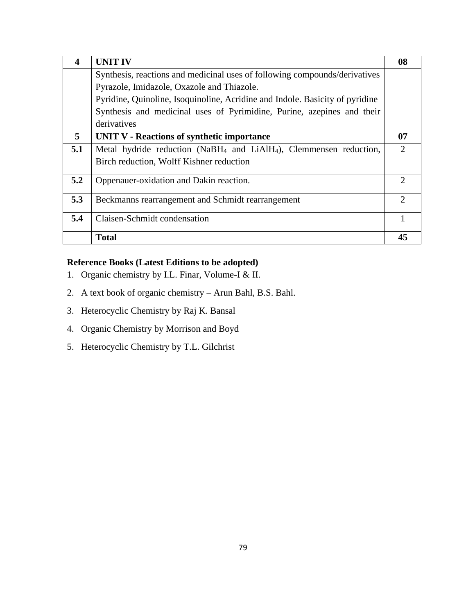| 4   | <b>UNIT IV</b>                                                                             | 08                          |
|-----|--------------------------------------------------------------------------------------------|-----------------------------|
|     | Synthesis, reactions and medicinal uses of following compounds/derivatives                 |                             |
|     | Pyrazole, Imidazole, Oxazole and Thiazole.                                                 |                             |
|     | Pyridine, Quinoline, Isoquinoline, Acridine and Indole. Basicity of pyridine               |                             |
|     | Synthesis and medicinal uses of Pyrimidine, Purine, azepines and their                     |                             |
|     | derivatives                                                                                |                             |
| 5   | <b>UNIT V - Reactions of synthetic importance</b>                                          | 07                          |
| 5.1 | Metal hydride reduction (NaBH <sub>4</sub> and LiAlH <sub>4</sub> ), Clemmensen reduction, |                             |
|     | Birch reduction, Wolff Kishner reduction                                                   |                             |
| 5.2 | Oppenauer-oxidation and Dakin reaction.                                                    | $\mathcal{D}_{\mathcal{L}}$ |
| 5.3 | Beckmanns rearrangement and Schmidt rearrangement                                          | $\mathcal{D}_{\mathcal{L}}$ |
| 5.4 | Claisen-Schmidt condensation                                                               |                             |
|     | <b>Total</b>                                                                               | 45                          |

- 1. Organic chemistry by I.L. Finar, Volume-I & II.
- 2. A text book of organic chemistry Arun Bahl, B.S. Bahl.
- 3. Heterocyclic Chemistry by Raj K. Bansal
- 4. Organic Chemistry by Morrison and Boyd
- 5. Heterocyclic Chemistry by T.L. Gilchrist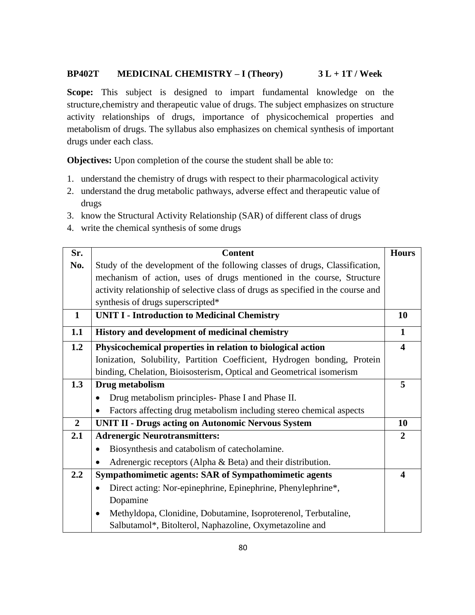## **BP402T MEDICINAL CHEMISTRY – I (Theory) 3 L + 1T / Week**

**Scope:** This subject is designed to impart fundamental knowledge on the structure,chemistry and therapeutic value of drugs. The subject emphasizes on structure activity relationships of drugs, importance of physicochemical properties and metabolism of drugs. The syllabus also emphasizes on chemical synthesis of important drugs under each class.

**Objectives:** Upon completion of the course the student shall be able to:

- 1. understand the chemistry of drugs with respect to their pharmacological activity
- 2. understand the drug metabolic pathways, adverse effect and therapeutic value of drugs
- 3. know the Structural Activity Relationship (SAR) of different class of drugs
- 4. write the chemical synthesis of some drugs

| Sr.            | <b>Content</b>                                                                   | <b>Hours</b>            |
|----------------|----------------------------------------------------------------------------------|-------------------------|
| No.            | Study of the development of the following classes of drugs, Classification,      |                         |
|                | mechanism of action, uses of drugs mentioned in the course, Structure            |                         |
|                | activity relationship of selective class of drugs as specified in the course and |                         |
|                | synthesis of drugs superscripted*                                                |                         |
| $\mathbf{1}$   | <b>UNIT I - Introduction to Medicinal Chemistry</b>                              | 10                      |
| 1.1            | History and development of medicinal chemistry                                   | $\mathbf{1}$            |
| 1.2            | Physicochemical properties in relation to biological action                      | $\overline{\mathbf{4}}$ |
|                | Ionization, Solubility, Partition Coefficient, Hydrogen bonding, Protein         |                         |
|                | binding, Chelation, Bioisosterism, Optical and Geometrical isomerism             |                         |
| 1.3            | Drug metabolism                                                                  | 5                       |
|                | Drug metabolism principles Phase I and Phase II.                                 |                         |
|                | Factors affecting drug metabolism including stereo chemical aspects<br>$\bullet$ |                         |
| $\overline{2}$ | <b>UNIT II - Drugs acting on Autonomic Nervous System</b>                        | <b>10</b>               |
| 2.1            | <b>Adrenergic Neurotransmitters:</b>                                             | $\overline{2}$          |
|                | Biosynthesis and catabolism of catecholamine.                                    |                         |
|                | Adrenergic receptors (Alpha $\&$ Beta) and their distribution.                   |                         |
| 2.2            | Sympathomimetic agents: SAR of Sympathomimetic agents                            | $\overline{\mathbf{4}}$ |
|                | Direct acting: Nor-epinephrine, Epinephrine, Phenylephrine*,<br>$\bullet$        |                         |
|                | Dopamine                                                                         |                         |
|                | Methyldopa, Clonidine, Dobutamine, Isoproterenol, Terbutaline,<br>٠              |                         |
|                | Salbutamol*, Bitolterol, Naphazoline, Oxymetazoline and                          |                         |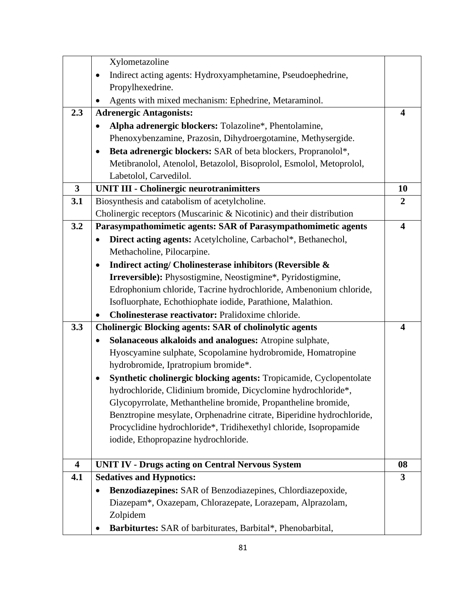|                         | Xylometazoline                                                             |                         |
|-------------------------|----------------------------------------------------------------------------|-------------------------|
|                         | Indirect acting agents: Hydroxyamphetamine, Pseudoephedrine,<br>$\bullet$  |                         |
|                         | Propylhexedrine.                                                           |                         |
|                         | Agents with mixed mechanism: Ephedrine, Metaraminol.                       |                         |
| 2.3                     | <b>Adrenergic Antagonists:</b>                                             | $\overline{\mathbf{4}}$ |
|                         | Alpha adrenergic blockers: Tolazoline*, Phentolamine,                      |                         |
|                         | Phenoxybenzamine, Prazosin, Dihydroergotamine, Methysergide.               |                         |
|                         | Beta adrenergic blockers: SAR of beta blockers, Propranolol*,<br>$\bullet$ |                         |
|                         | Metibranolol, Atenolol, Betazolol, Bisoprolol, Esmolol, Metoprolol,        |                         |
|                         | Labetolol, Carvedilol.                                                     |                         |
| $\overline{\mathbf{3}}$ | <b>UNIT III - Cholinergic neurotranimitters</b>                            | 10                      |
| 3.1                     | Biosynthesis and catabolism of acetylcholine.                              | $\boldsymbol{2}$        |
|                         | Cholinergic receptors (Muscarinic & Nicotinic) and their distribution      |                         |
| 3.2                     | Parasympathomimetic agents: SAR of Parasympathomimetic agents              | $\overline{\mathbf{4}}$ |
|                         | Direct acting agents: Acetylcholine, Carbachol*, Bethanechol,              |                         |
|                         | Methacholine, Pilocarpine.                                                 |                         |
|                         | Indirect acting/ Cholinesterase inhibitors (Reversible &<br>$\bullet$      |                         |
|                         | <b>Irreversible:</b> Physostigmine, Neostigmine*, Pyridostigmine,          |                         |
|                         | Edrophonium chloride, Tacrine hydrochloride, Ambenonium chloride,          |                         |
|                         | Isofluorphate, Echothiophate iodide, Parathione, Malathion.                |                         |
|                         | Cholinesterase reactivator: Pralidoxime chloride.                          |                         |
| 3.3                     | <b>Cholinergic Blocking agents: SAR of cholinolytic agents</b>             | $\overline{\mathbf{4}}$ |
|                         | Solanaceous alkaloids and analogues: Atropine sulphate,<br>$\bullet$       |                         |
|                         | Hyoscyamine sulphate, Scopolamine hydrobromide, Homatropine                |                         |
|                         | hydrobromide, Ipratropium bromide*.                                        |                         |
|                         | Synthetic cholinergic blocking agents: Tropicamide, Cyclopentolate         |                         |
|                         | hydrochloride, Clidinium bromide, Dicyclomine hydrochloride*,              |                         |
|                         | Glycopyrrolate, Methantheline bromide, Propantheline bromide,              |                         |
|                         | Benztropine mesylate, Orphenadrine citrate, Biperidine hydrochloride,      |                         |
|                         | Procyclidine hydrochloride*, Tridihexethyl chloride, Isopropamide          |                         |
|                         | iodide, Ethopropazine hydrochloride.                                       |                         |
|                         |                                                                            |                         |
| $\overline{\mathbf{4}}$ | <b>UNIT IV - Drugs acting on Central Nervous System</b>                    | 08                      |
| 4.1                     | <b>Sedatives and Hypnotics:</b>                                            | 3                       |
|                         | Benzodiazepines: SAR of Benzodiazepines, Chlordiazepoxide,<br>$\bullet$    |                         |
|                         | Diazepam*, Oxazepam, Chlorazepate, Lorazepam, Alprazolam,                  |                         |
|                         | Zolpidem                                                                   |                         |
|                         | Barbiturtes: SAR of barbiturates, Barbital*, Phenobarbital,                |                         |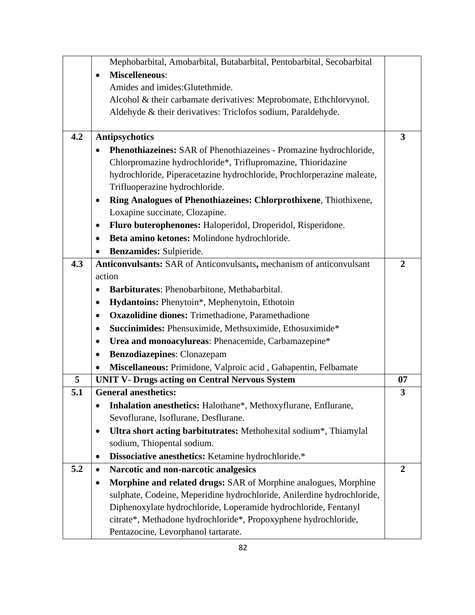|     | Mephobarbital, Amobarbital, Butabarbital, Pentobarbital, Secobarbital           |                         |
|-----|---------------------------------------------------------------------------------|-------------------------|
|     | <b>Miscelleneous:</b><br>$\bullet$                                              |                         |
|     | Amides and imides: Glutethmide.                                                 |                         |
|     | Alcohol & their carbamate derivatives: Meprobomate, Ethchlorvynol.              |                         |
|     | Aldehyde & their derivatives: Triclofos sodium, Paraldehyde.                    |                         |
|     |                                                                                 |                         |
| 4.2 | <b>Antipsychotics</b>                                                           | $\overline{\mathbf{3}}$ |
|     | Phenothiazeines: SAR of Phenothiazeines - Promazine hydrochloride,<br>$\bullet$ |                         |
|     | Chlorpromazine hydrochloride*, Triflupromazine, Thioridazine                    |                         |
|     | hydrochloride, Piperacetazine hydrochloride, Prochlorperazine maleate,          |                         |
|     | Trifluoperazine hydrochloride.                                                  |                         |
|     | Ring Analogues of Phenothiazeines: Chlorprothixene, Thiothixene,<br>٠           |                         |
|     | Loxapine succinate, Clozapine.                                                  |                         |
|     | Fluro buterophenones: Haloperidol, Droperidol, Risperidone.<br>$\bullet$        |                         |
|     | Beta amino ketones: Molindone hydrochloride.<br>$\bullet$                       |                         |
|     | Benzamides: Sulpieride.                                                         |                         |
| 4.3 | Anticonvulsants: SAR of Anticonvulsants, mechanism of anticonvulsant            | $\overline{2}$          |
|     | action                                                                          |                         |
|     | Barbiturates: Phenobarbitone, Methabarbital.                                    |                         |
|     | Hydantoins: Phenytoin*, Mephenytoin, Ethotoin                                   |                         |
|     | <b>Oxazolidine diones:</b> Trimethadione, Paramethadione<br>٠                   |                         |
|     | Succinimides: Phensuximide, Methsuximide, Ethosuximide*<br>٠                    |                         |
|     | Urea and monoacylureas: Phenacemide, Carbamazepine*<br>$\bullet$                |                         |
|     | Benzodiazepines: Clonazepam<br>$\bullet$                                        |                         |
|     | Miscellaneous: Primidone, Valproic acid, Gabapentin, Felbamate                  |                         |
| 5   | <b>UNIT V- Drugs acting on Central Nervous System</b>                           | 07                      |
| 5.1 | <b>General anesthetics:</b>                                                     | 3                       |
|     | Inhalation anesthetics: Halothane*, Methoxyflurane, Enflurane,                  |                         |
|     | Sevoflurane, Isoflurane, Desflurane.                                            |                         |
|     | Ultra short acting barbitutrates: Methohexital sodium*, Thiamylal<br>$\bullet$  |                         |
|     | sodium, Thiopental sodium.                                                      |                         |
|     | Dissociative anesthetics: Ketamine hydrochloride.*<br>$\bullet$                 |                         |
| 5.2 | Narcotic and non-narcotic analgesics<br>$\bullet$                               | $\overline{2}$          |
|     | Morphine and related drugs: SAR of Morphine analogues, Morphine                 |                         |
|     | sulphate, Codeine, Meperidine hydrochloride, Anilerdine hydrochloride,          |                         |
|     | Diphenoxylate hydrochloride, Loperamide hydrochloride, Fentanyl                 |                         |
|     | citrate*, Methadone hydrochloride*, Propoxyphene hydrochloride,                 |                         |
|     | Pentazocine, Levorphanol tartarate.                                             |                         |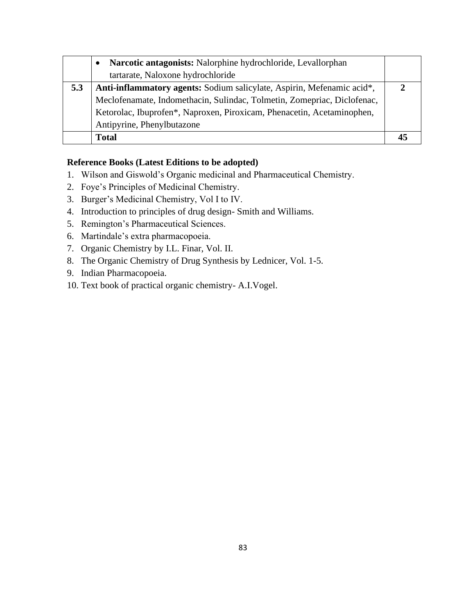|     | Narcotic antagonists: Nalorphine hydrochloride, Levallorphan            |  |
|-----|-------------------------------------------------------------------------|--|
|     | tartarate, Naloxone hydrochloride                                       |  |
| 5.3 | Anti-inflammatory agents: Sodium salicylate, Aspirin, Mefenamic acid*,  |  |
|     | Meclofenamate, Indomethacin, Sulindac, Tolmetin, Zomepriac, Diclofenac, |  |
|     | Ketorolac, Ibuprofen*, Naproxen, Piroxicam, Phenacetin, Acetaminophen,  |  |
|     | Antipyrine, Phenylbutazone                                              |  |
|     | <b>Total</b>                                                            |  |

- 1. Wilson and Giswold's Organic medicinal and Pharmaceutical Chemistry.
- 2. Foye's Principles of Medicinal Chemistry.
- 3. Burger's Medicinal Chemistry, Vol I to IV.
- 4. Introduction to principles of drug design- Smith and Williams.
- 5. Remington's Pharmaceutical Sciences.
- 6. Martindale's extra pharmacopoeia.
- 7. Organic Chemistry by I.L. Finar, Vol. II.
- 8. The Organic Chemistry of Drug Synthesis by Lednicer, Vol. 1-5.
- 9. Indian Pharmacopoeia.
- 10. Text book of practical organic chemistry- A.I.Vogel.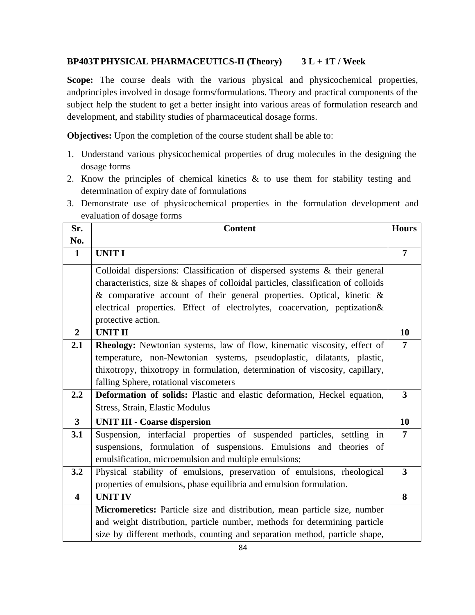# **BP403TPHYSICAL PHARMACEUTICS-II (Theory) 3 L + 1T / Week**

**Scope:** The course deals with the various physical and physicochemical properties, andprinciples involved in dosage forms/formulations. Theory and practical components of the subject help the student to get a better insight into various areas of formulation research and development, and stability studies of pharmaceutical dosage forms.

**Objectives:** Upon the completion of the course student shall be able to:

- 1. Understand various physicochemical properties of drug molecules in the designing the dosage forms
- 2. Know the principles of chemical kinetics & to use them for stability testing and determination of expiry date of formulations
- 3. Demonstrate use of physicochemical properties in the formulation development and evaluation of dosage forms

| Sr.                     | <b>Content</b>                                                                    | <b>Hours</b>            |
|-------------------------|-----------------------------------------------------------------------------------|-------------------------|
| No.                     |                                                                                   |                         |
| $\mathbf 1$             | <b>UNIT I</b>                                                                     | $\overline{7}$          |
|                         | Colloidal dispersions: Classification of dispersed systems & their general        |                         |
|                         | characteristics, size & shapes of colloidal particles, classification of colloids |                         |
|                         | & comparative account of their general properties. Optical, kinetic $\&$          |                         |
|                         | electrical properties. Effect of electrolytes, coacervation, peptization&         |                         |
|                         | protective action.                                                                |                         |
| $\overline{2}$          | <b>UNIT II</b>                                                                    | 10                      |
| 2.1                     | Rheology: Newtonian systems, law of flow, kinematic viscosity, effect of          | 7                       |
|                         | temperature, non-Newtonian systems, pseudoplastic, dilatants, plastic,            |                         |
|                         | thixotropy, thixotropy in formulation, determination of viscosity, capillary,     |                         |
|                         | falling Sphere, rotational viscometers                                            |                         |
| 2.2                     | Deformation of solids: Plastic and elastic deformation, Heckel equation,          | $\overline{\mathbf{3}}$ |
|                         | Stress, Strain, Elastic Modulus                                                   |                         |
| $\overline{\mathbf{3}}$ | <b>UNIT III - Coarse dispersion</b>                                               | 10                      |
| 3.1                     | Suspension, interfacial properties of suspended particles, settling in            | $\overline{7}$          |
|                         | suspensions, formulation of suspensions. Emulsions and theories of                |                         |
|                         | emulsification, microemulsion and multiple emulsions;                             |                         |
| 3.2                     | Physical stability of emulsions, preservation of emulsions, rheological           | $\overline{\mathbf{3}}$ |
|                         | properties of emulsions, phase equilibria and emulsion formulation.               |                         |
| $\overline{\mathbf{4}}$ | <b>UNIT IV</b>                                                                    | 8                       |
|                         | Micromeretics: Particle size and distribution, mean particle size, number         |                         |
|                         | and weight distribution, particle number, methods for determining particle        |                         |
|                         | size by different methods, counting and separation method, particle shape,        |                         |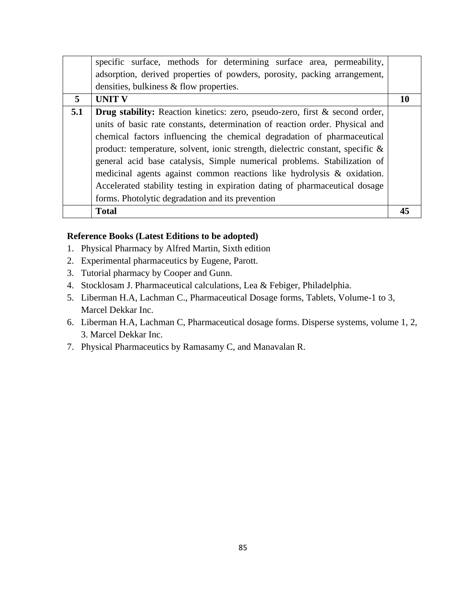|     | specific surface, methods for determining surface area, permeability,              |    |
|-----|------------------------------------------------------------------------------------|----|
|     | adsorption, derived properties of powders, porosity, packing arrangement,          |    |
|     | densities, bulkiness & flow properties.                                            |    |
| 5   | <b>UNIT V</b>                                                                      | 10 |
| 5.1 | <b>Drug stability:</b> Reaction kinetics: zero, pseudo-zero, first & second order, |    |
|     | units of basic rate constants, determination of reaction order. Physical and       |    |
|     | chemical factors influencing the chemical degradation of pharmaceutical            |    |
|     | product: temperature, solvent, ionic strength, dielectric constant, specific &     |    |
|     | general acid base catalysis, Simple numerical problems. Stabilization of           |    |
|     | medicinal agents against common reactions like hydrolysis & oxidation.             |    |
|     | Accelerated stability testing in expiration dating of pharmaceutical dosage        |    |
|     | forms. Photolytic degradation and its prevention                                   |    |
|     | <b>Total</b>                                                                       | 45 |

- 1. Physical Pharmacy by Alfred Martin, Sixth edition
- 2. Experimental pharmaceutics by Eugene, Parott.
- 3. Tutorial pharmacy by Cooper and Gunn.
- 4. Stocklosam J. Pharmaceutical calculations, Lea & Febiger, Philadelphia.
- 5. Liberman H.A, Lachman C., Pharmaceutical Dosage forms, Tablets, Volume-1 to 3, Marcel Dekkar Inc.
- 6. Liberman H.A, Lachman C, Pharmaceutical dosage forms. Disperse systems, volume 1, 2, 3. Marcel Dekkar Inc.
- 7. Physical Pharmaceutics by Ramasamy C, and Manavalan R.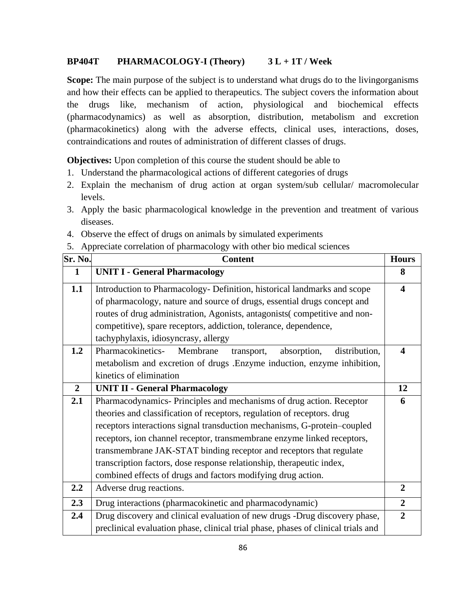# **BP404T PHARMACOLOGY-I (Theory) 3 L + 1T / Week**

**Scope:** The main purpose of the subject is to understand what drugs do to the livingorganisms and how their effects can be applied to therapeutics. The subject covers the information about the drugs like, mechanism of action, physiological and biochemical effects (pharmacodynamics) as well as absorption, distribution, metabolism and excretion (pharmacokinetics) along with the adverse effects, clinical uses, interactions, doses, contraindications and routes of administration of different classes of drugs.

**Objectives:** Upon completion of this course the student should be able to

- 1. Understand the pharmacological actions of different categories of drugs
- 2. Explain the mechanism of drug action at organ system/sub cellular/ macromolecular levels.
- 3. Apply the basic pharmacological knowledge in the prevention and treatment of various diseases.
- 4. Observe the effect of drugs on animals by simulated experiments
- 5. Appreciate correlation of pharmacology with other bio medical sciences

| Sr. No.        | <b>Content</b>                                                                    | <b>Hours</b>            |
|----------------|-----------------------------------------------------------------------------------|-------------------------|
| $\mathbf{1}$   | <b>UNIT I - General Pharmacology</b>                                              | 8                       |
| 1.1            | Introduction to Pharmacology- Definition, historical landmarks and scope          | $\overline{\mathbf{4}}$ |
|                | of pharmacology, nature and source of drugs, essential drugs concept and          |                         |
|                | routes of drug administration, Agonists, antagonists (competitive and non-        |                         |
|                | competitive), spare receptors, addiction, tolerance, dependence,                  |                         |
|                | tachyphylaxis, idiosyncrasy, allergy                                              |                         |
| 1.2            | Pharmacokinetics-<br>Membrane<br>absorption,<br>distribution,<br>transport,       | $\overline{\mathbf{4}}$ |
|                | metabolism and excretion of drugs .Enzyme induction, enzyme inhibition,           |                         |
|                | kinetics of elimination                                                           |                         |
| $\overline{2}$ | <b>UNIT II - General Pharmacology</b>                                             | 12                      |
| 2.1            | Pharmacodynamics-Principles and mechanisms of drug action. Receptor               | 6                       |
|                | theories and classification of receptors, regulation of receptors. drug           |                         |
|                | receptors interactions signal transduction mechanisms, G-protein-coupled          |                         |
|                | receptors, ion channel receptor, transmembrane enzyme linked receptors,           |                         |
|                | transmembrane JAK-STAT binding receptor and receptors that regulate               |                         |
|                | transcription factors, dose response relationship, therapeutic index,             |                         |
|                | combined effects of drugs and factors modifying drug action.                      |                         |
| 2.2            | Adverse drug reactions.                                                           | $\overline{2}$          |
| 2.3            | Drug interactions (pharmacokinetic and pharmacodynamic)                           | $\overline{2}$          |
| 2.4            | Drug discovery and clinical evaluation of new drugs -Drug discovery phase,        | $\overline{2}$          |
|                | preclinical evaluation phase, clinical trial phase, phases of clinical trials and |                         |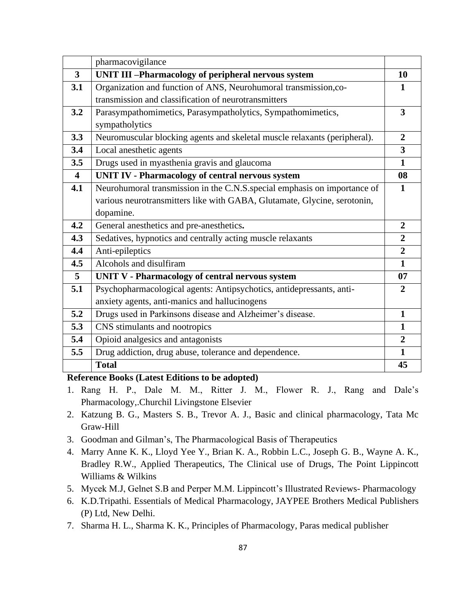|                         | pharmacovigilance                                                         |                         |
|-------------------------|---------------------------------------------------------------------------|-------------------------|
| $\overline{3}$          | <b>UNIT III-Pharmacology of peripheral nervous system</b>                 | 10                      |
| 3.1                     | Organization and function of ANS, Neurohumoral transmission,co-           | 1                       |
|                         | transmission and classification of neurotransmitters                      |                         |
| 3.2                     | Parasympathomimetics, Parasympatholytics, Sympathomimetics,               | $\overline{\mathbf{3}}$ |
|                         | sympatholytics                                                            |                         |
| 3.3                     | Neuromuscular blocking agents and skeletal muscle relaxants (peripheral). | $\overline{2}$          |
| 3.4                     | Local anesthetic agents                                                   | $\overline{\mathbf{3}}$ |
| 3.5                     | Drugs used in myasthenia gravis and glaucoma                              | $\mathbf{1}$            |
| $\overline{\mathbf{4}}$ | <b>UNIT IV - Pharmacology of central nervous system</b>                   | 08                      |
| 4.1                     | Neurohumoral transmission in the C.N.S. special emphasis on importance of | 1                       |
|                         | various neurotransmitters like with GABA, Glutamate, Glycine, serotonin,  |                         |
|                         | dopamine.                                                                 |                         |
| 4.2                     | General anesthetics and pre-anesthetics.                                  | $\overline{2}$          |
| 4.3                     | Sedatives, hypnotics and centrally acting muscle relaxants                | $\overline{2}$          |
| 4.4                     | Anti-epileptics                                                           | $\overline{2}$          |
| 4.5                     | Alcohols and disulfiram                                                   | $\mathbf{1}$            |
| $\overline{5}$          | <b>UNIT V - Pharmacology of central nervous system</b>                    | 07                      |
| 5.1                     | Psychopharmacological agents: Antipsychotics, antidepressants, anti-      | $\overline{2}$          |
|                         | anxiety agents, anti-manics and hallucinogens                             |                         |
| 5.2                     | Drugs used in Parkinsons disease and Alzheimer's disease.                 | $\mathbf{1}$            |
| 5.3                     | CNS stimulants and nootropics                                             | $\mathbf{1}$            |
| 5.4                     | Opioid analgesics and antagonists                                         | $\overline{2}$          |
| 5.5                     | Drug addiction, drug abuse, tolerance and dependence.                     | $\mathbf{1}$            |
|                         | <b>Total</b>                                                              | 45                      |

- 1. Rang H. P., Dale M. M., Ritter J. M., Flower R. J., Rang and Dale's Pharmacology,.Churchil Livingstone Elsevier
- 2. Katzung B. G., Masters S. B., Trevor A. J., Basic and clinical pharmacology, Tata Mc Graw-Hill
- 3. Goodman and Gilman's, The Pharmacological Basis of Therapeutics
- 4. Marry Anne K. K., Lloyd Yee Y., Brian K. A., Robbin L.C., Joseph G. B., Wayne A. K., Bradley R.W., Applied Therapeutics, The Clinical use of Drugs, The Point Lippincott Williams & Wilkins
- 5. Mycek M.J, Gelnet S.B and Perper M.M. Lippincott's Illustrated Reviews- Pharmacology
- 6. K.D.Tripathi. Essentials of Medical Pharmacology, JAYPEE Brothers Medical Publishers (P) Ltd, New Delhi.
- 7. Sharma H. L., Sharma K. K., Principles of Pharmacology, Paras medical publisher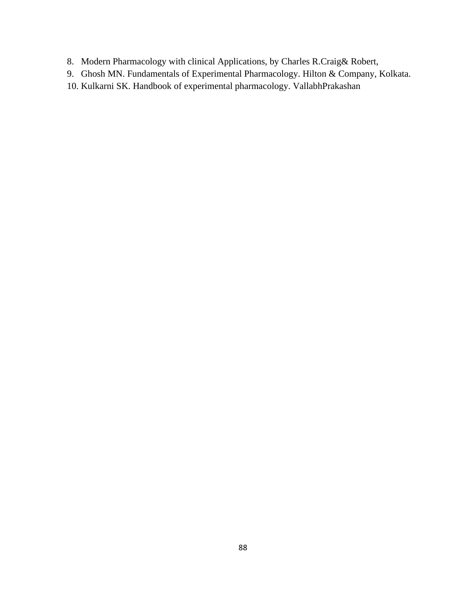- 8. Modern Pharmacology with clinical Applications, by Charles R.Craig& Robert,
- 9. Ghosh MN. Fundamentals of Experimental Pharmacology. Hilton & Company, Kolkata.
- 10. Kulkarni SK. Handbook of experimental pharmacology. VallabhPrakashan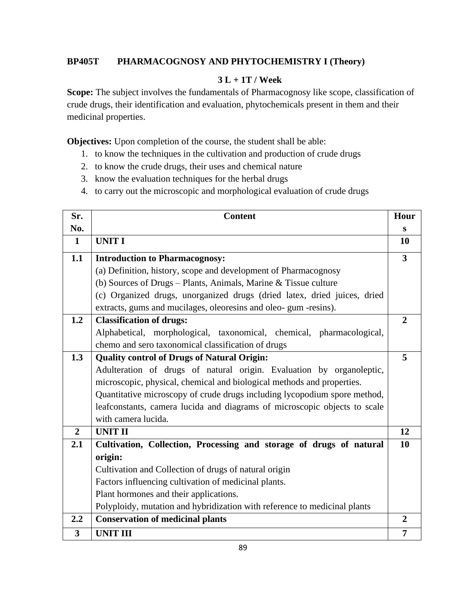# **BP405T PHARMACOGNOSY AND PHYTOCHEMISTRY I (Theory)**

# **3 L + 1T / Week**

Scope: The subject involves the fundamentals of Pharmacognosy like scope, classification of crude drugs, their identification and evaluation, phytochemicals present in them and their medicinal properties.

**Objectives:** Upon completion of the course, the student shall be able:

- 1. to know the techniques in the cultivation and production of crude drugs
- 2. to know the crude drugs, their uses and chemical nature
- 3. know the evaluation techniques for the herbal drugs
- 4. to carry out the microscopic and morphological evaluation of crude drugs

| Sr.            | <b>Content</b>                                                            | Hour                    |
|----------------|---------------------------------------------------------------------------|-------------------------|
| No.            |                                                                           | S                       |
| $\mathbf 1$    | <b>UNIT I</b>                                                             | 10                      |
| 1.1            | <b>Introduction to Pharmacognosy:</b>                                     | $\overline{\mathbf{3}}$ |
|                | (a) Definition, history, scope and development of Pharmacognosy           |                         |
|                | (b) Sources of Drugs - Plants, Animals, Marine $&$ Tissue culture         |                         |
|                | (c) Organized drugs, unorganized drugs (dried latex, dried juices, dried  |                         |
|                | extracts, gums and mucilages, oleoresins and oleo-gum -resins).           |                         |
| 1.2            | <b>Classification of drugs:</b>                                           | $\overline{2}$          |
|                | Alphabetical, morphological, taxonomical, chemical, pharmacological,      |                         |
|                | chemo and sero taxonomical classification of drugs                        |                         |
| 1.3            | <b>Quality control of Drugs of Natural Origin:</b>                        | 5                       |
|                | Adulteration of drugs of natural origin. Evaluation by organoleptic,      |                         |
|                | microscopic, physical, chemical and biological methods and properties.    |                         |
|                | Quantitative microscopy of crude drugs including lycopodium spore method, |                         |
|                | leafconstants, camera lucida and diagrams of microscopic objects to scale |                         |
|                | with camera lucida.                                                       |                         |
| $\overline{2}$ | <b>UNIT II</b>                                                            | 12                      |
| 2.1            | Cultivation, Collection, Processing and storage of drugs of natural       | 10                      |
|                | origin:                                                                   |                         |
|                | Cultivation and Collection of drugs of natural origin                     |                         |
|                | Factors influencing cultivation of medicinal plants.                      |                         |
|                | Plant hormones and their applications.                                    |                         |
|                | Polyploidy, mutation and hybridization with reference to medicinal plants |                         |
| 2.2            | <b>Conservation of medicinal plants</b>                                   | $\overline{2}$          |
| $\overline{3}$ | <b>UNIT III</b>                                                           | $\overline{7}$          |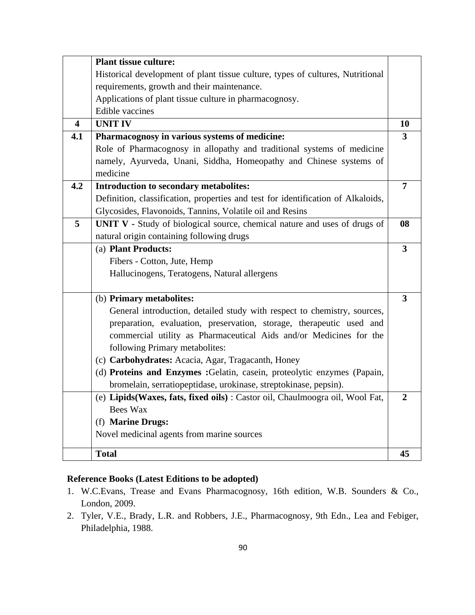|                         | <b>Plant tissue culture:</b>                                                     |                         |
|-------------------------|----------------------------------------------------------------------------------|-------------------------|
|                         | Historical development of plant tissue culture, types of cultures, Nutritional   |                         |
|                         | requirements, growth and their maintenance.                                      |                         |
|                         | Applications of plant tissue culture in pharmacognosy.                           |                         |
|                         | <b>Edible vaccines</b>                                                           |                         |
| $\overline{\mathbf{4}}$ | <b>UNIT IV</b>                                                                   | 10                      |
| 4.1                     | Pharmacognosy in various systems of medicine:                                    | $\overline{\mathbf{3}}$ |
|                         | Role of Pharmacognosy in allopathy and traditional systems of medicine           |                         |
|                         | namely, Ayurveda, Unani, Siddha, Homeopathy and Chinese systems of               |                         |
|                         | medicine                                                                         |                         |
| 4.2                     | Introduction to secondary metabolites:                                           | $\overline{7}$          |
|                         | Definition, classification, properties and test for identification of Alkaloids, |                         |
|                         | Glycosides, Flavonoids, Tannins, Volatile oil and Resins                         |                         |
| 5                       | UNIT V - Study of biological source, chemical nature and uses of drugs of        | 08                      |
|                         | natural origin containing following drugs                                        |                         |
|                         | (a) Plant Products:                                                              | $\overline{\mathbf{3}}$ |
|                         | Fibers - Cotton, Jute, Hemp                                                      |                         |
|                         | Hallucinogens, Teratogens, Natural allergens                                     |                         |
|                         |                                                                                  |                         |
|                         | (b) Primary metabolites:                                                         | 3                       |
|                         | General introduction, detailed study with respect to chemistry, sources,         |                         |
|                         | preparation, evaluation, preservation, storage, therapeutic used and             |                         |
|                         | commercial utility as Pharmaceutical Aids and/or Medicines for the               |                         |
|                         | following Primary metabolites:                                                   |                         |
|                         | (c) Carbohydrates: Acacia, Agar, Tragacanth, Honey                               |                         |
|                         | (d) Proteins and Enzymes : Gelatin, casein, proteolytic enzymes (Papain,         |                         |
|                         | bromelain, serratiopeptidase, urokinase, streptokinase, pepsin).                 |                         |
|                         | (e) Lipids (Waxes, fats, fixed oils) : Castor oil, Chaulmoogra oil, Wool Fat,    | $\mathbf{2}$            |
|                         | <b>Bees Wax</b>                                                                  |                         |
|                         | (f) Marine Drugs:                                                                |                         |
|                         | Novel medicinal agents from marine sources                                       |                         |
|                         |                                                                                  |                         |
|                         | <b>Total</b>                                                                     | 45                      |

- 1. W.C.Evans, Trease and Evans Pharmacognosy, 16th edition, W.B. Sounders & Co., London, 2009.
- 2. Tyler, V.E., Brady, L.R. and Robbers, J.E., Pharmacognosy, 9th Edn., Lea and Febiger, Philadelphia, 1988.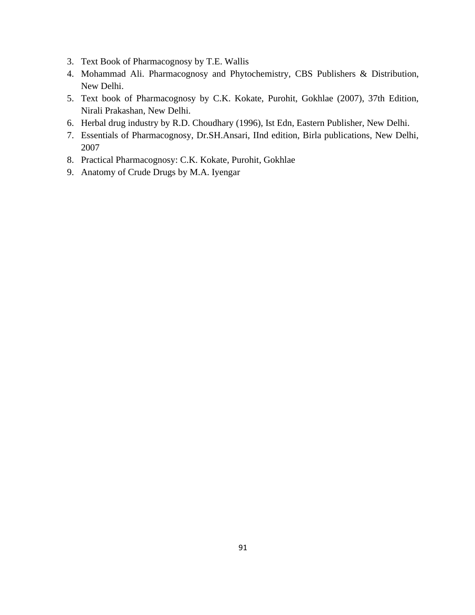- 3. Text Book of Pharmacognosy by T.E. Wallis
- 4. Mohammad Ali. Pharmacognosy and Phytochemistry, CBS Publishers & Distribution, New Delhi.
- 5. Text book of Pharmacognosy by C.K. Kokate, Purohit, Gokhlae (2007), 37th Edition, Nirali Prakashan, New Delhi.
- 6. Herbal drug industry by R.D. Choudhary (1996), Ist Edn, Eastern Publisher, New Delhi.
- 7. Essentials of Pharmacognosy, Dr.SH.Ansari, IInd edition, Birla publications, New Delhi, 2007
- 8. Practical Pharmacognosy: C.K. Kokate, Purohit, Gokhlae
- 9. Anatomy of Crude Drugs by M.A. Iyengar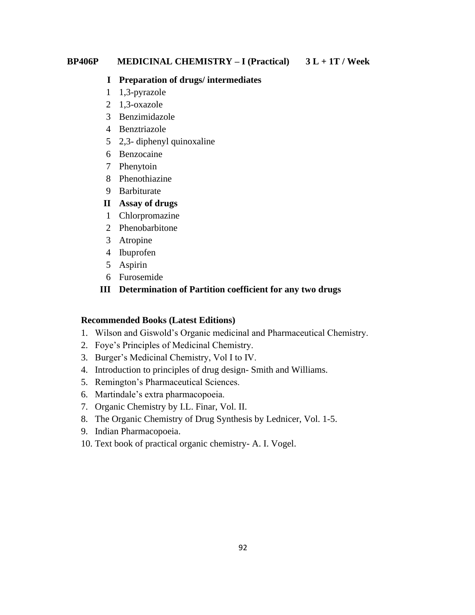#### **BP406P MEDICINAL CHEMISTRY – I (Practical) 3 L + 1T / Week**

#### **I Preparation of drugs/ intermediates**

- 1 1,3-pyrazole
- 2 1,3-oxazole
- 3 Benzimidazole
- 4 Benztriazole
- 5 2,3- diphenyl quinoxaline
- 6 Benzocaine
- 7 Phenytoin
- 8 Phenothiazine
- 9 Barbiturate

#### **II Assay of drugs**

- 1 Chlorpromazine
- 2 Phenobarbitone
- 3 Atropine
- 4 Ibuprofen
- 5 Aspirin
- 6 Furosemide

#### **III Determination of Partition coefficient for any two drugs**

#### **Recommended Books (Latest Editions)**

- 1. Wilson and Giswold's Organic medicinal and Pharmaceutical Chemistry.
- 2. Foye's Principles of Medicinal Chemistry.
- 3. Burger's Medicinal Chemistry, Vol I to IV.
- 4. Introduction to principles of drug design- Smith and Williams.
- 5. Remington's Pharmaceutical Sciences.
- 6. Martindale's extra pharmacopoeia.
- 7. Organic Chemistry by I.L. Finar, Vol. II.
- 8. The Organic Chemistry of Drug Synthesis by Lednicer, Vol. 1-5.
- 9. Indian Pharmacopoeia.
- 10. Text book of practical organic chemistry- A. I. Vogel.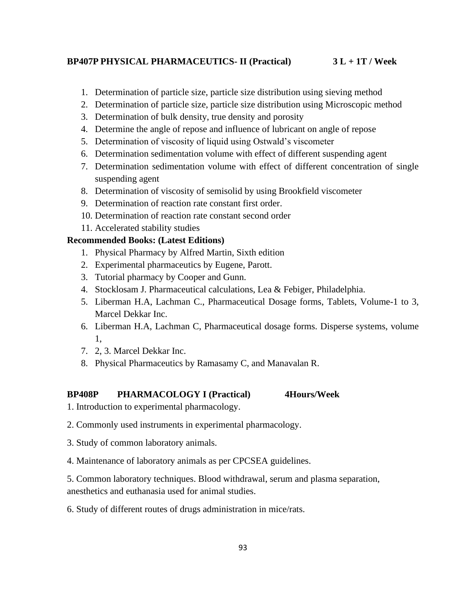#### **BP407P PHYSICAL PHARMACEUTICS- II (Practical) 3 L + 1T / Week**

- 1. Determination of particle size, particle size distribution using sieving method
- 2. Determination of particle size, particle size distribution using Microscopic method
- 3. Determination of bulk density, true density and porosity
- 4. Determine the angle of repose and influence of lubricant on angle of repose
- 5. Determination of viscosity of liquid using Ostwald's viscometer
- 6. Determination sedimentation volume with effect of different suspending agent
- 7. Determination sedimentation volume with effect of different concentration of single suspending agent
- 8. Determination of viscosity of semisolid by using Brookfield viscometer
- 9. Determination of reaction rate constant first order.
- 10. Determination of reaction rate constant second order
- 11. Accelerated stability studies

## **Recommended Books: (Latest Editions)**

- 1. Physical Pharmacy by Alfred Martin, Sixth edition
- 2. Experimental pharmaceutics by Eugene, Parott.
- 3. Tutorial pharmacy by Cooper and Gunn.
- 4. Stocklosam J. Pharmaceutical calculations, Lea & Febiger, Philadelphia.
- 5. Liberman H.A, Lachman C., Pharmaceutical Dosage forms, Tablets, Volume-1 to 3, Marcel Dekkar Inc.
- 6. Liberman H.A, Lachman C, Pharmaceutical dosage forms. Disperse systems, volume 1,
- 7. 2, 3. Marcel Dekkar Inc.
- 8. Physical Pharmaceutics by Ramasamy C, and Manavalan R.

#### **BP408P PHARMACOLOGY I (Practical) 4Hours/Week**

- 1. Introduction to experimental pharmacology.
- 2. Commonly used instruments in experimental pharmacology.
- 3. Study of common laboratory animals.
- 4. Maintenance of laboratory animals as per CPCSEA guidelines.

5. Common laboratory techniques. Blood withdrawal, serum and plasma separation, anesthetics and euthanasia used for animal studies.

6. Study of different routes of drugs administration in mice/rats.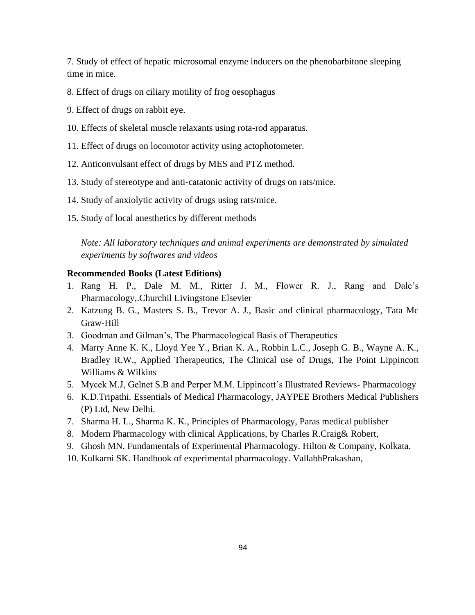7. Study of effect of hepatic microsomal enzyme inducers on the phenobarbitone sleeping time in mice.

- 8. Effect of drugs on ciliary motility of frog oesophagus
- 9. Effect of drugs on rabbit eye.
- 10. Effects of skeletal muscle relaxants using rota-rod apparatus.
- 11. Effect of drugs on locomotor activity using actophotometer.
- 12. Anticonvulsant effect of drugs by MES and PTZ method.
- 13. Study of stereotype and anti-catatonic activity of drugs on rats/mice.
- 14. Study of anxiolytic activity of drugs using rats/mice.
- 15. Study of local anesthetics by different methods

*Note: All laboratory techniques and animal experiments are demonstrated by simulated experiments by softwares and videos*

#### **Recommended Books (Latest Editions)**

- 1. Rang H. P., Dale M. M., Ritter J. M., Flower R. J., Rang and Dale's Pharmacology,.Churchil Livingstone Elsevier
- 2. Katzung B. G., Masters S. B., Trevor A. J., Basic and clinical pharmacology, Tata Mc Graw-Hill
- 3. Goodman and Gilman's, The Pharmacological Basis of Therapeutics
- 4. Marry Anne K. K., Lloyd Yee Y., Brian K. A., Robbin L.C., Joseph G. B., Wayne A. K., Bradley R.W., Applied Therapeutics, The Clinical use of Drugs, The Point Lippincott Williams & Wilkins
- 5. Mycek M.J, Gelnet S.B and Perper M.M. Lippincott's Illustrated Reviews- Pharmacology
- 6. K.D.Tripathi. Essentials of Medical Pharmacology, JAYPEE Brothers Medical Publishers (P) Ltd, New Delhi.
- 7. Sharma H. L., Sharma K. K., Principles of Pharmacology, Paras medical publisher
- 8. Modern Pharmacology with clinical Applications, by Charles R.Craig& Robert,
- 9. Ghosh MN. Fundamentals of Experimental Pharmacology. Hilton & Company, Kolkata.
- 10. Kulkarni SK. Handbook of experimental pharmacology. VallabhPrakashan,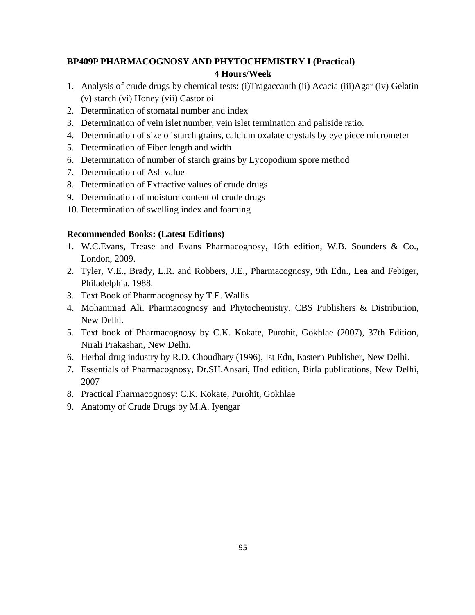# **BP409P PHARMACOGNOSY AND PHYTOCHEMISTRY I (Practical) 4 Hours/Week**

- 1. Analysis of crude drugs by chemical tests: (i)Tragaccanth (ii) Acacia (iii)Agar (iv) Gelatin (v) starch (vi) Honey (vii) Castor oil
- 2. Determination of stomatal number and index
- 3. Determination of vein islet number, vein islet termination and paliside ratio.
- 4. Determination of size of starch grains, calcium oxalate crystals by eye piece micrometer
- 5. Determination of Fiber length and width
- 6. Determination of number of starch grains by Lycopodium spore method
- 7. Determination of Ash value
- 8. Determination of Extractive values of crude drugs
- 9. Determination of moisture content of crude drugs
- 10. Determination of swelling index and foaming

## **Recommended Books: (Latest Editions)**

- 1. W.C.Evans, Trease and Evans Pharmacognosy, 16th edition, W.B. Sounders & Co., London, 2009.
- 2. Tyler, V.E., Brady, L.R. and Robbers, J.E., Pharmacognosy, 9th Edn., Lea and Febiger, Philadelphia, 1988.
- 3. Text Book of Pharmacognosy by T.E. Wallis
- 4. Mohammad Ali. Pharmacognosy and Phytochemistry, CBS Publishers & Distribution, New Delhi.
- 5. Text book of Pharmacognosy by C.K. Kokate, Purohit, Gokhlae (2007), 37th Edition, Nirali Prakashan, New Delhi.
- 6. Herbal drug industry by R.D. Choudhary (1996), Ist Edn, Eastern Publisher, New Delhi.
- 7. Essentials of Pharmacognosy, Dr.SH.Ansari, IInd edition, Birla publications, New Delhi, 2007
- 8. Practical Pharmacognosy: C.K. Kokate, Purohit, Gokhlae
- 9. Anatomy of Crude Drugs by M.A. Iyengar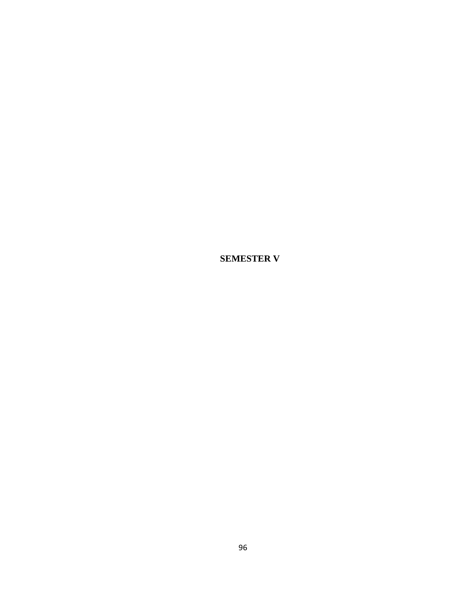**SEMESTER V**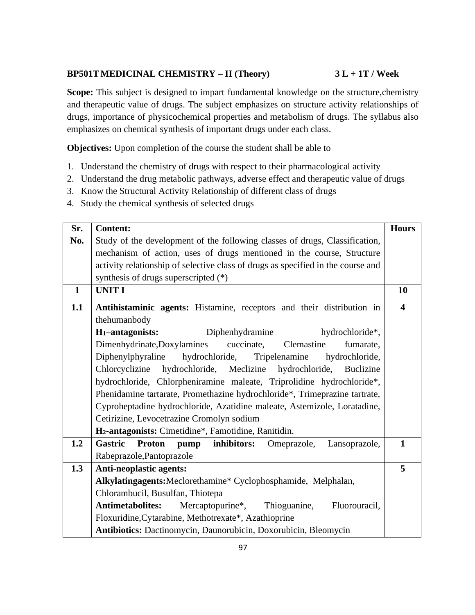## **BP501TMEDICINAL CHEMISTRY – II (Theory) 3 L + 1T / Week**

**Scope:** This subject is designed to impart fundamental knowledge on the structure, chemistry and therapeutic value of drugs. The subject emphasizes on structure activity relationships of drugs, importance of physicochemical properties and metabolism of drugs. The syllabus also emphasizes on chemical synthesis of important drugs under each class.

**Objectives:** Upon completion of the course the student shall be able to

- 1. Understand the chemistry of drugs with respect to their pharmacological activity
- 2. Understand the drug metabolic pathways, adverse effect and therapeutic value of drugs
- 3. Know the Structural Activity Relationship of different class of drugs
- 4. Study the chemical synthesis of selected drugs

| Sr.          | <b>Content:</b>                                                                        | <b>Hours</b>            |
|--------------|----------------------------------------------------------------------------------------|-------------------------|
| No.          | Study of the development of the following classes of drugs, Classification,            |                         |
|              | mechanism of action, uses of drugs mentioned in the course, Structure                  |                         |
|              | activity relationship of selective class of drugs as specified in the course and       |                         |
|              | synthesis of drugs superscripted (*)                                                   |                         |
| $\mathbf{1}$ | <b>UNIT I</b>                                                                          | 10                      |
| 1.1          | Antihistaminic agents: Histamine, receptors and their distribution in                  | $\overline{\mathbf{4}}$ |
|              | thehumanbody                                                                           |                         |
|              | $H_1$ -antagonists:<br>Diphenhydramine<br>hydrochloride*,                              |                         |
|              | Dimenhydrinate, Doxylamines<br>cuccinate,<br>Clemastine<br>fumarate,                   |                         |
|              | hydrochloride,<br>Diphenylphyraline<br>Tripelenamine<br>hydrochloride,                 |                         |
|              | Chlorcyclizine<br>hydrochloride,<br>Meclizine<br>hydrochloride,<br>Buclizine           |                         |
|              | hydrochloride, Chlorpheniramine maleate, Triprolidine hydrochloride*,                  |                         |
|              | Phenidamine tartarate, Promethazine hydrochloride*, Trimeprazine tartrate,             |                         |
|              | Cyproheptadine hydrochloride, Azatidine maleate, Astemizole, Loratadine,               |                         |
|              | Cetirizine, Levocetrazine Cromolyn sodium                                              |                         |
|              | H <sub>2</sub> -antagonists: Cimetidine*, Famotidine, Ranitidin.                       |                         |
| 1.2          | <b>Gastric</b><br>inhibitors:<br><b>Proton</b><br>pump<br>Omeprazole,<br>Lansoprazole, | $\mathbf{1}$            |
|              | Rabeprazole, Pantoprazole                                                              |                         |
| 1.3          | <b>Anti-neoplastic agents:</b>                                                         | 5                       |
|              | Alkylatingagents: Meclorethamine* Cyclophosphamide, Melphalan,                         |                         |
|              | Chlorambucil, Busulfan, Thiotepa                                                       |                         |
|              | <b>Antimetabolites:</b><br>Mercaptopurine*,<br>Thioguanine,<br>Fluorouracil,           |                         |
|              | Floxuridine, Cytarabine, Methotrexate*, Azathioprine                                   |                         |
|              | Antibiotics: Dactinomycin, Daunorubicin, Doxorubicin, Bleomycin                        |                         |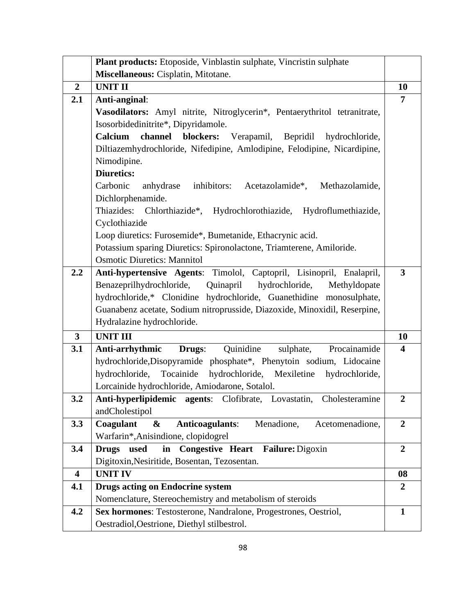|                         | Plant products: Etoposide, Vinblastin sulphate, Vincristin sulphate       |                         |
|-------------------------|---------------------------------------------------------------------------|-------------------------|
|                         | Miscellaneous: Cisplatin, Mitotane.                                       |                         |
| $\overline{2}$          | <b>UNIT II</b>                                                            | 10                      |
| 2.1                     | Anti-anginal:                                                             | 7                       |
|                         | Vasodilators: Amyl nitrite, Nitroglycerin*, Pentaerythritol tetranitrate, |                         |
|                         | Isosorbidedinitrite*, Dipyridamole.                                       |                         |
|                         | Calcium<br>channel<br>blockers:<br>Verapamil, Bepridil<br>hydrochloride,  |                         |
|                         | Diltiazemhydrochloride, Nifedipine, Amlodipine, Felodipine, Nicardipine,  |                         |
|                         | Nimodipine.                                                               |                         |
|                         | <b>Diuretics:</b>                                                         |                         |
|                         | Carbonic<br>inhibitors: Acetazolamide*, Methazolamide,<br>anhydrase       |                         |
|                         | Dichlorphenamide.                                                         |                         |
|                         | Thiazides: Chlorthiazide*, Hydrochlorothiazide, Hydroflumethiazide,       |                         |
|                         | Cyclothiazide                                                             |                         |
|                         | Loop diuretics: Furosemide*, Bumetanide, Ethacrynic acid.                 |                         |
|                         | Potassium sparing Diuretics: Spironolactone, Triamterene, Amiloride.      |                         |
|                         | <b>Osmotic Diuretics: Mannitol</b>                                        |                         |
| 2.2                     | Anti-hypertensive Agents: Timolol, Captopril, Lisinopril, Enalapril,      | $\overline{3}$          |
|                         | Quinapril hydrochloride,<br>Benazeprilhydrochloride,<br>Methyldopate      |                         |
|                         | hydrochloride,* Clonidine hydrochloride, Guanethidine monosulphate,       |                         |
|                         | Guanabenz acetate, Sodium nitroprusside, Diazoxide, Minoxidil, Reserpine, |                         |
|                         | Hydralazine hydrochloride.                                                |                         |
| $\overline{\mathbf{3}}$ | <b>UNIT III</b>                                                           | 10                      |
| 3.1                     | Quinidine<br>Procainamide<br>Anti-arrhythmic<br>Drugs:<br>sulphate,       | $\overline{\mathbf{4}}$ |
|                         | hydrochloride, Disopyramide phosphate*, Phenytoin sodium, Lidocaine       |                         |
|                         | Tocainide hydrochloride, Mexiletine<br>hydrochloride,<br>hydrochloride,   |                         |
|                         | Lorcainide hydrochloride, Amiodarone, Sotalol.                            |                         |
| 3.2                     | Anti-hyperlipidemic agents: Clofibrate, Lovastatin,<br>Cholesteramine     | $\overline{2}$          |
|                         | andCholestipol                                                            |                         |
| 3.3                     | Coagulant<br><b>Anticoagulants:</b><br>Menadione,<br>&<br>Acetomenadione, | $\overline{2}$          |
|                         | Warfarin*, Anisindione, clopidogrel                                       |                         |
| 3.4                     | <b>Congestive Heart</b><br>Failure: Digoxin<br><b>Drugs</b><br>used<br>in | $\boldsymbol{2}$        |
|                         | Digitoxin, Nesiritide, Bosentan, Tezosentan.                              |                         |
| $\overline{\mathbf{4}}$ | <b>UNIT IV</b>                                                            | 08                      |
| 4.1                     | <b>Drugs acting on Endocrine system</b>                                   | $\boldsymbol{2}$        |
|                         | Nomenclature, Stereochemistry and metabolism of steroids                  |                         |
| 4.2                     | Sex hormones: Testosterone, Nandralone, Progestrones, Oestriol,           | $\mathbf{1}$            |
|                         | Oestradiol, Oestrione, Diethyl stilbestrol.                               |                         |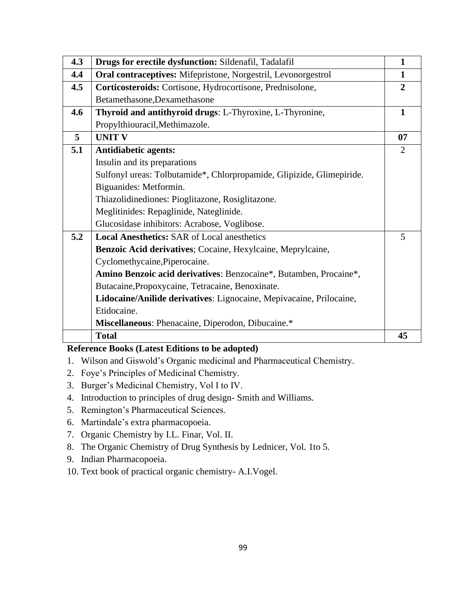| 4.3 | Drugs for erectile dysfunction: Sildenafil, Tadalafil                 | $\mathbf{1}$   |
|-----|-----------------------------------------------------------------------|----------------|
| 4.4 | Oral contraceptives: Mifepristone, Norgestril, Levonorgestrol         | $\mathbf{1}$   |
| 4.5 | Corticosteroids: Cortisone, Hydrocortisone, Prednisolone,             | $\overline{2}$ |
|     | Betamethasone, Dexamethasone                                          |                |
| 4.6 | Thyroid and antithyroid drugs: L-Thyroxine, L-Thyronine,              | $\mathbf{1}$   |
|     | Propylthiouracil, Methimazole.                                        |                |
| 5   | <b>UNIT V</b>                                                         | 07             |
| 5.1 | <b>Antidiabetic agents:</b>                                           | 2              |
|     | Insulin and its preparations                                          |                |
|     | Sulfonyl ureas: Tolbutamide*, Chlorpropamide, Glipizide, Glimepiride. |                |
|     | Biguanides: Metformin.                                                |                |
|     | Thiazolidinediones: Pioglitazone, Rosiglitazone.                      |                |
|     | Meglitinides: Repaglinide, Nateglinide.                               |                |
|     | Glucosidase inhibitors: Acrabose, Voglibose.                          |                |
| 5.2 | <b>Local Anesthetics: SAR of Local anesthetics</b>                    | 5              |
|     | Benzoic Acid derivatives; Cocaine, Hexylcaine, Meprylcaine,           |                |
|     | Cyclomethycaine, Piperocaine.                                         |                |
|     | Amino Benzoic acid derivatives: Benzocaine*, Butamben, Procaine*,     |                |
|     | Butacaine, Propoxycaine, Tetracaine, Benoxinate.                      |                |
|     | Lidocaine/Anilide derivatives: Lignocaine, Mepivacaine, Prilocaine,   |                |
|     | Etidocaine.                                                           |                |
|     | Miscellaneous: Phenacaine, Diperodon, Dibucaine.*                     |                |
|     | <b>Total</b>                                                          | 45             |

- 1. Wilson and Giswold's Organic medicinal and Pharmaceutical Chemistry.
- 2. Foye's Principles of Medicinal Chemistry.
- 3. Burger's Medicinal Chemistry, Vol I to IV.
- 4. Introduction to principles of drug design- Smith and Williams.
- 5. Remington's Pharmaceutical Sciences.
- 6. Martindale's extra pharmacopoeia.
- 7. Organic Chemistry by I.L. Finar, Vol. II.
- 8. The Organic Chemistry of Drug Synthesis by Lednicer, Vol. 1to 5.
- 9. Indian Pharmacopoeia.
- 10. Text book of practical organic chemistry- A.I.Vogel.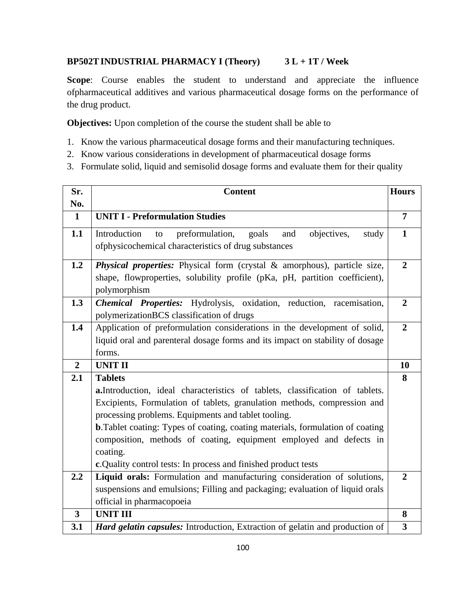# **BP502TINDUSTRIAL PHARMACY I (Theory) 3 L + 1T / Week**

**Scope**: Course enables the student to understand and appreciate the influence ofpharmaceutical additives and various pharmaceutical dosage forms on the performance of the drug product.

**Objectives:** Upon completion of the course the student shall be able to

- 1. Know the various pharmaceutical dosage forms and their manufacturing techniques.
- 2. Know various considerations in development of pharmaceutical dosage forms
- 3. Formulate solid, liquid and semisolid dosage forms and evaluate them for their quality

| Sr.                     | <b>Content</b>                                                                              | <b>Hours</b>            |
|-------------------------|---------------------------------------------------------------------------------------------|-------------------------|
| No.                     |                                                                                             |                         |
| $\mathbf{1}$            | <b>UNIT I - Preformulation Studies</b>                                                      | $\overline{7}$          |
| 1.1                     | Introduction<br>preformulation,<br>objectives,<br>goals<br>and<br>to<br>study               | $\mathbf{1}$            |
|                         | of physicochemical characteristics of drug substances                                       |                         |
| 1.2                     | Physical properties: Physical form (crystal & amorphous), particle size,                    | $\boldsymbol{2}$        |
|                         | shape, flowproperties, solubility profile (pKa, pH, partition coefficient),<br>polymorphism |                         |
| 1.3                     | Chemical Properties: Hydrolysis, oxidation, reduction, racemisation,                        | $\overline{2}$          |
|                         | polymerizationBCS classification of drugs                                                   |                         |
| 1.4                     | Application of preformulation considerations in the development of solid,                   | $\overline{2}$          |
|                         | liquid oral and parenteral dosage forms and its impact on stability of dosage               |                         |
|                         | forms.                                                                                      |                         |
| $\overline{2}$          | <b>UNIT II</b>                                                                              | 10                      |
| 2.1                     | <b>Tablets</b>                                                                              | 8                       |
|                         | a. Introduction, ideal characteristics of tablets, classification of tablets.               |                         |
|                         | Excipients, Formulation of tablets, granulation methods, compression and                    |                         |
|                         | processing problems. Equipments and tablet tooling.                                         |                         |
|                         | <b>b.</b> Tablet coating: Types of coating, coating materials, formulation of coating       |                         |
|                         | composition, methods of coating, equipment employed and defects in                          |                         |
|                         | coating.                                                                                    |                         |
|                         | c. Quality control tests: In process and finished product tests                             |                         |
| 2.2                     | Liquid orals: Formulation and manufacturing consideration of solutions,                     | $\overline{2}$          |
|                         | suspensions and emulsions; Filling and packaging; evaluation of liquid orals                |                         |
|                         | official in pharmacopoeia                                                                   |                         |
| $\overline{\mathbf{3}}$ | <b>UNIT III</b>                                                                             | 8                       |
| 3.1                     | Hard gelatin capsules: Introduction, Extraction of gelatin and production of                | $\overline{\mathbf{3}}$ |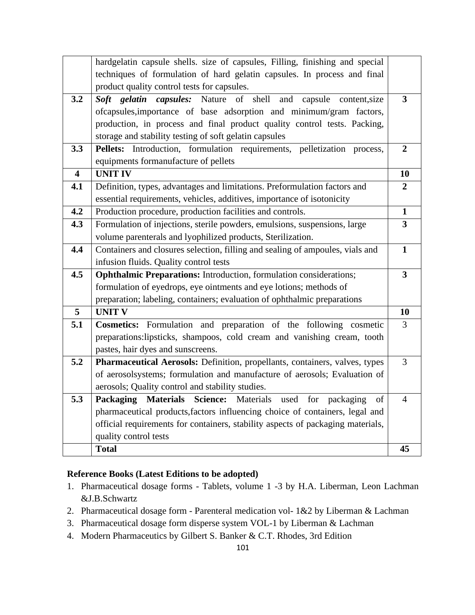|                         | hardgelatin capsule shells. size of capsules, Filling, finishing and special    |                         |
|-------------------------|---------------------------------------------------------------------------------|-------------------------|
|                         | techniques of formulation of hard gelatin capsules. In process and final        |                         |
|                         | product quality control tests for capsules.                                     |                         |
| 3.2                     | Soft gelatin capsules: Nature of shell and<br>capsule content, size             | $\overline{\mathbf{3}}$ |
|                         | ofcapsules, importance of base adsorption and minimum/gram factors,             |                         |
|                         | production, in process and final product quality control tests. Packing,        |                         |
|                         | storage and stability testing of soft gelatin capsules                          |                         |
| 3.3                     | Pellets: Introduction, formulation requirements, pelletization<br>process,      | $\overline{2}$          |
|                         | equipments formanufacture of pellets                                            |                         |
| $\overline{\mathbf{4}}$ | <b>UNIT IV</b>                                                                  | 10                      |
| 4.1                     | Definition, types, advantages and limitations. Preformulation factors and       | $\overline{2}$          |
|                         | essential requirements, vehicles, additives, importance of isotonicity          |                         |
| 4.2                     | Production procedure, production facilities and controls.                       | $\mathbf{1}$            |
| 4.3                     | Formulation of injections, sterile powders, emulsions, suspensions, large       | $\overline{\mathbf{3}}$ |
|                         | volume parenterals and lyophilized products, Sterilization.                     |                         |
| 4.4                     | Containers and closures selection, filling and sealing of ampoules, vials and   | $\mathbf{1}$            |
|                         | infusion fluids. Quality control tests                                          |                         |
| 4.5                     | <b>Ophthalmic Preparations:</b> Introduction, formulation considerations;       | $\overline{\mathbf{3}}$ |
|                         | formulation of eyedrops, eye ointments and eye lotions; methods of              |                         |
|                         | preparation; labeling, containers; evaluation of ophthalmic preparations        |                         |
| 5                       | <b>UNIT V</b>                                                                   | 10                      |
| 5.1                     | <b>Cosmetics:</b> Formulation and preparation of the following cosmetic         | 3                       |
|                         | preparations: lipsticks, shampoos, cold cream and vanishing cream, tooth        |                         |
|                         | pastes, hair dyes and sunscreens.                                               |                         |
| 5.2                     | Pharmaceutical Aerosols: Definition, propellants, containers, valves, types     | 3                       |
|                         | of aerosolsystems; formulation and manufacture of aerosols; Evaluation of       |                         |
|                         | aerosols; Quality control and stability studies.                                |                         |
| 5.3                     | <b>Packaging Materials</b><br>Science: Materials used for packaging<br>of       | $\overline{4}$          |
|                         | pharmaceutical products, factors influencing choice of containers, legal and    |                         |
|                         | official requirements for containers, stability aspects of packaging materials, |                         |
|                         | quality control tests                                                           |                         |
|                         | <b>Total</b>                                                                    | 45                      |

- 1. Pharmaceutical dosage forms Tablets, volume 1 -3 by H.A. Liberman, Leon Lachman &J.B.Schwartz
- 2. Pharmaceutical dosage form Parenteral medication vol- 1&2 by Liberman & Lachman
- 3. Pharmaceutical dosage form disperse system VOL-1 by Liberman & Lachman
- 4. Modern Pharmaceutics by Gilbert S. Banker & C.T. Rhodes, 3rd Edition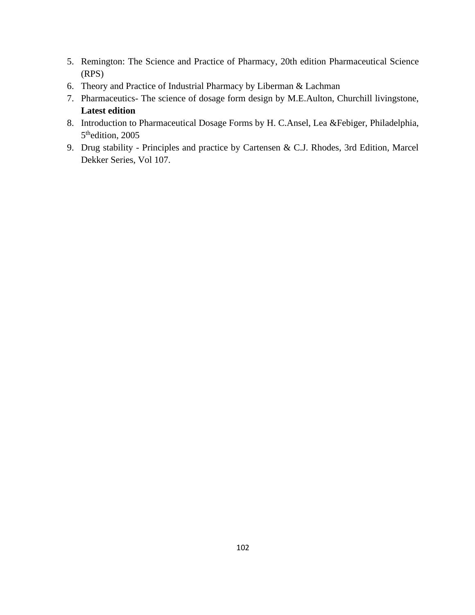- 5. Remington: The Science and Practice of Pharmacy, 20th edition Pharmaceutical Science (RPS)
- 6. Theory and Practice of Industrial Pharmacy by Liberman & Lachman
- 7. Pharmaceutics- The science of dosage form design by M.E.Aulton, Churchill livingstone, **Latest edition**
- 8. Introduction to Pharmaceutical Dosage Forms by H. C.Ansel, Lea &Febiger, Philadelphia, 5<sup>th</sup>edition, 2005
- 9. Drug stability Principles and practice by Cartensen & C.J. Rhodes, 3rd Edition, Marcel Dekker Series, Vol 107.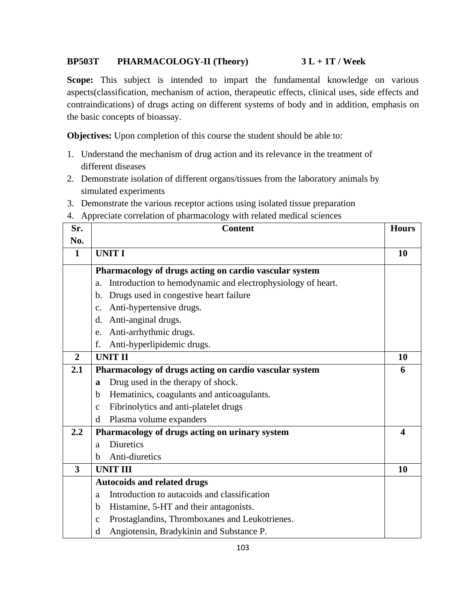# **BP503T PHARMACOLOGY-II (Theory) 3 L + 1T / Week**

**Scope:** This subject is intended to impart the fundamental knowledge on various aspects(classification, mechanism of action, therapeutic effects, clinical uses, side effects and contraindications) of drugs acting on different systems of body and in addition, emphasis on the basic concepts of bioassay.

**Objectives:** Upon completion of this course the student should be able to:

- 1. Understand the mechanism of drug action and its relevance in the treatment of different diseases
- 2. Demonstrate isolation of different organs/tissues from the laboratory animals by simulated experiments
- 3. Demonstrate the various receptor actions using isolated tissue preparation
- 4. Appreciate correlation of pharmacology with related medical sciences

| Sr.            | <b>Content</b>                                                    | <b>Hours</b>     |
|----------------|-------------------------------------------------------------------|------------------|
| No.            |                                                                   |                  |
| $\mathbf{1}$   | <b>UNIT I</b>                                                     | 10               |
|                | Pharmacology of drugs acting on cardio vascular system            |                  |
|                | Introduction to hemodynamic and electrophysiology of heart.<br>a. |                  |
|                | Drugs used in congestive heart failure<br>b.                      |                  |
|                | Anti-hypertensive drugs.<br>$\mathbf{c}$ .                        |                  |
|                | Anti-anginal drugs.<br>d.                                         |                  |
|                | Anti-arrhythmic drugs.<br>e.                                      |                  |
|                | Anti-hyperlipidemic drugs.<br>f.                                  |                  |
| $\overline{2}$ | <b>UNIT II</b>                                                    | 10               |
| 2.1            | Pharmacology of drugs acting on cardio vascular system            | 6                |
|                | Drug used in the therapy of shock.<br>a                           |                  |
|                | Hematinics, coagulants and anticoagulants.<br>b                   |                  |
|                | Fibrinolytics and anti-platelet drugs<br>$\mathbf{c}$             |                  |
|                | Plasma volume expanders<br>d                                      |                  |
| 2.2            | Pharmacology of drugs acting on urinary system                    | $\boldsymbol{4}$ |
|                | <b>Diuretics</b><br>a                                             |                  |
|                | Anti-diuretics<br>b                                               |                  |
| 3              | <b>UNIT III</b>                                                   | 10               |
|                | <b>Autocoids and related drugs</b>                                |                  |
|                | Introduction to autacoids and classification<br>a                 |                  |
|                | Histamine, 5-HT and their antagonists.<br>b                       |                  |
|                | Prostaglandins, Thromboxanes and Leukotrienes.<br>$\mathbf c$     |                  |
|                | Angiotensin, Bradykinin and Substance P.<br>d                     |                  |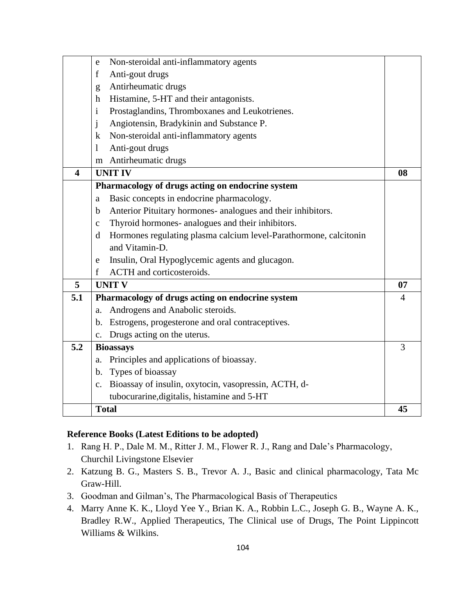|                         | Non-steroidal anti-inflammatory agents<br>e                            |    |
|-------------------------|------------------------------------------------------------------------|----|
|                         | Anti-gout drugs<br>$\mathbf f$                                         |    |
|                         | Antirheumatic drugs<br>g                                               |    |
|                         | Histamine, 5-HT and their antagonists.<br>h                            |    |
|                         | Prostaglandins, Thromboxanes and Leukotrienes.<br>$\mathbf{i}$         |    |
|                         | Angiotensin, Bradykinin and Substance P.<br>j                          |    |
|                         | Non-steroidal anti-inflammatory agents<br>$\mathbf{k}$                 |    |
|                         | Anti-gout drugs<br>1                                                   |    |
|                         | m Antirheumatic drugs                                                  |    |
| $\overline{\mathbf{4}}$ | <b>UNIT IV</b>                                                         | 08 |
|                         | Pharmacology of drugs acting on endocrine system                       |    |
|                         | Basic concepts in endocrine pharmacology.<br>a                         |    |
|                         | Anterior Pituitary hormones- analogues and their inhibitors.<br>b      |    |
|                         | Thyroid hormones- analogues and their inhibitors.<br>$\mathbf{C}$      |    |
|                         | Hormones regulating plasma calcium level-Parathormone, calcitonin<br>d |    |
|                         | and Vitamin-D.                                                         |    |
|                         | Insulin, Oral Hypoglycemic agents and glucagon.<br>e –                 |    |
|                         | ACTH and corticosteroids.<br>$\mathbf{f}$                              |    |
| 5                       | <b>UNIT V</b>                                                          | 07 |
| 5.1                     | Pharmacology of drugs acting on endocrine system                       | 4  |
|                         | Androgens and Anabolic steroids.<br>a.                                 |    |
|                         | b. Estrogens, progesterone and oral contraceptives.                    |    |
|                         | Drugs acting on the uterus.<br>$\mathbf{c}$ .                          |    |
| 5.2                     | <b>Bioassays</b>                                                       | 3  |
|                         | Principles and applications of bioassay.<br>a.                         |    |
|                         | Types of bioassay<br>b.                                                |    |
|                         | Bioassay of insulin, oxytocin, vasopressin, ACTH, d-<br>$c_{\cdot}$    |    |
|                         | tubocurarine, digitalis, histamine and 5-HT                            |    |
|                         | <b>Total</b>                                                           | 45 |

- 1. Rang H. P., Dale M. M., Ritter J. M., Flower R. J., Rang and Dale's Pharmacology, Churchil Livingstone Elsevier
- 2. Katzung B. G., Masters S. B., Trevor A. J., Basic and clinical pharmacology, Tata Mc Graw-Hill.
- 3. Goodman and Gilman's, The Pharmacological Basis of Therapeutics
- 4. Marry Anne K. K., Lloyd Yee Y., Brian K. A., Robbin L.C., Joseph G. B., Wayne A. K., Bradley R.W., Applied Therapeutics, The Clinical use of Drugs, The Point Lippincott Williams & Wilkins.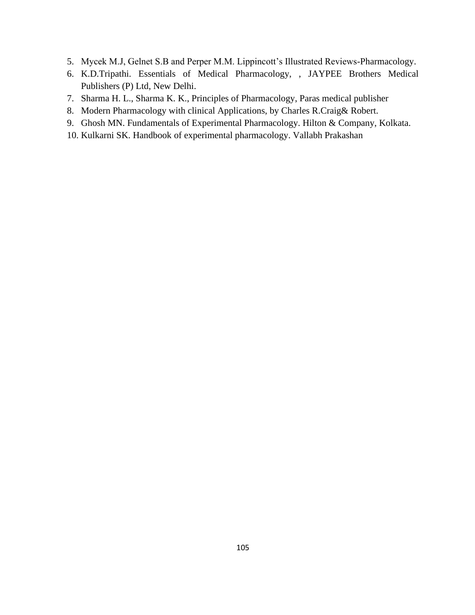- 5. Mycek M.J, Gelnet S.B and Perper M.M. Lippincott's Illustrated Reviews-Pharmacology.
- 6. K.D.Tripathi. Essentials of Medical Pharmacology, , JAYPEE Brothers Medical Publishers (P) Ltd, New Delhi.
- 7. Sharma H. L., Sharma K. K., Principles of Pharmacology, Paras medical publisher
- 8. Modern Pharmacology with clinical Applications, by Charles R.Craig& Robert.
- 9. Ghosh MN. Fundamentals of Experimental Pharmacology. Hilton & Company, Kolkata.
- 10. Kulkarni SK. Handbook of experimental pharmacology. Vallabh Prakashan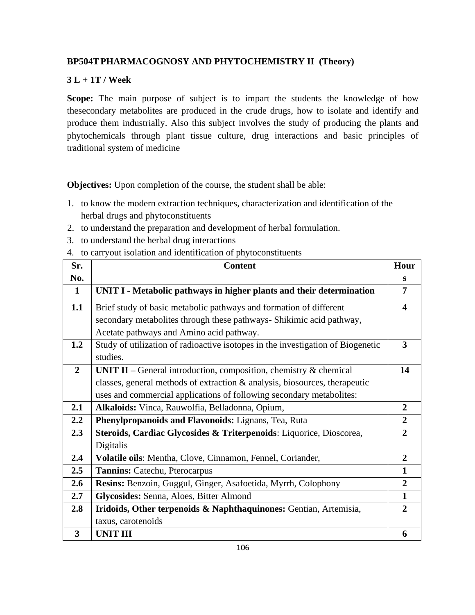# **BP504TPHARMACOGNOSY AND PHYTOCHEMISTRY II (Theory)**

# **3 L + 1T / Week**

**Scope:** The main purpose of subject is to impart the students the knowledge of how thesecondary metabolites are produced in the crude drugs, how to isolate and identify and produce them industrially. Also this subject involves the study of producing the plants and phytochemicals through plant tissue culture, drug interactions and basic principles of traditional system of medicine

**Objectives:** Upon completion of the course, the student shall be able:

- 1. to know the modern extraction techniques, characterization and identification of the herbal drugs and phytoconstituents
- 2. to understand the preparation and development of herbal formulation.
- 3. to understand the herbal drug interactions
- 4. to carryout isolation and identification of phytoconstituents

| Sr.                     | <b>Content</b>                                                                  | Hour             |
|-------------------------|---------------------------------------------------------------------------------|------------------|
| No.                     |                                                                                 | S                |
| $\mathbf{1}$            | UNIT I - Metabolic pathways in higher plants and their determination            | 7                |
| 1.1                     | Brief study of basic metabolic pathways and formation of different              | $\boldsymbol{4}$ |
|                         | secondary metabolites through these pathways- Shikimic acid pathway,            |                  |
|                         | Acetate pathways and Amino acid pathway.                                        |                  |
| 1.2                     | Study of utilization of radioactive isotopes in the investigation of Biogenetic | 3                |
|                         | studies.                                                                        |                  |
| $\overline{2}$          | <b>UNIT II</b> – General introduction, composition, chemistry $\&$ chemical     | 14               |
|                         | classes, general methods of extraction & analysis, biosources, therapeutic      |                  |
|                         | uses and commercial applications of following secondary metabolites:            |                  |
| 2.1                     | Alkaloids: Vinca, Rauwolfia, Belladonna, Opium,                                 | $\overline{2}$   |
| 2.2                     | Phenylpropanoids and Flavonoids: Lignans, Tea, Ruta                             | $\overline{2}$   |
| 2.3                     | Steroids, Cardiac Glycosides & Triterpenoids: Liquorice, Dioscorea,             | $\overline{2}$   |
|                         | Digitalis                                                                       |                  |
| 2.4                     | Volatile oils: Mentha, Clove, Cinnamon, Fennel, Coriander,                      | $\overline{2}$   |
| 2.5                     | Tannins: Catechu, Pterocarpus                                                   | $\mathbf{1}$     |
| 2.6                     | Resins: Benzoin, Guggul, Ginger, Asafoetida, Myrrh, Colophony                   | $\overline{2}$   |
| 2.7                     | Glycosides: Senna, Aloes, Bitter Almond                                         | $\mathbf{1}$     |
| 2.8                     | Iridoids, Other terpenoids & Naphthaquinones: Gentian, Artemisia,               | $\overline{2}$   |
|                         | taxus, carotenoids                                                              |                  |
| $\overline{\mathbf{3}}$ | <b>UNIT III</b>                                                                 | 6                |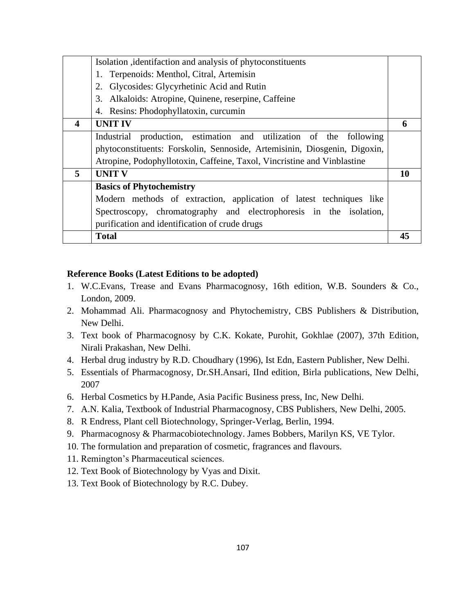|                  | Isolation identifaction and analysis of phytoconstituents                 |    |
|------------------|---------------------------------------------------------------------------|----|
|                  | 1. Terpenoids: Menthol, Citral, Artemisin                                 |    |
|                  | Glycosides: Glycyrhetinic Acid and Rutin<br>2.                            |    |
|                  | 3. Alkaloids: Atropine, Quinene, reserpine, Caffeine                      |    |
|                  | 4. Resins: Phodophyllatoxin, curcumin                                     |    |
| $\boldsymbol{4}$ | <b>UNIT IV</b>                                                            | 6  |
|                  | Industrial production, estimation and utilization of the following        |    |
|                  | phytoconstituents: Forskolin, Sennoside, Artemisinin, Diosgenin, Digoxin, |    |
|                  | Atropine, Podophyllotoxin, Caffeine, Taxol, Vincristine and Vinblastine   |    |
| 5                | <b>UNIT V</b>                                                             | 10 |
|                  | <b>Basics of Phytochemistry</b>                                           |    |
|                  | Modern methods of extraction, application of latest techniques like       |    |
|                  | Spectroscopy, chromatography and electrophoresis in the isolation,        |    |
|                  | purification and identification of crude drugs                            |    |
|                  | <b>Total</b>                                                              | 45 |

- 1. W.C.Evans, Trease and Evans Pharmacognosy, 16th edition, W.B. Sounders & Co., London, 2009.
- 2. Mohammad Ali. Pharmacognosy and Phytochemistry, CBS Publishers & Distribution, New Delhi.
- 3. Text book of Pharmacognosy by C.K. Kokate, Purohit, Gokhlae (2007), 37th Edition, Nirali Prakashan, New Delhi.
- 4. Herbal drug industry by R.D. Choudhary (1996), Ist Edn, Eastern Publisher, New Delhi.
- 5. Essentials of Pharmacognosy, Dr.SH.Ansari, IInd edition, Birla publications, New Delhi, 2007
- 6. Herbal Cosmetics by H.Pande, Asia Pacific Business press, Inc, New Delhi.
- 7. A.N. Kalia, Textbook of Industrial Pharmacognosy, CBS Publishers, New Delhi, 2005.
- 8. R Endress, Plant cell Biotechnology, Springer-Verlag, Berlin, 1994.
- 9. Pharmacognosy & Pharmacobiotechnology. James Bobbers, Marilyn KS, VE Tylor.
- 10. The formulation and preparation of cosmetic, fragrances and flavours.
- 11. Remington's Pharmaceutical sciences.
- 12. Text Book of Biotechnology by Vyas and Dixit.
- 13. Text Book of Biotechnology by R.C. Dubey.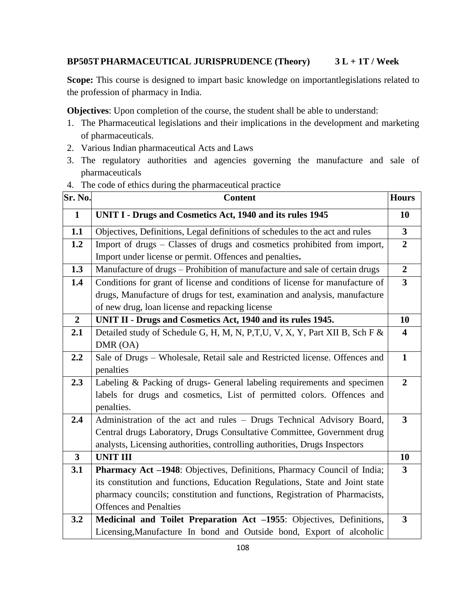# **BP505TPHARMACEUTICAL JURISPRUDENCE (Theory) 3 L + 1T / Week**

**Scope:** This course is designed to impart basic knowledge on importantlegislations related to the profession of pharmacy in India.

**Objectives**: Upon completion of the course, the student shall be able to understand:

- 1. The Pharmaceutical legislations and their implications in the development and marketing of pharmaceuticals.
- 2. Various Indian pharmaceutical Acts and Laws
- 3. The regulatory authorities and agencies governing the manufacture and sale of pharmaceuticals
- 4. The code of ethics during the pharmaceutical practice

| Sr. No.                 | <b>Content</b>                                                               | <b>Hours</b>            |
|-------------------------|------------------------------------------------------------------------------|-------------------------|
| $\mathbf{1}$            | UNIT I - Drugs and Cosmetics Act, 1940 and its rules 1945                    | 10                      |
| 1.1                     | Objectives, Definitions, Legal definitions of schedules to the act and rules | $\overline{\mathbf{3}}$ |
| 1.2                     | Import of drugs - Classes of drugs and cosmetics prohibited from import,     | $\overline{2}$          |
|                         | Import under license or permit. Offences and penalties.                      |                         |
| 1.3                     | Manufacture of drugs - Prohibition of manufacture and sale of certain drugs  | $\overline{2}$          |
| 1.4                     | Conditions for grant of license and conditions of license for manufacture of | $\overline{\mathbf{3}}$ |
|                         | drugs, Manufacture of drugs for test, examination and analysis, manufacture  |                         |
|                         | of new drug, loan license and repacking license                              |                         |
| $\overline{2}$          | UNIT II - Drugs and Cosmetics Act, 1940 and its rules 1945.                  | 10                      |
| 2.1                     | Detailed study of Schedule G, H, M, N, P,T,U, V, X, Y, Part XII B, Sch F &   | $\overline{\mathbf{4}}$ |
|                         | DMR (OA)                                                                     |                         |
| 2.2                     | Sale of Drugs - Wholesale, Retail sale and Restricted license. Offences and  | $\mathbf{1}$            |
|                         | penalties                                                                    |                         |
| 2.3                     | Labeling & Packing of drugs- General labeling requirements and specimen      | $\overline{2}$          |
|                         | labels for drugs and cosmetics, List of permitted colors. Offences and       |                         |
|                         | penalties.                                                                   |                         |
| 2.4                     | Administration of the act and rules - Drugs Technical Advisory Board,        | $\overline{\mathbf{3}}$ |
|                         | Central drugs Laboratory, Drugs Consultative Committee, Government drug      |                         |
|                         | analysts, Licensing authorities, controlling authorities, Drugs Inspectors   |                         |
| $\overline{\mathbf{3}}$ | <b>UNIT III</b>                                                              | 10                      |
| 3.1                     | Pharmacy Act -1948: Objectives, Definitions, Pharmacy Council of India;      | $\overline{3}$          |
|                         | its constitution and functions, Education Regulations, State and Joint state |                         |
|                         | pharmacy councils; constitution and functions, Registration of Pharmacists,  |                         |
|                         | <b>Offences and Penalties</b>                                                |                         |
| 3.2                     | Medicinal and Toilet Preparation Act -1955: Objectives, Definitions,         | $\overline{\mathbf{3}}$ |
|                         | Licensing, Manufacture In bond and Outside bond, Export of alcoholic         |                         |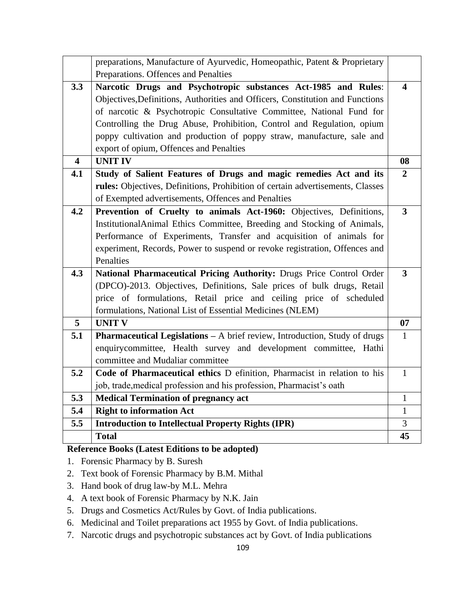|                         | preparations, Manufacture of Ayurvedic, Homeopathic, Patent & Proprietary      |                         |
|-------------------------|--------------------------------------------------------------------------------|-------------------------|
|                         | Preparations. Offences and Penalties                                           |                         |
| 3.3                     | Narcotic Drugs and Psychotropic substances Act-1985 and Rules:                 | $\overline{\mathbf{4}}$ |
|                         | Objectives, Definitions, Authorities and Officers, Constitution and Functions  |                         |
|                         | of narcotic & Psychotropic Consultative Committee, National Fund for           |                         |
|                         | Controlling the Drug Abuse, Prohibition, Control and Regulation, opium         |                         |
|                         | poppy cultivation and production of poppy straw, manufacture, sale and         |                         |
|                         | export of opium, Offences and Penalties                                        |                         |
| $\overline{\mathbf{4}}$ | <b>UNIT IV</b>                                                                 | 08                      |
| 4.1                     | Study of Salient Features of Drugs and magic remedies Act and its              | $\overline{2}$          |
|                         | rules: Objectives, Definitions, Prohibition of certain advertisements, Classes |                         |
|                         | of Exempted advertisements, Offences and Penalties                             |                         |
| 4.2                     | Prevention of Cruelty to animals Act-1960: Objectives, Definitions,            | $\overline{\mathbf{3}}$ |
|                         | InstitutionalAnimal Ethics Committee, Breeding and Stocking of Animals,        |                         |
|                         | Performance of Experiments, Transfer and acquisition of animals for            |                         |
|                         | experiment, Records, Power to suspend or revoke registration, Offences and     |                         |
|                         | Penalties                                                                      |                         |
| 4.3                     | National Pharmaceutical Pricing Authority: Drugs Price Control Order           | $\overline{3}$          |
|                         | (DPCO)-2013. Objectives, Definitions, Sale prices of bulk drugs, Retail        |                         |
|                         | price of formulations, Retail price and ceiling price of scheduled             |                         |
|                         | formulations, National List of Essential Medicines (NLEM)                      |                         |
| $\overline{5}$          | <b>UNIT V</b>                                                                  | 07                      |
| 5.1                     | Pharmaceutical Legislations - A brief review, Introduction, Study of drugs     | $\mathbf{1}$            |
|                         | enquirycommittee, Health survey and development committee, Hathi               |                         |
|                         | committee and Mudaliar committee                                               |                         |
| 5.2                     | Code of Pharmaceutical ethics D efinition, Pharmacist in relation to his       | $\mathbf{1}$            |
|                         | job, trade, medical profession and his profession, Pharmacist's oath           |                         |
| 5.3                     | <b>Medical Termination of pregnancy act</b>                                    | $\mathbf{1}$            |
| 5.4                     | <b>Right to information Act</b>                                                | $\mathbf{1}$            |
| 5.5                     | <b>Introduction to Intellectual Property Rights (IPR)</b>                      | 3                       |
|                         | <b>Total</b>                                                                   | 45                      |

- 1. Forensic Pharmacy by B. Suresh
- 2. Text book of Forensic Pharmacy by B.M. Mithal
- 3. Hand book of drug law-by M.L. Mehra
- 4. A text book of Forensic Pharmacy by N.K. Jain
- 5. Drugs and Cosmetics Act/Rules by Govt. of India publications.
- 6. Medicinal and Toilet preparations act 1955 by Govt. of India publications.
- 7. Narcotic drugs and psychotropic substances act by Govt. of India publications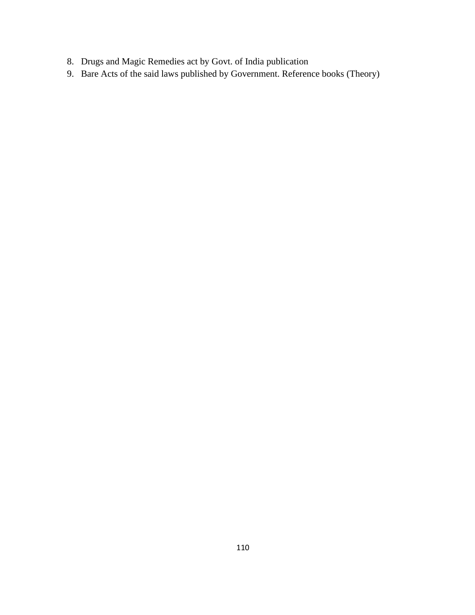- 8. Drugs and Magic Remedies act by Govt. of India publication
- 9. Bare Acts of the said laws published by Government. Reference books (Theory)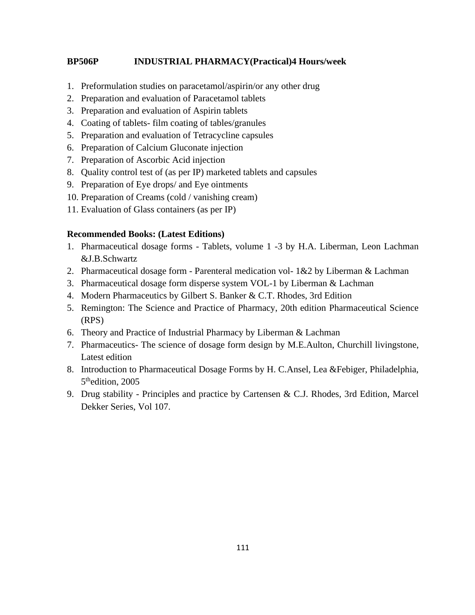### **BP506P INDUSTRIAL PHARMACY(Practical)4 Hours/week**

- 1. Preformulation studies on paracetamol/aspirin/or any other drug
- 2. Preparation and evaluation of Paracetamol tablets
- 3. Preparation and evaluation of Aspirin tablets
- 4. Coating of tablets- film coating of tables/granules
- 5. Preparation and evaluation of Tetracycline capsules
- 6. Preparation of Calcium Gluconate injection
- 7. Preparation of Ascorbic Acid injection
- 8. Quality control test of (as per IP) marketed tablets and capsules
- 9. Preparation of Eye drops/ and Eye ointments
- 10. Preparation of Creams (cold / vanishing cream)
- 11. Evaluation of Glass containers (as per IP)

### **Recommended Books: (Latest Editions)**

- 1. Pharmaceutical dosage forms Tablets, volume 1 -3 by H.A. Liberman, Leon Lachman &J.B.Schwartz
- 2. Pharmaceutical dosage form Parenteral medication vol-  $1&2$  by Liberman & Lachman
- 3. Pharmaceutical dosage form disperse system VOL-1 by Liberman & Lachman
- 4. Modern Pharmaceutics by Gilbert S. Banker & C.T. Rhodes, 3rd Edition
- 5. Remington: The Science and Practice of Pharmacy, 20th edition Pharmaceutical Science (RPS)
- 6. Theory and Practice of Industrial Pharmacy by Liberman & Lachman
- 7. Pharmaceutics- The science of dosage form design by M.E.Aulton, Churchill livingstone, Latest edition
- 8. Introduction to Pharmaceutical Dosage Forms by H. C.Ansel, Lea &Febiger, Philadelphia, 5<sup>th</sup>edition, 2005
- 9. Drug stability Principles and practice by Cartensen & C.J. Rhodes, 3rd Edition, Marcel Dekker Series, Vol 107.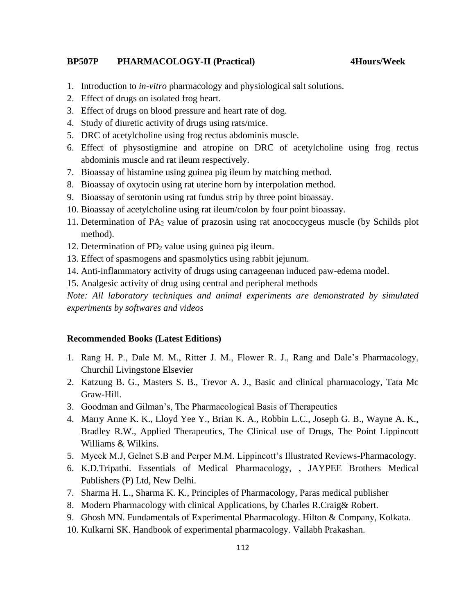#### **BP507P PHARMACOLOGY-II (Practical) 4Hours/Week**

- 1. Introduction to *in-vitro* pharmacology and physiological salt solutions.
- 2. Effect of drugs on isolated frog heart.
- 3. Effect of drugs on blood pressure and heart rate of dog.
- 4. Study of diuretic activity of drugs using rats/mice.
- 5. DRC of acetylcholine using frog rectus abdominis muscle.
- 6. Effect of physostigmine and atropine on DRC of acetylcholine using frog rectus abdominis muscle and rat ileum respectively.
- 7. Bioassay of histamine using guinea pig ileum by matching method.
- 8. Bioassay of oxytocin using rat uterine horn by interpolation method.
- 9. Bioassay of serotonin using rat fundus strip by three point bioassay.
- 10. Bioassay of acetylcholine using rat ileum/colon by four point bioassay.
- 11. Determination of  $PA_2$  value of prazosin using rat anococcygeus muscle (by Schilds plot method).
- 12. Determination of PD<sup>2</sup> value using guinea pig ileum.
- 13. Effect of spasmogens and spasmolytics using rabbit jejunum.
- 14. Anti-inflammatory activity of drugs using carrageenan induced paw-edema model.
- 15. Analgesic activity of drug using central and peripheral methods

*Note: All laboratory techniques and animal experiments are demonstrated by simulated experiments by softwares and videos*

#### **Recommended Books (Latest Editions)**

- 1. Rang H. P., Dale M. M., Ritter J. M., Flower R. J., Rang and Dale's Pharmacology, Churchil Livingstone Elsevier
- 2. Katzung B. G., Masters S. B., Trevor A. J., Basic and clinical pharmacology, Tata Mc Graw-Hill.
- 3. Goodman and Gilman's, The Pharmacological Basis of Therapeutics
- 4. Marry Anne K. K., Lloyd Yee Y., Brian K. A., Robbin L.C., Joseph G. B., Wayne A. K., Bradley R.W., Applied Therapeutics, The Clinical use of Drugs, The Point Lippincott Williams & Wilkins.
- 5. Mycek M.J, Gelnet S.B and Perper M.M. Lippincott's Illustrated Reviews-Pharmacology.
- 6. K.D.Tripathi. Essentials of Medical Pharmacology, , JAYPEE Brothers Medical Publishers (P) Ltd, New Delhi.
- 7. Sharma H. L., Sharma K. K., Principles of Pharmacology, Paras medical publisher
- 8. Modern Pharmacology with clinical Applications, by Charles R.Craig& Robert.
- 9. Ghosh MN. Fundamentals of Experimental Pharmacology. Hilton & Company, Kolkata.
- 10. Kulkarni SK. Handbook of experimental pharmacology. Vallabh Prakashan.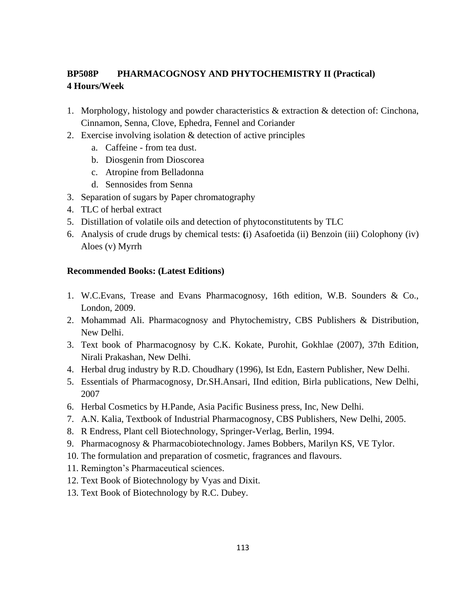# **BP508P PHARMACOGNOSY AND PHYTOCHEMISTRY II (Practical) 4 Hours/Week**

- 1. Morphology, histology and powder characteristics & extraction & detection of: Cinchona, Cinnamon, Senna, Clove, Ephedra, Fennel and Coriander
- 2. Exercise involving isolation & detection of active principles
	- a. Caffeine from tea dust.
	- b. Diosgenin from Dioscorea
	- c. Atropine from Belladonna
	- d. Sennosides from Senna
- 3. Separation of sugars by Paper chromatography
- 4. TLC of herbal extract
- 5. Distillation of volatile oils and detection of phytoconstitutents by TLC
- 6. Analysis of crude drugs by chemical tests: **(**i) Asafoetida (ii) Benzoin (iii) Colophony (iv) Aloes (v) Myrrh

### **Recommended Books: (Latest Editions)**

- 1. W.C.Evans, Trease and Evans Pharmacognosy, 16th edition, W.B. Sounders & Co., London, 2009.
- 2. Mohammad Ali. Pharmacognosy and Phytochemistry, CBS Publishers & Distribution, New Delhi.
- 3. Text book of Pharmacognosy by C.K. Kokate, Purohit, Gokhlae (2007), 37th Edition, Nirali Prakashan, New Delhi.
- 4. Herbal drug industry by R.D. Choudhary (1996), Ist Edn, Eastern Publisher, New Delhi.
- 5. Essentials of Pharmacognosy, Dr.SH.Ansari, IInd edition, Birla publications, New Delhi, 2007
- 6. Herbal Cosmetics by H.Pande, Asia Pacific Business press, Inc, New Delhi.
- 7. A.N. Kalia, Textbook of Industrial Pharmacognosy, CBS Publishers, New Delhi, 2005.
- 8. R Endress, Plant cell Biotechnology, Springer-Verlag, Berlin, 1994.
- 9. Pharmacognosy & Pharmacobiotechnology. James Bobbers, Marilyn KS, VE Tylor.
- 10. The formulation and preparation of cosmetic, fragrances and flavours.
- 11. Remington's Pharmaceutical sciences.
- 12. Text Book of Biotechnology by Vyas and Dixit.
- 13. Text Book of Biotechnology by R.C. Dubey.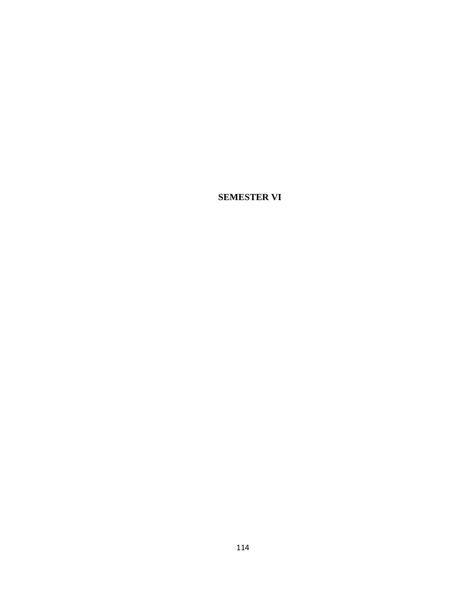**SEMESTER VI**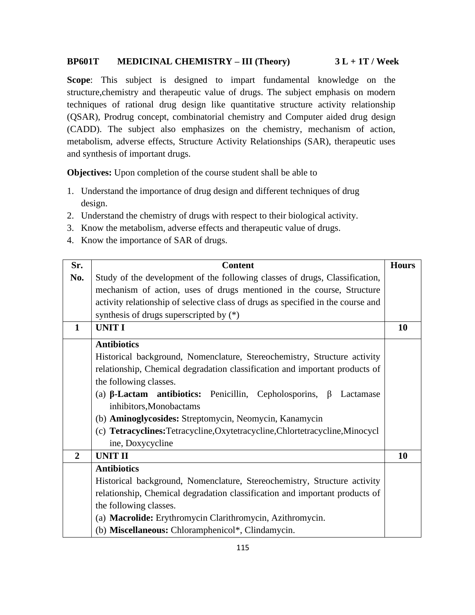#### **BP601T MEDICINAL CHEMISTRY – III (Theory) 3 L + 1T / Week**

**Scope**: This subject is designed to impart fundamental knowledge on the structure,chemistry and therapeutic value of drugs. The subject emphasis on modern techniques of rational drug design like quantitative structure activity relationship (QSAR), Prodrug concept, combinatorial chemistry and Computer aided drug design (CADD). The subject also emphasizes on the chemistry, mechanism of action, metabolism, adverse effects, Structure Activity Relationships (SAR), therapeutic uses and synthesis of important drugs.

**Objectives:** Upon completion of the course student shall be able to

- 1. Understand the importance of drug design and different techniques of drug design.
- 2. Understand the chemistry of drugs with respect to their biological activity.
- 3. Know the metabolism, adverse effects and therapeutic value of drugs.
- 4. Know the importance of SAR of drugs.

| Sr.            | <b>Content</b>                                                                       | <b>Hours</b> |
|----------------|--------------------------------------------------------------------------------------|--------------|
| No.            | Study of the development of the following classes of drugs, Classification,          |              |
|                | mechanism of action, uses of drugs mentioned in the course, Structure                |              |
|                | activity relationship of selective class of drugs as specified in the course and     |              |
|                | synthesis of drugs superscripted by $(*)$                                            |              |
| $\mathbf{1}$   | <b>UNIT I</b>                                                                        | 10           |
|                | <b>Antibiotics</b>                                                                   |              |
|                | Historical background, Nomenclature, Stereochemistry, Structure activity             |              |
|                | relationship, Chemical degradation classification and important products of          |              |
|                | the following classes.                                                               |              |
|                | (a) $\beta$ -Lactam antibiotics: Penicillin, Cepholosporins,<br>$\beta$<br>Lactamase |              |
|                | inhibitors, Monobactams                                                              |              |
|                | (b) <b>Aminoglycosides:</b> Streptomycin, Neomycin, Kanamycin                        |              |
|                | (c) Tetracyclines: Tetracycline, Oxytetracycline, Chlortetracycline, Minocycl        |              |
|                | ine, Doxycycline                                                                     |              |
| $\overline{2}$ | <b>UNIT II</b>                                                                       | 10           |
|                | <b>Antibiotics</b>                                                                   |              |
|                | Historical background, Nomenclature, Stereochemistry, Structure activity             |              |
|                | relationship, Chemical degradation classification and important products of          |              |
|                | the following classes.                                                               |              |
|                | (a) Macrolide: Erythromycin Clarithromycin, Azithromycin.                            |              |
|                | (b) Miscellaneous: Chloramphenicol*, Clindamycin.                                    |              |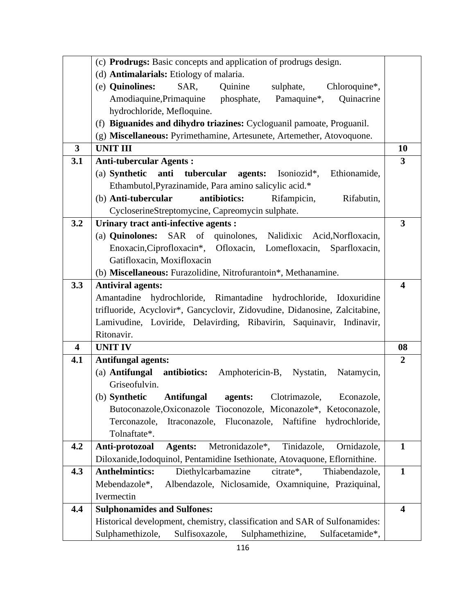|                         | (c) Prodrugs: Basic concepts and application of prodrugs design.                  |                         |
|-------------------------|-----------------------------------------------------------------------------------|-------------------------|
|                         | (d) Antimalarials: Etiology of malaria.                                           |                         |
|                         | (e) Quinolines:<br>SAR,<br>Quinine<br>sulphate,<br>Chloroquine*,                  |                         |
|                         | Quinacrine<br>Amodiaquine, Primaquine phosphate, Pamaquine*,                      |                         |
|                         | hydrochloride, Mefloquine.                                                        |                         |
|                         | (f) Biguanides and dihydro triazines: Cycloguanil pamoate, Proguanil.             |                         |
|                         | (g) Miscellaneous: Pyrimethamine, Artesunete, Artemether, Atovoquone.             |                         |
| $\overline{3}$          | <b>UNIT III</b>                                                                   | <b>10</b>               |
| 3.1                     | <b>Anti-tubercular Agents:</b>                                                    | $\overline{\mathbf{3}}$ |
|                         | (a) Synthetic<br>anti<br>tubercular<br><b>agents:</b> Isoniozid*,<br>Ethionamide, |                         |
|                         | Ethambutol, Pyrazinamide, Para amino salicylic acid.*                             |                         |
|                         | antibiotics:<br>(b) Anti-tubercular<br>Rifampicin,<br>Rifabutin,                  |                         |
|                         | CycloserineStreptomycine, Capreomycin sulphate.                                   |                         |
| 3.2                     | Urinary tract anti-infective agents :                                             | $\overline{3}$          |
|                         | (a) Quinolones: SAR of quinolones, Nalidixic Acid, Norfloxacin,                   |                         |
|                         | Enoxacin, Ciprofloxacin*, Ofloxacin, Lomefloxacin,<br>Sparfloxacin,               |                         |
|                         | Gatifloxacin, Moxifloxacin                                                        |                         |
|                         | (b) Miscellaneous: Furazolidine, Nitrofurantoin*, Methanamine.                    |                         |
| 3.3                     | <b>Antiviral agents:</b>                                                          | $\overline{\mathbf{4}}$ |
|                         | Amantadine hydrochloride, Rimantadine hydrochloride, Idoxuridine                  |                         |
|                         | trifluoride, Acyclovir*, Gancyclovir, Zidovudine, Didanosine, Zalcitabine,        |                         |
|                         | Lamivudine, Loviride, Delavirding, Ribavirin, Saquinavir, Indinavir,              |                         |
|                         | Ritonavir.                                                                        |                         |
| $\overline{\mathbf{4}}$ | <b>UNIT IV</b>                                                                    | 08                      |
| 4.1                     | <b>Antifungal agents:</b>                                                         | $\boldsymbol{2}$        |
|                         | (a) Antifungal<br>antibiotics:<br>Amphotericin-B, Nystatin,<br>Natamycin,         |                         |
|                         | Griseofulvin.                                                                     |                         |
|                         | (b) Synthetic<br><b>Antifungal</b><br>Clotrimazole,<br>Econazole,<br>agents:      |                         |
|                         | Butoconazole, Oxiconazole Tioconozole, Miconazole*, Ketoconazole,                 |                         |
|                         | Terconazole, Itraconazole, Fluconazole, Naftifine hydrochloride,                  |                         |
|                         | Tolnaftate*.                                                                      |                         |
| 4.2                     | Metronidazole*,<br>Tinidazole,<br>Anti-protozoal<br><b>Agents:</b><br>Ornidazole, | $\mathbf{1}$            |
|                         | Diloxanide, Iodoquinol, Pentamidine Isethionate, Atovaquone, Eflornithine.        |                         |
| 4.3                     | <b>Anthelmintics:</b><br>Diethylcarbamazine<br>citrate*,<br>Thiabendazole,        | $\mathbf{1}$            |
|                         | Albendazole, Niclosamide, Oxamniquine, Praziquinal,<br>Mebendazole*,              |                         |
|                         | Ivermectin                                                                        |                         |
| 4.4                     | <b>Sulphonamides and Sulfones:</b>                                                | $\overline{\mathbf{4}}$ |
|                         | Historical development, chemistry, classification and SAR of Sulfonamides:        |                         |
|                         | Sulphamethizole,<br>Sulfisoxazole,<br>Sulphamethizine,<br>Sulfacetamide*,         |                         |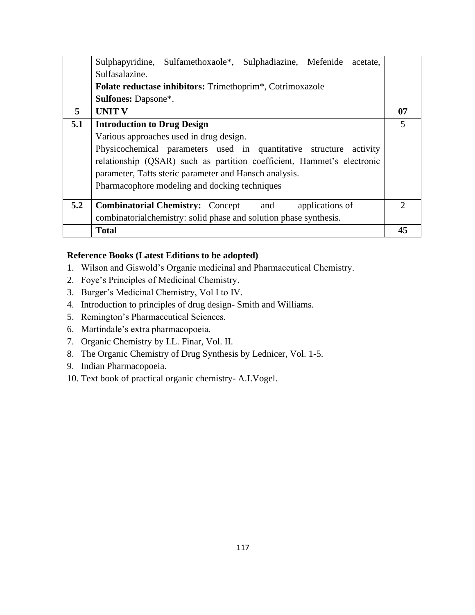|     | Sulphapyridine, Sulfamethoxaole*, Sulphadiazine, Mefenide<br>acetate.         |                |
|-----|-------------------------------------------------------------------------------|----------------|
|     | Sulfasalazine.                                                                |                |
|     | <b>Folate reductase inhibitors:</b> Trimethoprim <sup>*</sup> , Cotrimoxazole |                |
|     | <b>Sulfones: Dapsone*.</b>                                                    |                |
| 5   | <b>UNIT V</b>                                                                 | 07             |
| 5.1 | <b>Introduction to Drug Design</b>                                            | $\overline{5}$ |
|     | Various approaches used in drug design.                                       |                |
|     | Physicochemical parameters used in quantitative structure<br>activity         |                |
|     | relationship (QSAR) such as partition coefficient, Hammet's electronic        |                |
|     | parameter, Tafts steric parameter and Hansch analysis.                        |                |
|     | Pharmacophore modeling and docking techniques                                 |                |
|     |                                                                               |                |
| 5.2 | <b>Combinatorial Chemistry:</b> Concept<br>applications of<br>and             | ∍              |
|     | combinatorial chemistry: solid phase and solution phase synthesis.            |                |
|     | <b>Total</b>                                                                  | 45             |

- 1. Wilson and Giswold's Organic medicinal and Pharmaceutical Chemistry.
- 2. Foye's Principles of Medicinal Chemistry.
- 3. Burger's Medicinal Chemistry, Vol I to IV.
- 4. Introduction to principles of drug design- Smith and Williams.
- 5. Remington's Pharmaceutical Sciences.
- 6. Martindale's extra pharmacopoeia.
- 7. Organic Chemistry by I.L. Finar, Vol. II.
- 8. The Organic Chemistry of Drug Synthesis by Lednicer, Vol. 1-5.
- 9. Indian Pharmacopoeia.
- 10. Text book of practical organic chemistry- A.I.Vogel.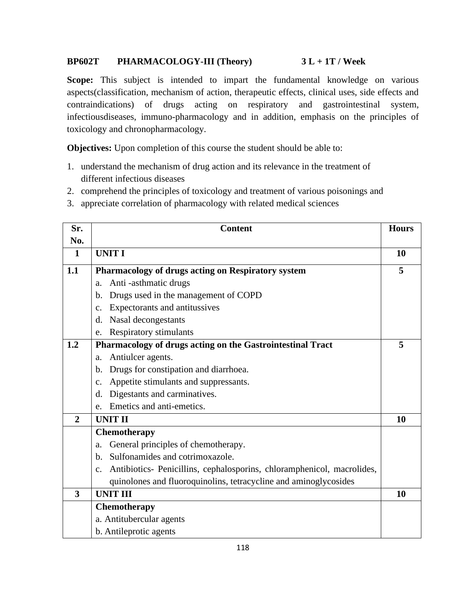# **BP602T PHARMACOLOGY-III (Theory) 3 L + 1T / Week**

**Scope:** This subject is intended to impart the fundamental knowledge on various aspects(classification, mechanism of action, therapeutic effects, clinical uses, side effects and contraindications) of drugs acting on respiratory and gastrointestinal system, infectiousdiseases, immuno-pharmacology and in addition, emphasis on the principles of toxicology and chronopharmacology.

**Objectives:** Upon completion of this course the student should be able to:

- 1. understand the mechanism of drug action and its relevance in the treatment of different infectious diseases
- 2. comprehend the principles of toxicology and treatment of various poisonings and
- 3. appreciate correlation of pharmacology with related medical sciences

| Sr.            | <b>Content</b>                                                                           | <b>Hours</b> |
|----------------|------------------------------------------------------------------------------------------|--------------|
| No.            |                                                                                          |              |
| $\mathbf{1}$   | <b>UNIT I</b>                                                                            | 10           |
| 1.1            | Pharmacology of drugs acting on Respiratory system                                       | 5            |
|                | Anti-asthmatic drugs<br>a.                                                               |              |
|                | Drugs used in the management of COPD<br>b.                                               |              |
|                | Expectorants and antitussives<br>$\mathbf{C}$ .                                          |              |
|                | Nasal decongestants<br>d.                                                                |              |
|                | Respiratory stimulants<br>e.                                                             |              |
| 1.2            | Pharmacology of drugs acting on the Gastrointestinal Tract                               | 5            |
|                | Antiulcer agents.<br>a.                                                                  |              |
|                | Drugs for constipation and diarrhoea.<br>$\mathbf{b}$ .                                  |              |
|                | Appetite stimulants and suppressants.<br>c.                                              |              |
|                | Digestants and carminatives.<br>d.                                                       |              |
|                | Emetics and anti-emetics.<br>e.                                                          |              |
| $\overline{2}$ | <b>UNIT II</b>                                                                           | 10           |
|                | <b>Chemotherapy</b>                                                                      |              |
|                | General principles of chemotherapy.<br>a.                                                |              |
|                | Sulfonamides and cotrimoxazole.<br>$h_{\cdot}$                                           |              |
|                | Antibiotics- Penicillins, cephalosporins, chloramphenicol, macrolides,<br>$\mathbf{c}$ . |              |
|                | quinolones and fluoroquinolins, tetracycline and aminoglycosides                         |              |
| 3              | <b>UNIT III</b>                                                                          | 10           |
|                | Chemotherapy                                                                             |              |
|                | a. Antitubercular agents                                                                 |              |
|                | b. Antileprotic agents                                                                   |              |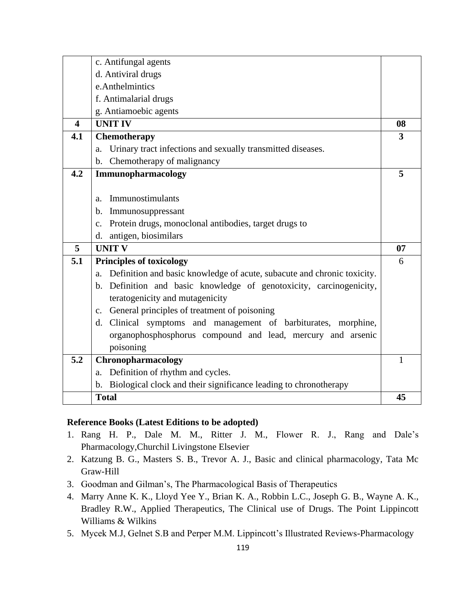|                         | c. Antifungal agents                                                          |    |
|-------------------------|-------------------------------------------------------------------------------|----|
|                         | d. Antiviral drugs                                                            |    |
|                         | e.Anthelmintics                                                               |    |
|                         | f. Antimalarial drugs                                                         |    |
|                         | g. Antiamoebic agents                                                         |    |
| $\overline{\mathbf{4}}$ | <b>UNIT IV</b>                                                                | 08 |
| 4.1                     | Chemotherapy                                                                  | 3  |
|                         | Urinary tract infections and sexually transmitted diseases.<br>a.             |    |
|                         | b. Chemotherapy of malignancy                                                 |    |
| 4.2                     | Immunopharmacology                                                            | 5  |
|                         |                                                                               |    |
|                         | Immunostimulants<br>a.                                                        |    |
|                         | b. Immunosuppressant                                                          |    |
|                         | c. Protein drugs, monoclonal antibodies, target drugs to                      |    |
|                         | d. antigen, biosimilars                                                       |    |
| 5                       | <b>UNIT V</b>                                                                 | 07 |
| 5.1                     | <b>Principles of toxicology</b>                                               | 6  |
|                         | Definition and basic knowledge of acute, subacute and chronic toxicity.<br>a. |    |
|                         | b. Definition and basic knowledge of genotoxicity, carcinogenicity,           |    |
|                         | teratogenicity and mutagenicity                                               |    |
|                         | c. General principles of treatment of poisoning                               |    |
|                         | d. Clinical symptoms and management of barbiturates, morphine,                |    |
|                         | organophosphosphorus compound and lead, mercury and arsenic                   |    |
|                         | poisoning                                                                     |    |
| 5.2                     | Chronopharmacology                                                            | 1  |
|                         | Definition of rhythm and cycles.<br>a.                                        |    |
|                         | Biological clock and their significance leading to chronotherapy<br>b.        |    |
|                         | <b>Total</b>                                                                  | 45 |

- 1. Rang H. P., Dale M. M., Ritter J. M., Flower R. J., Rang and Dale's Pharmacology,Churchil Livingstone Elsevier
- 2. Katzung B. G., Masters S. B., Trevor A. J., Basic and clinical pharmacology, Tata Mc Graw-Hill
- 3. Goodman and Gilman's, The Pharmacological Basis of Therapeutics
- 4. Marry Anne K. K., Lloyd Yee Y., Brian K. A., Robbin L.C., Joseph G. B., Wayne A. K., Bradley R.W., Applied Therapeutics, The Clinical use of Drugs. The Point Lippincott Williams & Wilkins
- 5. Mycek M.J, Gelnet S.B and Perper M.M. Lippincott's Illustrated Reviews-Pharmacology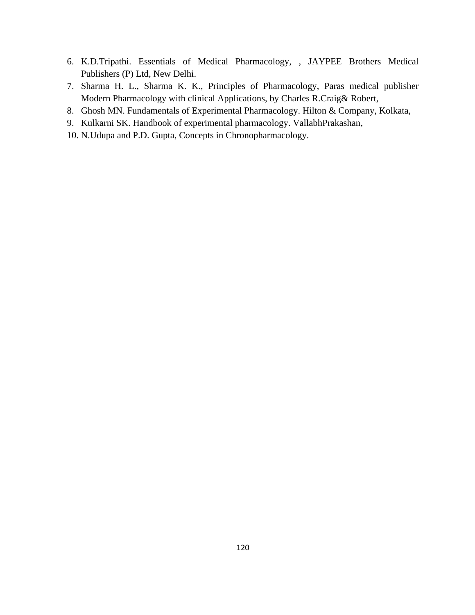- 6. K.D.Tripathi. Essentials of Medical Pharmacology, , JAYPEE Brothers Medical Publishers (P) Ltd, New Delhi.
- 7. Sharma H. L., Sharma K. K., Principles of Pharmacology, Paras medical publisher Modern Pharmacology with clinical Applications, by Charles R.Craig& Robert,
- 8. Ghosh MN. Fundamentals of Experimental Pharmacology. Hilton & Company, Kolkata,
- 9. Kulkarni SK. Handbook of experimental pharmacology. VallabhPrakashan,
- 10. N.Udupa and P.D. Gupta, Concepts in Chronopharmacology.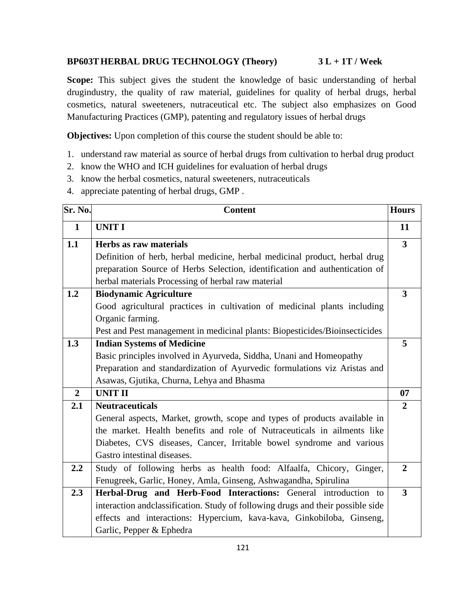# **BP603THERBAL DRUG TECHNOLOGY (Theory) 3 L + 1T / Week**

**Scope:** This subject gives the student the knowledge of basic understanding of herbal drugindustry, the quality of raw material, guidelines for quality of herbal drugs, herbal cosmetics, natural sweeteners, nutraceutical etc. The subject also emphasizes on Good Manufacturing Practices (GMP), patenting and regulatory issues of herbal drugs

**Objectives:** Upon completion of this course the student should be able to:

- 1. understand raw material as source of herbal drugs from cultivation to herbal drug product
- 2. know the WHO and ICH guidelines for evaluation of herbal drugs
- 3. know the herbal cosmetics, natural sweeteners, nutraceuticals
- 4. appreciate patenting of herbal drugs, GMP .

| Sr. No.        | <b>Content</b>                                                                   | <b>Hours</b>            |
|----------------|----------------------------------------------------------------------------------|-------------------------|
| $\mathbf{1}$   | <b>UNIT I</b>                                                                    | 11                      |
| 1.1            | Herbs as raw materials                                                           | 3                       |
|                | Definition of herb, herbal medicine, herbal medicinal product, herbal drug       |                         |
|                | preparation Source of Herbs Selection, identification and authentication of      |                         |
|                | herbal materials Processing of herbal raw material                               |                         |
| 1.2            | <b>Biodynamic Agriculture</b>                                                    | $\overline{\mathbf{3}}$ |
|                | Good agricultural practices in cultivation of medicinal plants including         |                         |
|                | Organic farming.                                                                 |                         |
|                | Pest and Pest management in medicinal plants: Biopesticides/Bioinsecticides      |                         |
| 1.3            | <b>Indian Systems of Medicine</b>                                                | 5                       |
|                | Basic principles involved in Ayurveda, Siddha, Unani and Homeopathy              |                         |
|                | Preparation and standardization of Ayurvedic formulations viz Aristas and        |                         |
|                | Asawas, Gjutika, Churna, Lehya and Bhasma                                        |                         |
| $\overline{2}$ | <b>UNIT II</b>                                                                   | 07                      |
| 2.1            | <b>Neutraceuticals</b>                                                           | $\overline{2}$          |
|                | General aspects, Market, growth, scope and types of products available in        |                         |
|                | the market. Health benefits and role of Nutraceuticals in ailments like          |                         |
|                | Diabetes, CVS diseases, Cancer, Irritable bowel syndrome and various             |                         |
|                | Gastro intestinal diseases.                                                      |                         |
| 2.2            | Study of following herbs as health food: Alfaalfa, Chicory, Ginger,              | $\overline{2}$          |
|                | Fenugreek, Garlic, Honey, Amla, Ginseng, Ashwagandha, Spirulina                  |                         |
| 2.3            | Herbal-Drug and Herb-Food Interactions: General introduction to                  | $\overline{\mathbf{3}}$ |
|                | interaction and classification. Study of following drugs and their possible side |                         |
|                | effects and interactions: Hypercium, kava-kava, Ginkobiloba, Ginseng,            |                         |
|                | Garlic, Pepper & Ephedra                                                         |                         |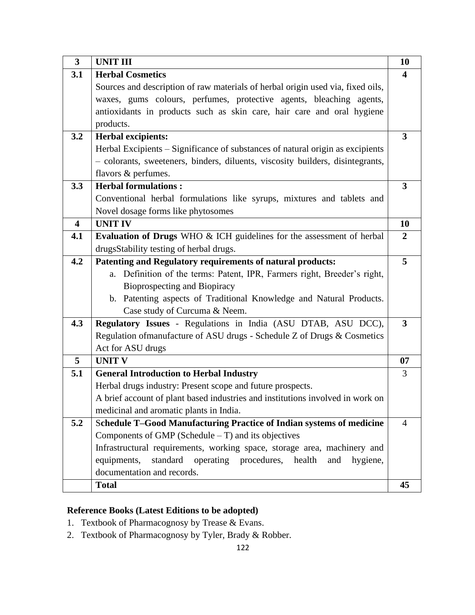| $\overline{\mathbf{3}}$ | <b>UNIT III</b>                                                                 | 10                      |
|-------------------------|---------------------------------------------------------------------------------|-------------------------|
| 3.1                     | <b>Herbal Cosmetics</b>                                                         | 4                       |
|                         | Sources and description of raw materials of herbal origin used via, fixed oils, |                         |
|                         | waxes, gums colours, perfumes, protective agents, bleaching agents,             |                         |
|                         | antioxidants in products such as skin care, hair care and oral hygiene          |                         |
|                         | products.                                                                       |                         |
| 3.2                     | <b>Herbal excipients:</b>                                                       | $\overline{\mathbf{3}}$ |
|                         | Herbal Excipients – Significance of substances of natural origin as excipients  |                         |
|                         | - colorants, sweeteners, binders, diluents, viscosity builders, disintegrants,  |                         |
|                         | flavors & perfumes.                                                             |                         |
| 3.3                     | <b>Herbal formulations:</b>                                                     | 3                       |
|                         | Conventional herbal formulations like syrups, mixtures and tablets and          |                         |
|                         | Novel dosage forms like phytosomes                                              |                         |
| $\overline{\mathbf{4}}$ | <b>UNIT IV</b>                                                                  | 10                      |
| 4.1                     | Evaluation of Drugs WHO & ICH guidelines for the assessment of herbal           | $\overline{2}$          |
|                         | drugsStability testing of herbal drugs.                                         |                         |
| 4.2                     | Patenting and Regulatory requirements of natural products:                      | 5                       |
|                         | Definition of the terms: Patent, IPR, Farmers right, Breeder's right,<br>a.     |                         |
|                         | Bioprospecting and Biopiracy                                                    |                         |
|                         | b. Patenting aspects of Traditional Knowledge and Natural Products.             |                         |
|                         | Case study of Curcuma & Neem.                                                   |                         |
| 4.3                     | Regulatory Issues - Regulations in India (ASU DTAB, ASU DCC),                   | $\overline{3}$          |
|                         | Regulation of manufacture of ASU drugs - Schedule Z of Drugs & Cosmetics        |                         |
|                         | Act for ASU drugs                                                               |                         |
| $\overline{5}$          | <b>UNIT V</b>                                                                   | 07                      |
| 5.1                     | <b>General Introduction to Herbal Industry</b>                                  | 3                       |
|                         | Herbal drugs industry: Present scope and future prospects.                      |                         |
|                         | A brief account of plant based industries and institutions involved in work on  |                         |
|                         | medicinal and aromatic plants in India.                                         |                         |
| 5.2                     | Schedule T-Good Manufacturing Practice of Indian systems of medicine            | $\overline{4}$          |
|                         | Components of GMP (Schedule $-$ T) and its objectives                           |                         |
|                         | Infrastructural requirements, working space, storage area, machinery and        |                         |
|                         | standard operating procedures, health<br>equipments,<br>and<br>hygiene,         |                         |
|                         | documentation and records.                                                      |                         |
|                         | <b>Total</b>                                                                    | 45                      |

- 1. Textbook of Pharmacognosy by Trease & Evans.
- 2. Textbook of Pharmacognosy by Tyler, Brady & Robber.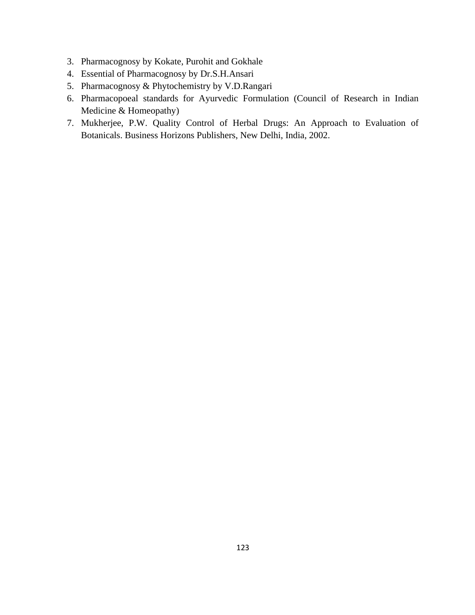- 3. Pharmacognosy by Kokate, Purohit and Gokhale
- 4. Essential of Pharmacognosy by Dr.S.H.Ansari
- 5. Pharmacognosy & Phytochemistry by V.D.Rangari
- 6. Pharmacopoeal standards for Ayurvedic Formulation (Council of Research in Indian Medicine & Homeopathy)
- 7. Mukherjee, P.W. Quality Control of Herbal Drugs: An Approach to Evaluation of Botanicals. Business Horizons Publishers, New Delhi, India, 2002.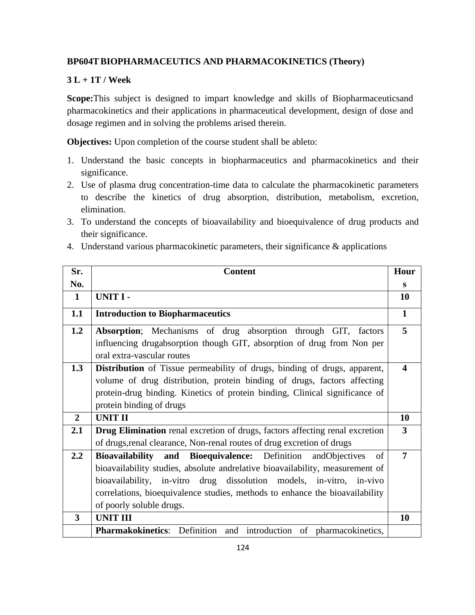# **BP604TBIOPHARMACEUTICS AND PHARMACOKINETICS (Theory)**

# **3 L + 1T / Week**

**Scope:**This subject is designed to impart knowledge and skills of Biopharmaceuticsand pharmacokinetics and their applications in pharmaceutical development, design of dose and dosage regimen and in solving the problems arised therein.

**Objectives:** Upon completion of the course student shall be ableto:

- 1. Understand the basic concepts in biopharmaceutics and pharmacokinetics and their significance.
- 2. Use of plasma drug concentration-time data to calculate the pharmacokinetic parameters to describe the kinetics of drug absorption, distribution, metabolism, excretion, elimination.
- 3. To understand the concepts of bioavailability and bioequivalence of drug products and their significance.
- 4. Understand various pharmacokinetic parameters, their significance & applications

| Sr.            | <b>Content</b>                                                                                                                           | Hour                    |
|----------------|------------------------------------------------------------------------------------------------------------------------------------------|-------------------------|
| No.            |                                                                                                                                          | S                       |
| $\mathbf{1}$   | <b>UNIT I-</b>                                                                                                                           | 10                      |
| 1.1            | <b>Introduction to Biopharmaceutics</b>                                                                                                  | $\mathbf{1}$            |
| 1.2            | Absorption; Mechanisms of drug absorption through GIT, factors<br>influencing drugabsorption though GIT, absorption of drug from Non per | 5                       |
|                | oral extra-vascular routes                                                                                                               |                         |
| 1.3            | <b>Distribution</b> of Tissue permeability of drugs, binding of drugs, apparent,                                                         | $\overline{\mathbf{4}}$ |
|                | volume of drug distribution, protein binding of drugs, factors affecting                                                                 |                         |
|                | protein-drug binding. Kinetics of protein binding, Clinical significance of                                                              |                         |
|                | protein binding of drugs                                                                                                                 |                         |
| $\overline{2}$ | <b>UNIT II</b>                                                                                                                           | 10                      |
| 2.1            | Drug Elimination renal excretion of drugs, factors affecting renal excretion                                                             | 3                       |
|                | of drugs, renal clearance, Non-renal routes of drug excretion of drugs                                                                   |                         |
| 2.2            | Bioavailability and Bioequivalence: Definition<br>andObjectives<br>of                                                                    | 7                       |
|                | bioavailability studies, absolute andrelative bioavailability, measurement of                                                            |                         |
|                | bioavailability, in-vitro drug dissolution models, in-vitro, in-vivo                                                                     |                         |
|                | correlations, bioequivalence studies, methods to enhance the bioavailability                                                             |                         |
|                | of poorly soluble drugs.                                                                                                                 |                         |
| 3              | <b>UNIT III</b>                                                                                                                          | 10                      |
|                | Pharmakokinetics: Definition and introduction of pharmacokinetics,                                                                       |                         |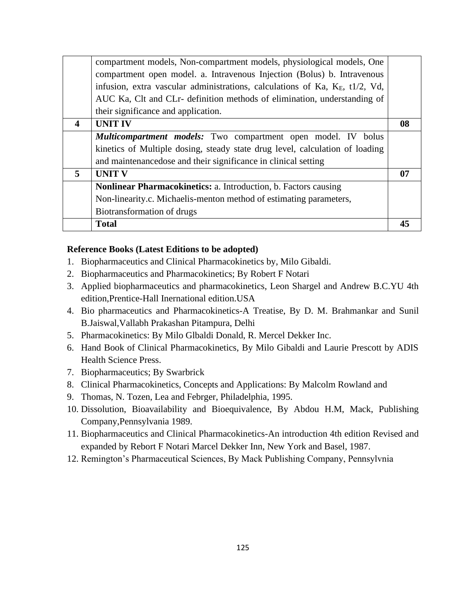|                  | <b>Total</b>                                                                    | 45 |
|------------------|---------------------------------------------------------------------------------|----|
|                  | Biotransformation of drugs                                                      |    |
|                  | Non-linearity.c. Michaelis-menton method of estimating parameters,              |    |
|                  | Nonlinear Pharmacokinetics: a. Introduction, b. Factors causing                 |    |
| 5                | <b>UNIT V</b>                                                                   | 07 |
|                  | and maintenancedose and their significance in clinical setting                  |    |
|                  | kinetics of Multiple dosing, steady state drug level, calculation of loading    |    |
|                  | <b><i>Multicompartment models:</i></b> Two compartment open model. IV bolus     |    |
| $\boldsymbol{4}$ | <b>UNIT IV</b>                                                                  | 08 |
|                  | their significance and application.                                             |    |
|                  | AUC Ka, Clt and CLr- definition methods of elimination, understanding of        |    |
|                  | infusion, extra vascular administrations, calculations of Ka, $K_E$ , t1/2, Vd, |    |
|                  | compartment open model. a. Intravenous Injection (Bolus) b. Intravenous         |    |
|                  | compartment models, Non-compartment models, physiological models, One           |    |

- 1. Biopharmaceutics and Clinical Pharmacokinetics by, Milo Gibaldi.
- 2. Biopharmaceutics and Pharmacokinetics; By Robert F Notari
- 3. Applied biopharmaceutics and pharmacokinetics, Leon Shargel and Andrew B.C.YU 4th edition,Prentice-Hall Inernational edition.USA
- 4. Bio pharmaceutics and Pharmacokinetics-A Treatise, By D. M. Brahmankar and Sunil B.Jaiswal,Vallabh Prakashan Pitampura, Delhi
- 5. Pharmacokinetics: By Milo Glbaldi Donald, R. Mercel Dekker Inc.
- 6. Hand Book of Clinical Pharmacokinetics, By Milo Gibaldi and Laurie Prescott by ADIS Health Science Press.
- 7. Biopharmaceutics; By Swarbrick
- 8. Clinical Pharmacokinetics, Concepts and Applications: By Malcolm Rowland and
- 9. Thomas, N. Tozen, Lea and Febrger, Philadelphia, 1995.
- 10. Dissolution, Bioavailability and Bioequivalence, By Abdou H.M, Mack, Publishing Company,Pennsylvania 1989.
- 11. Biopharmaceutics and Clinical Pharmacokinetics-An introduction 4th edition Revised and expanded by Rebort F Notari Marcel Dekker Inn, New York and Basel, 1987.
- 12. Remington's Pharmaceutical Sciences, By Mack Publishing Company, Pennsylvnia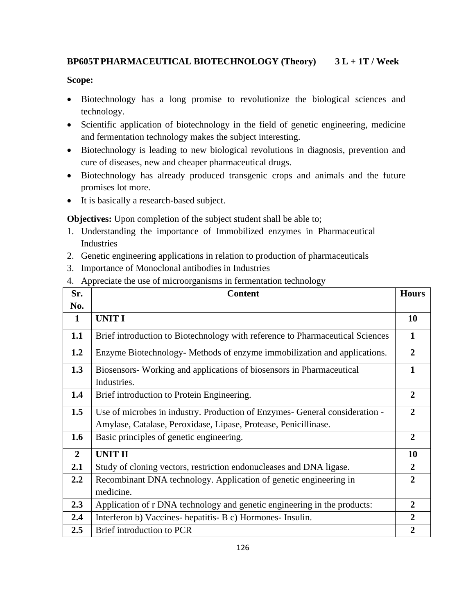# **BP605TPHARMACEUTICAL BIOTECHNOLOGY (Theory) 3 L + 1T / Week**

# **Scope:**

- Biotechnology has a long promise to revolutionize the biological sciences and technology.
- Scientific application of biotechnology in the field of genetic engineering, medicine and fermentation technology makes the subject interesting.
- Biotechnology is leading to new biological revolutions in diagnosis, prevention and cure of diseases, new and cheaper pharmaceutical drugs.
- Biotechnology has already produced transgenic crops and animals and the future promises lot more.
- It is basically a research-based subject.

**Objectives:** Upon completion of the subject student shall be able to;

- 1. Understanding the importance of Immobilized enzymes in Pharmaceutical Industries
- 2. Genetic engineering applications in relation to production of pharmaceuticals
- 3. Importance of Monoclonal antibodies in Industries
- 4. Appreciate the use of microorganisms in fermentation technology

| Sr.            | <b>Content</b>                                                                     | <b>Hours</b>     |
|----------------|------------------------------------------------------------------------------------|------------------|
| No.            |                                                                                    |                  |
| $\mathbf 1$    | <b>UNIT I</b>                                                                      | 10               |
| 1.1            | Brief introduction to Biotechnology with reference to Pharmaceutical Sciences      | $\mathbf{1}$     |
| 1.2            | Enzyme Biotechnology- Methods of enzyme immobilization and applications.           | $\boldsymbol{2}$ |
| 1.3            | Biosensors-Working and applications of biosensors in Pharmaceutical<br>Industries. |                  |
| 1.4            | Brief introduction to Protein Engineering.                                         | $\overline{2}$   |
| 1.5            | Use of microbes in industry. Production of Enzymes- General consideration -        | $\mathbf{2}$     |
|                | Amylase, Catalase, Peroxidase, Lipase, Protease, Penicillinase.                    |                  |
| 1.6            | Basic principles of genetic engineering.                                           | $\overline{2}$   |
| $\overline{2}$ | <b>UNIT II</b>                                                                     | 10               |
| 2.1            | Study of cloning vectors, restriction endonucleases and DNA ligase.                | 2                |
| 2.2            | Recombinant DNA technology. Application of genetic engineering in                  | $\overline{2}$   |
|                | medicine.                                                                          |                  |
| 2.3            | Application of r DNA technology and genetic engineering in the products:           | $\overline{2}$   |
| 2.4            | Interferon b) Vaccines-hepatitis- B c) Hormones- Insulin.                          | $\overline{2}$   |
| 2.5            | Brief introduction to PCR                                                          | $\overline{2}$   |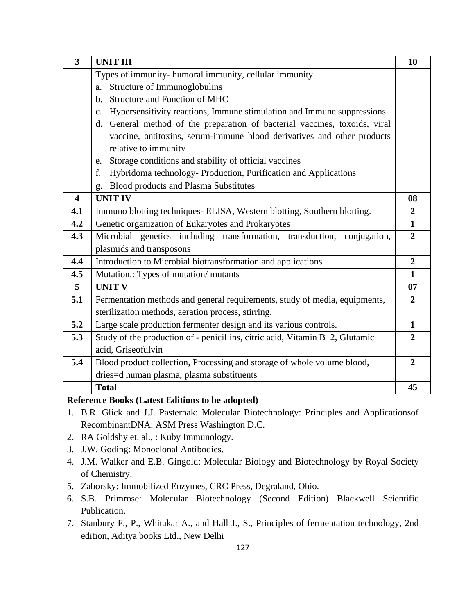| $\overline{\mathbf{3}}$ | <b>UNIT III</b>                                                              | 10               |
|-------------------------|------------------------------------------------------------------------------|------------------|
|                         | Types of immunity- humoral immunity, cellular immunity                       |                  |
|                         | Structure of Immunoglobulins<br>a.                                           |                  |
|                         | <b>Structure and Function of MHC</b><br>$\mathbf{b}$ .                       |                  |
|                         | Hypersensitivity reactions, Immune stimulation and Immune suppressions<br>c. |                  |
|                         | d. General method of the preparation of bacterial vaccines, toxoids, viral   |                  |
|                         | vaccine, antitoxins, serum-immune blood derivatives and other products       |                  |
|                         | relative to immunity                                                         |                  |
|                         | Storage conditions and stability of official vaccines<br>e.                  |                  |
|                         | Hybridoma technology- Production, Purification and Applications<br>f.        |                  |
|                         | <b>Blood products and Plasma Substitutes</b><br>g.                           |                  |
| $\overline{\mathbf{4}}$ | <b>UNIT IV</b>                                                               | 08               |
| 4.1                     | Immuno blotting techniques- ELISA, Western blotting, Southern blotting.      | $\boldsymbol{2}$ |
| 4.2                     | Genetic organization of Eukaryotes and Prokaryotes                           | $\mathbf{1}$     |
| 4.3                     | Microbial genetics including transformation, transduction, conjugation,      | $\overline{2}$   |
|                         | plasmids and transposons                                                     |                  |
| 4.4                     | Introduction to Microbial biotransformation and applications                 | $\overline{2}$   |
| 4.5                     | Mutation.: Types of mutation/mutants                                         | $\mathbf{1}$     |
| 5                       | <b>UNIT V</b>                                                                | 07               |
| 5.1                     | Fermentation methods and general requirements, study of media, equipments,   | $\overline{2}$   |
|                         | sterilization methods, aeration process, stirring.                           |                  |
| 5.2                     | Large scale production fermenter design and its various controls.            | $\mathbf{1}$     |
| 5.3                     | Study of the production of - penicillins, citric acid, Vitamin B12, Glutamic | $\overline{2}$   |
|                         | acid, Griseofulvin                                                           |                  |
| 5.4                     | Blood product collection, Processing and storage of whole volume blood,      | $\overline{2}$   |
|                         | dries=d human plasma, plasma substituents                                    |                  |
|                         | <b>Total</b>                                                                 | 45               |

- 1. B.R. Glick and J.J. Pasternak: Molecular Biotechnology: Principles and Applicationsof RecombinantDNA: ASM Press Washington D.C.
- 2. RA Goldshy et. al., : Kuby Immunology.
- 3. J.W. Goding: Monoclonal Antibodies.
- 4. J.M. Walker and E.B. Gingold: Molecular Biology and Biotechnology by Royal Society of Chemistry.
- 5. Zaborsky: Immobilized Enzymes, CRC Press, Degraland, Ohio.
- 6. S.B. Primrose: Molecular Biotechnology (Second Edition) Blackwell Scientific Publication.
- 7. Stanbury F., P., Whitakar A., and Hall J., S., Principles of fermentation technology, 2nd edition, Aditya books Ltd., New Delhi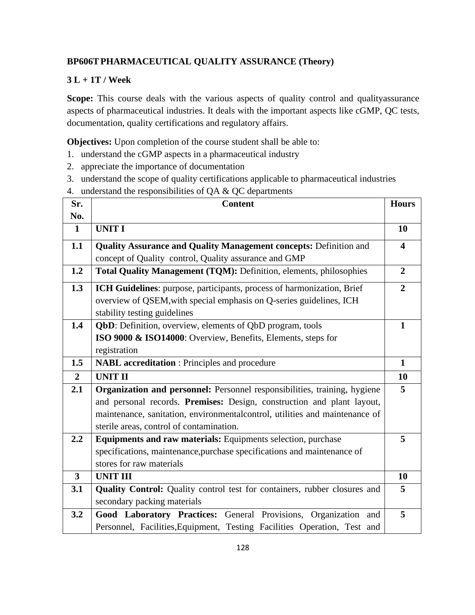# **BP606TPHARMACEUTICAL QUALITY ASSURANCE (Theory)**

# **3 L + 1T / Week**

Scope: This course deals with the various aspects of quality control and qualityassurance aspects of pharmaceutical industries. It deals with the important aspects like cGMP, QC tests, documentation, quality certifications and regulatory affairs.

**Objectives:** Upon completion of the course student shall be able to:

- 1. understand the cGMP aspects in a pharmaceutical industry
- 2. appreciate the importance of documentation
- 3. understand the scope of quality certifications applicable to pharmaceutical industries
- 4. understand the responsibilities of QA & QC departments

| Sr.            | <b>Content</b>                                                              | <b>Hours</b>            |
|----------------|-----------------------------------------------------------------------------|-------------------------|
| No.            |                                                                             |                         |
| $\mathbf 1$    | <b>UNIT I</b>                                                               | 10                      |
| 1.1            | <b>Quality Assurance and Quality Management concepts: Definition and</b>    | $\overline{\mathbf{4}}$ |
|                | concept of Quality control, Quality assurance and GMP                       |                         |
| 1.2            | Total Quality Management (TQM): Definition, elements, philosophies          | $\overline{2}$          |
| 1.3            | ICH Guidelines: purpose, participants, process of harmonization, Brief      | $\overline{2}$          |
|                | overview of QSEM, with special emphasis on Q-series guidelines, ICH         |                         |
|                | stability testing guidelines                                                |                         |
| 1.4            | QbD: Definition, overview, elements of QbD program, tools                   | $\mathbf{1}$            |
|                | ISO 9000 & ISO14000: Overview, Benefits, Elements, steps for                |                         |
|                | registration                                                                |                         |
| 1.5            | <b>NABL</b> accreditation : Principles and procedure                        | $\mathbf{1}$            |
| $\overline{2}$ | <b>UNIT II</b>                                                              | 10                      |
| 2.1            | Organization and personnel: Personnel responsibilities, training, hygiene   | 5                       |
|                | and personal records. Premises: Design, construction and plant layout,      |                         |
|                | maintenance, sanitation, environmentalcontrol, utilities and maintenance of |                         |
|                | sterile areas, control of contamination.                                    |                         |
| 2.2            | Equipments and raw materials: Equipments selection, purchase                | 5                       |
|                | specifications, maintenance, purchase specifications and maintenance of     |                         |
|                | stores for raw materials                                                    |                         |
| $\overline{3}$ | <b>UNIT III</b>                                                             | 10                      |
| 3.1            | Quality Control: Quality control test for containers, rubber closures and   | 5                       |
|                | secondary packing materials                                                 |                         |
| 3.2            | Good Laboratory Practices: General Provisions, Organization and             | 5                       |
|                | Personnel, Facilities, Equipment, Testing Facilities Operation, Test and    |                         |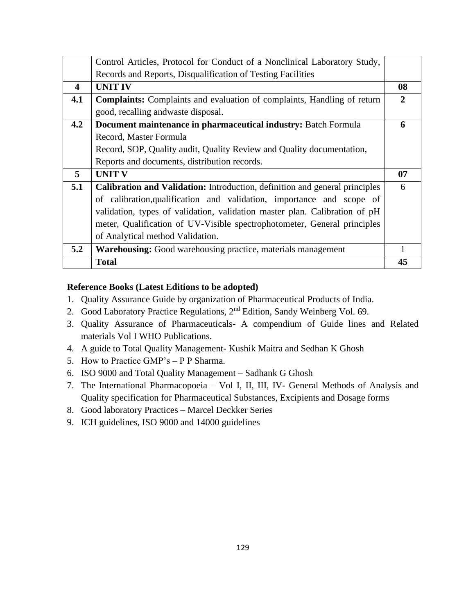|                         | Control Articles, Protocol for Conduct of a Nonclinical Laboratory Study,      |    |
|-------------------------|--------------------------------------------------------------------------------|----|
|                         | Records and Reports, Disqualification of Testing Facilities                    |    |
| $\overline{\mathbf{4}}$ | <b>UNIT IV</b>                                                                 | 08 |
| 4.1                     | <b>Complaints:</b> Complaints and evaluation of complaints, Handling of return | 2  |
|                         | good, recalling andwaste disposal.                                             |    |
| 4.2                     | Document maintenance in pharmaceutical industry: Batch Formula                 | 6  |
|                         | Record, Master Formula                                                         |    |
|                         | Record, SOP, Quality audit, Quality Review and Quality documentation,          |    |
|                         | Reports and documents, distribution records.                                   |    |
| 5                       | <b>UNIT V</b>                                                                  | 07 |
| 5.1                     | Calibration and Validation: Introduction, definition and general principles    | 6  |
|                         | of calibration, qualification and validation, importance and scope of          |    |
|                         | validation, types of validation, validation master plan. Calibration of pH     |    |
|                         | meter, Qualification of UV-Visible spectrophotometer, General principles       |    |
|                         | of Analytical method Validation.                                               |    |
| 5.2                     | <b>Warehousing:</b> Good warehousing practice, materials management            |    |
|                         | <b>Total</b>                                                                   | 45 |

- 1. Quality Assurance Guide by organization of Pharmaceutical Products of India.
- 2. Good Laboratory Practice Regulations, 2nd Edition, Sandy Weinberg Vol. 69.
- 3. Quality Assurance of Pharmaceuticals- A compendium of Guide lines and Related materials Vol I WHO Publications.
- 4. A guide to Total Quality Management- Kushik Maitra and Sedhan K Ghosh
- 5. How to Practice GMP's P P Sharma.
- 6. ISO 9000 and Total Quality Management Sadhank G Ghosh
- 7. The International Pharmacopoeia Vol I, II, III, IV- General Methods of Analysis and Quality specification for Pharmaceutical Substances, Excipients and Dosage forms
- 8. Good laboratory Practices Marcel Deckker Series
- 9. ICH guidelines, ISO 9000 and 14000 guidelines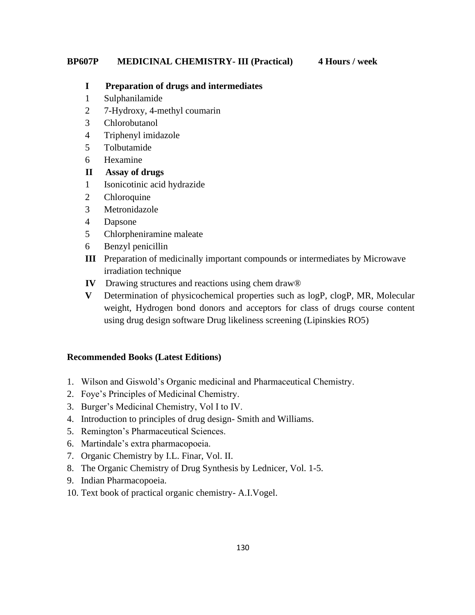#### **BP607P MEDICINAL CHEMISTRY- III (Practical) 4 Hours / week**

#### **I Preparation of drugs and intermediates**

- 1 Sulphanilamide
- 2 7-Hydroxy, 4-methyl coumarin
- 3 Chlorobutanol
- 4 Triphenyl imidazole
- 5 Tolbutamide
- 6 Hexamine

#### **II Assay of drugs**

- 1 Isonicotinic acid hydrazide
- 2 Chloroquine
- 3 Metronidazole
- 4 Dapsone
- 5 Chlorpheniramine maleate
- 6 Benzyl penicillin
- **III** Preparation of medicinally important compounds or intermediates by Microwave irradiation technique
- **IV** Drawing structures and reactions using chem draw®
- **V** Determination of physicochemical properties such as logP, clogP, MR, Molecular weight, Hydrogen bond donors and acceptors for class of drugs course content using drug design software Drug likeliness screening (Lipinskies RO5)

#### **Recommended Books (Latest Editions)**

- 1. Wilson and Giswold's Organic medicinal and Pharmaceutical Chemistry.
- 2. Foye's Principles of Medicinal Chemistry.
- 3. Burger's Medicinal Chemistry, Vol I to IV.
- 4. Introduction to principles of drug design- Smith and Williams.
- 5. Remington's Pharmaceutical Sciences.
- 6. Martindale's extra pharmacopoeia.
- 7. Organic Chemistry by I.L. Finar, Vol. II.
- 8. The Organic Chemistry of Drug Synthesis by Lednicer, Vol. 1-5.
- 9. Indian Pharmacopoeia.
- 10. Text book of practical organic chemistry- A.I.Vogel.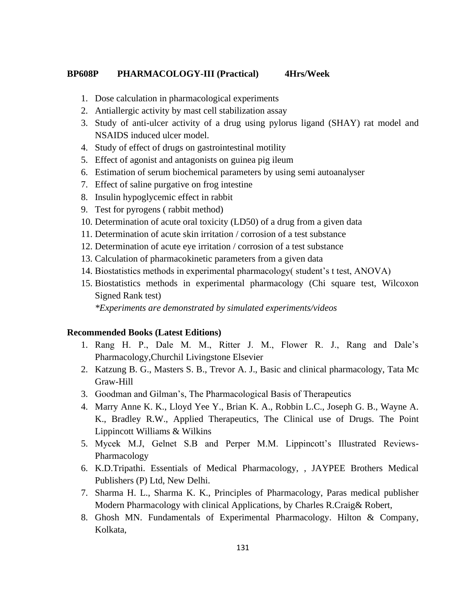#### **BP608P PHARMACOLOGY-III (Practical) 4Hrs/Week**

- 1. Dose calculation in pharmacological experiments
- 2. Antiallergic activity by mast cell stabilization assay
- 3. Study of anti-ulcer activity of a drug using pylorus ligand (SHAY) rat model and NSAIDS induced ulcer model.
- 4. Study of effect of drugs on gastrointestinal motility
- 5. Effect of agonist and antagonists on guinea pig ileum
- 6. Estimation of serum biochemical parameters by using semi autoanalyser
- 7. Effect of saline purgative on frog intestine
- 8. Insulin hypoglycemic effect in rabbit
- 9. Test for pyrogens ( rabbit method)
- 10. Determination of acute oral toxicity (LD50) of a drug from a given data
- 11. Determination of acute skin irritation / corrosion of a test substance
- 12. Determination of acute eye irritation / corrosion of a test substance
- 13. Calculation of pharmacokinetic parameters from a given data
- 14. Biostatistics methods in experimental pharmacology( student's t test, ANOVA)
- 15. Biostatistics methods in experimental pharmacology (Chi square test, Wilcoxon Signed Rank test)

*\*Experiments are demonstrated by simulated experiments/videos*

#### **Recommended Books (Latest Editions)**

- 1. Rang H. P., Dale M. M., Ritter J. M., Flower R. J., Rang and Dale's Pharmacology,Churchil Livingstone Elsevier
- 2. Katzung B. G., Masters S. B., Trevor A. J., Basic and clinical pharmacology, Tata Mc Graw-Hill
- 3. Goodman and Gilman's, The Pharmacological Basis of Therapeutics
- 4. Marry Anne K. K., Lloyd Yee Y., Brian K. A., Robbin L.C., Joseph G. B., Wayne A. K., Bradley R.W., Applied Therapeutics, The Clinical use of Drugs. The Point Lippincott Williams & Wilkins
- 5. Mycek M.J, Gelnet S.B and Perper M.M. Lippincott's Illustrated Reviews-Pharmacology
- 6. K.D.Tripathi. Essentials of Medical Pharmacology, , JAYPEE Brothers Medical Publishers (P) Ltd, New Delhi.
- 7. Sharma H. L., Sharma K. K., Principles of Pharmacology, Paras medical publisher Modern Pharmacology with clinical Applications, by Charles R.Craig& Robert,
- 8. Ghosh MN. Fundamentals of Experimental Pharmacology. Hilton & Company, Kolkata,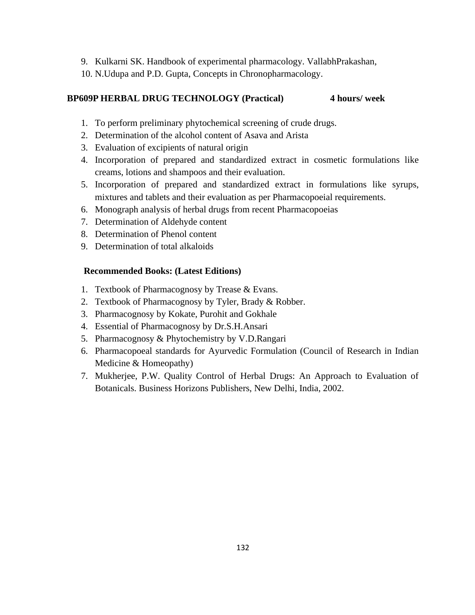- 9. Kulkarni SK. Handbook of experimental pharmacology. VallabhPrakashan,
- 10. N.Udupa and P.D. Gupta, Concepts in Chronopharmacology.

#### **BP609P HERBAL DRUG TECHNOLOGY (Practical) 4 hours/ week**

- 1. To perform preliminary phytochemical screening of crude drugs.
- 2. Determination of the alcohol content of Asava and Arista
- 3. Evaluation of excipients of natural origin
- 4. Incorporation of prepared and standardized extract in cosmetic formulations like creams, lotions and shampoos and their evaluation.
- 5. Incorporation of prepared and standardized extract in formulations like syrups, mixtures and tablets and their evaluation as per Pharmacopoeial requirements.
- 6. Monograph analysis of herbal drugs from recent Pharmacopoeias
- 7. Determination of Aldehyde content
- 8. Determination of Phenol content
- 9. Determination of total alkaloids

#### **Recommended Books: (Latest Editions)**

- 1. Textbook of Pharmacognosy by Trease & Evans.
- 2. Textbook of Pharmacognosy by Tyler, Brady & Robber.
- 3. Pharmacognosy by Kokate, Purohit and Gokhale
- 4. Essential of Pharmacognosy by Dr.S.H.Ansari
- 5. Pharmacognosy & Phytochemistry by V.D.Rangari
- 6. Pharmacopoeal standards for Ayurvedic Formulation (Council of Research in Indian Medicine & Homeopathy)
- 7. Mukherjee, P.W. Quality Control of Herbal Drugs: An Approach to Evaluation of Botanicals. Business Horizons Publishers, New Delhi, India, 2002.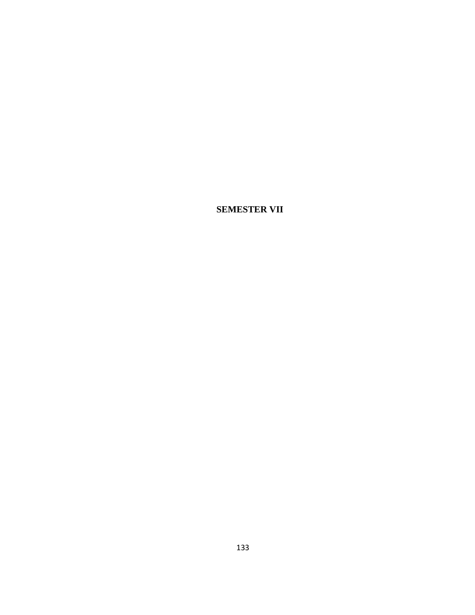**SEMESTER VII**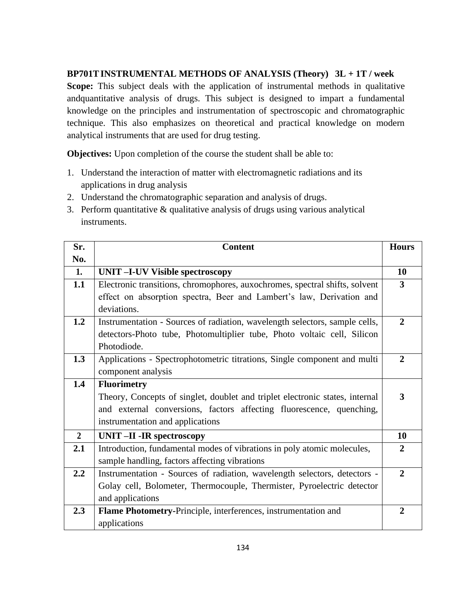# **BP701TINSTRUMENTAL METHODS OF ANALYSIS (Theory) 3L + 1T / week**

**Scope:** This subject deals with the application of instrumental methods in qualitative andquantitative analysis of drugs. This subject is designed to impart a fundamental knowledge on the principles and instrumentation of spectroscopic and chromatographic technique. This also emphasizes on theoretical and practical knowledge on modern analytical instruments that are used for drug testing.

**Objectives:** Upon completion of the course the student shall be able to:

- 1. Understand the interaction of matter with electromagnetic radiations and its applications in drug analysis
- 2. Understand the chromatographic separation and analysis of drugs.
- 3. Perform quantitative & qualitative analysis of drugs using various analytical instruments.

| Sr.            | <b>Content</b>                                                               | <b>Hours</b>   |
|----------------|------------------------------------------------------------------------------|----------------|
| No.            |                                                                              |                |
| 1.             | <b>UNIT-I-UV Visible spectroscopy</b>                                        | 10             |
| 1.1            | Electronic transitions, chromophores, auxochromes, spectral shifts, solvent  | 3              |
|                | effect on absorption spectra, Beer and Lambert's law, Derivation and         |                |
|                | deviations.                                                                  |                |
| 1.2            | Instrumentation - Sources of radiation, wavelength selectors, sample cells,  | $\overline{2}$ |
|                | detectors-Photo tube, Photomultiplier tube, Photo voltaic cell, Silicon      |                |
|                | Photodiode.                                                                  |                |
| 1.3            | Applications - Spectrophotometric titrations, Single component and multi     | $\mathbf{2}$   |
|                | component analysis                                                           |                |
| 1.4            | <b>Fluorimetry</b>                                                           |                |
|                | Theory, Concepts of singlet, doublet and triplet electronic states, internal | 3              |
|                | and external conversions, factors affecting fluorescence, quenching,         |                |
|                | instrumentation and applications                                             |                |
| $\overline{2}$ | <b>UNIT-II-IR spectroscopy</b>                                               | 10             |
| 2.1            | Introduction, fundamental modes of vibrations in poly atomic molecules,      | $\overline{2}$ |
|                | sample handling, factors affecting vibrations                                |                |
| 2.2            | Instrumentation - Sources of radiation, wavelength selectors, detectors -    | $\overline{2}$ |
|                | Golay cell, Bolometer, Thermocouple, Thermister, Pyroelectric detector       |                |
|                | and applications                                                             |                |
| 2.3            | Flame Photometry-Principle, interferences, instrumentation and               | $\mathbf{2}$   |
|                | applications                                                                 |                |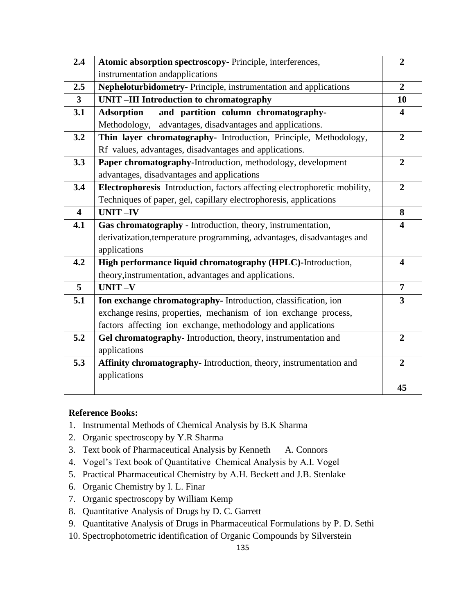| 2.4                     | Atomic absorption spectroscopy- Principle, interferences,                 | $\overline{2}$          |
|-------------------------|---------------------------------------------------------------------------|-------------------------|
|                         |                                                                           |                         |
|                         | instrumentation and applications                                          |                         |
| 2.5                     | Nepheloturbidometry- Principle, instrumentation and applications          | $\overline{2}$          |
| $\overline{\mathbf{3}}$ | <b>UNIT-III Introduction to chromatography</b>                            | 10                      |
| 3.1                     | and partition column chromatography-<br><b>Adsorption</b>                 | 4                       |
|                         | advantages, disadvantages and applications.<br>Methodology,               |                         |
| 3.2                     | Thin layer chromatography- Introduction, Principle, Methodology,          | $\overline{2}$          |
|                         | Rf values, advantages, disadvantages and applications.                    |                         |
| 3.3                     | Paper chromatography-Introduction, methodology, development               | $\overline{2}$          |
|                         | advantages, disadvantages and applications                                |                         |
| 3.4                     | Electrophoresis-Introduction, factors affecting electrophoretic mobility, | $\overline{2}$          |
|                         | Techniques of paper, gel, capillary electrophoresis, applications         |                         |
| $\overline{\mathbf{4}}$ | <b>UNIT-IV</b>                                                            | 8                       |
| 4.1                     | Gas chromatography - Introduction, theory, instrumentation,               | 4                       |
|                         | derivatization, temperature programming, advantages, disadvantages and    |                         |
|                         | applications                                                              |                         |
| 4.2                     | High performance liquid chromatography (HPLC)-Introduction,               | 4                       |
|                         | theory, instrumentation, advantages and applications.                     |                         |
| 5                       | <b>UNIT-V</b>                                                             | $\overline{7}$          |
| 5.1                     | Ion exchange chromatography- Introduction, classification, ion            | $\overline{\mathbf{3}}$ |
|                         | exchange resins, properties, mechanism of ion exchange process,           |                         |
|                         | factors affecting ion exchange, methodology and applications              |                         |
| 5.2                     | Gel chromatography- Introduction, theory, instrumentation and             | $\overline{2}$          |
|                         | applications                                                              |                         |
| 5.3                     | Affinity chromatography- Introduction, theory, instrumentation and        | $\overline{2}$          |
|                         | applications                                                              |                         |
|                         |                                                                           | 45                      |
|                         |                                                                           |                         |

# **Reference Books:**

- 1. Instrumental Methods of Chemical Analysis by B.K Sharma
- 2. Organic spectroscopy by Y.R Sharma
- 3. Text book of Pharmaceutical Analysis by Kenneth A. Connors
- 4. Vogel's Text book of Quantitative Chemical Analysis by A.I. Vogel
- 5. Practical Pharmaceutical Chemistry by A.H. Beckett and J.B. Stenlake
- 6. Organic Chemistry by I. L. Finar
- 7. Organic spectroscopy by William Kemp
- 8. Quantitative Analysis of Drugs by D. C. Garrett
- 9. Quantitative Analysis of Drugs in Pharmaceutical Formulations by P. D. Sethi
- 10. Spectrophotometric identification of Organic Compounds by Silverstein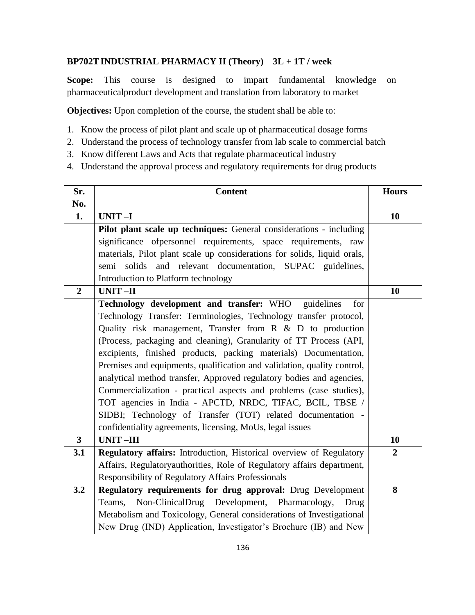# **BP702TINDUSTRIAL PHARMACY II (Theory) 3L + 1T / week**

**Scope:** This course is designed to impart fundamental knowledge on pharmaceuticalproduct development and translation from laboratory to market

**Objectives:** Upon completion of the course, the student shall be able to:

- 1. Know the process of pilot plant and scale up of pharmaceutical dosage forms
- 2. Understand the process of technology transfer from lab scale to commercial batch
- 3. Know different Laws and Acts that regulate pharmaceutical industry
- 4. Understand the approval process and regulatory requirements for drug products

| Sr.                     | <b>Content</b>                                                           | <b>Hours</b>     |
|-------------------------|--------------------------------------------------------------------------|------------------|
| No.                     |                                                                          |                  |
| 1.                      | UNIT-I                                                                   | 10               |
|                         | Pilot plant scale up techniques: General considerations - including      |                  |
|                         | significance of personnel requirements, space requirements, raw          |                  |
|                         | materials, Pilot plant scale up considerations for solids, liquid orals, |                  |
|                         | semi solids and relevant documentation, SUPAC guidelines,                |                  |
|                         | Introduction to Platform technology                                      |                  |
| $\overline{2}$          | <b>UNIT-II</b>                                                           | 10               |
|                         | Technology development and transfer: WHO<br>guidelines<br>for            |                  |
|                         | Technology Transfer: Terminologies, Technology transfer protocol,        |                  |
|                         | Quality risk management, Transfer from $R \& D$ to production            |                  |
|                         | (Process, packaging and cleaning), Granularity of TT Process (API,       |                  |
|                         | excipients, finished products, packing materials) Documentation,         |                  |
|                         | Premises and equipments, qualification and validation, quality control,  |                  |
|                         | analytical method transfer, Approved regulatory bodies and agencies,     |                  |
|                         | Commercialization - practical aspects and problems (case studies),       |                  |
|                         | TOT agencies in India - APCTD, NRDC, TIFAC, BCIL, TBSE /                 |                  |
|                         | SIDBI; Technology of Transfer (TOT) related documentation -              |                  |
|                         | confidentiality agreements, licensing, MoUs, legal issues                |                  |
| $\overline{\mathbf{3}}$ | <b>UNIT-III</b>                                                          | 10               |
| 3.1                     | Regulatory affairs: Introduction, Historical overview of Regulatory      | $\boldsymbol{2}$ |
|                         | Affairs, Regulatoryauthorities, Role of Regulatory affairs department,   |                  |
|                         | <b>Responsibility of Regulatory Affairs Professionals</b>                |                  |
| 3.2                     | Regulatory requirements for drug approval: Drug Development              | 8                |
|                         | Non-ClinicalDrug Development, Pharmacology,<br>Teams,<br>Drug            |                  |
|                         | Metabolism and Toxicology, General considerations of Investigational     |                  |
|                         | New Drug (IND) Application, Investigator's Brochure (IB) and New         |                  |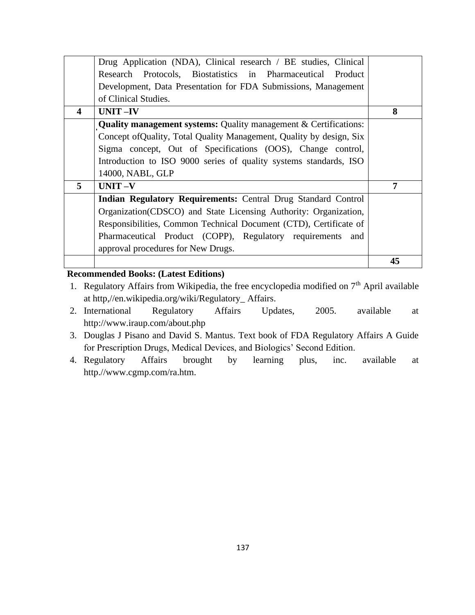|   |                                                                         | 45 |
|---|-------------------------------------------------------------------------|----|
|   | approval procedures for New Drugs.                                      |    |
|   | Pharmaceutical Product (COPP), Regulatory requirements and              |    |
|   | Responsibilities, Common Technical Document (CTD), Certificate of       |    |
|   | Organization(CDSCO) and State Licensing Authority: Organization,        |    |
|   | Indian Regulatory Requirements: Central Drug Standard Control           |    |
| 5 | $UNIT -V$                                                               | 7  |
|   | 14000, NABL, GLP                                                        |    |
|   | Introduction to ISO 9000 series of quality systems standards, ISO       |    |
|   | Sigma concept, Out of Specifications (OOS), Change control,             |    |
|   | Concept of Quality, Total Quality Management, Quality by design, Six    |    |
|   | <b>Quality management systems:</b> Quality management & Certifications: |    |
| 4 | $UNIT -IV$                                                              | 8  |
|   | of Clinical Studies.                                                    |    |
|   | Development, Data Presentation for FDA Submissions, Management          |    |
|   | Research Protocols, Biostatistics in Pharmaceutical Product             |    |
|   | Drug Application (NDA), Clinical research / BE studies, Clinical        |    |

# **Recommended Books: (Latest Editions)**

- 1. Regulatory Affairs from Wikipedia, the free encyclopedia modified on  $7<sup>th</sup>$  April available at http,//en.wikipedia.org/wiki/Regulatory\_ Affairs.
- 2. International Regulatory Affairs Updates, 2005. available at http://www.iraup.com/about.php
- 3. Douglas J Pisano and David S. Mantus. Text book of FDA Regulatory Affairs A Guide for Prescription Drugs, Medical Devices, and Biologics' Second Edition.
- 4. Regulatory Affairs brought by learning plus, inc. available at http.//www.cgmp.com/ra.htm.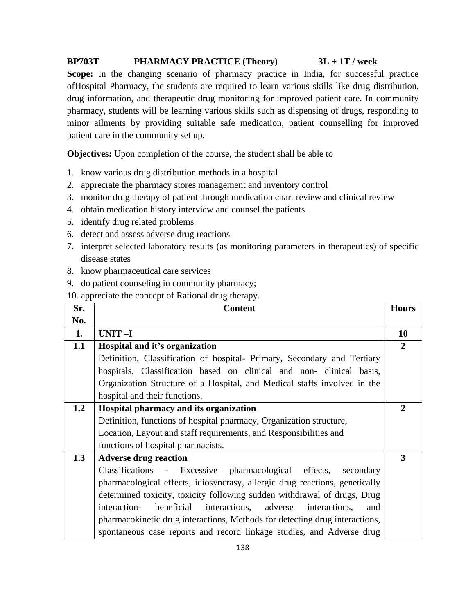# **BP703T PHARMACY PRACTICE (Theory) 3L + 1T / week**

Scope: In the changing scenario of pharmacy practice in India, for successful practice ofHospital Pharmacy, the students are required to learn various skills like drug distribution, drug information, and therapeutic drug monitoring for improved patient care. In community pharmacy, students will be learning various skills such as dispensing of drugs, responding to minor ailments by providing suitable safe medication, patient counselling for improved patient care in the community set up.

**Objectives:** Upon completion of the course, the student shall be able to

- 1. know various drug distribution methods in a hospital
- 2. appreciate the pharmacy stores management and inventory control
- 3. monitor drug therapy of patient through medication chart review and clinical review
- 4. obtain medication history interview and counsel the patients
- 5. identify drug related problems
- 6. detect and assess adverse drug reactions
- 7. interpret selected laboratory results (as monitoring parameters in therapeutics) of specific disease states
- 8. know pharmaceutical care services
- 9. do patient counseling in community pharmacy;

10. appreciate the concept of Rational drug therapy.

| Sr. | <b>Content</b>                                                                 | <b>Hours</b>   |
|-----|--------------------------------------------------------------------------------|----------------|
| No. |                                                                                |                |
| 1.  | $UNIT-I$                                                                       | <b>10</b>      |
| 1.1 | Hospital and it's organization                                                 | $\overline{2}$ |
|     | Definition, Classification of hospital- Primary, Secondary and Tertiary        |                |
|     | hospitals, Classification based on clinical and non-clinical basis,            |                |
|     | Organization Structure of a Hospital, and Medical staffs involved in the       |                |
|     | hospital and their functions.                                                  |                |
| 1.2 | Hospital pharmacy and its organization                                         | $\mathbf{2}$   |
|     | Definition, functions of hospital pharmacy, Organization structure,            |                |
|     | Location, Layout and staff requirements, and Responsibilities and              |                |
|     | functions of hospital pharmacists.                                             |                |
| 1.3 | <b>Adverse drug reaction</b>                                                   | 3              |
|     | Classifications - Excessive<br>pharmacological effects,<br>secondary           |                |
|     | pharmacological effects, idiosyncrasy, allergic drug reactions, genetically    |                |
|     | determined toxicity, toxicity following sudden withdrawal of drugs, Drug       |                |
|     | interaction-<br>beneficial<br>interactions,<br>adverse<br>interactions,<br>and |                |
|     | pharmacokinetic drug interactions, Methods for detecting drug interactions,    |                |
|     | spontaneous case reports and record linkage studies, and Adverse drug          |                |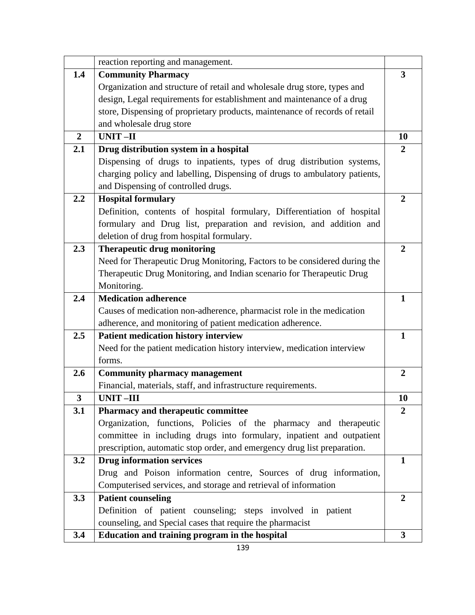|                         | reaction reporting and management.                                          |                |
|-------------------------|-----------------------------------------------------------------------------|----------------|
|                         |                                                                             |                |
| 1.4                     | <b>Community Pharmacy</b>                                                   | 3              |
|                         | Organization and structure of retail and wholesale drug store, types and    |                |
|                         | design, Legal requirements for establishment and maintenance of a drug      |                |
|                         | store, Dispensing of proprietary products, maintenance of records of retail |                |
|                         | and wholesale drug store                                                    |                |
| $\overline{2}$          | <b>UNIT-II</b>                                                              | 10             |
| 2.1                     | Drug distribution system in a hospital                                      | $\overline{2}$ |
|                         | Dispensing of drugs to inpatients, types of drug distribution systems,      |                |
|                         | charging policy and labelling, Dispensing of drugs to ambulatory patients,  |                |
|                         | and Dispensing of controlled drugs.                                         |                |
| 2.2                     | <b>Hospital formulary</b>                                                   | $\overline{2}$ |
|                         | Definition, contents of hospital formulary, Differentiation of hospital     |                |
|                         | formulary and Drug list, preparation and revision, and addition and         |                |
|                         | deletion of drug from hospital formulary.                                   |                |
| 2.3                     | <b>Therapeutic drug monitoring</b>                                          | $\overline{2}$ |
|                         | Need for Therapeutic Drug Monitoring, Factors to be considered during the   |                |
|                         | Therapeutic Drug Monitoring, and Indian scenario for Therapeutic Drug       |                |
|                         | Monitoring.                                                                 |                |
| 2.4                     | <b>Medication adherence</b>                                                 | $\mathbf{1}$   |
|                         | Causes of medication non-adherence, pharmacist role in the medication       |                |
|                         | adherence, and monitoring of patient medication adherence.                  |                |
| 2.5                     | <b>Patient medication history interview</b>                                 | $\mathbf{1}$   |
|                         | Need for the patient medication history interview, medication interview     |                |
|                         | forms.                                                                      |                |
| 2.6                     | <b>Community pharmacy management</b>                                        | $\overline{2}$ |
|                         | Financial, materials, staff, and infrastructure requirements.               |                |
| $\overline{\mathbf{3}}$ | <b>UNIT-III</b>                                                             | 10             |
|                         |                                                                             |                |
| 3.1                     | <b>Pharmacy and therapeutic committee</b>                                   | $\overline{2}$ |
|                         | Organization, functions, Policies of the pharmacy and therapeutic           |                |
|                         | committee in including drugs into formulary, inpatient and outpatient       |                |
|                         | prescription, automatic stop order, and emergency drug list preparation.    |                |
| 3.2                     | <b>Drug information services</b>                                            | 1              |
|                         | Drug and Poison information centre, Sources of drug information,            |                |
|                         | Computerised services, and storage and retrieval of information             |                |
| 3.3                     | <b>Patient counseling</b>                                                   | $\overline{2}$ |
|                         | Definition of patient counseling; steps involved in patient                 |                |
|                         | counseling, and Special cases that require the pharmacist                   |                |
| 3.4                     | Education and training program in the hospital                              | $\mathbf{3}$   |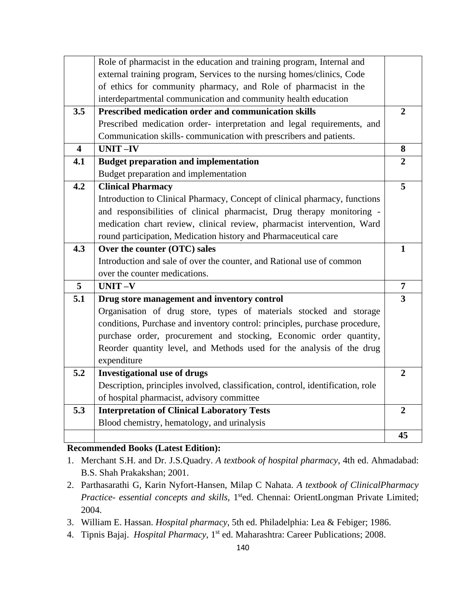|                         | Role of pharmacist in the education and training program, Internal and          |                |
|-------------------------|---------------------------------------------------------------------------------|----------------|
|                         | external training program, Services to the nursing homes/clinics, Code          |                |
|                         | of ethics for community pharmacy, and Role of pharmacist in the                 |                |
|                         | interdepartmental communication and community health education                  |                |
| 3.5                     | Prescribed medication order and communication skills                            | $\mathbf{2}$   |
|                         | Prescribed medication order-interpretation and legal requirements, and          |                |
|                         | Communication skills-communication with prescribers and patients.               |                |
| $\overline{\mathbf{4}}$ | <b>UNIT-IV</b>                                                                  | 8              |
| 4.1                     | <b>Budget preparation and implementation</b>                                    | $\overline{2}$ |
|                         | Budget preparation and implementation                                           |                |
| 4.2                     | <b>Clinical Pharmacy</b>                                                        | 5              |
|                         | Introduction to Clinical Pharmacy, Concept of clinical pharmacy, functions      |                |
|                         | and responsibilities of clinical pharmacist, Drug therapy monitoring -          |                |
|                         | medication chart review, clinical review, pharmacist intervention, Ward         |                |
|                         | round participation, Medication history and Pharmaceutical care                 |                |
| 4.3                     | Over the counter (OTC) sales                                                    | 1              |
|                         | Introduction and sale of over the counter, and Rational use of common           |                |
|                         | over the counter medications.                                                   |                |
| 5                       | UNIT-V                                                                          | $\overline{7}$ |
| 5.1                     | Drug store management and inventory control                                     | 3              |
|                         | Organisation of drug store, types of materials stocked and storage              |                |
|                         | conditions, Purchase and inventory control: principles, purchase procedure,     |                |
|                         | purchase order, procurement and stocking, Economic order quantity,              |                |
|                         | Reorder quantity level, and Methods used for the analysis of the drug           |                |
|                         | expenditure                                                                     |                |
| 5.2                     | <b>Investigational use of drugs</b>                                             | $\overline{2}$ |
|                         | Description, principles involved, classification, control, identification, role |                |
|                         | of hospital pharmacist, advisory committee                                      |                |
| 5.3                     | <b>Interpretation of Clinical Laboratory Tests</b>                              | $\overline{2}$ |
|                         | Blood chemistry, hematology, and urinalysis                                     |                |
|                         |                                                                                 | 45             |

# **Recommended Books (Latest Edition):**

- 1. Merchant S.H. and Dr. J.S.Quadry. *A textbook of hospital pharmacy*, 4th ed. Ahmadabad: B.S. Shah Prakakshan; 2001.
- 2. Parthasarathi G, Karin Nyfort-Hansen, Milap C Nahata. *A textbook of ClinicalPharmacy*  Practice- essential concepts and skills, 1<sup>st</sup>ed. Chennai: OrientLongman Private Limited; 2004.
- 3. William E. Hassan. *Hospital pharmacy*, 5th ed. Philadelphia: Lea & Febiger; 1986.
- 4. Tipnis Bajaj. *Hospital Pharmacy*, 1st ed. Maharashtra: Career Publications; 2008.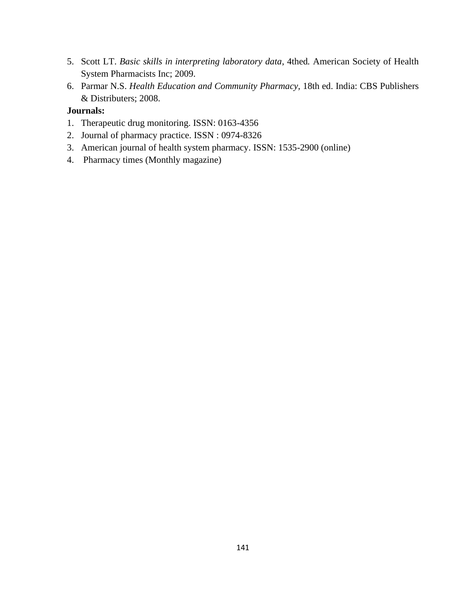- 5. Scott LT. *Basic skills in interpreting laboratory data*, 4thed*.* American Society of Health System Pharmacists Inc; 2009.
- 6. Parmar N.S. *Health Education and Community Pharmacy,* 18th ed. India: CBS Publishers & Distributers; 2008.

# **Journals:**

- 1. Therapeutic drug monitoring. ISSN: 0163-4356
- 2. Journal of pharmacy practice. ISSN : 0974-8326
- 3. American journal of health system pharmacy. ISSN: 1535-2900 (online)
- 4. Pharmacy times (Monthly magazine)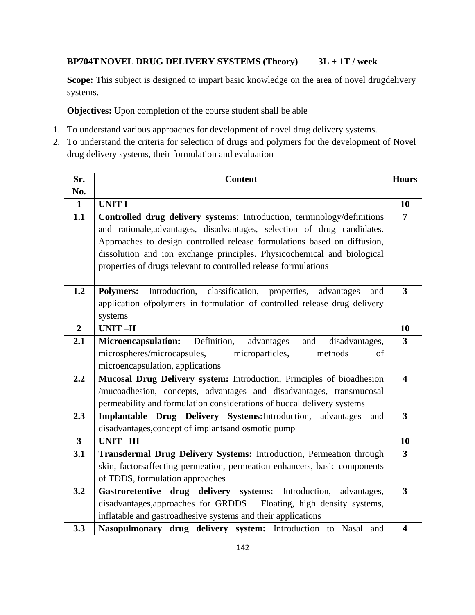# **BP704T NOVEL DRUG DELIVERY SYSTEMS (Theory) 3L + 1T / week**

Scope: This subject is designed to impart basic knowledge on the area of novel drugdelivery systems.

**Objectives:** Upon completion of the course student shall be able

- 1. To understand various approaches for development of novel drug delivery systems.
- 2. To understand the criteria for selection of drugs and polymers for the development of Novel drug delivery systems, their formulation and evaluation

| Sr.            | <b>Content</b>                                                                        | <b>Hours</b>            |
|----------------|---------------------------------------------------------------------------------------|-------------------------|
| No.            |                                                                                       |                         |
| $\mathbf{1}$   | <b>UNIT I</b>                                                                         | 10                      |
| 1.1            | Controlled drug delivery systems: Introduction, terminology/definitions               | $\overline{7}$          |
|                | and rationale, advantages, disadvantages, selection of drug candidates.               |                         |
|                | Approaches to design controlled release formulations based on diffusion,              |                         |
|                | dissolution and ion exchange principles. Physicochemical and biological               |                         |
|                | properties of drugs relevant to controlled release formulations                       |                         |
|                |                                                                                       |                         |
| 1.2            | classification, properties,<br>Introduction,<br><b>Polymers:</b><br>advantages<br>and | $\overline{3}$          |
|                | application of polymers in formulation of controlled release drug delivery            |                         |
|                | systems                                                                               |                         |
| $\overline{2}$ | <b>UNIT-II</b>                                                                        | 10                      |
| 2.1            | Definition,<br><b>Microencapsulation:</b><br>and<br>advantages<br>disadvantages,      | $\overline{3}$          |
|                | microspheres/microcapsules,<br>microparticles,<br>methods<br>of                       |                         |
|                | microencapsulation, applications                                                      |                         |
| 2.2            | Mucosal Drug Delivery system: Introduction, Principles of bioadhesion                 | $\overline{\mathbf{4}}$ |
|                | /mucoadhesion, concepts, advantages and disadvantages, transmucosal                   |                         |
|                | permeability and formulation considerations of buccal delivery systems                |                         |
| 2.3            | Implantable Drug Delivery Systems: Introduction,<br>advantages<br>and                 | $\mathbf{3}$            |
|                | disadvantages, concept of implants and osmotic pump                                   |                         |
| $\mathbf{3}$   | <b>UNIT-III</b>                                                                       | 10                      |
| 3.1            | Transdermal Drug Delivery Systems: Introduction, Permeation through                   | $\mathbf{3}$            |
|                | skin, factorsaffecting permeation, permeation enhancers, basic components             |                         |
|                | of TDDS, formulation approaches                                                       |                         |
| 3.2            | Gastroretentive drug delivery systems: Introduction,<br>advantages,                   | $\overline{\mathbf{3}}$ |
|                | disadvantages, approaches for GRDDS - Floating, high density systems,                 |                         |
|                | inflatable and gastroadhesive systems and their applications                          |                         |
| 3.3            | Nasopulmonary drug delivery system: Introduction to Nasal<br>and                      | $\overline{\mathbf{4}}$ |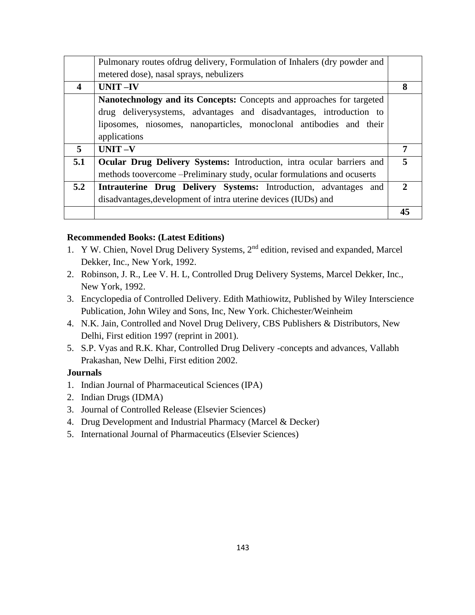|                  | Pulmonary routes ofdrug delivery, Formulation of Inhalers (dry powder and                                                                                                                                                            |    |
|------------------|--------------------------------------------------------------------------------------------------------------------------------------------------------------------------------------------------------------------------------------|----|
|                  | metered dose), nasal sprays, nebulizers                                                                                                                                                                                              |    |
| $\boldsymbol{4}$ | <b>UNIT-IV</b>                                                                                                                                                                                                                       | 8  |
|                  | Nanotechnology and its Concepts: Concepts and approaches for targeted<br>drug delivery systems, advantages and disadvantages, introduction to<br>liposomes, niosomes, nanoparticles, monoclonal antibodies and their<br>applications |    |
| 5                | $UNIT -V$                                                                                                                                                                                                                            | 7  |
| 5.1              | Ocular Drug Delivery Systems: Introduction, intra ocular barriers and<br>methods toovercome --Preliminary study, ocular formulations and ocuserts                                                                                    |    |
| 5.2              | <b>Intrauterine Drug Delivery Systems:</b> Introduction, advantages and<br>disadvantages, development of intra uterine devices (IUDs) and                                                                                            | 7  |
|                  |                                                                                                                                                                                                                                      | 45 |

# **Recommended Books: (Latest Editions)**

- 1. Y W. Chien, Novel Drug Delivery Systems, 2nd edition, revised and expanded, Marcel Dekker, Inc., New York, 1992.
- 2. Robinson, J. R., Lee V. H. L, Controlled Drug Delivery Systems, Marcel Dekker, Inc., New York, 1992.
- 3. Encyclopedia of Controlled Delivery. Edith Mathiowitz, Published by Wiley Interscience Publication, John Wiley and Sons, Inc, New York. Chichester/Weinheim
- 4. N.K. Jain, Controlled and Novel Drug Delivery, CBS Publishers & Distributors, New Delhi, First edition 1997 (reprint in 2001).
- 5. S.P. Vyas and R.K. Khar, Controlled Drug Delivery -concepts and advances, Vallabh Prakashan, New Delhi, First edition 2002.

# **Journals**

- 1. Indian Journal of Pharmaceutical Sciences (IPA)
- 2. Indian Drugs (IDMA)
- 3. Journal of Controlled Release (Elsevier Sciences)
- 4. Drug Development and Industrial Pharmacy (Marcel & Decker)
- 5. International Journal of Pharmaceutics (Elsevier Sciences)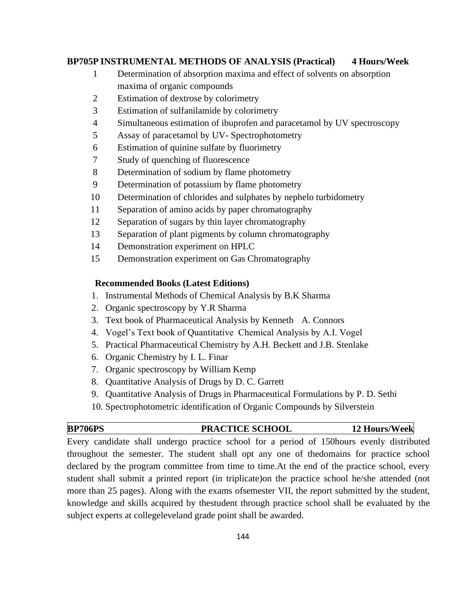# **BP705P INSTRUMENTAL METHODS OF ANALYSIS (Practical) 4 Hours/Week**

- 1 Determination of absorption maxima and effect of solvents on absorption maxima of organic compounds
- 2 Estimation of dextrose by colorimetry
- 3 Estimation of sulfanilamide by colorimetry
- 4 Simultaneous estimation of ibuprofen and paracetamol by UV spectroscopy
- 5 Assay of paracetamol by UV- Spectrophotometry
- 6 Estimation of quinine sulfate by fluorimetry
- 7 Study of quenching of fluorescence
- 8 Determination of sodium by flame photometry
- 9 Determination of potassium by flame photometry
- 10 Determination of chlorides and sulphates by nephelo turbidometry
- 11 Separation of amino acids by paper chromatography
- 12 Separation of sugars by thin layer chromatography
- 13 Separation of plant pigments by column chromatography
- 14 Demonstration experiment on HPLC
- 15 Demonstration experiment on Gas Chromatography

### **Recommended Books (Latest Editions)**

- 1. Instrumental Methods of Chemical Analysis by B.K Sharma
- 2. Organic spectroscopy by Y.R Sharma
- 3. Text book of Pharmaceutical Analysis by Kenneth A. Connors
- 4. Vogel's Text book of Quantitative Chemical Analysis by A.I. Vogel
- 5. Practical Pharmaceutical Chemistry by A.H. Beckett and J.B. Stenlake
- 6. Organic Chemistry by I. L. Finar
- 7. Organic spectroscopy by William Kemp
- 8. Quantitative Analysis of Drugs by D. C. Garrett
- 9. Quantitative Analysis of Drugs in Pharmaceutical Formulations by P. D. Sethi
- 10. Spectrophotometric identification of Organic Compounds by Silverstein

# **BP706PS PRACTICE SCHOOL 12 Hours/Week**

Every candidate shall undergo practice school for a period of 150hours evenly distributed throughout the semester. The student shall opt any one of thedomains for practice school declared by the program committee from time to time.At the end of the practice school, every student shall submit a printed report (in triplicate)on the practice school he/she attended (not more than 25 pages). Along with the exams ofsemester VII, the report submitted by the student, knowledge and skills acquired by thestudent through practice school shall be evaluated by the subject experts at collegeleveland grade point shall be awarded.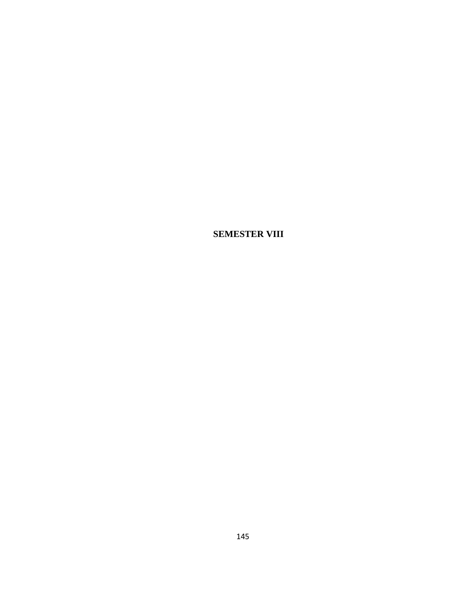**SEMESTER VIII**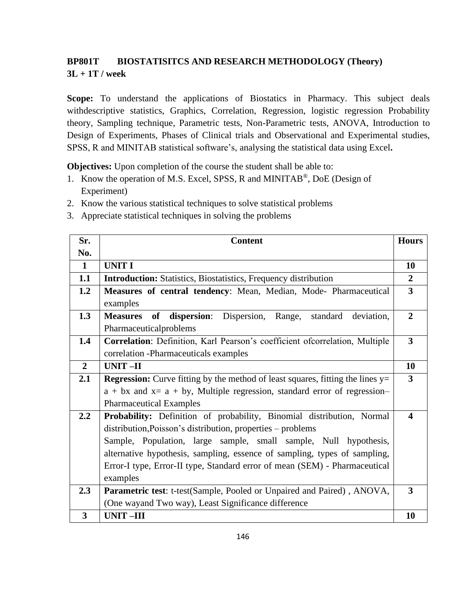# **BP801T BIOSTATISITCS AND RESEARCH METHODOLOGY (Theory) 3L + 1T / week**

**Scope:** To understand the applications of Biostatics in Pharmacy. This subject deals withdescriptive statistics, Graphics, Correlation, Regression, logistic regression Probability theory, Sampling technique, Parametric tests, Non-Parametric tests, ANOVA, Introduction to Design of Experiments, Phases of Clinical trials and Observational and Experimental studies, SPSS, R and MINITAB statistical software's, analysing the statistical data using Excel**.**

**Objectives:** Upon completion of the course the student shall be able to:

- 1. Know the operation of M.S. Excel, SPSS, R and MINITAB®, DoE (Design of Experiment)
- 2. Know the various statistical techniques to solve statistical problems
- 3. Appreciate statistical techniques in solving the problems

| Sr.            | <b>Content</b>                                                                          | <b>Hours</b>            |
|----------------|-----------------------------------------------------------------------------------------|-------------------------|
| No.            |                                                                                         |                         |
| $\mathbf{1}$   | <b>UNIT I</b>                                                                           | 10                      |
| 1.1            | <b>Introduction:</b> Statistics, Biostatistics, Frequency distribution                  | $\overline{2}$          |
| 1.2            | Measures of central tendency: Mean, Median, Mode-Pharmaceutical                         | $\overline{3}$          |
|                | examples                                                                                |                         |
| 1.3            | of<br>dispersion:<br>Dispersion, Range, standard<br><b>Measures</b><br>deviation,       | $\overline{2}$          |
|                | Pharmaceuticalproblems                                                                  |                         |
| 1.4            | Correlation: Definition, Karl Pearson's coefficient ofcorrelation, Multiple             | $\overline{\mathbf{3}}$ |
|                | correlation -Pharmaceuticals examples                                                   |                         |
| $\overline{2}$ | UNIT-II                                                                                 | 10                      |
| 2.1            | <b>Regression:</b> Curve fitting by the method of least squares, fitting the lines $y=$ | $\overline{\mathbf{3}}$ |
|                | $a + bx$ and $x = a + by$ , Multiple regression, standard error of regression-          |                         |
|                | <b>Pharmaceutical Examples</b>                                                          |                         |
| 2.2            | Probability: Definition of probability, Binomial distribution, Normal                   | $\blacktriangleleft$    |
|                | distribution, Poisson's distribution, properties – problems                             |                         |
|                | Sample, Population, large sample, small sample, Null hypothesis,                        |                         |
|                | alternative hypothesis, sampling, essence of sampling, types of sampling,               |                         |
|                | Error-I type, Error-II type, Standard error of mean (SEM) - Pharmaceutical              |                         |
|                | examples                                                                                |                         |
| 2.3            | Parametric test: t-test(Sample, Pooled or Unpaired and Paired), ANOVA,                  | 3                       |
|                | (One wayand Two way), Least Significance difference                                     |                         |
| 3              | <b>UNIT-III</b>                                                                         | 10                      |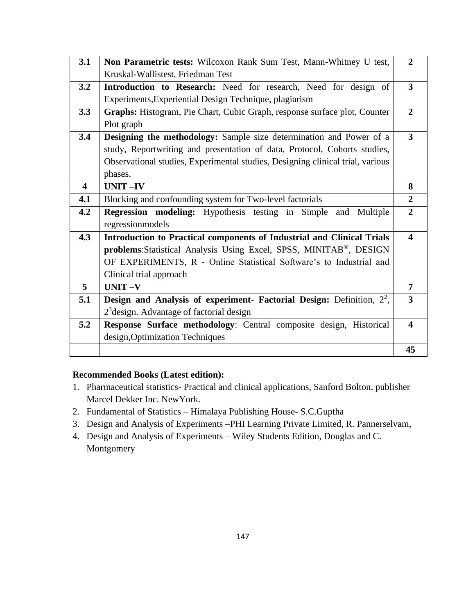| 3.1                     | Non Parametric tests: Wilcoxon Rank Sum Test, Mann-Whitney U test,              | $\overline{2}$          |
|-------------------------|---------------------------------------------------------------------------------|-------------------------|
|                         | Kruskal-Wallistest, Friedman Test                                               |                         |
| 3.2                     | Introduction to Research: Need for research, Need for design of                 | $\overline{\mathbf{3}}$ |
|                         | Experiments, Experiential Design Technique, plagiarism                          |                         |
| 3.3                     | Graphs: Histogram, Pie Chart, Cubic Graph, response surface plot, Counter       | $\overline{2}$          |
|                         | Plot graph                                                                      |                         |
| 3.4                     | Designing the methodology: Sample size determination and Power of a             | $\overline{\mathbf{3}}$ |
|                         | study, Reportwriting and presentation of data, Protocol, Cohorts studies,       |                         |
|                         | Observational studies, Experimental studies, Designing clinical trial, various  |                         |
|                         | phases.                                                                         |                         |
| $\overline{\mathbf{4}}$ | <b>UNIT-IV</b>                                                                  | 8                       |
| 4.1                     | Blocking and confounding system for Two-level factorials                        | $\overline{2}$          |
| 4.2                     | <b>Regression modeling:</b> Hypothesis testing in<br>Simple and Multiple        | $\overline{2}$          |
|                         | regressionmodels                                                                |                         |
| 4.3                     | <b>Introduction to Practical components of Industrial and Clinical Trials</b>   | $\blacktriangle$        |
|                         | problems: Statistical Analysis Using Excel, SPSS, MINITAB®, DESIGN              |                         |
|                         | OF EXPERIMENTS, R - Online Statistical Software's to Industrial and             |                         |
|                         | Clinical trial approach                                                         |                         |
| 5                       | $UNIT -V$                                                                       | $\overline{7}$          |
| 5.1                     | <b>Design and Analysis of experiment- Factorial Design:</b> Definition, $2^2$ , | 3                       |
|                         | $23$ design. Advantage of factorial design                                      |                         |
| 5.2                     | Response Surface methodology: Central composite design, Historical              | $\overline{\mathbf{4}}$ |
|                         | design, Optimization Techniques                                                 |                         |
|                         |                                                                                 | 45                      |

### **Recommended Books (Latest edition):**

- 1. Pharmaceutical statistics- Practical and clinical applications, Sanford Bolton, publisher Marcel Dekker Inc. NewYork.
- 2. Fundamental of Statistics Himalaya Publishing House- S.C.Guptha
- 3. Design and Analysis of Experiments –PHI Learning Private Limited, R. Pannerselvam,
- 4. Design and Analysis of Experiments Wiley Students Edition, Douglas and C. Montgomery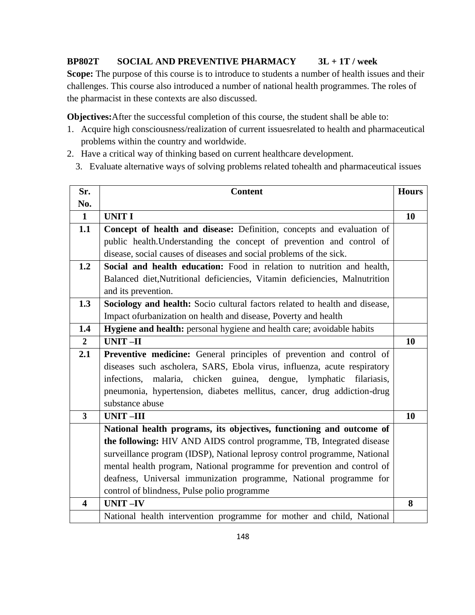### **BP802T SOCIAL AND PREVENTIVE PHARMACY 3L + 1T / week**

Scope: The purpose of this course is to introduce to students a number of health issues and their challenges. This course also introduced a number of national health programmes. The roles of the pharmacist in these contexts are also discussed.

**Objectives:**After the successful completion of this course, the student shall be able to:

- 1. Acquire high consciousness/realization of current issuesrelated to health and pharmaceutical problems within the country and worldwide.
- 2. Have a critical way of thinking based on current healthcare development.
	- 3. Evaluate alternative ways of solving problems related tohealth and pharmaceutical issues

| Sr.                     | <b>Content</b>                                                              | <b>Hours</b> |
|-------------------------|-----------------------------------------------------------------------------|--------------|
| No.                     |                                                                             |              |
| $\mathbf{1}$            | <b>UNIT I</b>                                                               | 10           |
| 1.1                     | Concept of health and disease: Definition, concepts and evaluation of       |              |
|                         | public health. Understanding the concept of prevention and control of       |              |
|                         | disease, social causes of diseases and social problems of the sick.         |              |
| 1.2                     | Social and health education: Food in relation to nutrition and health,      |              |
|                         | Balanced diet, Nutritional deficiencies, Vitamin deficiencies, Malnutrition |              |
|                         | and its prevention.                                                         |              |
| 1.3                     | Sociology and health: Socio cultural factors related to health and disease, |              |
|                         | Impact of urbanization on health and disease, Poverty and health            |              |
| 1.4                     | Hygiene and health: personal hygiene and health care; avoidable habits      |              |
| $\overline{2}$          | <b>UNIT-II</b>                                                              | 10           |
| 2.1                     | Preventive medicine: General principles of prevention and control of        |              |
|                         | diseases such ascholera, SARS, Ebola virus, influenza, acute respiratory    |              |
|                         | infections, malaria, chicken guinea, dengue, lymphatic<br>filariasis,       |              |
|                         | pneumonia, hypertension, diabetes mellitus, cancer, drug addiction-drug     |              |
|                         | substance abuse                                                             |              |
| $\overline{\mathbf{3}}$ | <b>UNIT-III</b>                                                             | 10           |
|                         | National health programs, its objectives, functioning and outcome of        |              |
|                         | the following: HIV AND AIDS control programme, TB, Integrated disease       |              |
|                         | surveillance program (IDSP), National leprosy control programme, National   |              |
|                         | mental health program, National programme for prevention and control of     |              |
|                         | deafness, Universal immunization programme, National programme for          |              |
|                         | control of blindness, Pulse polio programme                                 |              |
| $\overline{\mathbf{4}}$ | <b>UNIT-IV</b>                                                              | 8            |
|                         | National health intervention programme for mother and child, National       |              |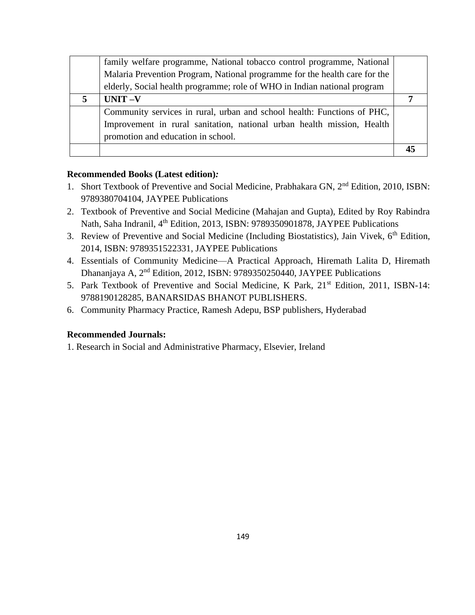|   | family welfare programme, National tobacco control programme, National     |  |
|---|----------------------------------------------------------------------------|--|
|   | Malaria Prevention Program, National programme for the health care for the |  |
|   | elderly, Social health programme; role of WHO in Indian national program   |  |
| 5 | $UNIT -V$                                                                  |  |
|   | Community services in rural, urban and school health: Functions of PHC,    |  |
|   | Improvement in rural sanitation, national urban health mission, Health     |  |
|   | promotion and education in school.                                         |  |
|   |                                                                            |  |

#### **Recommended Books (Latest edition)***:*

- 1. Short Textbook of Preventive and Social Medicine, Prabhakara GN, 2nd Edition, 2010, ISBN: 9789380704104, JAYPEE Publications
- 2. Textbook of Preventive and Social Medicine (Mahajan and Gupta), Edited by Roy Rabindra Nath, Saha Indranil, 4<sup>th</sup> Edition, 2013, ISBN: 9789350901878, JAYPEE Publications
- 3. Review of Preventive and Social Medicine (Including Biostatistics), Jain Vivek, 6<sup>th</sup> Edition, 2014, ISBN: 9789351522331, JAYPEE Publications
- 4. Essentials of Community Medicine—A Practical Approach, Hiremath Lalita D, Hiremath Dhananjaya A, 2nd Edition, 2012, ISBN: 9789350250440, JAYPEE Publications
- 5. Park Textbook of Preventive and Social Medicine, K Park, 21<sup>st</sup> Edition, 2011, ISBN-14: 9788190128285, BANARSIDAS BHANOT PUBLISHERS.
- 6. Community Pharmacy Practice, Ramesh Adepu, BSP publishers, Hyderabad

### **Recommended Journals:**

1. Research in Social and Administrative Pharmacy, Elsevier, Ireland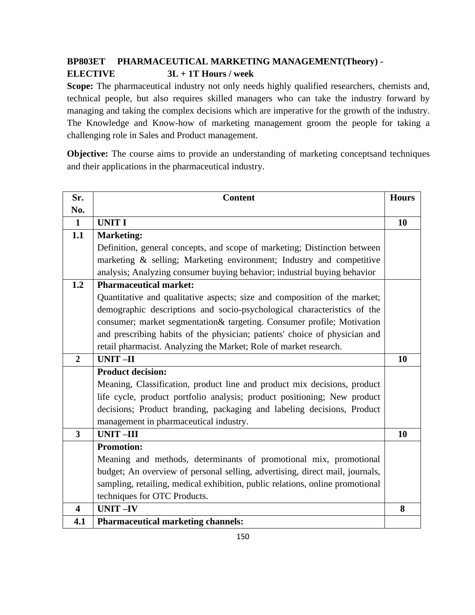# **BP803ET PHARMACEUTICAL MARKETING MANAGEMENT(Theory) - ELECTIVE 3L + 1T Hours / week**

Scope: The pharmaceutical industry not only needs highly qualified researchers, chemists and, technical people, but also requires skilled managers who can take the industry forward by managing and taking the complex decisions which are imperative for the growth of the industry. The Knowledge and Know-how of marketing management groom the people for taking a challenging role in Sales and Product management.

**Objective:** The course aims to provide an understanding of marketing conceptsand techniques and their applications in the pharmaceutical industry.

| Sr.                     | <b>Content</b>                                                                | <b>Hours</b> |
|-------------------------|-------------------------------------------------------------------------------|--------------|
| No.                     |                                                                               |              |
| $\mathbf{1}$            | <b>UNIT I</b>                                                                 | 10           |
| 1.1                     | <b>Marketing:</b>                                                             |              |
|                         | Definition, general concepts, and scope of marketing; Distinction between     |              |
|                         | marketing & selling; Marketing environment; Industry and competitive          |              |
|                         | analysis; Analyzing consumer buying behavior; industrial buying behavior      |              |
| 1.2                     | <b>Pharmaceutical market:</b>                                                 |              |
|                         | Quantitative and qualitative aspects; size and composition of the market;     |              |
|                         | demographic descriptions and socio-psychological characteristics of the       |              |
|                         | consumer; market segmentation& targeting. Consumer profile; Motivation        |              |
|                         | and prescribing habits of the physician; patients' choice of physician and    |              |
|                         | retail pharmacist. Analyzing the Market; Role of market research.             |              |
| $\overline{2}$          | <b>UNIT-II</b>                                                                | <b>10</b>    |
|                         | <b>Product decision:</b>                                                      |              |
|                         | Meaning, Classification, product line and product mix decisions, product      |              |
|                         | life cycle, product portfolio analysis; product positioning; New product      |              |
|                         | decisions; Product branding, packaging and labeling decisions, Product        |              |
|                         | management in pharmaceutical industry.                                        |              |
| $\overline{3}$          | <b>UNIT-III</b>                                                               | 10           |
|                         | <b>Promotion:</b>                                                             |              |
|                         | Meaning and methods, determinants of promotional mix, promotional             |              |
|                         | budget; An overview of personal selling, advertising, direct mail, journals,  |              |
|                         | sampling, retailing, medical exhibition, public relations, online promotional |              |
|                         | techniques for OTC Products.                                                  |              |
| $\overline{\mathbf{4}}$ | <b>UNIT-IV</b>                                                                | 8            |
| 4.1                     | <b>Pharmaceutical marketing channels:</b>                                     |              |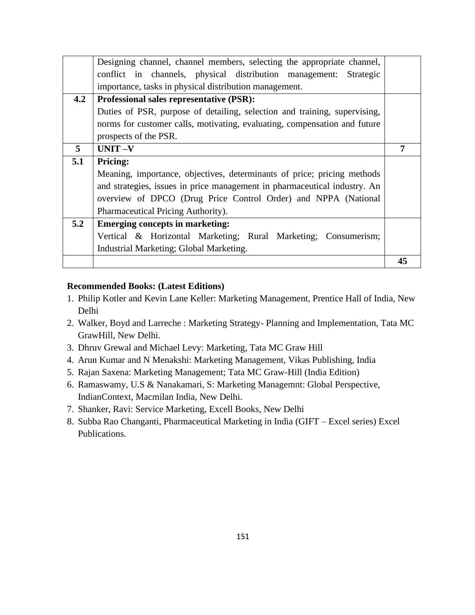|     | Designing channel, channel members, selecting the appropriate channel,    |    |
|-----|---------------------------------------------------------------------------|----|
|     | conflict in channels, physical distribution management: Strategic         |    |
|     | importance, tasks in physical distribution management.                    |    |
| 4.2 | Professional sales representative (PSR):                                  |    |
|     | Duties of PSR, purpose of detailing, selection and training, supervising, |    |
|     | norms for customer calls, motivating, evaluating, compensation and future |    |
|     | prospects of the PSR.                                                     |    |
| 5   | UNIT-V                                                                    |    |
| 5.1 | <b>Pricing:</b>                                                           |    |
|     | Meaning, importance, objectives, determinants of price; pricing methods   |    |
|     | and strategies, issues in price management in pharmaceutical industry. An |    |
|     | overview of DPCO (Drug Price Control Order) and NPPA (National            |    |
|     | Pharmaceutical Pricing Authority).                                        |    |
| 5.2 | <b>Emerging concepts in marketing:</b>                                    |    |
|     | Vertical & Horizontal Marketing; Rural Marketing; Consumerism;            |    |
|     | Industrial Marketing; Global Marketing.                                   |    |
|     |                                                                           | 45 |

### **Recommended Books: (Latest Editions)**

- 1. Philip Kotler and Kevin Lane Keller: Marketing Management, Prentice Hall of India, New Delhi
- 2. Walker, Boyd and Larreche : Marketing Strategy- Planning and Implementation, Tata MC GrawHill, New Delhi.
- 3. Dhruv Grewal and Michael Levy: Marketing, Tata MC Graw Hill
- 4. Arun Kumar and N Menakshi: Marketing Management, Vikas Publishing, India
- 5. Rajan Saxena: Marketing Management; Tata MC Graw-Hill (India Edition)
- 6. Ramaswamy, U.S & Nanakamari, S: Marketing Managemnt: Global Perspective, IndianContext, Macmilan India, New Delhi.
- 7. Shanker, Ravi: Service Marketing, Excell Books, New Delhi
- 8. Subba Rao Changanti, Pharmaceutical Marketing in India (GIFT Excel series) Excel Publications.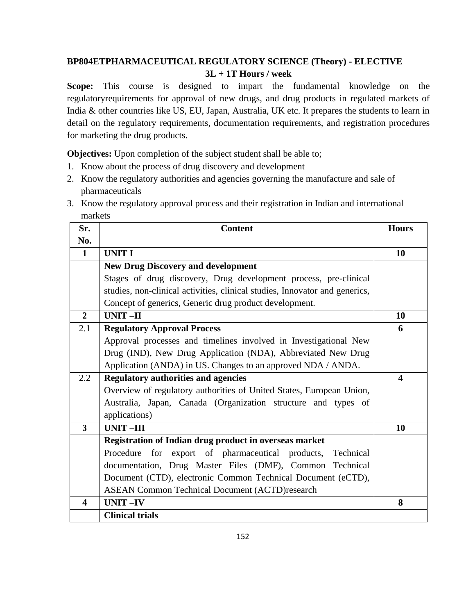# **BP804ETPHARMACEUTICAL REGULATORY SCIENCE (Theory) - ELECTIVE 3L + 1T Hours / week**

**Scope:** This course is designed to impart the fundamental knowledge on the regulatoryrequirements for approval of new drugs, and drug products in regulated markets of India & other countries like US, EU, Japan, Australia, UK etc. It prepares the students to learn in detail on the regulatory requirements, documentation requirements, and registration procedures for marketing the drug products.

**Objectives:** Upon completion of the subject student shall be able to;

- 1. Know about the process of drug discovery and development
- 2. Know the regulatory authorities and agencies governing the manufacture and sale of pharmaceuticals
- 3. Know the regulatory approval process and their registration in Indian and international markets

| Sr.                     | <b>Content</b>                                                              | <b>Hours</b>            |
|-------------------------|-----------------------------------------------------------------------------|-------------------------|
| No.                     |                                                                             |                         |
| $\mathbf{1}$            | <b>UNIT I</b>                                                               | 10                      |
|                         | <b>New Drug Discovery and development</b>                                   |                         |
|                         | Stages of drug discovery, Drug development process, pre-clinical            |                         |
|                         | studies, non-clinical activities, clinical studies, Innovator and generics, |                         |
|                         | Concept of generics, Generic drug product development.                      |                         |
| $\overline{2}$          | UNIT-II                                                                     | 10                      |
| 2.1                     | <b>Regulatory Approval Process</b>                                          | 6                       |
|                         | Approval processes and timelines involved in Investigational New            |                         |
|                         | Drug (IND), New Drug Application (NDA), Abbreviated New Drug                |                         |
|                         | Application (ANDA) in US. Changes to an approved NDA / ANDA.                |                         |
| 2.2                     | <b>Regulatory authorities and agencies</b>                                  | $\overline{\mathbf{4}}$ |
|                         | Overview of regulatory authorities of United States, European Union,        |                         |
|                         | Australia, Japan, Canada (Organization structure and types of               |                         |
|                         | applications)                                                               |                         |
| $\overline{3}$          | <b>UNIT-III</b>                                                             | 10                      |
|                         | Registration of Indian drug product in overseas market                      |                         |
|                         | Procedure for export of pharmaceutical products, Technical                  |                         |
|                         | documentation, Drug Master Files (DMF), Common Technical                    |                         |
|                         | Document (CTD), electronic Common Technical Document (eCTD),                |                         |
|                         | <b>ASEAN Common Technical Document (ACTD)research</b>                       |                         |
| $\overline{\mathbf{4}}$ | <b>UNIT-IV</b>                                                              | 8                       |
|                         | <b>Clinical trials</b>                                                      |                         |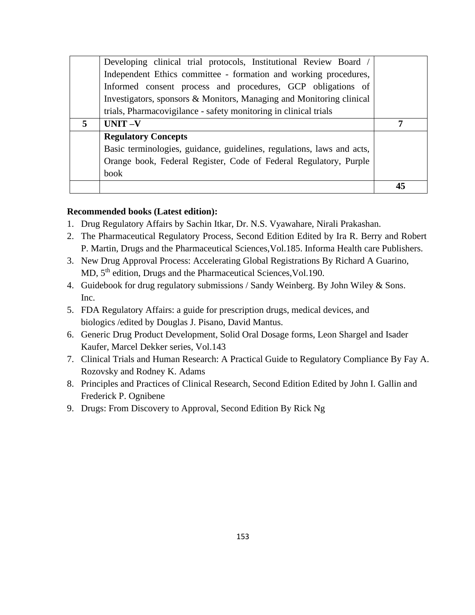|   | Basic terminologies, guidance, guidelines, regulations, laws and acts, |  |
|---|------------------------------------------------------------------------|--|
|   |                                                                        |  |
|   |                                                                        |  |
|   | <b>Regulatory Concepts</b>                                             |  |
| 5 | $UNIT -V$                                                              |  |
|   | trials, Pharmacovigilance - safety monitoring in clinical trials       |  |
|   | Investigators, sponsors & Monitors, Managing and Monitoring clinical   |  |
|   | Informed consent process and procedures, GCP obligations of            |  |
|   | Independent Ethics committee - formation and working procedures,       |  |
|   | Developing clinical trial protocols, Institutional Review Board /      |  |

#### **Recommended books (Latest edition):**

- 1. Drug Regulatory Affairs by Sachin Itkar, Dr. N.S. Vyawahare, Nirali Prakashan.
- 2. The Pharmaceutical Regulatory Process, Second Edition Edited by Ira R. Berry and Robert P. Martin, Drugs and the Pharmaceutical Sciences,Vol.185. Informa Health care Publishers.
- 3. New Drug Approval Process: Accelerating Global Registrations By Richard A Guarino, MD, 5<sup>th</sup> edition, Drugs and the Pharmaceutical Sciences, Vol.190.
- 4. Guidebook for drug regulatory submissions / Sandy Weinberg. By John Wiley & Sons. Inc.
- 5. FDA Regulatory Affairs: a guide for prescription drugs, medical devices, and biologics /edited by Douglas J. Pisano, David Mantus.
- 6. Generic Drug Product Development, Solid Oral Dosage forms, Leon Shargel and Isader Kaufer, Marcel Dekker series, Vol.143
- 7. Clinical Trials and Human Research: A Practical Guide to Regulatory Compliance By Fay A. Rozovsky and Rodney K. Adams
- 8. Principles and Practices of Clinical Research, Second Edition Edited by John I. Gallin and Frederick P. Ognibene
- 9. Drugs: From Discovery to Approval, Second Edition By Rick Ng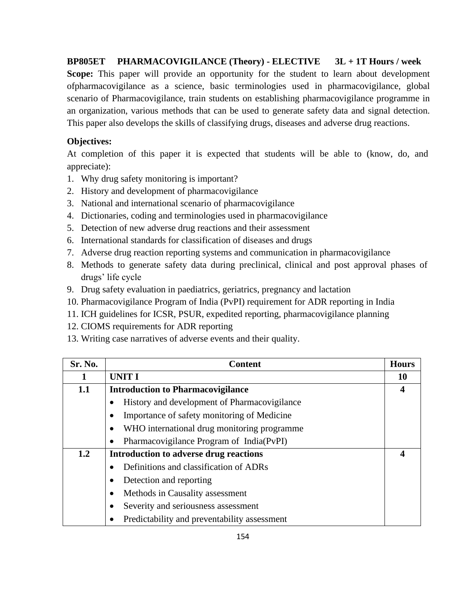**BP805ET PHARMACOVIGILANCE (Theory) - ELECTIVE 3L + 1T Hours / week Scope:** This paper will provide an opportunity for the student to learn about development ofpharmacovigilance as a science, basic terminologies used in pharmacovigilance, global scenario of Pharmacovigilance, train students on establishing pharmacovigilance programme in an organization, various methods that can be used to generate safety data and signal detection. This paper also develops the skills of classifying drugs, diseases and adverse drug reactions.

### **Objectives:**

At completion of this paper it is expected that students will be able to (know, do, and appreciate):

- 1. Why drug safety monitoring is important?
- 2. History and development of pharmacovigilance
- 3. National and international scenario of pharmacovigilance
- 4. Dictionaries, coding and terminologies used in pharmacovigilance
- 5. Detection of new adverse drug reactions and their assessment
- 6. International standards for classification of diseases and drugs
- 7. Adverse drug reaction reporting systems and communication in pharmacovigilance
- 8. Methods to generate safety data during preclinical, clinical and post approval phases of drugs' life cycle
- 9. Drug safety evaluation in paediatrics, geriatrics, pregnancy and lactation
- 10. Pharmacovigilance Program of India (PvPI) requirement for ADR reporting in India
- 11. ICH guidelines for ICSR, PSUR, expedited reporting, pharmacovigilance planning
- 12. CIOMS requirements for ADR reporting
- 13. Writing case narratives of adverse events and their quality.

| Sr. No. | <b>Content</b>                                           | <b>Hours</b>     |
|---------|----------------------------------------------------------|------------------|
| 1       | <b>UNIT I</b>                                            | 10               |
| 1.1     | <b>Introduction to Pharmacovigilance</b>                 | $\boldsymbol{4}$ |
|         | History and development of Pharmacovigilance             |                  |
|         | Importance of safety monitoring of Medicine              |                  |
|         | WHO international drug monitoring programme<br>$\bullet$ |                  |
|         | Pharmacovigilance Program of India(PvPI)                 |                  |
| 1.2     | Introduction to adverse drug reactions                   | $\boldsymbol{4}$ |
|         | Definitions and classification of ADRs                   |                  |
|         | Detection and reporting                                  |                  |
|         | Methods in Causality assessment                          |                  |
|         | Severity and seriousness assessment<br>$\bullet$         |                  |
|         | Predictability and preventability assessment<br>٠        |                  |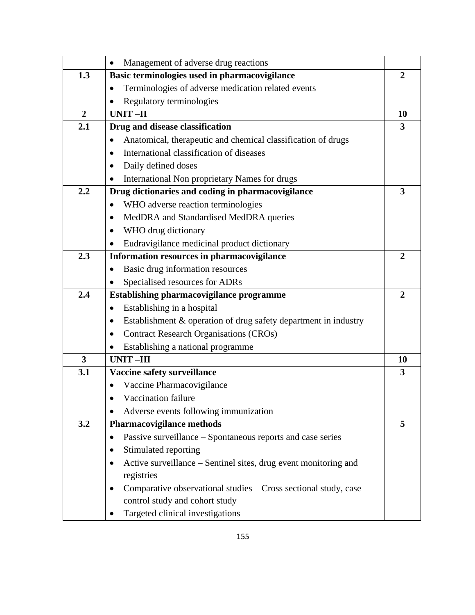|                         | Management of adverse drug reactions<br>$\bullet$                            |                         |
|-------------------------|------------------------------------------------------------------------------|-------------------------|
| 1.3                     | Basic terminologies used in pharmacovigilance                                | $\overline{2}$          |
|                         | Terminologies of adverse medication related events<br>$\bullet$              |                         |
|                         | Regulatory terminologies                                                     |                         |
| $\overline{2}$          | <b>UNIT-II</b>                                                               | 10                      |
| 2.1                     | Drug and disease classification                                              | 3                       |
|                         | Anatomical, therapeutic and chemical classification of drugs                 |                         |
|                         | International classification of diseases<br>$\bullet$                        |                         |
|                         | Daily defined doses<br>$\bullet$                                             |                         |
|                         | International Non proprietary Names for drugs<br>$\bullet$                   |                         |
| 2.2                     | Drug dictionaries and coding in pharmacovigilance                            | $\overline{\mathbf{3}}$ |
|                         | WHO adverse reaction terminologies<br>$\bullet$                              |                         |
|                         | MedDRA and Standardised MedDRA queries<br>$\bullet$                          |                         |
|                         | WHO drug dictionary<br>$\bullet$                                             |                         |
|                         | Eudravigilance medicinal product dictionary<br>$\bullet$                     |                         |
| 2.3                     | Information resources in pharmacovigilance                                   | $\mathbf{2}$            |
|                         | Basic drug information resources<br>$\bullet$                                |                         |
|                         | Specialised resources for ADRs<br>$\bullet$                                  |                         |
| 2.4                     | Establishing pharmacovigilance programme                                     | $\overline{2}$          |
|                         | Establishing in a hospital<br>$\bullet$                                      |                         |
|                         | Establishment & operation of drug safety department in industry<br>$\bullet$ |                         |
|                         | <b>Contract Research Organisations (CROs)</b><br>$\bullet$                   |                         |
|                         | Establishing a national programme<br>$\bullet$                               |                         |
| $\overline{\mathbf{3}}$ | <b>UNIT-III</b>                                                              | 10                      |
| 3.1                     | Vaccine safety surveillance                                                  | 3                       |
|                         | Vaccine Pharmacovigilance<br>$\bullet$                                       |                         |
|                         | Vaccination failure                                                          |                         |
|                         | Adverse events following immunization                                        |                         |
| 3.2                     | <b>Pharmacovigilance methods</b>                                             | 5                       |
|                         | Passive surveillance – Spontaneous reports and case series<br>$\bullet$      |                         |
|                         | Stimulated reporting<br>$\bullet$                                            |                         |
|                         | Active surveillance – Sentinel sites, drug event monitoring and<br>$\bullet$ |                         |
|                         | registries                                                                   |                         |
|                         | Comparative observational studies – Cross sectional study, case<br>٠         |                         |
|                         | control study and cohort study                                               |                         |
|                         | Targeted clinical investigations                                             |                         |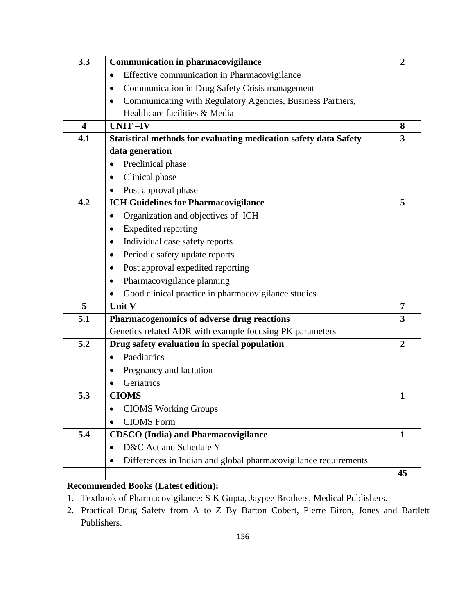| 3.3                     | <b>Communication in pharmacovigilance</b>                               | $\overline{2}$ |
|-------------------------|-------------------------------------------------------------------------|----------------|
|                         | Effective communication in Pharmacovigilance<br>$\bullet$               |                |
|                         | Communication in Drug Safety Crisis management<br>$\bullet$             |                |
|                         | Communicating with Regulatory Agencies, Business Partners,<br>$\bullet$ |                |
|                         | Healthcare facilities & Media                                           |                |
| $\overline{\mathbf{4}}$ | <b>UNIT-IV</b>                                                          | 8              |
| 4.1                     | Statistical methods for evaluating medication safety data Safety        | 3              |
|                         | data generation                                                         |                |
|                         | Preclinical phase<br>$\bullet$                                          |                |
|                         | Clinical phase<br>$\bullet$                                             |                |
|                         | Post approval phase                                                     |                |
| 4.2                     | <b>ICH Guidelines for Pharmacovigilance</b>                             | 5              |
|                         | Organization and objectives of ICH<br>$\bullet$                         |                |
|                         | Expedited reporting<br>٠                                                |                |
|                         | Individual case safety reports<br>٠                                     |                |
|                         | Periodic safety update reports<br>٠                                     |                |
|                         | Post approval expedited reporting<br>$\bullet$                          |                |
|                         | Pharmacovigilance planning<br>٠                                         |                |
|                         | Good clinical practice in pharmacovigilance studies                     |                |
| 5                       | Unit V                                                                  | $\overline{7}$ |
| 5.1                     | Pharmacogenomics of adverse drug reactions                              | 3              |
|                         | Genetics related ADR with example focusing PK parameters                |                |
| 5.2                     | Drug safety evaluation in special population                            | $\overline{2}$ |
|                         | Paediatrics<br>$\bullet$                                                |                |
|                         | Pregnancy and lactation<br>٠                                            |                |
|                         | Geriatrics<br>$\bullet$                                                 |                |
| 5.3                     | <b>CIOMS</b>                                                            | $\mathbf{1}$   |
|                         | <b>CIOMS</b> Working Groups                                             |                |
|                         | <b>CIOMS</b> Form                                                       |                |
| 5.4                     | <b>CDSCO</b> (India) and Pharmacovigilance                              | $\mathbf{1}$   |
|                         | D&C Act and Schedule Y                                                  |                |
|                         | Differences in Indian and global pharmacovigilance requirements         |                |
|                         |                                                                         | 45             |

# **Recommended Books (Latest edition):**

- 1. Textbook of Pharmacovigilance: S K Gupta, Jaypee Brothers, Medical Publishers.
- 2. Practical Drug Safety from A to Z By Barton Cobert, Pierre Biron, Jones and Bartlett Publishers.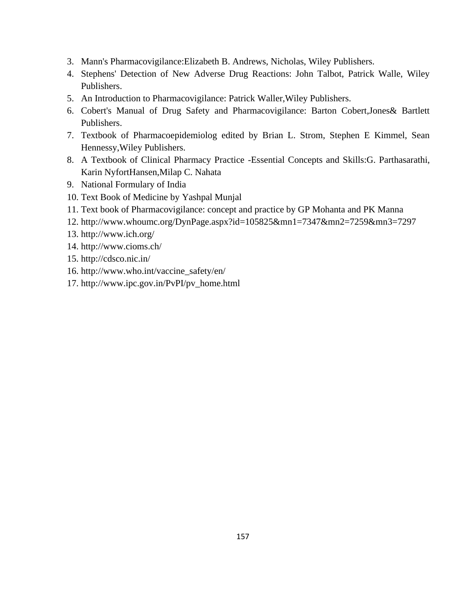- 3. Mann's Pharmacovigilance:Elizabeth B. Andrews, Nicholas, Wiley Publishers.
- 4. Stephens' Detection of New Adverse Drug Reactions: John Talbot, Patrick Walle, Wiley Publishers.
- 5. An Introduction to Pharmacovigilance: Patrick Waller,Wiley Publishers.
- 6. Cobert's Manual of Drug Safety and Pharmacovigilance: Barton Cobert,Jones& Bartlett Publishers.
- 7. Textbook of Pharmacoepidemiolog edited by Brian L. Strom, Stephen E Kimmel, Sean Hennessy,Wiley Publishers.
- 8. A Textbook of Clinical Pharmacy Practice -Essential Concepts and Skills:G. Parthasarathi, Karin NyfortHansen,Milap C. Nahata
- 9. National Formulary of India
- 10. Text Book of Medicine by Yashpal Munjal
- 11. Text book of Pharmacovigilance: concept and practice by GP Mohanta and PK Manna
- 12. <http://www.whoumc.org/DynPage.aspx?id=105825&mn1=7347&mn2=7259&mn3=7297>
- 13. <http://www.ich.org/>
- 14. <http://www.cioms.ch/>
- 15. <http://cdsco.nic.in/>
- 16. http://www.who.int/vaccine\_safety/en/
- 17. [http://www.ipc.gov.in/PvPI/pv\\_home.html](http://www.ipc.gov.in/PvPI/pv_home.html)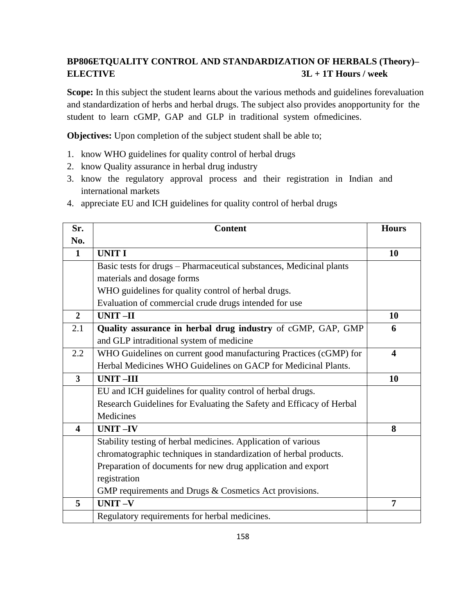# **BP806ETQUALITY CONTROL AND STANDARDIZATION OF HERBALS (Theory)– ELECTIVE 3L + 1T Hours / week**

**Scope:** In this subject the student learns about the various methods and guidelines forevaluation and standardization of herbs and herbal drugs. The subject also provides anopportunity for the student to learn cGMP, GAP and GLP in traditional system ofmedicines.

**Objectives:** Upon completion of the subject student shall be able to;

- 1. know WHO guidelines for quality control of herbal drugs
- 2. know Quality assurance in herbal drug industry
- 3. know the regulatory approval process and their registration in Indian and international markets
- 4. appreciate EU and ICH guidelines for quality control of herbal drugs

| Sr.                     | <b>Content</b>                                                       | <b>Hours</b>            |
|-------------------------|----------------------------------------------------------------------|-------------------------|
| No.                     |                                                                      |                         |
| $\mathbf{1}$            | <b>UNIT I</b>                                                        | 10                      |
|                         | Basic tests for drugs - Pharmaceutical substances, Medicinal plants  |                         |
|                         | materials and dosage forms                                           |                         |
|                         | WHO guidelines for quality control of herbal drugs.                  |                         |
|                         | Evaluation of commercial crude drugs intended for use                |                         |
| $\overline{2}$          | <b>UNIT-II</b>                                                       | 10                      |
| 2.1                     | Quality assurance in herbal drug industry of cGMP, GAP, GMP          | 6                       |
|                         | and GLP intraditional system of medicine                             |                         |
| 2.2                     | WHO Guidelines on current good manufacturing Practices (cGMP) for    | $\overline{\mathbf{4}}$ |
|                         | Herbal Medicines WHO Guidelines on GACP for Medicinal Plants.        |                         |
| $\overline{3}$          | UNIT-III                                                             | 10                      |
|                         | EU and ICH guidelines for quality control of herbal drugs.           |                         |
|                         | Research Guidelines for Evaluating the Safety and Efficacy of Herbal |                         |
|                         | Medicines                                                            |                         |
| $\overline{\mathbf{4}}$ | <b>UNIT-IV</b>                                                       | 8                       |
|                         | Stability testing of herbal medicines. Application of various        |                         |
|                         | chromatographic techniques in standardization of herbal products.    |                         |
|                         | Preparation of documents for new drug application and export         |                         |
|                         | registration                                                         |                         |
|                         | GMP requirements and Drugs & Cosmetics Act provisions.               |                         |
| 5                       | UNIT-V                                                               | $\overline{7}$          |
|                         | Regulatory requirements for herbal medicines.                        |                         |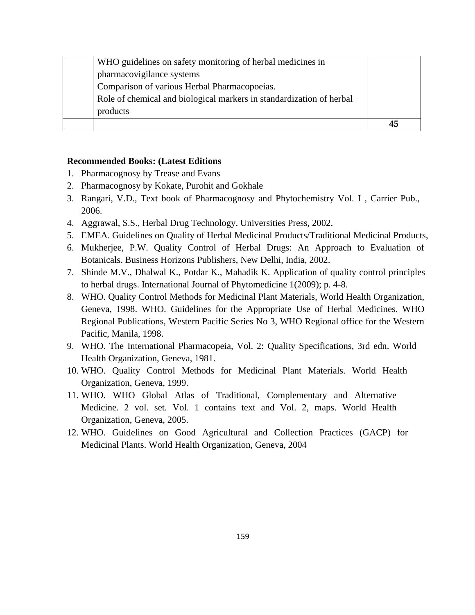| products                                                             |  |
|----------------------------------------------------------------------|--|
| Role of chemical and biological markers in standardization of herbal |  |
| Comparison of various Herbal Pharmacopoeias.                         |  |
| pharmacovigilance systems                                            |  |
| WHO guidelines on safety monitoring of herbal medicines in           |  |

#### **Recommended Books: (Latest Editions**

- 1. Pharmacognosy by Trease and Evans
- 2. Pharmacognosy by Kokate, Purohit and Gokhale
- 3. Rangari, V.D., Text book of Pharmacognosy and Phytochemistry Vol. I , Carrier Pub., 2006.
- 4. Aggrawal, S.S., Herbal Drug Technology. Universities Press, 2002.
- 5. EMEA. Guidelines on Quality of Herbal Medicinal Products/Traditional Medicinal Products,
- 6. Mukherjee, P.W. Quality Control of Herbal Drugs: An Approach to Evaluation of Botanicals. Business Horizons Publishers, New Delhi, India, 2002.
- 7. Shinde M.V., Dhalwal K., Potdar K., Mahadik K. Application of quality control principles to herbal drugs. International Journal of Phytomedicine 1(2009); p. 4-8.
- 8. WHO. Quality Control Methods for Medicinal Plant Materials, World Health Organization, Geneva, 1998. WHO. Guidelines for the Appropriate Use of Herbal Medicines. WHO Regional Publications, Western Pacific Series No 3, WHO Regional office for the Western Pacific, Manila, 1998.
- 9. WHO. The International Pharmacopeia, Vol. 2: Quality Specifications, 3rd edn. World Health Organization, Geneva, 1981.
- 10. WHO. Quality Control Methods for Medicinal Plant Materials. World Health Organization, Geneva, 1999.
- 11. WHO. WHO Global Atlas of Traditional, Complementary and Alternative Medicine. 2 vol. set. Vol. 1 contains text and Vol. 2, maps. World Health Organization, Geneva, 2005.
- 12. WHO. Guidelines on Good Agricultural and Collection Practices (GACP) for Medicinal Plants. World Health Organization, Geneva, 2004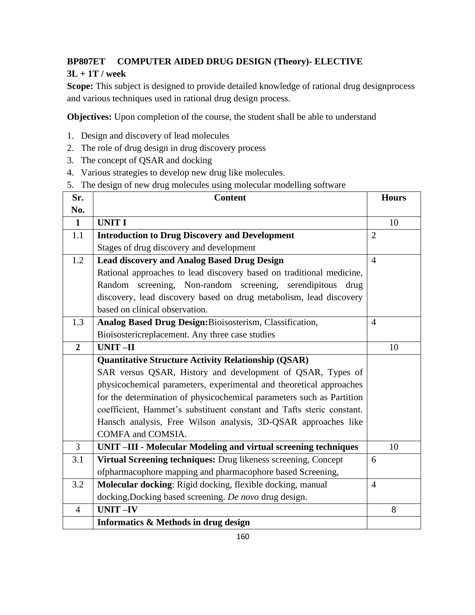# **BP807ET COMPUTER AIDED DRUG DESIGN (Theory)- ELECTIVE**

# **3L + 1T / week**

Scope: This subject is designed to provide detailed knowledge of rational drug designprocess and various techniques used in rational drug design process.

**Objectives:** Upon completion of the course, the student shall be able to understand

- 1. Design and discovery of lead molecules
- 2. The role of drug design in drug discovery process
- 3. The concept of QSAR and docking
- 4. Various strategies to develop new drug like molecules.
- 5. The design of new drug molecules using molecular modelling software

| Sr.            | <b>Content</b>                                                        | <b>Hours</b>   |
|----------------|-----------------------------------------------------------------------|----------------|
| No.            |                                                                       |                |
| $\mathbf{1}$   | <b>UNIT I</b>                                                         | 10             |
| 1.1            | <b>Introduction to Drug Discovery and Development</b>                 | $\overline{2}$ |
|                | Stages of drug discovery and development                              |                |
| 1.2            | <b>Lead discovery and Analog Based Drug Design</b>                    | $\overline{4}$ |
|                | Rational approaches to lead discovery based on traditional medicine,  |                |
|                | Random screening, Non-random screening, serendipitous<br>drug         |                |
|                | discovery, lead discovery based on drug metabolism, lead discovery    |                |
|                | based on clinical observation.                                        |                |
| 1.3            | Analog Based Drug Design: Bioisosterism, Classification,              | $\overline{4}$ |
|                | Bioisostericreplacement. Any three case studies                       |                |
| $\overline{2}$ | <b>UNIT-II</b>                                                        | 10             |
|                | <b>Quantitative Structure Activity Relationship (QSAR)</b>            |                |
|                | SAR versus QSAR, History and development of QSAR, Types of            |                |
|                | physicochemical parameters, experimental and theoretical approaches   |                |
|                | for the determination of physicochemical parameters such as Partition |                |
|                | coefficient, Hammet's substituent constant and Tafts steric constant. |                |
|                | Hansch analysis, Free Wilson analysis, 3D-QSAR approaches like        |                |
|                | COMFA and COMSIA.                                                     |                |
| $\overline{3}$ | UNIT-III - Molecular Modeling and virtual screening techniques        | 10             |
| 3.1            | Virtual Screening techniques: Drug likeness screening, Concept        | 6              |
|                | ofpharmacophore mapping and pharmacophore based Screening,            |                |
| 3.2            | Molecular docking: Rigid docking, flexible docking, manual            | $\overline{4}$ |
|                | docking, Docking based screening. De novo drug design.                |                |
| $\overline{4}$ | <b>UNIT-IV</b>                                                        | 8              |
|                | <b>Informatics &amp; Methods in drug design</b>                       |                |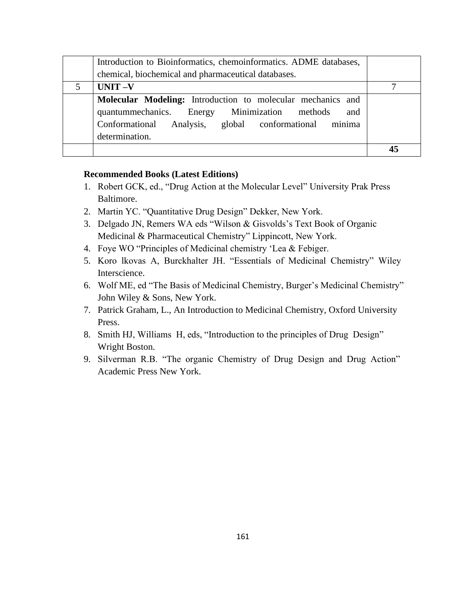|   | Introduction to Bioinformatics, chemoinformatics. ADME databases,                                                                                                                              |  |
|---|------------------------------------------------------------------------------------------------------------------------------------------------------------------------------------------------|--|
|   | chemical, biochemical and pharmaceutical databases.                                                                                                                                            |  |
| 5 | $UNIT -V$                                                                                                                                                                                      |  |
|   | Molecular Modeling: Introduction to molecular mechanics and<br>quantummechanics. Energy Minimization methods<br>and<br>Conformational Analysis, global conformational minima<br>determination. |  |
|   |                                                                                                                                                                                                |  |

#### **Recommended Books (Latest Editions)**

- 1. Robert GCK, ed., "Drug Action at the Molecular Level" University Prak Press Baltimore.
- 2. Martin YC. "Quantitative Drug Design" Dekker, New York.
- 3. Delgado JN, Remers WA eds "Wilson & Gisvolds's Text Book of Organic Medicinal & Pharmaceutical Chemistry" Lippincott, New York.
- 4. Foye WO "Principles of Medicinal chemistry 'Lea & Febiger.
- 5. Koro lkovas A, Burckhalter JH. "Essentials of Medicinal Chemistry" Wiley Interscience.
- 6. Wolf ME, ed "The Basis of Medicinal Chemistry, Burger's Medicinal Chemistry" John Wiley & Sons, New York.
- 7. Patrick Graham, L., An Introduction to Medicinal Chemistry, Oxford University Press.
- 8. Smith HJ, Williams H, eds, "Introduction to the principles of Drug Design" Wright Boston.
- 9. Silverman R.B. "The organic Chemistry of Drug Design and Drug Action" Academic Press New York.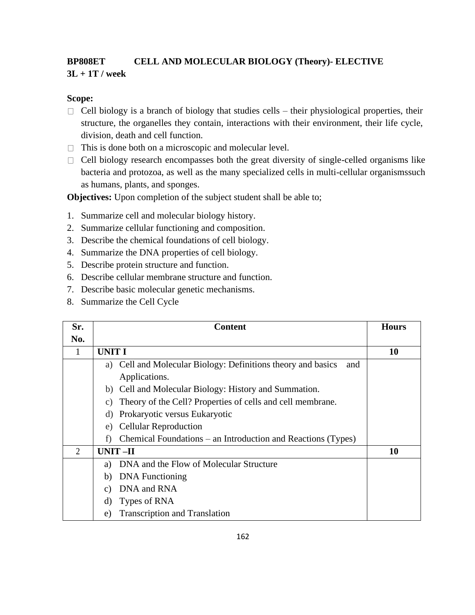# **BP808ET CELL AND MOLECULAR BIOLOGY (Theory)- ELECTIVE 3L + 1T / week**

#### **Scope:**

- $\Box$  Cell biology is a branch of biology that studies cells their physiological properties, their structure, the organelles they contain, interactions with their environment, their life cycle, division, death and cell function.
- $\Box$  This is done both on a microscopic and molecular level.
- $\Box$  Cell biology research encompasses both the great diversity of single-celled organisms like bacteria and protozoa, as well as the many specialized cells in multi-cellular organismssuch as humans, plants, and sponges.

**Objectives:** Upon completion of the subject student shall be able to;

- 1. Summarize cell and molecular biology history.
- 2. Summarize cellular functioning and composition.
- 3. Describe the chemical foundations of cell biology.
- 4. Summarize the DNA properties of cell biology.
- 5. Describe protein structure and function.
- 6. Describe cellular membrane structure and function.
- 7. Describe basic molecular genetic mechanisms.
- 8. Summarize the Cell Cycle

| Sr.            | <b>Content</b>                                                                | <b>Hours</b> |
|----------------|-------------------------------------------------------------------------------|--------------|
| No.            |                                                                               |              |
|                | <b>UNIT I</b>                                                                 | 10           |
|                | a) Cell and Molecular Biology: Definitions theory and basics<br>and           |              |
|                | Applications.                                                                 |              |
|                | b) Cell and Molecular Biology: History and Summation.                         |              |
|                | Theory of the Cell? Properties of cells and cell membrane.<br>$\mathcal{C}$ ) |              |
|                | Prokaryotic versus Eukaryotic<br>d)                                           |              |
|                | <b>Cellular Reproduction</b><br>e)                                            |              |
|                | Chemical Foundations – an Introduction and Reactions (Types)<br>f)            |              |
| $\mathfrak{D}$ | UNIT-II                                                                       | 10           |
|                | DNA and the Flow of Molecular Structure<br>a)                                 |              |
|                | <b>DNA</b> Functioning<br>b)                                                  |              |
|                | DNA and RNA<br>C)                                                             |              |
|                | Types of RNA<br>d)                                                            |              |
|                | <b>Transcription and Translation</b><br>e)                                    |              |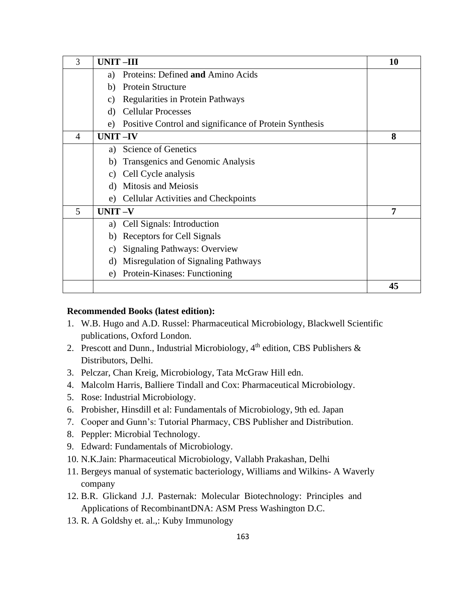| 3 | <b>UNIT-III</b>                                              | 10 |
|---|--------------------------------------------------------------|----|
|   | Proteins: Defined and Amino Acids<br>a)                      |    |
|   | <b>Protein Structure</b><br>b)                               |    |
|   | Regularities in Protein Pathways<br>C)                       |    |
|   | <b>Cellular Processes</b><br>d)                              |    |
|   | Positive Control and significance of Protein Synthesis<br>e) |    |
| 4 | <b>UNIT-IV</b>                                               | 8  |
|   | <b>Science of Genetics</b><br>a)                             |    |
|   | Transgenics and Genomic Analysis<br>b)                       |    |
|   | Cell Cycle analysis<br>C)                                    |    |
|   | Mitosis and Meiosis<br>d)                                    |    |
|   | <b>Cellular Activities and Checkpoints</b><br>e)             |    |
| 5 | UNIT-V                                                       | 7  |
|   | Cell Signals: Introduction<br>a)                             |    |
|   | Receptors for Cell Signals<br>b)                             |    |
|   | <b>Signaling Pathways: Overview</b><br>C)                    |    |
|   | Misregulation of Signaling Pathways<br>d)                    |    |
|   | Protein-Kinases: Functioning<br>e)                           |    |
|   |                                                              | 45 |

#### **Recommended Books (latest edition):**

- 1. W.B. Hugo and A.D. Russel: Pharmaceutical Microbiology, Blackwell Scientific publications, Oxford London.
- 2. Prescott and Dunn., Industrial Microbiology,  $4<sup>th</sup>$  edition, CBS Publishers & Distributors, Delhi.
- 3. Pelczar, Chan Kreig, Microbiology, Tata McGraw Hill edn.
- 4. Malcolm Harris, Balliere Tindall and Cox: Pharmaceutical Microbiology.
- 5. Rose: Industrial Microbiology.
- 6. Probisher, Hinsdill et al: Fundamentals of Microbiology, 9th ed. Japan
- 7. Cooper and Gunn's: Tutorial Pharmacy, CBS Publisher and Distribution.
- 8. Peppler: Microbial Technology.
- 9. Edward: Fundamentals of Microbiology.
- 10. N.K.Jain: Pharmaceutical Microbiology, Vallabh Prakashan, Delhi
- 11. Bergeys manual of systematic bacteriology, Williams and Wilkins- A Waverly company
- 12. B.R. Glickand J.J. Pasternak: Molecular Biotechnology: Principles and Applications of RecombinantDNA: ASM Press Washington D.C.
- 13. R. A Goldshy et. al.,: Kuby Immunology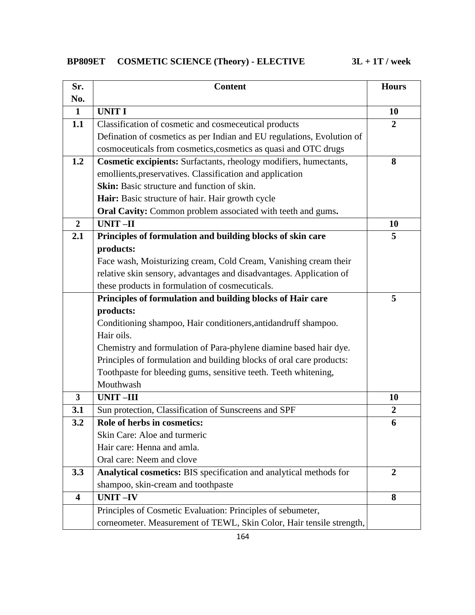| <b>BP809ET</b> | <b>COSMETIC SCIENCE (Theory) - ELECTIVE</b> |
|----------------|---------------------------------------------|
|----------------|---------------------------------------------|

| Sr.                     | <b>Content</b>                                                           | <b>Hours</b>     |
|-------------------------|--------------------------------------------------------------------------|------------------|
| No.                     |                                                                          |                  |
| $\mathbf{1}$            | <b>UNIT I</b>                                                            | 10               |
| 1.1                     | Classification of cosmetic and cosmeceutical products                    | $\overline{2}$   |
|                         | Defination of cosmetics as per Indian and EU regulations, Evolution of   |                  |
|                         | cosmoceuticals from cosmetics, cosmetics as quasi and OTC drugs          |                  |
| 1.2                     | <b>Cosmetic excipients:</b> Surfactants, rheology modifiers, humectants, | 8                |
|                         | emollients, preservatives. Classification and application                |                  |
|                         | <b>Skin:</b> Basic structure and function of skin.                       |                  |
|                         | Hair: Basic structure of hair. Hair growth cycle                         |                  |
|                         | Oral Cavity: Common problem associated with teeth and gums.              |                  |
| $\overline{2}$          | <b>UNIT-II</b>                                                           | 10               |
| 2.1                     | Principles of formulation and building blocks of skin care               | 5                |
|                         | products:                                                                |                  |
|                         | Face wash, Moisturizing cream, Cold Cream, Vanishing cream their         |                  |
|                         | relative skin sensory, advantages and disadvantages. Application of      |                  |
|                         | these products in formulation of cosmecuticals.                          |                  |
|                         | Principles of formulation and building blocks of Hair care               | 5                |
|                         | products:                                                                |                  |
|                         | Conditioning shampoo, Hair conditioners, antidandruff shampoo.           |                  |
|                         | Hair oils.                                                               |                  |
|                         | Chemistry and formulation of Para-phylene diamine based hair dye.        |                  |
|                         | Principles of formulation and building blocks of oral care products:     |                  |
|                         | Toothpaste for bleeding gums, sensitive teeth. Teeth whitening,          |                  |
|                         | Mouthwash                                                                |                  |
| $\overline{\mathbf{3}}$ | <b>UNIT-III</b>                                                          | 10               |
| 3.1                     | Sun protection, Classification of Sunscreens and SPF                     | $\boldsymbol{2}$ |
| 3.2                     | Role of herbs in cosmetics:                                              | 6                |
|                         | Skin Care: Aloe and turmeric                                             |                  |
|                         | Hair care: Henna and amla.                                               |                  |
|                         | Oral care: Neem and clove                                                |                  |
| 3.3                     | Analytical cosmetics: BIS specification and analytical methods for       | $\overline{2}$   |
|                         | shampoo, skin-cream and toothpaste                                       |                  |
| $\overline{\mathbf{4}}$ | <b>UNIT-IV</b>                                                           | 8                |
|                         | Principles of Cosmetic Evaluation: Principles of sebumeter,              |                  |
|                         | corneometer. Measurement of TEWL, Skin Color, Hair tensile strength,     |                  |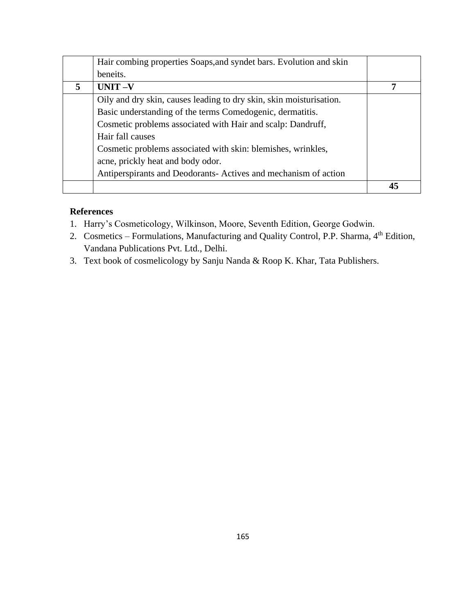|   | Hair combing properties Soaps, and syndet bars. Evolution and skin  |  |
|---|---------------------------------------------------------------------|--|
|   | beneits.                                                            |  |
| 5 | $UNIT -V$                                                           |  |
|   | Oily and dry skin, causes leading to dry skin, skin moisturisation. |  |
|   | Basic understanding of the terms Comedogenic, dermatitis.           |  |
|   | Cosmetic problems associated with Hair and scalp: Dandruff,         |  |
|   | Hair fall causes                                                    |  |
|   | Cosmetic problems associated with skin: blemishes, wrinkles,        |  |
|   | acne, prickly heat and body odor.                                   |  |
|   | Antiperspirants and Deodorants-Actives and mechanism of action      |  |
|   |                                                                     |  |

# **References**

- 1. Harry's Cosmeticology, Wilkinson, Moore, Seventh Edition, George Godwin.
- 2. Cosmetics Formulations, Manufacturing and Quality Control, P.P. Sharma, 4<sup>th</sup> Edition, Vandana Publications Pvt. Ltd., Delhi.
- 3. Text book of cosmelicology by Sanju Nanda & Roop K. Khar, Tata Publishers.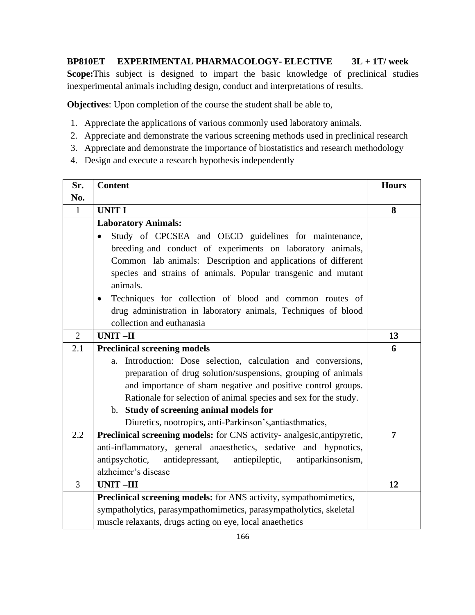**BP810ET EXPERIMENTAL PHARMACOLOGY- ELECTIVE 3L + 1T/ week Scope:**This subject is designed to impart the basic knowledge of preclinical studies inexperimental animals including design, conduct and interpretations of results.

**Objectives**: Upon completion of the course the student shall be able to,

- 1. Appreciate the applications of various commonly used laboratory animals.
- 2. Appreciate and demonstrate the various screening methods used in preclinical research
- 3. Appreciate and demonstrate the importance of biostatistics and research methodology
- 4. Design and execute a research hypothesis independently

| Sr.            | <b>Content</b>                                                            | <b>Hours</b>   |
|----------------|---------------------------------------------------------------------------|----------------|
| No.            |                                                                           |                |
| $\mathbf{1}$   | <b>UNIT I</b>                                                             | 8              |
|                | <b>Laboratory Animals:</b>                                                |                |
|                | Study of CPCSEA and OECD guidelines for maintenance,                      |                |
|                | breeding and conduct of experiments on laboratory animals,                |                |
|                | Common lab animals: Description and applications of different             |                |
|                | species and strains of animals. Popular transgenic and mutant<br>animals. |                |
|                | Techniques for collection of blood and common routes of<br>$\bullet$      |                |
|                | drug administration in laboratory animals, Techniques of blood            |                |
|                | collection and euthanasia                                                 |                |
| $\overline{2}$ | <b>UNIT-II</b>                                                            | 13             |
| 2.1            | <b>Preclinical screening models</b>                                       | 6              |
|                | Introduction: Dose selection, calculation and conversions,<br>a.          |                |
|                | preparation of drug solution/suspensions, grouping of animals             |                |
|                | and importance of sham negative and positive control groups.              |                |
|                | Rationale for selection of animal species and sex for the study.          |                |
|                | b. Study of screening animal models for                                   |                |
|                | Diuretics, nootropics, anti-Parkinson's, antiasthmatics,                  |                |
| 2.2            | Preclinical screening models: for CNS activity- analgesic, antipyretic,   | $\overline{7}$ |
|                | anti-inflammatory, general anaesthetics, sedative and hypnotics,          |                |
|                | antipsychotic,<br>antidepressant,<br>antiepileptic,<br>antiparkinsonism,  |                |
|                | alzheimer's disease                                                       |                |
| $\overline{3}$ | <b>UNIT-III</b>                                                           | 12             |
|                | Preclinical screening models: for ANS activity, sympathomimetics,         |                |
|                | sympatholytics, parasympathomimetics, parasympatholytics, skeletal        |                |
|                | muscle relaxants, drugs acting on eye, local anaethetics                  |                |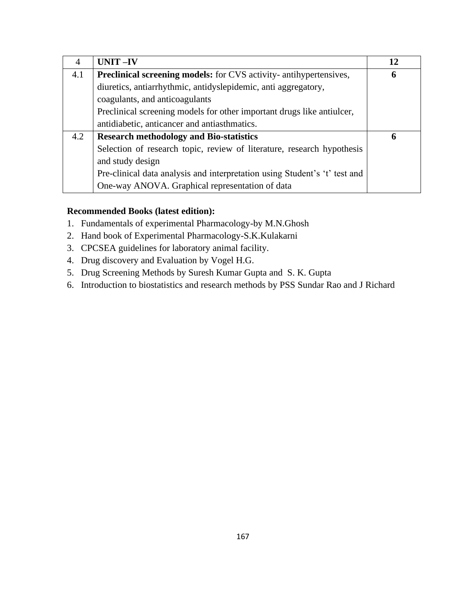| $\overline{A}$ | <b>UNIT-IV</b>                                                             | 12 |
|----------------|----------------------------------------------------------------------------|----|
| 4.1            | <b>Preclinical screening models:</b> for CVS activity- antihypertensives,  | 6  |
|                | diuretics, antiarrhythmic, antidyslepidemic, anti aggregatory,             |    |
|                | coagulants, and anticoagulants                                             |    |
|                | Preclinical screening models for other important drugs like antiulcer,     |    |
|                | antidiabetic, anticancer and antiasthmatics.                               |    |
| 4.2            | <b>Research methodology and Bio-statistics</b>                             | 6  |
|                | Selection of research topic, review of literature, research hypothesis     |    |
|                | and study design                                                           |    |
|                | Pre-clinical data analysis and interpretation using Student's 't' test and |    |
|                | One-way ANOVA. Graphical representation of data                            |    |

### **Recommended Books (latest edition):**

- 1. Fundamentals of experimental Pharmacology-by M.N.Ghosh
- 2. Hand book of Experimental Pharmacology-S.K.Kulakarni
- 3. CPCSEA guidelines for laboratory animal facility.
- 4. Drug discovery and Evaluation by Vogel H.G.
- 5. Drug Screening Methods by Suresh Kumar Gupta and S. K. Gupta
- 6. Introduction to biostatistics and research methods by PSS Sundar Rao and J Richard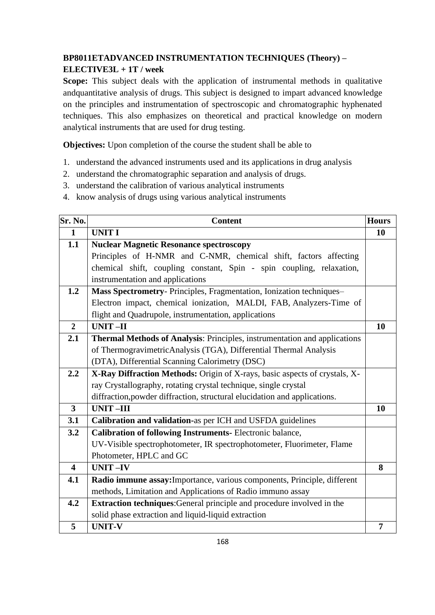# **BP8011ETADVANCED INSTRUMENTATION TECHNIQUES (Theory) –**

# **ELECTIVE3L + 1T / week**

**Scope:** This subject deals with the application of instrumental methods in qualitative andquantitative analysis of drugs. This subject is designed to impart advanced knowledge on the principles and instrumentation of spectroscopic and chromatographic hyphenated techniques. This also emphasizes on theoretical and practical knowledge on modern analytical instruments that are used for drug testing.

**Objectives:** Upon completion of the course the student shall be able to

- 1. understand the advanced instruments used and its applications in drug analysis
- 2. understand the chromatographic separation and analysis of drugs.
- 3. understand the calibration of various analytical instruments
- 4. know analysis of drugs using various analytical instruments

| Sr. No.                 | <b>Content</b>                                                             | <b>Hours</b>   |
|-------------------------|----------------------------------------------------------------------------|----------------|
| $\mathbf{1}$            | <b>UNIT I</b>                                                              | 10             |
| 1.1                     | <b>Nuclear Magnetic Resonance spectroscopy</b>                             |                |
|                         | Principles of H-NMR and C-NMR, chemical shift, factors affecting           |                |
|                         | chemical shift, coupling constant, Spin - spin coupling, relaxation,       |                |
|                         | instrumentation and applications                                           |                |
| 1.2                     | Mass Spectrometry- Principles, Fragmentation, Ionization techniques-       |                |
|                         | Electron impact, chemical ionization, MALDI, FAB, Analyzers-Time of        |                |
|                         | flight and Quadrupole, instrumentation, applications                       |                |
| $\overline{2}$          | <b>UNIT-II</b>                                                             | 10             |
| 2.1                     | Thermal Methods of Analysis: Principles, instrumentation and applications  |                |
|                         | of ThermogravimetricAnalysis (TGA), Differential Thermal Analysis          |                |
|                         | (DTA), Differential Scanning Calorimetry (DSC)                             |                |
| 2.2                     | X-Ray Diffraction Methods: Origin of X-rays, basic aspects of crystals, X- |                |
|                         | ray Crystallography, rotating crystal technique, single crystal            |                |
|                         | diffraction, powder diffraction, structural elucidation and applications.  |                |
| $\overline{\mathbf{3}}$ | <b>UNIT-III</b>                                                            | 10             |
| 3.1                     | Calibration and validation-as per ICH and USFDA guidelines                 |                |
| 3.2                     | <b>Calibration of following Instruments-Electronic balance,</b>            |                |
|                         | UV-Visible spectrophotometer, IR spectrophotometer, Fluorimeter, Flame     |                |
|                         | Photometer, HPLC and GC                                                    |                |
| $\overline{\mathbf{4}}$ | $UNIT -IV$                                                                 | 8              |
| 4.1                     | Radio immune assay: Importance, various components, Principle, different   |                |
|                         | methods, Limitation and Applications of Radio immuno assay                 |                |
| 4.2                     | Extraction techniques: General principle and procedure involved in the     |                |
|                         | solid phase extraction and liquid-liquid extraction                        |                |
| 5                       | <b>UNIT-V</b>                                                              | $\overline{7}$ |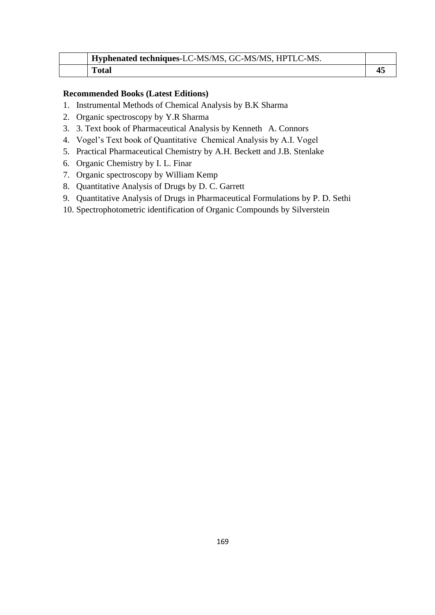| Hyphenated techniques-LC-MS/MS, GC-MS/MS, HPTLC-MS. |  |
|-----------------------------------------------------|--|
| <b>Total</b>                                        |  |

#### **Recommended Books (Latest Editions)**

- 1. Instrumental Methods of Chemical Analysis by B.K Sharma
- 2. Organic spectroscopy by Y.R Sharma
- 3. 3. Text book of Pharmaceutical Analysis by Kenneth A. Connors
- 4. Vogel's Text book of Quantitative Chemical Analysis by A.I. Vogel
- 5. Practical Pharmaceutical Chemistry by A.H. Beckett and J.B. Stenlake
- 6. Organic Chemistry by I. L. Finar
- 7. Organic spectroscopy by William Kemp
- 8. Quantitative Analysis of Drugs by D. C. Garrett
- 9. Quantitative Analysis of Drugs in Pharmaceutical Formulations by P. D. Sethi
- 10. Spectrophotometric identification of Organic Compounds by Silverstein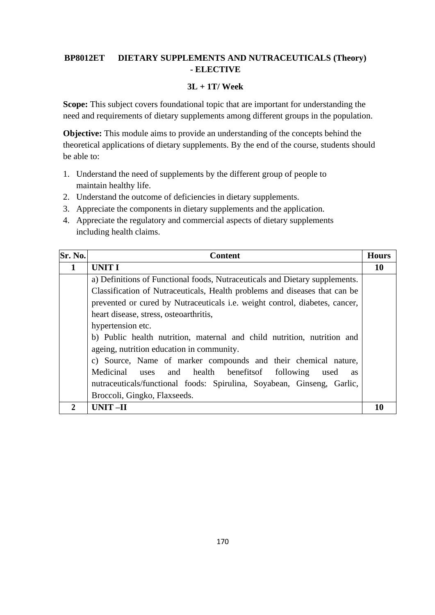### **BP8012ET DIETARY SUPPLEMENTS AND NUTRACEUTICALS (Theory) - ELECTIVE**

#### **3L + 1T/ Week**

Scope: This subject covers foundational topic that are important for understanding the need and requirements of dietary supplements among different groups in the population.

**Objective:** This module aims to provide an understanding of the concepts behind the theoretical applications of dietary supplements. By the end of the course, students should be able to:

- 1. Understand the need of supplements by the different group of people to maintain healthy life.
- 2. Understand the outcome of deficiencies in dietary supplements.
- 3. Appreciate the components in dietary supplements and the application.
- 4. Appreciate the regulatory and commercial aspects of dietary supplements including health claims.

| Sr. No. | <b>Content</b>                                                                     | <b>Hours</b> |
|---------|------------------------------------------------------------------------------------|--------------|
| 1       | <b>UNIT I</b>                                                                      | 10           |
|         | a) Definitions of Functional foods, Nutraceuticals and Dietary supplements.        |              |
|         | Classification of Nutraceuticals, Health problems and diseases that can be         |              |
|         | prevented or cured by Nutraceuticals <i>i.e.</i> weight control, diabetes, cancer, |              |
|         | heart disease, stress, osteoarthritis,                                             |              |
|         | hypertension etc.                                                                  |              |
|         | b) Public health nutrition, maternal and child nutrition, nutrition and            |              |
|         | ageing, nutrition education in community.                                          |              |
|         | c) Source, Name of marker compounds and their chemical nature,                     |              |
|         | Medicinal<br>and health benefits of following<br>uses<br>used<br><b>as</b>         |              |
|         | nutraceuticals/functional foods: Spirulina, Soyabean, Ginseng, Garlic,             |              |
|         | Broccoli, Gingko, Flaxseeds.                                                       |              |
|         | $UNIT-II$                                                                          |              |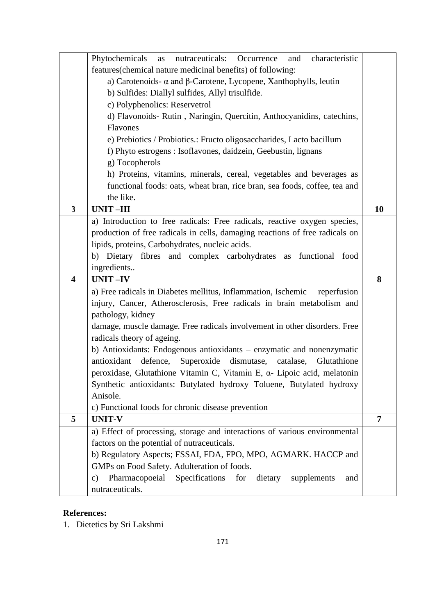|                         | Phytochemicals<br>nutraceuticals:<br>Occurrence<br>characteristic<br>and<br>as            |                |
|-------------------------|-------------------------------------------------------------------------------------------|----------------|
|                         | features (chemical nature medicinal benefits) of following:                               |                |
|                         | a) Carotenoids- $\alpha$ and $\beta$ -Carotene, Lycopene, Xanthophylls, leutin            |                |
|                         | b) Sulfides: Diallyl sulfides, Allyl trisulfide.                                          |                |
|                         | c) Polyphenolics: Reservetrol                                                             |                |
|                         | d) Flavonoids-Rutin, Naringin, Quercitin, Anthocyanidins, catechins,                      |                |
|                         | Flavones                                                                                  |                |
|                         | e) Prebiotics / Probiotics.: Fructo oligosaccharides, Lacto bacillum                      |                |
|                         | f) Phyto estrogens : Isoflavones, daidzein, Geebustin, lignans                            |                |
|                         | g) Tocopherols                                                                            |                |
|                         | h) Proteins, vitamins, minerals, cereal, vegetables and beverages as                      |                |
|                         | functional foods: oats, wheat bran, rice bran, sea foods, coffee, tea and                 |                |
|                         | the like.                                                                                 |                |
| $\overline{\mathbf{3}}$ | <b>UNIT-III</b>                                                                           | 10             |
|                         | a) Introduction to free radicals: Free radicals, reactive oxygen species,                 |                |
|                         | production of free radicals in cells, damaging reactions of free radicals on              |                |
|                         | lipids, proteins, Carbohydrates, nucleic acids.                                           |                |
|                         | b) Dietary fibres and complex carbohydrates as functional food                            |                |
|                         | ingredients                                                                               |                |
|                         |                                                                                           |                |
| $\overline{\mathbf{4}}$ | <b>UNIT-IV</b>                                                                            | 8              |
|                         | a) Free radicals in Diabetes mellitus, Inflammation, Ischemic<br>reperfusion              |                |
|                         | injury, Cancer, Atherosclerosis, Free radicals in brain metabolism and                    |                |
|                         | pathology, kidney                                                                         |                |
|                         | damage, muscle damage. Free radicals involvement in other disorders. Free                 |                |
|                         | radicals theory of ageing.                                                                |                |
|                         | b) Antioxidants: Endogenous antioxidants – enzymatic and nonenzymatic                     |                |
|                         | antioxidant defence,<br>Superoxide dismutase, catalase, Glutathione                       |                |
|                         | peroxidase, Glutathione Vitamin C, Vitamin E, a- Lipoic acid, melatonin                   |                |
|                         | Synthetic antioxidants: Butylated hydroxy Toluene, Butylated hydroxy                      |                |
|                         | Anisole.                                                                                  |                |
|                         | c) Functional foods for chronic disease prevention                                        |                |
| 5                       | <b>UNIT-V</b>                                                                             | $\overline{7}$ |
|                         | a) Effect of processing, storage and interactions of various environmental                |                |
|                         | factors on the potential of nutraceuticals.                                               |                |
|                         | b) Regulatory Aspects; FSSAI, FDA, FPO, MPO, AGMARK. HACCP and                            |                |
|                         | GMPs on Food Safety. Adulteration of foods.                                               |                |
|                         | Pharmacopoeial<br>Specifications<br>for<br>dietary<br>supplements<br>$\mathbf{c})$<br>and |                |

# **References:**

1. Dietetics by Sri Lakshmi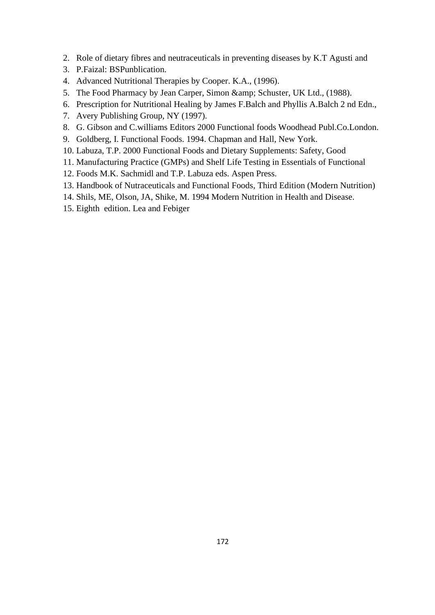- 2. Role of dietary fibres and neutraceuticals in preventing diseases by K.T Agusti and
- 3. P.Faizal: BSPunblication.
- 4. Advanced Nutritional Therapies by Cooper. K.A., (1996).
- 5. The Food Pharmacy by Jean Carper, Simon & amp; Schuster, UK Ltd., (1988).
- 6. Prescription for Nutritional Healing by James F.Balch and Phyllis A.Balch 2 nd Edn.,
- 7. Avery Publishing Group, NY (1997).
- 8. G. Gibson and C.williams Editors 2000 Functional foods Woodhead Publ.Co.London.
- 9. Goldberg, I. Functional Foods. 1994. Chapman and Hall, New York.
- 10. Labuza, T.P. 2000 Functional Foods and Dietary Supplements: Safety, Good
- 11. Manufacturing Practice (GMPs) and Shelf Life Testing in Essentials of Functional
- 12. Foods M.K. Sachmidl and T.P. Labuza eds. Aspen Press.
- 13. Handbook of Nutraceuticals and Functional Foods, Third Edition (Modern Nutrition)
- 14. Shils, ME, Olson, JA, Shike, M. 1994 Modern Nutrition in Health and Disease.
- 15. Eighth edition. Lea and Febiger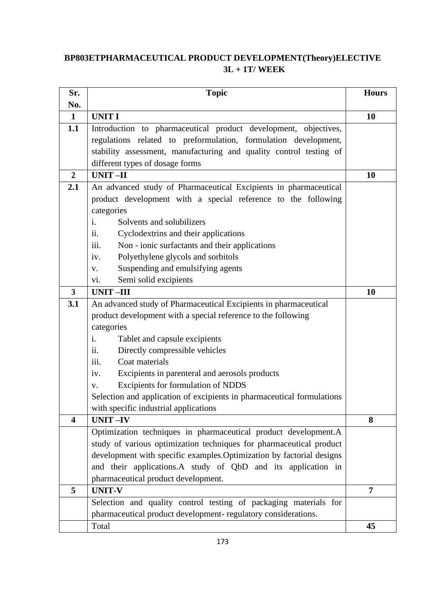# **BP803ETPHARMACEUTICAL PRODUCT DEVELOPMENT(Theory)ELECTIVE 3L + 1T/ WEEK**

| Sr.                     | <b>Topic</b>                                                           | <b>Hours</b>   |
|-------------------------|------------------------------------------------------------------------|----------------|
| No.                     |                                                                        |                |
| 1                       | <b>UNIT I</b>                                                          | 10             |
| 1.1                     | Introduction to pharmaceutical product development, objectives,        |                |
|                         | regulations related to preformulation, formulation development,        |                |
|                         | stability assessment, manufacturing and quality control testing of     |                |
|                         | different types of dosage forms                                        |                |
| $\overline{2}$          | <b>UNIT-II</b>                                                         | <b>10</b>      |
| 2.1                     | An advanced study of Pharmaceutical Excipients in pharmaceutical       |                |
|                         | product development with a special reference to the following          |                |
|                         | categories                                                             |                |
|                         | Solvents and solubilizers<br>İ.                                        |                |
|                         | ii.<br>Cyclodextrins and their applications                            |                |
|                         | iii.<br>Non - ionic surfactants and their applications                 |                |
|                         | Polyethylene glycols and sorbitols<br>iv.                              |                |
|                         | Suspending and emulsifying agents<br>V.                                |                |
|                         | Semi solid excipients<br>vi.                                           |                |
| 3                       | <b>UNIT-III</b>                                                        | <b>10</b>      |
| 3.1                     | An advanced study of Pharmaceutical Excipients in pharmaceutical       |                |
|                         | product development with a special reference to the following          |                |
|                         | categories<br>i.                                                       |                |
|                         | Tablet and capsule excipients<br>Directly compressible vehicles<br>ii. |                |
|                         | Coat materials<br>111.                                                 |                |
|                         | Excipients in parenteral and aerosols products<br>iv.                  |                |
|                         | Excipients for formulation of NDDS<br>V.                               |                |
|                         | Selection and application of excipients in pharmaceutical formulations |                |
|                         | with specific industrial applications                                  |                |
| $\overline{\mathbf{4}}$ | <b>UNIT-IV</b>                                                         | 8              |
|                         | Optimization techniques in pharmaceutical product development.A        |                |
|                         | study of various optimization techniques for pharmaceutical product    |                |
|                         | development with specific examples. Optimization by factorial designs  |                |
|                         | and their applications.A study of QbD and its application in           |                |
|                         | pharmaceutical product development.                                    |                |
| 5                       | <b>UNIT-V</b>                                                          | $\overline{7}$ |
|                         | Selection and quality control testing of packaging materials for       |                |
|                         | pharmaceutical product development- regulatory considerations.         |                |
|                         | Total                                                                  | 45             |